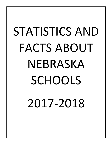# STATISTICS AND FACTS ABOUT NEBRASKA SCHOOLS 2017‐2018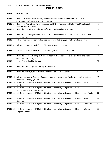# **TABLE OF CONTENTS**

| <b>TABLE</b>       | <b>DESCRIPTION</b>                                                                                                                |                |
|--------------------|-----------------------------------------------------------------------------------------------------------------------------------|----------------|
| TABLE 1            | Number of All Districts/Systems, Membership and FTE of Teachers and Total FTE of<br>Certificated Staff by Type of District/System | $\mathbf{1}$   |
| TABLE <sub>2</sub> | Number of Public Districts, Membership and FTE of Teachers and Total FTE of Certificated<br><b>Staff by Class of District</b>     | $\overline{2}$ |
| TABLE 3            | Nebraska Operating School Districts/Systems and Number of Schools                                                                 | 3              |
| TABLE 4            | Nebraska Operating School Districts/Systems and Number of Schools - Public Districts Only -<br>by Class of District               | 4              |
| TABLE <sub>5</sub> | Fall Membership in Approved/Accredited School Districts/Systems by Grade and Type                                                 | 5              |
| TABLE 6            | Fall Membership in Public School Districts by Grade and Class                                                                     | 6              |
| TABLE <sub>7</sub> | Fall Membership in Public School Districts by Grade and Kind of School                                                            | $\overline{7}$ |
| TABLE <sub>8</sub> | Nebraska Fall Membership by Grade in Approved/Accredited Public, Non Public and State<br><b>Operated Districts/Systems</b>        | 8              |
| <b>TABLE 11</b>    | Public District Ranking by Membership                                                                                             | 32             |
| TABLE 14           | Nebraska District/System Ranking by Membership                                                                                    | 40             |
| TABLE 15           | Nebraska District/System Ranking by Membership - State Operated                                                                   | 47             |
| TABLE 16           | Fall Membership by Race and Gender in Approved/Accredited Public, Non Public and State<br><b>Operated Districts/Systems</b>       | 48             |
| TABLE 19           | Full-Time Equivalency (FTE) of Certificated Personnel by Assignment and Gender - Public<br><b>Districts</b>                       | 73             |
| TABLE 20           | Full-Time Equivalency (FTE) of Certificated Personnel by Assignment and Gender -<br><b>Educational Service Units (ESUs)</b>       | 75             |
| TABLE 21           | Full-Time Equivalency (FTE) of Certificated Personnel by Assignment and Gender - Non Public                                       | 77             |
| TABLE 22           | Full-Time Equivalency (FTE) of Certificated Personnel by Assignment and Gender - State<br>Operated                                | 79             |
| TABLE 23           | Full-Time Equivalency (FTE) of Certificated Personnel by Assignment and Gender - Statewide                                        | 81             |
| TABLE 26           | Full-Time Equivalency (FTE) of Certificated Personnel by Assignment and Gender - Interim<br>Program Schools                       | 83             |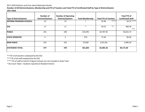## **Number of All Districts/Systems, Membership and FTE of Teachers and Total FTE of Certificated Staff by Type of District/System** *2017‐2018*

|                                | Number of         | <b>Number of Operating</b> |                         |                              |       | <b>Total FTE of</b>       |
|--------------------------------|-------------------|----------------------------|-------------------------|------------------------------|-------|---------------------------|
| Type of District/System        | Districts/Systems | Districts/Systems          | <b>Total Membership</b> | <b>Total FTE of Teachers</b> |       | <b>Certificated Staff</b> |
| <b>INTERIM PROGRAM SCHOOLS</b> | 13                | 13                         | $\Lambda$               | 55.96                        | ****  | 63.74 ****                |
| <b>ESU</b>                     | 17                | 17                         | $\boldsymbol{\wedge}$   | 94.23                        | $***$ | 468.78<br>***             |
| <b>PUBLIC</b>                  | 251               | 244                        | 323,391                 | 23,767.92                    |       | 35,621.72                 |
| <b>STATE OPERATED</b>          | 5                 | 5.                         | 375                     | 71.45                        |       | 85.05                     |
| <b>NON PUBLIC</b>              | 191               | 191                        | 37,839                  | 2,551.60                     |       | 2,996.29                  |
| <b>STATEWIDE TOTAL</b>         | 477               | 470                        | 361,605                 | 26,485.20                    |       | 39,171.84                 |

\*\* FTE of all teachers employed by the ESU

\*\*\* FTE of all staff employed by the ESU

\*\*\*\* FTE of staff at Interim Program Schools are not included in State Total

^ No Count Taken ‐ Students reported at Resident District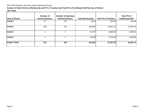# **Number of Public Districts, Membership and FTE. of Teachers and Total FTE. of Certificated Staff by Class of District**

|                          | Number of         | <b>Number of Operating</b> |                         |                              | <b>Total FTE of</b>       |
|--------------------------|-------------------|----------------------------|-------------------------|------------------------------|---------------------------|
| <b>Class of District</b> | Districts/Systems | Districts/Systems          | <b>Total Membership</b> | <b>Total FTE of Teachers</b> | <b>Certificated Staff</b> |
| <b>CLASS 2</b>           | 21                | 18                         | 3,013                   | 356.18                       | 514.90                    |
| <b>CLASS 3</b>           | 228               | 224                        | 225,805                 | 16,601.31                    | 25,381.60                 |
| <b>CLASS 4</b>           |                   |                            | 41,737                  | 3,086.58                     | 4,440.32                  |
| <b>CLASS 5</b>           |                   |                            | 52,836                  | 3,723.85                     | 5,284.90                  |
| <b>PUBLIC TOTAL</b>      | 251               | 244                        | 323,391                 | 23,767.92                    | 35,621.72                 |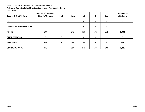## **Nebraska Operating School Districts/Systems and Number of Schools**

|                                | <b>Number of Operating</b> |             |              |             |           |                | <b>Total Number</b> |
|--------------------------------|----------------------------|-------------|--------------|-------------|-----------|----------------|---------------------|
| Type of District/System        | Districts/Systems          | <b>PreK</b> | Elem         | <b>MS</b>   | <b>HS</b> | Sec            | of Schools          |
|                                |                            |             |              |             |           |                |                     |
| <b>ESU</b>                     | 17                         | 8           | 0            | $\mathbf 0$ | 0         | 0              | 8                   |
|                                |                            |             |              |             |           |                |                     |
| <b>INTERIM PROGRAM SCHOOLS</b> | 13                         | 0           | 0            | $\mathbf 0$ | 0         | 0              | 0                   |
|                                |                            |             |              |             |           |                |                     |
| <b>PUBLIC</b>                  | 244                        | 64          | 547          | 129         | 102       | 162            | 1,004               |
|                                |                            |             |              |             |           |                |                     |
| <b>STATE OPERATED</b>          | 5                          | 0           | $\mathbf{1}$ | 0           | 3         | $\overline{2}$ | 6                   |
|                                |                            |             |              |             |           |                |                     |
| <b>NON PUBLIC</b>              | 191                        | 3           | 166          | 16          | 28        | 15             | 228                 |
|                                |                            |             |              |             |           |                |                     |
| <b>STATEWIDE TOTAL</b>         | 470                        | 75          | 714          | 145         | 133       | 179            | 1,246               |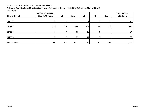## **Nebraska Operating School Districts/Systems and Number of Schools ‐ Public Districts Only ‐ by Class of District**

|                          | <b>Number of Operating</b> |             |      |           |           |     | <b>Total Number</b> |
|--------------------------|----------------------------|-------------|------|-----------|-----------|-----|---------------------|
| <b>Class of District</b> | Districts/Systems          | <b>PreK</b> | Elem | <b>MS</b> | <b>HS</b> | Sec | of Schools          |
|                          |                            |             |      |           |           |     |                     |
| <b>CLASS 2</b>           | 18                         |             | 20   |           |           | 17  | 40                  |
|                          |                            |             |      |           |           |     |                     |
| <b>CLASS 3</b>           | 224                        | 50          | 426  | 103       | 88        | 145 | 812                 |
|                          |                            |             |      |           |           |     |                     |
| <b>CLASS 4</b>           |                            |             | 39   | 12        | 61        |     | 64                  |
|                          |                            |             |      |           |           |     |                     |
| <b>CLASS 5</b>           |                            |             | 62   | 12        |           |     | 88                  |
|                          |                            |             |      |           |           |     |                     |
| <b>PUBLIC TOTAL</b>      | 244                        | 64          | 547  | 129       | 102       | 162 | 1,004               |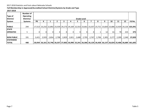# **Fall Membership in Approved/Accredited School Districts/Systems by Grade and Type**

| Type of<br>District/             | Number of<br><b>Operating</b><br>Districts/ |           |       |       |       |       |       |       | <b>Grade Level</b> |       |       |       |       |       |       |                                                                                                           |
|----------------------------------|---------------------------------------------|-----------|-------|-------|-------|-------|-------|-------|--------------------|-------|-------|-------|-------|-------|-------|-----------------------------------------------------------------------------------------------------------|
| System                           | <b>Systems</b>                              | <b>PK</b> | К     |       |       |       |       |       | 6                  |       | 8     | 9     | 10    | 11    | 12    | <b>TOTAL</b>                                                                                              |
| <b>PUBLIC</b>                    | 244                                         |           |       |       |       |       |       |       |                    |       |       |       |       |       |       | 17,513 23,232 22,892 23,559 24,173 24,169 22,553 23,661 23,357 23,721 23,820 23,686 22,929 24,126 323,391 |
| <b>STATE</b><br><b>OPERATED</b>  | 5.                                          |           |       |       | 01    |       | ΩI    |       | 01                 | 01    |       | 12    | 61    | 78    | 223   | 375                                                                                                       |
| <b>NON PUBLIC</b>                | 191                                         | 3,421     | 2,929 | 2,854 | 2,798 | 2,829 | 2,821 | 2,688 | 2,705              | 2,767 | 2,706 | 2,305 | 2,277 | 2,399 | 2,340 | 37,839                                                                                                    |
| <b>STATEWIDE</b><br><b>TOTAL</b> | 440                                         |           |       |       |       |       |       |       |                    |       |       |       |       |       |       | 20,934 26,161 25,746 26,357 27,002 26,990 25,241 26,366 26,124 26,428 26,137 26,024 25,406 26,689 361,605 |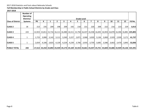## **Fall Membership in Public School Districts by Grade and Class**

|                          | Number of        |           |       |       |       |       |       |       |                    |       |       |       |       |       |       |                                                                                                           |
|--------------------------|------------------|-----------|-------|-------|-------|-------|-------|-------|--------------------|-------|-------|-------|-------|-------|-------|-----------------------------------------------------------------------------------------------------------|
|                          | <b>Operating</b> |           |       |       |       |       |       |       |                    |       |       |       |       |       |       |                                                                                                           |
|                          | Districts/       |           |       |       |       |       |       |       | <b>Grade Level</b> |       |       |       |       |       |       |                                                                                                           |
| <b>Class of District</b> | <b>Systems</b>   | <b>PK</b> | К     |       |       | 3     | 4     | 5.    | 6                  |       | 8     | 9     | 10    | 11    | 12    | <b>TOTAL</b>                                                                                              |
|                          |                  |           |       |       |       |       |       |       |                    |       |       |       |       |       |       |                                                                                                           |
| <b>CLASS 2</b>           | 18               | 213       | 235   | 209   | 198   | 209   | 192   | 218   | 221                | 220   | 208   | 222   | 216   | 223   | 229   | 3,013                                                                                                     |
|                          |                  |           |       |       |       |       |       |       |                    |       |       |       |       |       |       |                                                                                                           |
| <b>CLASS 3</b>           | 224              |           |       |       |       |       |       |       |                    |       |       |       |       |       |       | 12,923 15,811 15,716 16,111 16,480 16,511 15,758 16,437 16,358 16,692 16,943 16,878 16,306 16,881 225,805 |
|                          |                  |           |       |       |       |       |       |       |                    |       |       |       |       |       |       |                                                                                                           |
| <b>CLASS 4</b>           |                  | 1,723     | 3,080 | 3,142 | 3,111 | 3,260 | 3,227 | 2,871 | 3,068              | 3,020 | 3,136 | 3,069 | 2,929 | 2,930 | 3,171 | 41,737                                                                                                    |
|                          |                  |           |       |       |       |       |       |       |                    |       |       |       |       |       |       |                                                                                                           |
| <b>CLASS 5</b>           |                  | 2,654     | 4,106 | 3,825 | 4,139 | 4,224 | 4,239 | 3,706 | 3,935              | 3,759 | 3,685 | 3,586 | 3,663 | 3,470 | 3,845 | 52,836                                                                                                    |
|                          |                  |           |       |       |       |       |       |       |                    |       |       |       |       |       |       |                                                                                                           |
| <b>PUBLIC TOTAL</b>      | 244              |           |       |       |       |       |       |       |                    |       |       |       |       |       |       | 17,513 23,232 22,892 23,559 24,173 24,169 22,553 23,661 23,357 23,721 23,820 23,686 22,929 24,126 323,391 |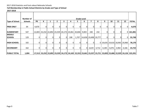## **Fall Membership in Public School Districts by Grade and Type of School**

|                                | Number of      |           |   |                                                              |    |                |     |                | <b>Grade Level</b> |                      |       |       |       |                               |       |                                                                                                           |
|--------------------------------|----------------|-----------|---|--------------------------------------------------------------|----|----------------|-----|----------------|--------------------|----------------------|-------|-------|-------|-------------------------------|-------|-----------------------------------------------------------------------------------------------------------|
| <b>Type of School</b>          | <b>Schools</b> | <b>PK</b> | К |                                                              | 2  | 3              | 4   | 5.             | 6                  |                      | 8     | 9     | 10    | 11                            | 12    | <b>TOTAL</b>                                                                                              |
| <b>PREK ONLY</b>               | 64             | 4,670     | 0 | 0                                                            | 01 | $\overline{0}$ | 01  | 0              | 0                  | 0                    | 01    | 01    | 01    | 01                            |       | 4,670                                                                                                     |
| <b>ELEMENTARY</b>              | 547            |           |   | 12,843   23,232   22,892   23,559   24,173   24,061   20,846 |    |                |     |                | 9,003              | 240                  | 232   |       |       |                               |       | 0 161,081                                                                                                 |
| <b>MIDDLE</b><br><b>SCHOOL</b> | 129            |           |   | 0                                                            | 0  | 0              | 108 | 1,707          |                    | 14,658 19,498 19,777 |       | 01    | 01    | 01                            | 0     | 55,748                                                                                                    |
| <b>HIGH SCHOOL</b>             | 102            |           |   | 0                                                            | 0  | 01             | 01  | 0              | 01                 | 01                   |       |       |       | 0 19,635 19,610 18,965 19,960 |       | 78,170                                                                                                    |
| <b>SECONDARY</b>               | 162            |           |   | 0                                                            | 0  | 01             | 01  | $\overline{0}$ |                    | $0 \mid 3,619$       | 3,712 | 4,185 | 4,076 | 3,964                         | 4,166 | 23,722                                                                                                    |
| <b>PUBLIC TOTAL</b>            | 1,004          |           |   |                                                              |    |                |     |                |                    |                      |       |       |       |                               |       | 17,513 23,232 22,892 23,559 24,173 24,169 22,553 23,661 23,357 23,721 23,820 23,686 22,929 24,126 323,391 |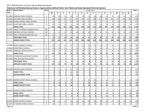| <b>District</b> | . .<br><b>District Name</b>           | $\cdot$ , $\cdot$ , $\cdot$<br>Class<br>Grade Level |                |                |                |                 |                |                |                 |                |                         |          |                | <b>Total</b>   |          |                |       |
|-----------------|---------------------------------------|-----------------------------------------------------|----------------|----------------|----------------|-----------------|----------------|----------------|-----------------|----------------|-------------------------|----------|----------------|----------------|----------|----------------|-------|
| Code            |                                       |                                                     | PK             | K              | 1              | $\overline{2}$  | 3              | 4              | 5               | 6              | $\overline{\mathbf{z}}$ | 8        | 9              | 10             | 11       | 12             |       |
| 01-0003         | <b>KENESAW PUBLIC SCHOOLS</b>         | 3                                                   | 19             | 20             | 13             | 25              | 17             | 19             | 13              | 24             | 20                      | 21       | 17             | 19             | 17       | 27             | 271   |
| 01-0018         | <b>HASTINGS PUBLIC SCHOOLS</b>        | 3                                                   | 244            | 258            | 278            | 277             | 251            | 276            | 227             | 298            | 272                     | 260      | 264            | 277            | 258      | 300            | 3,740 |
| 01-0090         | ADAMS CENTRAL PUBLIC SCHOOLS          | 3                                                   | 57             | 67             | 59             | 62              | 54             | 50             | 54              | 70             | 67                      | 76       | 79             | 86             | 68       | 72             | 921   |
|                 | 01-0123 SILVER LAKE PUBLIC SCHOOLS    | 3                                                   | 34             | 18             | 14             | 22              | 19             | 18             | 21              | 22             | 23                      | 10       | 16             | 11             | 15       | 12             | 255   |
|                 | <b>PUBLIC TOTAL</b>                   |                                                     | 354            | 363            | 364            | 386             | 341            | 363            | 315             | 414            | 382                     | 367      | 376            | 393            | 358      | 411            | 5,187 |
| 01-0701         | <b>CHRIST LUTHERAN ELEMENTARY SCH</b> | <b>NP</b>                                           | 0              | $\overline{7}$ | 9              | 10 <sup>1</sup> | $\overline{7}$ | 5              | 5               | 3              | 6                       |          | 0              | $\mathbf 0$    | $\Omega$ | $\Omega$       | 56    |
| 01-0702         | <b>HASTINGS CATHOLIC SCHOOLS</b>      | <b>NP</b>                                           | 0              | 35             | 29             | 39              | 36             | 38             | 41              | 40             | 40                      | 40       | 30             | 33             | 30       | 43             | 474   |
|                 | 01-0705 ZION LUTHERAN ELEMENTARY SCH  | <b>NP</b>                                           | 25             | 9              | 10             | 6               | $\overline{7}$ | 3              |                 | $\overline{2}$ | $\overline{2}$          |          | 0              | $\mathbf 0$    | $\Omega$ | $\overline{0}$ | 70    |
|                 | <b>NON PUBLIC TOTAL</b>               |                                                     | 25             | 51             | 48             | 55              | 50             | 46             | 51              | 45             | 48                      | 45       | 30             | 33             | 30       | 43             | 600   |
|                 | <b>ADAMS COUNTY TOTAL</b>             |                                                     | 379            | 414            | 412            | 441             | 391            | 409            | 366             | 459            | 430                     | 412      | 406            | 426            | 388      | 454            | 5,787 |
|                 |                                       |                                                     |                |                |                |                 |                |                |                 |                |                         |          |                |                |          |                |       |
| 02-0009         | <b>NELIGH-OAKDALE SCHOOLS</b>         | 3                                                   | 46             | 32             | 25             | 27              | 25             | 26             | 21              | 31             | 24                      | 28       | 24             | 23             | 25       | 26             | 383   |
|                 | 02-0018 ELGIN PUBLIC SCHOOLS          | 3                                                   | 29             | 14             | 12             | 9               | 15             | 9              | 16              | $\overline{7}$ | 14                      | 10       |                | 8              | 11       | 11             | 170   |
| 02-2001         | <b>INEBRASKA UNIFIED DISTRICT 1</b>   | 3                                                   | 41             | 35             | 28             | 29              | 39             | 29             | 42              | 26             | 24                      | 31       | 32             | 25             | 38       | 29             | 448   |
|                 | <b>PUBLIC TOTAL</b>                   |                                                     | 116            | 81             | 65             | 65              | 79             | 64             | 79              | 64             | 62                      | 69       | 61             | 56             | 74       | 66             | 1,001 |
| 02-0701         | <b>ST BONIFACE ELEMENTARY SCHOOL</b>  | <b>NP</b>                                           | 11             | 8              |                | 8               | 9              | 13             | 8               |                | 0                       | $\Omega$ | $\mathbf 0$    | $\mathbf 0$    | $\Omega$ | $\Omega$       | 69    |
| 02-0702         | <b>POPE JOHN XXIII HIGH SCHOOL</b>    | <b>NP</b>                                           | 0              | $\Omega$       | $\Omega$       | $\mathbf 0$     | $\overline{0}$ | $\mathbf 0$    | 0               | οI             | 14                      | 5        | 12             | 10             | 5        | 16             | 62    |
|                 | <b>NON PUBLIC TOTAL</b>               |                                                     | 11             | 8              | 5              | 8               | 9 <sub>l</sub> | 13             | 8               | $\overline{7}$ | 14                      | 5        | 12             | 10             | 5        | 16             | 131   |
|                 | <b>ANTELOPE COUNTY TOTAL</b>          |                                                     | 127            | 89             | <b>70</b>      | 73              | 88             | 77             | 87              | 71             | 76                      | 74       | 73             | 66             | 79       | 82             | 1,132 |
| 03-0500         | <b>ARTHUR COUNTY SCHOOLS</b>          | 2                                                   | $\Omega$       | 11             | 8              | 12              | 10             | 9              | 8               | $\overline{7}$ | 9                       | 9        | 8              | -7             | 7        | 61             | 111   |
|                 | <b>PUBLIC TOTAL</b>                   |                                                     | 0              | 11             | 8              | 12              | 10             | 9              | 8               | $\overline{7}$ | 9                       | 9        | 8              | $\overline{7}$ | 7        | 6 <sup>1</sup> | 111   |
|                 | <b>ARTHUR COUNTY TOTAL</b>            |                                                     | $\mathbf{0}$   | 11             | 81             | 12              | 10             | 9              | 8               | $\overline{7}$ | 9                       | 9        | 8              | $\overline{7}$ | 7        | 6 <sup>1</sup> | 111   |
|                 |                                       |                                                     |                |                |                |                 |                |                |                 |                |                         |          |                |                |          |                |       |
| 04-0001         | <b>BANNER COUNTY PUBLIC SCHOOLS</b>   | 3                                                   | 9              | 14             | 9              | 14              | $\overline{7}$ | 9              | 10 <sup>1</sup> | 15             | 8                       | 12       | 11             | 9              | 9        | 14             | 150   |
|                 | <b>PUBLIC TOTAL</b>                   |                                                     |                | 14             | 9              | 14              | 7              | 9              | 10              | 15             | 8                       | 12       | 11             | 9              | 9        | 14             | 150   |
|                 | <b>BANNER COUNTY TOTAL</b>            |                                                     |                | 14             | $\overline{9}$ | 14              | $\overline{7}$ | 9              | 10              | 15             | 8                       | 12       | 11             | 9              | 9        | 14             | 150   |
|                 |                                       |                                                     |                |                |                |                 |                |                |                 |                |                         |          |                |                |          |                |       |
|                 | 05-0071 SANDHILLS PUBLIC SCHOOLS      | $\mathbf{a}$                                        |                | $\overline{5}$ | $6 \mid$       | $6 \mid$        | 8              | $\overline{4}$ | $\overline{9}$  | 4              | 5 <sup>1</sup>          | 11       | 9l             | $\overline{4}$ | 6        | 11             | 90    |
|                 | <b>PUBLIC TOTAL</b>                   |                                                     | $\overline{2}$ | 5 <sub>l</sub> | 6 <sup>1</sup> | 6 <sup>1</sup>  | 8 <sup>1</sup> | 4              | 9               | 41             | 5 <sub>5</sub>          | 11       | $\overline{9}$ | 4              | 6        | 11             | 90    |
|                 | <b>BLAINE COUNTY TOTAL</b>            |                                                     |                | 5              | 6              | 6 <sup>1</sup>  | 8              | 4              | 9               |                | 5                       | 11       | q              | Δ              | 6        | 11             | 90    |
|                 |                                       |                                                     |                |                |                |                 |                |                |                 |                |                         |          |                |                |          |                |       |
| 06-0001         | <b>BOONE CENTRAL SCHOOLS</b>          | 3                                                   | 59             | 43             | 32             | 54              | 35             | 36             | 34              | 40             | 38                      | 39       | 47             | 53             | 47       | 42             | 599   |
|                 | 06-0017 ST EDWARD PUBLIC SCHOOLS      | 3                                                   | 14             | 11             | 11             | 12              | 12             | 13             | 10              | 17             | 18                      | 12       | 9 <sub>l</sub> | 8              | 15       | 11             | 173   |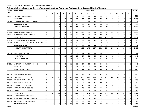| <b>District</b> | . .<br><b>District Name</b>                  | <b>Class</b>   |           |     |              |                 |     |     |             | Grade Level |                |     |              |             |                |                | <b>Total</b> |
|-----------------|----------------------------------------------|----------------|-----------|-----|--------------|-----------------|-----|-----|-------------|-------------|----------------|-----|--------------|-------------|----------------|----------------|--------------|
| Code            |                                              |                | <b>PK</b> | К   | $\mathbf{1}$ | $\overline{2}$  | 3   | 4   | 5           | 6           | $\overline{7}$ | 8   | 9            | 10          | 11             | 12             |              |
| 06-0075         | <b>RIVERSIDE PUBLIC SCHOOLS</b>              | 3              | 39        | 16  | 19           | 15              | 17  | 13  | 23          | 15          | 14             | 19  | 10           | 14          | 7              | 17             | 238          |
|                 | <b>PUBLIC TOTAL</b>                          |                | 112       | 70  | 62           | 81              | 64  | 62  | 67          | 72          | 70             | 70  | 66           | 75          | 69             | 70             | 1,010        |
| 06-0701         | <b>ST MICHAEL'S ELEMENTARY SCHOOL</b>        | <b>NP</b>      | 0         | 8   | 13           | $\overline{9}$  | 20  | 10  | 12          | 12          | 13             | 18  | $\Omega$     | $\Omega$    | $\Omega$       | $\Omega$       | 115          |
|                 | <b>NON PUBLIC TOTAL</b>                      |                | 0         | 8   | 13           | 9 <sub>l</sub>  | 20  | 10  | 12          | 12          | 13             | 18  | $\mathbf{0}$ | $\mathbf 0$ | $\mathbf{0}$   | 0              | 115          |
|                 | <b>BOONE COUNTY TOTAL</b>                    |                | 112       | 78  | 75           | 90              | 84  | 72  | 79          | 84          | 83             | 88  | 66           | 75          | 69             | 84             | 1,125        |
|                 |                                              |                |           |     |              |                 |     |     |             |             |                |     |              |             |                |                |              |
| 07-0006         | ALLIANCE PUBLIC SCHOOLS                      | 3              | 69        | 92  | 82           | 94              | 105 | 108 | 88          | 98          | 83             | 95  | 121          | 119         | 109            | 127            | 1,390        |
| 07-0010         | <b>HEMINGFORD PUBLIC SCHOOLS</b>             | 3              | 25        | 37  | 25           | 31              | 29  | 41  | 28          | 23          | 40             | 23  | 31           | 40          | 25             | 29             | 427          |
|                 | <b>PUBLIC TOTAL</b>                          |                | 94        | 129 | 107          | 125             | 134 | 149 | 116         | 121         | 123            | 118 | 152          | 159         | 134            | 156            | 1,817        |
| 07-0701         | <b>ST AGNES ELEMENTARY SCHOOL</b>            | <b>NP</b>      | 12        | 14  | 14           | 10              | 17  | 14  | 16          | 11          | 8              | 22  | 0            | 0           | $\overline{0}$ | $\overline{0}$ | 138          |
|                 | 07-0705 IIMMANUEL EVANGELICAL LUTHERAN SCHOO | <b>NP</b>      | 0         | 15  | 18           | 14              | 13  | 10  | 8           |             | 0              | 0   | 0            | 0           | $\Omega$       | $\overline{0}$ | 83           |
|                 | <b>NON PUBLIC TOTAL</b>                      |                | 12        | 29  | 32           | 24              | 30  | 24  | 24          | 16          | 8              | 22  | 0            | 0           | $\mathbf{0}$   | 0              | 221          |
|                 | <b>BOX BUTTE COUNTY TOTAL</b>                |                | 106       | 158 | 139          | 149             | 164 | 173 | 140         | 137         | 131            | 140 | 152          | 159         | 134            | 156            | 2,038        |
|                 |                                              |                |           |     |              |                 |     |     |             |             |                |     |              |             |                |                |              |
| 08-0051         | <b>BOYD COUNTY SCHOOLS</b>                   | 3              | 36        | 27  | 23           | 18              | 28  | 27  | 21          | 26          | 15             | 23  | 26           | 24          | 26             | 22             | 342          |
|                 | <b>PUBLIC TOTAL</b>                          |                | 36        | 27  | 23           | 18              | 28  | 27  | 21          | 26          | 15             | 23  | 26           | 24          | 26             | 22             | 342          |
|                 | <b>BOYD COUNTY TOTAL</b>                     |                | 36        | 27  | 23           | 18 <sup>1</sup> | 28  | 27  | 21          | 26          | 15             | 23  | 26           | 24          | 26             | 22             | 342          |
|                 |                                              |                |           |     |              |                 |     |     |             |             |                |     |              |             |                |                |              |
| 09-0010         | <b>AINSWORTH COMMUNITY SCHOOLS</b>           | 3              | 35        | 27  | 25           | 31              | 31  | 24  | 26          | 33          | 33             | 42  | 42           | 29          | 23             | 42             | 443          |
|                 | <b>PUBLIC TOTAL</b>                          |                | 35        | 27  | 25           | 31              | 31  | 24  | 26          | 33          | 33             | 42  | 42           | 29          | 23             | 42             | 443          |
|                 | <b>BROWN COUNTY TOTAL</b>                    |                | 35        | 27  | 25           | 31              | 31  | 24  | 26          | 33          | 33             | 42  | 42           | 29          | 23             | 42             | 443          |
|                 |                                              |                |           |     |              |                 |     |     |             |             |                |     |              |             |                |                |              |
| 10-0002         | <b>GIBBON PUBLIC SCHOOLS</b>                 | 3              | 44        | 37  | 49           | 30              | 46  | 44  | 47          | 47          | 45             | 41  | 48           | 39          | 36             | 47             | 600          |
| 10-0007         | <b>KEARNEY PUBLIC SCHOOLS</b>                | 3              | 308       | 491 | 454          | 467             | 482 | 460 | 449         | 420         | 375            | 412 | 408          | 362         | 346            | 381            | 5,815        |
| 10-0009         | <b>ELM CREEK PUBLIC SCHOOLS</b>              | 3              | 44        | 23  | 29           | 25              | 38  | 16  | 21          | 24          | 30             | 19  | 32           | 27          | 20             | 25             | 373          |
| 10-0019         | <b>SHELTON PUBLIC SCHOOLS</b>                | 3              | 34        | 19  | 13           | 23              | 18  | 12  | 17          | 15          | 20             | 28  | 21           | 23          | 25             | 24             | 292          |
| 10-0069         | RAVENNA PUBLIC SCHOOLS                       | 3              | 41        | 26  | 40           | 28              | 31  | 26  | 24          | 26          | 27             | 31  | 46           | 33          | 41             | 33             | 453          |
|                 | 10-0105 PLEASANTON PUBLIC SCHOOLS            | 3              | 28        | 24  | 12           | 18              | 21  | 18  | 20          | 23          | 12             | 20  | 23           | 19          | 21             | 20             | 279          |
|                 | 10-0119 AMHERST PUBLIC SCHOOLS               | $\overline{2}$ | 20        | 30  | 23           | 22              | 28  | 22  | 26          | 46          | 31             | 28  | 28           | 30          | 28             | 30             | 392          |
|                 | <b>PUBLIC TOTAL</b>                          |                | 519       | 650 | 620          | 613             | 664 | 598 | 604         | 601         | 540            | 579 | 606          | 533         | 517            | 560            | 8,204        |
|                 | 10-0701 KEARNEY CATHOLIC SCHOOLS             | <b>NP</b>      | O         | 0   | 0            | $\overline{0}$  | 0   | 0   | $\mathbf 0$ | 52          | 45             | 60  | 53           | 38          | 49             | 47             | 344          |
|                 | 10-0702 ZION LUTHERAN ELEMENTARY SCH         | <b>NP</b>      | 75        | 13  | 12           | 16              | 19  | 13  | 7           | 13          | 5              | 5   | 0            | $\mathbf 0$ | $\Omega$       | $\overline{0}$ | 178          |
|                 | 10-0709 FAITH CHRISTIAN SCH/KEARNEY          | <b>NP</b>      | $\Omega$  | 17  | 11           | $\overline{7}$  | 16  | 12  | 11          | 5           | $\overline{2}$ | 2   | $\Omega$     | 0           | $\Omega$       | $\overline{0}$ | 83           |
|                 | <b>NON PUBLIC TOTAL</b>                      |                | 75        | 30  | 23           | 23              | 35  | 25  | 18          | 70          | 52             | 67  | 53           | 38          | 49             | 47             | 605          |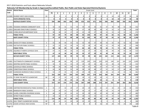| <b>District</b> | . .<br><b>District Name</b>                | <b>Class</b> |                |             |             |                |                |     |              | Grade Level    |                |              |                 |             |                |                   | <b>Total</b> |
|-----------------|--------------------------------------------|--------------|----------------|-------------|-------------|----------------|----------------|-----|--------------|----------------|----------------|--------------|-----------------|-------------|----------------|-------------------|--------------|
| Code            |                                            |              | <b>PK</b>      | ĸ           | 1           | $\overline{2}$ | 3              | 4   | 5            | 6              | $\overline{7}$ | 8            | 9               | 10          | 11             | $12 \overline{ }$ |              |
| 10-0600         | <b>KEARNEY WEST HIGH SCHOOL</b>            | <b>SO</b>    | 0              | $\mathbf 0$ | $\mathbf 0$ | $\overline{0}$ | $\mathbf 0$    | 0   | 0            | $\overline{0}$ | 0              | $\Omega$     | 10              | 19          | 27             | 34                | 90           |
|                 | <b>STATE OPERATED TOTAL</b>                |              | $\Omega$       | $\mathbf 0$ | $\mathbf 0$ | $\mathbf{0}$   | 0              | 0   | $\mathbf{0}$ | 0              | 0              | $\mathbf{0}$ | 10 <sup>1</sup> | 19          | 27             | 34                | 90           |
|                 | <b>BUFFALO COUNTY TOTAL</b>                |              | 594            | 680         | 643         | 636            | 699            | 623 | 622          | 671            | 592            | 646          | 669             | 590         | 593            | 641               | 8,899        |
|                 |                                            |              |                |             |             |                |                |     |              |                |                |              |                 |             |                |                   |              |
| 11-0001         | TEKAMAH-HERMAN COMMUNITY SCHS              | 3            | 32             | 42          | 31          | 31             | 45             | 34  | 43           | 33             | 41             | 37           | 36              | 48          | 42             | 46                | 541          |
| 11-0014         | <b>OAKLAND CRAIG PUBLIC SCHOOLS</b>        | 3            | 35             | 27          | 24          | 32             | 19             | 37  | 38           | 30             | 38             | 31           | 32              | 31          | 34             | 26                | 434          |
| 11-0020         | LYONS-DECATUR NORTHEAST SCHS               | 3            | 30             | 18          | 24          | 17             | 24             | 22  | 24           | 27             | 18             | 15           | 15              | 12          | 12             | 13                | 271          |
|                 | <b>PUBLIC TOTAL</b>                        |              | 97             | 87          | 79          | 80             | 88             | 93  | 105          | 90             | 97             | 83           | 83              | 91          | 88             | 85                | 1,246        |
|                 | <b>BURT COUNTY TOTAL</b>                   |              | 97             | 87          | 79          | <b>80</b>      | 88             | 93  | 105          | 90             | 97             | 83           | 83              | 91          | 88             | 85                | 1,246        |
|                 |                                            |              |                |             |             |                |                |     |              |                |                |              |                 |             |                |                   |              |
| 12-0056         | <b>DAVID CITY PUBLIC SCHOOLS</b>           | 3            | 55             | 39          | 44          | 53             | 52             | 53  | 44           | 37             | 44             | 43           | 42              | 45          | 42             | 56                | 649          |
| 12-0502         | <b>LEAST BUTLER PUBLIC SCHOOLS</b>         | 3            | 25             | 23          | 25          | 20             | 16             | 13  | 18           | 19             | 26             | 21           | 29              | 26          | 18             | 27                | 306          |
|                 | <b>PUBLIC TOTAL</b>                        |              | 80             | 62          | 69          | 73             | 68             | 66  | 62           | 56             | 70             | 64           | 71              | 71          | 60             | 83                | 955          |
| 12-0701         | <b>AQUINAS ST MARYS CATHOLIC SCHS</b>      | <b>NP</b>    | 47             | 41          | 30          | 26             | 25             | 33  | 37           | 29             | 31             | 38           | 44              | 35          | 55             | 44                | 515          |
|                 | <b>NON PUBLIC TOTAL</b>                    |              | 47             | 41          | 30          | 26             | 25             | 33  | 37           | 29             | 31             | 38           | 44              | 35          | 55             | 44                | 515          |
|                 | <b>BUTLER COUNTY TOTAL</b>                 |              | 127            | 103         | 99          | 99             | 93             | 99  | 99           | 85             | 101            | 102          | 115             | 106         | 115            | 127               | 1,470        |
|                 |                                            |              |                |             |             |                |                |     |              |                |                |              |                 |             |                |                   |              |
| 13-0001         | PLATTSMOUTH COMMUNITY SCHOOLS              | 3            | 164            | 88          | 90          | 99             | 97             | 129 | 105          | 126            | 102            | 139          | 140             | 141         | 143            | 132               | 1,695        |
| 13-0022         | <b>WEEPING WATER PUBLIC SCHOOLS</b>        | 3            | 33             | 8           | 25          | 15             | 19             | 19  | 23           | 26             | 26             | 21           | 28              | 23          | 25             | 24                | 315          |
| 13-0032         | LOUISVILLE PUBLIC SCHOOLS                  | 3            | 40             | 39          | 58          | 49             | 52             | 54  | 47           | 46             | 47             | 47           | 47              | 41          | 54             | 43                | 664          |
| 13-0056         | <b>CONESTOGA PUBLIC SCHOOLS</b>            | 3            | 43             | 38          | 51          | 52             | 46             | 58  | 54           | 48             | 57             | 51           | 54              | 57          | 48             | 48                | 705          |
| 13-0097         | <b>ELMWOOD-MURDOCK PUBLIC SCHOOLS</b>      | 3            | 53             | 47          | 33          | 35             | 29             | 29  | 28           | 32             | 24             | 28           | 22              | 32          | 33             | 36                | 461          |
|                 | <b>PUBLIC TOTAL</b>                        |              | 333            | 220         | 257         | 250            | 243            | 289 | 257          | 278            | 256            | 286          | 291             | 294         | 303            | 283               | 3,840        |
| 13-0701         | <b>ST JOHN THE BAPTIST ELEMENTARY</b>      | <b>NP</b>    | 40             | 17          | 19          | 23             | 13             | 18  | 11           | 10             | 16             | 11           | 0               | 0           | 0              | 0                 | 178          |
|                 | <b>NON PUBLIC TOTAL</b>                    |              | 40             | 17          | 19          | 23             | 13             | 18  | 11           | 10             | 16             | 11           | 0               | $\mathbf 0$ | 0              | Ω                 | 178          |
|                 | <b>CASS COUNTY TOTAL</b>                   |              | 373            | 237         | 276         | 273            | 256            | 307 | 268          | 288            | 272            | 297          | 291             | 294         | 303            | 283               | 4,018        |
|                 |                                            |              |                |             |             |                |                |     |              |                |                |              |                 |             |                |                   |              |
| 14-0008         | <b>HARTINGTON NEWCASTLE PUBLIC SCHOOLS</b> | 3            | 35             | 37          | 32          | 20             | 27             | 20  | 19           | 21             | 25             | 22           | 16              | 25          | 24             | 30                | 353          |
|                 | 14-0045 RANDOLPH PUBLIC SCHOOLS            | 3            | 17             | 10          | 21          | 22             | 20             | 16  | 13           | 17             | 14             | 14           | 21              | 19          | 18             | 17                | 239          |
|                 | 14-0054 LAUREL-CONCORD-COLERIDGE SCHOOL    | 3            | 48             | 35          | 25          | 33             | 41             | 39  | 39           | 33             | 32             | 36           | 30              | 26          | 31             | 37                | 485          |
|                 | 14-0101 WYNOT PUBLIC SCHOOLS               | 3            | 14             | 16          | 9           | 13             | 13             | 18  | 11           | 15             | 11             | 13           | 15              | 12          | 11             | 15                | 186          |
|                 | <b>PUBLIC TOTAL</b>                        |              | 114            | 98          | 87          | 88             | 101            | 93  | 82           | 86             | 82             | 85           | 82              | 82          | 84             | 99                | 1,263        |
| 14-0701         | HOLY TRINITY ELEMENTARY SCHOOL             | <b>NP</b>    | 35             | 21          | 15          | 24             | 18             | 23  | 25           | 23             | $\Omega$       | $\mathbf 0$  | $\overline{0}$  | 0           | $\overline{0}$ | $\mathbf 0$       | 184          |
|                 | 14-0702 CEDAR CATHOLIC HIGH SCHOOL         | <b>NP</b>    | $\overline{0}$ | $\mathbf 0$ | $\mathbf 0$ | $\overline{0}$ | $\overline{0}$ | 0   | $\mathbf 0$  | $\overline{0}$ | 31             | 28           | 29              | 37          | 24             | 39                | 188          |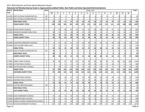| <b>District</b> | . .<br><b>District Name</b>          | <b>Class</b>   |              |     |              |                |                |     |                | Grade Level    | . .            |          |                |             |          |                   | <b>Total</b> |
|-----------------|--------------------------------------|----------------|--------------|-----|--------------|----------------|----------------|-----|----------------|----------------|----------------|----------|----------------|-------------|----------|-------------------|--------------|
| Code            |                                      |                | <b>PK</b>    | ĸ   | 1            | $\overline{2}$ | 3              | 4   | 5              | 6              | $\overline{7}$ | 8        | 9              | 10          | 11       | $12 \overline{ }$ |              |
| 14-0703         | <b>WEST CATHOLIC ELEMENTARY SCH</b>  | <b>NP</b>      | 0            | 3   | $\mathbf{1}$ | 5 <sub>l</sub> | $\mathbf 0$    | 5   |                |                | 0              | $\Omega$ | $\Omega$       | 0           | $\Omega$ | 0                 | 21           |
| 14-0704         | <b>EAST CATHOLIC ELEMENTARY SCH</b>  | <b>NP</b>      | $\Omega$     | 11  | 1            | 8 <sup>1</sup> | 6              | 6   | 4              |                | 0              | $\Omega$ | $\Omega$       | $\mathbf 0$ | $\Omega$ | $\Omega$          | 41           |
|                 | <b>NON PUBLIC TOTAL</b>              |                | 35           | 35  | 17           | 37             | 24             | 34  | 31             | 33             | 31             | 28       | 29             | 37          | 24       | 39                | 434          |
|                 | <b>CEDAR COUNTY TOTAL</b>            |                | 149          | 133 | 104          | 125            | 125            | 127 | 113            | 119            | 113            | 113      | 111            | 119         | 108      | 138               | 1,697        |
|                 |                                      |                |              |     |              |                |                |     |                |                |                |          |                |             |          |                   |              |
| 15-0010         | <b>CHASE COUNTY SCHOOLS</b>          | 3              | 8            | 55  | 48           | 50             | 61             | 37  | 61             | 49             | 43             | 45       | 47             | 51          | 36       | 54                | 645          |
|                 | 15-0536 WAUNETA-PALISADE PUBLIC SCHS | 3              | 38           | 15  | 15           | 18             | 18             | 15  | 23             | 15             | 21             | 17       | 13             | 16          | 18       | 15                | 257          |
|                 | <b>PUBLIC TOTAL</b>                  |                | 46           | 70  | 63           | 68             | 79             | 52  | 84             | 64             | 64             | 62       | 60             | 67          | 54       | 69                | 902          |
|                 | <b>CHASE COUNTY TOTAL</b>            |                | 46           | 70  | 63           | 68             | 79             | 52  | 84             | 64             | 64             | 62       | 60             | 67          | 54       | 69                | 902          |
|                 |                                      |                |              |     |              |                |                |     |                |                |                |          |                |             |          |                   |              |
| 16-0006         | VALENTINE COMMUNITY SCHOOLS          | 3              | 9            | 42  | 40           | 41             | 37             | 32  | 40             | 47             | 53             | 53       | 50             | 48          | 41       | 39                | 572          |
| 16-0030         | CODY-KILGORE PUBLIC SCHS             | $\overline{2}$ | 11           | 10  | 15           | 8 <sup>1</sup> | 15             | 12  | 17             | 15             | $\overline{7}$ | 8        | 13             | 13          | 16       | 18                | 178          |
|                 | <b>PUBLIC TOTAL</b>                  |                | 20           | 52  | 55           | 49             | 52             | 44  | 57             | 62             | 60             | 61       | 63             | 61          | 57       | 57                | 750          |
| 16-0701         | ZION LUTHERAN ELEMENTARY SCH         | <b>NP</b>      | 28           | 4   | 5            | $\overline{2}$ | 2              | 7   | 5              | $\overline{0}$ | 0              |          | $\overline{0}$ | 0           | 0        | 0                 | 54           |
|                 | <b>NON PUBLIC TOTAL</b>              |                | 28           | 4   | 5            | $\overline{2}$ | $\overline{2}$ | 7   | 5 <sub>l</sub> | $\mathbf{0}$   | 0              |          | $\mathbf{0}$   | $\mathbf 0$ | 0        | 0                 | 54           |
|                 | <b>CHERRY COUNTY TOTAL</b>           |                | 48           | 56  | 60           | 51             | 54             | 51  | 62             | 62             | 60             | 62       | 63             | 61          | 57       | 57                | 804          |
|                 |                                      |                |              |     |              |                |                |     |                |                |                |          |                |             |          |                   |              |
| 17-0001         | <b>SIDNEY PUBLIC SCHOOLS</b>         | 3              | 78           | 89  | 97           | 99             | 111            | 92  | 92             | 94             | 99             | 98       | 92             | 88          | 103      | 100               | 1,332        |
| 17-0003         | LEYTON PUBLIC SCHOOLS                | 3              |              | 4   | 11           | 11             | 13             | 11  | 16             | 20             | 22             | 19       | 16             | 17          | 13       | 11                | 186          |
| 17-0009         | POTTER-DIX PUBLIC SCHOOLS            | 3              |              | 16  | 12           | 12             | 12             | 21  | 13             | 12             | 14             | 12       | 17             | 9           | 14       | 10                | 181          |
|                 | <b>PUBLIC TOTAL</b>                  |                | 87           | 109 | 120          | 122            | 136            | 124 | 121            | 126            | 135            | 129      | 125            | 114         | 130      | 121               | 1,699        |
|                 | <b>CHEYENNE COUNTY TOTAL</b>         |                | 87           | 109 | 120          | 122            | 136            | 124 | 121            | 126            | 135            | 129      | 125            | 114         | 130      | 121               | 1,699        |
| 18-0002         | <b>SUTTON PUBLIC SCHOOLS</b>         | 3              | 21           | 23  | 38           | 27             | 31             | 23  | 30             | 23             | 34             | 40       | 28             | 31          | 38       | 23                | 410          |
|                 | 18-0011 HARVARD PUBLIC SCHOOLS       | 3              | 31           | 17  | 17           | 20             | 25             | 15  | 10             | 18             | 16             | 18       | 24             | 21          | 23       | 21                | 276          |
|                 | <b>PUBLIC TOTAL</b>                  |                | 52           | 40  | 55           | 47             | 56             | 38  | 40             | 41             | 50             | 58       | 52             | 52          | 61       | 44                | 686          |
| 18-0701         | <b>SUTTON CHRISTIAN SCHOOL</b>       | <b>NP</b>      | 0            |     | 4            | 1              | 3              | 1   | 5              | $\overline{2}$ | 0              | $\Omega$ | $\overline{0}$ | 0           | $\Omega$ | 0                 | 19           |
|                 | <b>NON PUBLIC TOTAL</b>              |                | $\mathbf{0}$ | З   |              | 1              | 3              | 1   | 5              | 2              | 0              | 0        | 0              | $\mathbf 0$ | 0        | 0                 | 19           |
|                 | <b>CLAY COUNTY TOTAL</b>             |                | 52           | 43  | 59           | 48             | 59             | 39  | 45             | 43             | 50             | 58       | 52             | 52          | 61       | 44                | 705          |
|                 |                                      |                |              |     |              |                |                |     |                |                |                |          |                |             |          |                   |              |
| 19-0039         | <b>LEIGH COMMUNITY SCHOOLS</b>       | 3              | 37           | 16  | 13           | 14             | 22             | 16  | 19             | 18             | 16             | 16       | 14             | 12          | 11       | 11                | 235          |
|                 | 19-0058 CLARKSON PUBLIC SCHOOLS      | 3              | 19           | 12  | 16           | 13             | 12             | 14  | 14             | 13             | 14             | 21       | 16             | 13          | 14       | 9                 | 200          |
| 19-0070         | HOWELLS-DODGE CONSOLIDATED SCHOOLS   | 3              | 23           | 14  | 12           | 10             | 16             | 15  | 9              | $\overline{7}$ | 25             | 24       | 29             | 23          | 27       | 25                | 259          |
|                 | 19-0123 SCHUYLER COMMUNITY SCHOOLS   | 3              | 221          | 142 | 136          | 131            | 168            | 146 | 130            | 146            | 147            | 131      | 146            | 162         | 138      | 127               | 2,071        |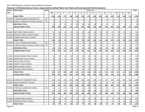| <b>District</b> | <b>District Name</b>                          | <b>Class</b> |           |             |                |                 |                |                |                | Grade Level |                |                |                |             |                |                | Total |
|-----------------|-----------------------------------------------|--------------|-----------|-------------|----------------|-----------------|----------------|----------------|----------------|-------------|----------------|----------------|----------------|-------------|----------------|----------------|-------|
| Code            |                                               |              | <b>PK</b> | K           | $\mathbf{1}$   | $\overline{2}$  | 3              | 4              | 5              | 6           | $\overline{7}$ | 8              | 9              | 10          | 11             | 12             |       |
|                 | <b>PUBLIC TOTAL</b>                           |              | 300       | 184         | 177            | 168             | 218            | 191            | 172            | 184         | 202            | 192            | 205            | 210         | 190            | 172            | 2,765 |
| 19-0703         | <b>ST JOHN NEUMANN ELEMENTARY SCH</b>         | <b>NP</b>    | $\Omega$  | $\mathbf 0$ | $\overline{3}$ | $\overline{4}$  | $\overline{3}$ | 3              | $\overline{3}$ | 5           | $\mathbf 0$    | $\overline{0}$ | $\overline{0}$ | $\Omega$    | $\overline{0}$ | $\Omega$       | 21    |
|                 | 19-0704 HOWELLS COMMUNITY CATHOLIC SCHOOL     | <b>NP</b>    | $\Omega$  | $\mathbf 0$ | 12             | 4               | 10             | $\overline{7}$ | 9              |             | $\mathbf 0$    | $\Omega$       | $\overline{0}$ | 0           | 0              | $\overline{0}$ | 49    |
|                 | <b>NON PUBLIC TOTAL</b>                       |              | 0         | $\mathbf 0$ | 15             | 8               | 13             | 10             | 12             | 12          | $\mathbf 0$    | $\mathbf{0}$   | 0              | $\mathbf 0$ | 0              | 0              | 70    |
|                 | <b>COLFAX COUNTY TOTAL</b>                    |              | 300       | 184         | 192            | 176             | 231            | 201            | 184            | 196         | 202            | 192            | 205            | 210         | 190            | 172            | 2,835 |
|                 |                                               |              |           |             |                |                 |                |                |                |             |                |                |                |             |                |                |       |
| 20-0001         | <b>WEST POINT PUBLIC SCHOOLS</b>              | 3            | 42        | 46          | 42             | 43              | 50             | 50             | 49             | 40          | 49             | 69             | 67             | 72          | 60             | 72             | 751   |
| 20-0020         | <b>BANCROFT-ROSALIE COMM SCHOOLS</b>          | 3            | 30        | 19          | 20             | 23              | 14             | 21             | 17             | 25          | 28             | 14             | 24             | 18          | 17             | 23             | 293   |
|                 | 20-0030 WISNER-PILGER PUBLIC SCHOOLS          | 3            | 34        | 24          | 25             | 21              | 33             | 27             | 38             | 35          | 37             | 27             | 31             | 35          | 28             | 31             | 426   |
|                 | <b>PUBLIC TOTAL</b>                           |              | 106       | 89          | 87             | 87              | 97             | 98             | 104            | 100         | 114            | 110            | 122            | 125         | 105            | 126            | 1,470 |
| 20-0703         | <b>ST PAUL LUTHERAN ELEM SCHOOL</b>           | <b>NP</b>    | 41        | 10          | 8              | 12              | 11             | 12             | 8              | 8           | 14             | 9              | $\Omega$       | $\Omega$    | 0              | $\Omega$       | 133   |
| 20-0710         | <b>IGUARDIAN ANGELS CENTRAL CATHOLIC SCHO</b> | <b>NP</b>    | 27        | 34          | 24             | 18              | 27             | 23             | 35             | 22          | 26             | 27             | 38             | 27          | 25             | 20             | 373   |
|                 | <b>NON PUBLIC TOTAL</b>                       |              | 68        | 44          | 32             | 30 <sup>1</sup> | 38             | 35             | 43             | 30          | 40             | 36             | 38             | 27          | 25             | 20             | 506   |
|                 | <b>CUMING COUNTY TOTAL</b>                    |              | 174       | 133         | 119            | 117             | 135            | 133            | 147            | 130         | 154            | 146            | 160            | 152         | 130            | 146            | 1,976 |
|                 |                                               |              |           |             |                |                 |                |                |                |             |                |                |                |             |                |                |       |
|                 | 21-0015 ANSELMO-MERNA PUBLIC SCHOOLS          | 3            | 13        | 29          | 19             | 18              | 25             | 20             | 16             | 20          | 21             | 24             | 18             | 15          | 18             | 17             | 273   |
| 21-0025         | <b>BROKEN BOW PUBLIC SCHOOLS</b>              | 3            | 99        | 49          | 61             | 65              | 56             | 64             | 50             | 63          | 58             | 65             | 69             | 46          | 52             | 64             | 861   |
| 21-0044         | <b>ANSLEY PUBLIC SCHOOLS</b>                  | 3            | 17        | 15          | 14             | 14              | 11             | 13             | 11             | 12          | 11             | 12             | 17             | 17          | 13             | 13             | 190   |
| 21-0084         | <b>SARGENT PUBLIC SCHOOLS</b>                 | 3            | 16        | 10          | 13             | 13              | $\overline{9}$ | 17             | 12             | 16          | 20             | 8              | 13             | 19          | 8              | 19             | 193   |
| 21-0089         | <b>ARNOLD PUBLIC SCHOOLS</b>                  | 3            |           | 15          | 15             | 13              | 12             | 10             | 11             | 20          | 8              | 11             | 21             | 10          | 13             | 8              | 169   |
|                 | 21-0180 CALLAWAY PUBLIC SCHOOLS               | 3            | 17        | 19          | 16             | 9               | 11             | 20             | 18             | 13          | 17             | 22             | 12             | 16          | 17             | 15             | 222   |
|                 | <b>PUBLIC TOTAL</b>                           |              | 164       | 137         | 138            | 132             | 124            | 144            | 118            | 144         | 135            | 142            | 150            | 123         | 121            | 136            | 1,908 |
|                 | <b>CUSTER COUNTY TOTAL</b>                    |              | 164       | 137         | 138            | 132             | 124            | 144            | 118            | 144         | 135            | 142            | 150            | 123         | 121            | 136            | 1,908 |
|                 |                                               |              |           |             |                |                 |                |                |                |             |                |                |                |             |                |                |       |
| 22-0011         | <b>SO SIOUX CITY COMMUNITY SCHS</b>           | 3            | 226       | 291         | 245            | 261             | 280            | 282            | 256            | 290         | 272            | 277            | 269            | 305         | 290            | 306            | 3,850 |
| 22-0031         | <b>HOMER COMMUNITY SCHOOLS</b>                | 3            | 24        | 28          | 26             | 28              | 22             | 37             | 24             | 19          | 39             | 29             | 34             | 26          | 19             | 27             | 382   |
|                 | <b>PUBLIC TOTAL</b>                           |              | 250       | 319         | 271            | 289             | 302            | 319            | 280            | 309         | 311            | 306            | 303            | 331         | 309            | 333            | 4,232 |
|                 | 22-0701 ST MICHAEL ELEMENTARY SCHOOL          | <b>NP</b>    | 13        | 15          | 15             | 19              | 17             | 13             | 20             | 14          | 16             | 24             | 0              | 0           | 0              | $\overline{0}$ | 166   |
|                 | <b>NON PUBLIC TOTAL</b>                       |              | 13        | 15          | 15             | 19              | 17             | 13             | 20             | 14          | 16             | 24             | Οl             | 0l          | $\mathbf{0}$   | 0l             | 166   |
|                 | <b>DAKOTA COUNTY TOTAL</b>                    |              | 263       | 334         | 286            | 308             | 319            | 332            | 300            | 323         | 327            | 330            | 303            | 331         | 309            | 333            | 4,398 |
|                 |                                               |              |           |             |                |                 |                |                |                |             |                |                |                |             |                |                |       |
| 23-0002         | <b>CHADRON PUBLIC SCHOOLS</b>                 | 3            | 28        | 81          | 64             | 71              | 75             | 61             | 59             | 69          | 73             | 76             | 74             | 68          | 66             | 51             | 916   |
|                 | 23-0071 CRAWFORD PUBLIC SCHOOLS               | 3            | 26        | 16          | 17             | 14              | 16             | 17             | 11             | 16          | 7              | 17             | 13             | 17          | 20             | 20             | 227   |
|                 | <b>PUBLIC TOTAL</b>                           |              | 54        | 97          | 81             | 85              | 91             | 78             | 70             | 85          | 80             | 93             | 87             | 85          | 86             | 71             | 1,143 |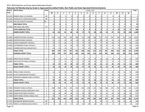| <b>District</b> | <b>District Name</b>                    | <b>Class</b> |                |             |              |                |                         |              |                | Grade Level    |                          |             |                 |             |                |                | <b>Total</b>   |
|-----------------|-----------------------------------------|--------------|----------------|-------------|--------------|----------------|-------------------------|--------------|----------------|----------------|--------------------------|-------------|-----------------|-------------|----------------|----------------|----------------|
| Code            |                                         |              | <b>PK</b>      | К           | $\mathbf{1}$ | $\overline{2}$ | 3                       | 4            | 5              | 6              | $\overline{\phantom{a}}$ | 8           | 9               | 10          | 11             | 12             |                |
| 23-0701         | PRAIRIE VIEW S D A SCHOOL               | <b>NP</b>    | $\Omega$       | $\mathbf 0$ | 0            | 0              | $\mathbf 0$             | 0            | $\Omega$       |                | $\mathbf 0$              | 1           | $\overline{0}$  | $\mathbf 0$ | 0              | $\overline{0}$ | $\overline{2}$ |
| 23-0704         | <b>TRUNK BUTTE CHRISTIAN SCHOOL</b>     | <b>NP</b>    |                |             | 0            | $\Omega$       |                         | 0            |                |                | $\mathbf 0$              | $\Omega$    | $\Omega$        | $\Omega$    | 0              | $\overline{0}$ | 10             |
| 23-0705         | <b>COLLEGE HEIGHTS ACADEMY</b>          | <b>NP</b>    | 6              |             | 0            |                | $\overline{2}$          | $\mathbf{1}$ |                |                | $\mathbf 0$              | $\Omega$    | $\overline{0}$  | 0           | 0              | $\Omega$       | 13             |
|                 | <b>NON PUBLIC TOTAL</b>                 |              | 8              | Δ           | 0            |                | $\overline{\mathbf{3}}$ | 1            | 3              |                | $\mathbf 0$              |             | $\mathbf{0}$    | $\mathbf 0$ | 0              | $\mathbf{0}$   | 25             |
| 23-0601         | <b>PINE RIDGE JOB CORPS</b>             | <b>SO</b>    | $\Omega$       | 0           | 0            | $\overline{0}$ | $\overline{0}$          | $\mathbf 0$  | $\overline{0}$ | 0              | $\mathbf 0$              | $\Omega$    | $\overline{0}$  | 10          | 13             | 77             | 100            |
|                 | <b>STATE OPERATED TOTAL</b>             |              | 0              | $\Omega$    | 0            | 0              | $\mathbf{0}$            | 0            | $\mathbf{0}$   | 0              | $\mathbf 0$              | $\mathbf 0$ | 0               | 10          | 13             | 77             | 100            |
|                 | <b>DAWES COUNTY TOTAL</b>               |              | 62             | 101         | 81           | 86             | 94                      | 79           | 73             | 89             | 80                       | 94          | 87              | 95          | 99             | 148            | 1,268          |
| 24-0001         | LEXINGTON PUBLIC SCHOOLS                | 3            | 258            | 210         | 223          | 230            | 200                     | 172          | 186            | 238            | 227                      | 223         | 216             | 230         | 214            | 224            | 3,051          |
| 24-0004         | <b>OVERTON PUBLIC SCHOOLS</b>           | 3            | 32             | 22          | 20           | 24             | 20                      | 24           | 20             | 21             | 20                       | 25          | 24              | 25          | 18             | 27             | 322            |
| 24-0011         | <b>COZAD COMMUNITY SCHOOLS</b>          | 3            | 59             | 67          | 66           | 57             | 72                      | 57           | 67             | 66             | 77                       | 80          | 69              | 71          | 77             | 66             | 951            |
| 24-0020         | <b>IGOTHENBURG PUBLIC SCHOOLS</b>       | 3            | 24             | 57          | 52           | 66             | 63                      | 69           | 72             | $70\,$         | 69                       | 64          | 76              | 78          | 73             | 81             | 914            |
| 24-0101         | SUMNER-EDDYVILLE-MILLER SCHS            | 3            | 16             | 14          | 12           | 10             | $\overline{7}$          | 14           | 16             | 18             | 17                       | 15          | 13              | 17          | 14             | 15             | 198            |
|                 | <b>PUBLIC TOTAL</b>                     |              | 389            | 370         | 373          | 387            | 362                     | 336          | 361            | 413            | 410                      | 407         | 398             | 421         | 396            | 413            | 5,436          |
|                 | <b>DAWSON COUNTY TOTAL</b>              |              | 389            | 370         | 373          | 387            | 362                     | 336          | 361            | 413            | 410                      | 407         | 398             | 421         | 396            | 413            | 5,436          |
|                 |                                         |              |                |             |              |                |                         |              |                |                |                          |             |                 |             |                |                |                |
| 25-0025         | <b>CREEK VALLEY SCHOOLS</b>             | 3            | 10             | 13          | 14           | 14             | 14                      | 17           | 17             | 13             | 15                       | 20          | 16              | 18          | 12             | 14             | 207            |
|                 | 25-0095 SOUTH PLATTE PUBLIC SCHOOLS     | 3            | $\Omega$       | 12          | 15           | 14             | 11                      | 10           | 20             | 19             | 16                       | 13          | 14              | 11          | 12             | 12             | 179            |
|                 | <b>PUBLIC TOTAL</b>                     |              | 10             | 25          | 29           | 28             | 25                      | 27           | 37             | 32             | 31                       | 33          | 30              | 29          | 24             | 26             | 386            |
|                 | <b>DEUEL COUNTY TOTAL</b>               |              | 10             | 25          | 29           | 28             | 25                      | 27           | 37             | 32             | 31                       | 33          | 30 <sup>l</sup> | 29          | 24             | 26             | 386            |
| 26-0001         | <b>PONCA PUBLIC SCHOOLS</b>             | 3            | 22             | 33          | 38           | 24             | 35                      | 31           | 35             | 36             | 23                       | 42          | 32              | 39          | 35             | 43             | 468            |
|                 | 26-0070 ALLEN CONSOLIDATED SCHOOLS      | 3            |                | 8           | 12           | 8              | 10                      | 14           | 16             | 9              | 11                       | 16          | 18              | 12          | 21             | 17             | 179            |
|                 | 26-0561 EMERSON-HUBBARD PUBLIC SCHOOLS  | 3            | 20             | 18          | 15           | 20             | 31                      | 25           | 21             | 21             | 19                       | 18          | 16              | 12          | 17             | 20             | 273            |
|                 | <b>PUBLIC TOTAL</b>                     |              | 49             | 59          | 65           | 52             | 76                      | 70           | 72             | 66             | 53                       | 76          | 66              | 63          | 73             | 80             | 920            |
|                 | <b>DIXON COUNTY TOTAL</b>               |              | 49             | 59          | 65           | 52             | 76                      | 70           | 72             | 66             | 53                       | 76          | 66              | 63          | 73             | 80             | 920            |
|                 | 27-0001 FREMONT PUBLIC SCHOOLS          | 3            | 268            | 304         | 329          | 345            | 354                     | 342          | 290            | 352            | 332                      | 338         | 370             | 395         | 374            | 343            | 4,736          |
|                 | 27-0062 SCRIBNER-SNYDER COMMUNITY SCHS  | 3            | 19             | 14          | 16           | 16             | 12                      | 17           | 11             | 13             | 14                       | 14          | 13              | 14          | 16             | 16             | 205            |
|                 | 27-0594 LOGAN VIEW PUBLIC SCHOOLS       | 3            | 10             | 38          | 40           | 40             | 41                      | 46           | 39             | 47             | 41                       | 42          | 46              | 46          | 36             | 45             | 557            |
|                 | 27-0595 INORTH BEND CENTRAL PUBLIC SCHS | 3            | 40             | 37          | 47           | 48             | 47                      | 46           | 39             | 52             | 47                       | 43          | 58              | 39          | 44             | 48             | 635            |
|                 | <b>PUBLIC TOTAL</b>                     |              | 337            | 393         | 432          | 449            | 454                     | 451          | 379            | 464            | 434                      | 437         | 487             | 494         | 470            | 452            | 6,133          |
| 27-0701         | <b>ARCHBISHOP BERGAN SCHOOL</b>         | <b>NP</b>    | 0              | 0           | 0            | $\overline{0}$ | $\overline{0}$          | 0            | $\mathbf 0$    | $\overline{0}$ | 29                       | 37          | 22              | 26          | 29             | 25             | 168            |
|                 | 27-0702 TRINITY LUTHERAN ELEM SCHOOLS   | <b>NP</b>    | $\overline{0}$ | 13          | 15           | 17             | 14                      | 16           | 20             | 10             | 14                       | 13          | $\overline{0}$  | $\mathbf 0$ | $\overline{0}$ | $\mathbf{0}$   | 132            |
| Page 15         |                                         |              |                |             |              |                |                         |              |                |                |                          |             |                 |             |                |                | Table 8        |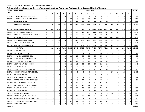| <b>District</b> | <b>District Name</b>                   | <b>Class</b> |              |                |                         |                |                |          |                | Grade Level    |                |                |                |              |          |                   | <b>Total</b> |
|-----------------|----------------------------------------|--------------|--------------|----------------|-------------------------|----------------|----------------|----------|----------------|----------------|----------------|----------------|----------------|--------------|----------|-------------------|--------------|
| Code            |                                        |              | <b>PK</b>    | ĸ              | 1                       | $\overline{2}$ | 3              | 4        | 5              | 6              | $\overline{7}$ | 8              | 9              | 10           | 11       | $12 \overline{ }$ |              |
| 27-0704         | <b>ST WENCESLAUS ELEM SCHOOL</b>       | <b>NP</b>    | 12           | 4              | 6                       | $\overline{3}$ | $\Delta$       | 8        |                | 4              | 0              | 0              | 0              | 0            | 0        | O                 | 44           |
| 27-0706         | ARCHBISHOP BERGAN ELEMENTARY           | <b>NP</b>    | 42           | 40             | 34                      | 31             | 48             | 38       | 27             | 42             | 0              | $\Omega$       | $\Omega$       | $\Omega$     | $\Omega$ | $\Omega$          | 302          |
|                 | <b>NON PUBLIC TOTAL</b>                |              | 54           | 57             | 55                      | 51             | 66             | 62       | 50             | 56             | 43             | 50             | 22             | 26           | 29       | 25                | 646          |
|                 | <b>DODGE COUNTY TOTAL</b>              |              | 391          | 450            | 487                     | 500            | 520            | 513      | 429            | 520            | 477            | 487            | 509            | 520          | 499      | 477               | 6,779        |
|                 |                                        |              |              |                |                         |                |                |          |                |                |                |                |                |              |          |                   |              |
| 28-0001         | OMAHA PUBLIC SCHOOLS                   | 5            | 2654         | 4106           | 3825                    | 4139           | 4224           | 4239     | 3706           | 3935           | 3759           | 3685           | 3586           | 3663         | 3470     | 3845              | 52,836       |
| 28-0010         | <b>ELKHORN PUBLIC SCHOOLS</b>          | 3            | 346          | 736            | 788                     | 675            | 738            | 779      | 697            | 716            | 728            | 707            | 657            | 647          | 567      | 566               | 9,347        |
| 28-0015         | DOUGLAS CO WEST COMMUNITY SCHS         | 3            | 92           | 67             | 52                      | 74             | 78             | 57       | 64             | 59             | 53             | 79             | 65             | 74           | 67       | 77                | 958          |
| 28-0017         | MILLARD PUBLIC SCHOOLS                 | 3            | 704          | 1706           | 1712                    | 1765           | 1795           | 1754     | 1710           | 1796           | 1745           | 1895           | 1833           | 1874         | 1875     | 1854              | 24,018       |
| 28-0054         | <b>RALSTON PUBLIC SCHOOLS</b>          | 3            | 187          | 235            | 240                     | 245            | 260            | 235      | 222            | 221            | 223            | 246            | 256            | 263          | 293      | 281               | 3,407        |
| 28-0059         | BENNINGTON PUBLIC SCHOOLS              | 3            | 50           | 272            | 233                     | 243            | 234            | 216      | 206            | 227            | 202            | 206            | 155            | 154          | 142      | 131               | 2,671        |
| 28-0066         | <b>IWESTSIDE COMMUNITY SCHOOLS</b>     | 3            | 130          | 397            | 420                     | 414            | 414            | 478      | 440            | 449            | 466            | 494            | 488            | 499          | 476      | 501               | 6,066        |
|                 | <b>PUBLIC TOTAL</b>                    |              | 4,163        | 7,519          | 7,270                   | 7,555          | 7,743          | 7,758    | 7,045          | 7,403          | 7,176          | 7,312          | 7,040          | 7,174        | 6,890    | 7,255             | 99,303       |
| 28-0702         | <b>JESUIT ACADEMY</b>                  | <b>NP</b>    | 0            | 0              | $\mathbf 0$             | $\overline{0}$ | $\mathbf 0$    | 15       | 15             | 16             | 16             | 11             | 0              | 0            | 0        | O                 | 73           |
| 28-0703         | <b>BOYS TOWN SCHOOLS</b>               | <b>NP</b>    | $\Omega$     | 0              | $\Omega$                | $\Omega$       | $\mathbf 0$    | 1        |                | $\overline{2}$ | 10             | 24             | 43             | 65           | 98       | 103               | 349          |
| 28-0706         | <b>BROWNELL TALBOT SCHOOLS</b>         | <b>NP</b>    | 33           | 23             | 26                      | 21             | 29             | 36       | 24             | 26             | 36             | 34             | 30             | 45           | 36       | 33                | 432          |
| 28-0707         | <b>PHOENIX ACADEMY DAY SCHOOL</b>      | <b>NP</b>    | $\Omega$     | 3              | 8                       | 11             | 15             | 13       | 12             | 33             | 12             | 19             | $\overline{0}$ | 0            | $\Omega$ | 0                 | 126          |
| 28-0708         | <b>ST STEPHEN THE MARTYR SCHOOL</b>    | <b>NP</b>    | 105          | 74             | 66                      | 69             | 81             | 78       | 71             | 66             | 90             | 69             | $\overline{0}$ | 0            | $\Omega$ | 0                 | 769          |
| 28-0709         | ALL SAINTS CATHOLIC SCHOOL             | <b>NP</b>    | 13           | 10             | 10                      | 11             | 10             | 20       | 15             | 16             | 22             | 21             | 0              | 0            | 0        |                   | 148          |
| 28-0711         | <b>CHILDREN'S ROOM</b>                 | <b>NP</b>    | 57           | 14             | 16                      | $6 \mid$       | 8              | 15       | 5              | $\overline{2}$ | 0              | $\Omega$       | $\Omega$       | 0            | $\Omega$ | 0                 | 123          |
| 28-0712         | CHRIST THE KING CATHOLIC SCH           | <b>NP</b>    | 23           | 36             | 41                      | 34             | 43             | 44       | 37             | 41             | 41             | 46             | $\Omega$       | 0            | $\Omega$ | $\Omega$          | 386          |
| 28-0713         | CREIGHTON PREPARATORY SCHOOL           | <b>NP</b>    | $\Omega$     | $\mathbf 0$    | $\mathbf 0$             | $\Omega$       | $\overline{0}$ | 0        | $\Omega$       | $\overline{0}$ | $\overline{0}$ | $\Omega$       | 269            | 250          | 245      | 244               | 1,008        |
|                 | 28-0716 DUCHESNE ACADEMY               | <b>NP</b>    | $\mathbf 0$  | $\mathbf{0}$   | $\mathbf 0$             | $\overline{0}$ | $\overline{0}$ | $\Omega$ | $\Omega$       | $\overline{0}$ | 0              | $\Omega$       | 87             | 86           | 77       | 79                | 329          |
| 28-0718         | <b>GETHSEMANE LUTHERAN ELEMENTARY</b>  | <b>NP</b>    | $\Omega$     | $\overline{7}$ | 5                       | 8 <sup>1</sup> | 11             | 11       | 9              |                | 13             | 11             | 0              | 0            | $\Omega$ | O                 | 82           |
| 28-0719         | <b>GOOD SHEPHERD ELEMENTARY SCH</b>    | <b>NP</b>    | 31           | 8              | 4                       | 11             | 5              | 11       | 5              | $\overline{7}$ | 10             |                | $\Omega$       | 0            | 0        |                   | 99           |
| 28-0720         | <b>HOLY CROSS CATHOLIC SCHOOL</b>      | <b>NP</b>    | 75           | 38             | 36                      | 28             | 44             | 39       | 42             | 41             | 47             | 27             | $\overline{0}$ | $\mathbf 0$  | $\Omega$ | $\Omega$          | 417          |
| 28-0722         | <b>HOLY NAME ELEMENTARY SCHOOL</b>     | <b>NP</b>    | 23           | 30             | 29                      | 24             | 25             | 29       | 14             | 24             | 18             | 23             | $\overline{0}$ | 0            | $\Omega$ | 0                 | 239          |
| 28-0723         | <b>ST PATRICK'S CATHOLIC SCHOOL</b>    | <b>NP</b>    | 131          | 88             | 79                      | 72             | 77             | 63       | 90             | 65             | 83             | 86             | 0              | $\mathbf 0$  | 01       | 0                 | 834          |
|                 | 28-0725 MADONNA SCHOOL                 | <b>NP</b>    | $\Omega$     | ΩI             | $\overline{\mathbf{3}}$ | 1 <sup>1</sup> | 2 <sup>1</sup> | 3        | 8              | 10             | $\mathsf{q}$   | 20             | $\Omega$       | $\mathbf{0}$ | οI       | $\Omega$          | 56           |
|                 | 28-0726 MARIAN HIGH SCHOOL             | <b>NP</b>    | $\Omega$     | $\mathbf 0$    | $\mathbf 0$             | $\overline{0}$ | $\overline{0}$ | 0        | $\overline{0}$ | $\overline{0}$ | $\overline{0}$ | $\overline{0}$ | 187            | 176          | 178      | 148               | 689          |
| 28-0727         | <b>IMARY OUR QUEEN ELEM SCHOOL</b>     | <b>NP</b>    | 53           | 50             | 51                      | 56             | 56             | 56       | 42             | 61             | 60             | 49             | 0              | 0            | 0        | 0                 | 534          |
|                 | 28-0728 OMAHA MEMORIAL SCHOOL OF S D A | <b>NP</b>    | $\Omega$     | 1              | $\overline{3}$          | $\overline{9}$ | 2              | 3        | 4              | $6 \mid$       | $\overline{2}$ | $\overline{0}$ | $\overline{0}$ | 0            | 0        | 0                 | 30           |
|                 | 28-0729 ST VINCENT DE PAUL ELEMENTARY  | <b>NP</b>    | 103          | 89             | 79                      | 85             | 87             | 84       | 86             | 84             | 90             | 89             | $\overline{0}$ | $\mathbf 0$  | $\Omega$ | $\Omega$          | 876          |
|                 | 28-0730 MERCY HIGH SCHOOL              | <b>NP</b>    | $\mathbf{0}$ | $\overline{0}$ | $\mathbf 0$             | $\overline{0}$ | $\overline{0}$ | 0        | $\overline{0}$ | $\mathsf{O}$   | $\overline{0}$ | $\overline{0}$ | 99             | 99           | 68       | 84                | 350          |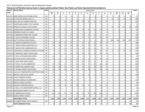| <b>District</b> | <b>District Name</b>                          | Class     |              |                         |                |                |                |                |                | Grade Level    |                |                |                |              |                |                | Total  |
|-----------------|-----------------------------------------------|-----------|--------------|-------------------------|----------------|----------------|----------------|----------------|----------------|----------------|----------------|----------------|----------------|--------------|----------------|----------------|--------|
| Code            |                                               |           | <b>PK</b>    | K                       | $\mathbf{1}$   | $\overline{2}$ | 3              | 4              | 5              | 6              | 7              | 8              | 9              | 10           | 11             | 12             |        |
| 28-0731         | MONTESSORI EDUCATIONAL CNTRS                  | <b>NP</b> | 0            | $\Omega$                | 6              | 8              | -1             | -1             |                | 0              | $\mathbf 0$    | $\Omega$       | $\Omega$       | $\Omega$     | $\Omega$       | $\Omega$       | 17     |
| 28-0733         | <b>IMT MICHAEL BENEDICTINE H S</b>            | <b>NP</b> | $\Omega$     | 0                       | 0              | $\Omega$       | $\Omega$       | $\mathbf 0$    | $\overline{0}$ | $\Omega$       | $\mathbf 0$    | $\Omega$       | 59             | 67           | 54             | 58             | 238    |
|                 | 28-0736 JOUR LADY OF LOURDES ELEM SCH         | NP        | 46           | 30                      | 26             | 40             | 30             | 26             | 34             | 30             | 37             | 23             | $\overline{0}$ | $\Omega$     | 0              | $\Omega$       | 322    |
|                 | 28-0737 MONTESSORI LEARN CTR OF DUNDEE        | NP        | 31           | $\mathbf 0$             | 0              | 0              | οI             | 0              | 0              | $\overline{0}$ | $\mathbf 0$    | 0              | $\Omega$       | 0            | 0              | $\overline{0}$ | 31     |
|                 | 28-0740   RONCALLI CATHOLIC HIGH SCHOOL       | <b>NP</b> | $\Omega$     | 0                       | 0              | 0              | $\overline{0}$ | 0              | $\overline{0}$ | 0              | $\mathbf 0$    | $\Omega$       | 94             | 79           | 122            | 89             | 384    |
|                 | 28-0741 SACRED HEART ELEMENTARY SCHOOL        | NP        | 0            | 14                      | 13             | 11             | 18             | 18             | 14             | 16             | 10             | 12             | $\overline{0}$ | O            | O              | $\Omega$       | 126    |
|                 | 28-0744 PRIMROSE SCHOOL OF LEGACY             | <b>NP</b> | $\Omega$     | 11                      | 0              | $\overline{0}$ | $\overline{0}$ | $\mathbf 0$    | $\overline{0}$ | 0              | $\mathbf 0$    | $\Omega$       | $\overline{0}$ | O            | 0              | $\overline{0}$ | 11     |
|                 | 28-0746 IST BERNARD ELEMENTARY SCHOOL         | <b>NP</b> | 17           | 23                      | 12             | 10             | 16             | 15             | 19             | 23             | 11             | 13             | $\overline{0}$ | $\Omega$     | 0              | $\Omega$       | 159    |
|                 | 28-0748 ST CECILIA CATHEDRAL SCHOOL           | <b>NP</b> | 31           | 31                      | 31             | 41             | 28             | 47             | 31             | 37             | 32             | 24             | $\Omega$       | 0            | $\Omega$       | $\Omega$       | 333    |
|                 | 28-0749 SKUTT CATHOLIC HIGH SCHOOL            | NP        | $\Omega$     | 0                       | 0              | $\overline{0}$ | $\overline{0}$ | 0              | $\overline{0}$ | $\overline{0}$ | $\mathbf 0$    | $\Omega$       | 186            | 182          | 203            | 203            | 774    |
|                 | 28-0751 ST GERALD ELEMENTARY SCHOOL           | <b>NP</b> | 20           | 30                      | 36             | 29             | 41             | 57             | 34             | 53             | 40             | 43             | $\overline{0}$ | $\Omega$     | 0              | $\overline{0}$ | 383    |
|                 | 28-0752 ST JAMES-SETON ELEMENTARY SCH         | <b>NP</b> | 50           | 40                      | 46             | 48             | 38             | 61             | 42             | 54             | 67             | 70             | $\overline{0}$ | C            | 0              | $\overline{0}$ | 516    |
|                 | 28-0753 ST JOAN OF ARC ELEMENTARY SCH         | NP        | $\Omega$     | 14                      | 12             | 11             | 15             | 12             | 12             | 15             | $\overline{7}$ | 8              | $\overline{0}$ | $\mathsf{C}$ | $\Omega$       | $\Omega$       | 106    |
| 28-0754         | CONCORDIA LUTHERAN SCHOOLS OF OMAHA           | <b>NP</b> | $\Omega$     | 26                      | 16             | 23             | 27             | 21             | 24             | 42             | 35             | 44             | 76             | 75           | 82             | 83             | 574    |
|                 | 28-0755 ST MARGARET MARY ELEM SCHOOL          | NP        | $\Omega$     | 61                      | 61             | 56             | 63             | 52             | 64             | 59             | 64             | 54             | $\overline{0}$ | $\Omega$     | 0              | $\overline{0}$ | 534    |
|                 | 28-0757 IST PAUL LUTHERAN ELEM SCHOOL         | <b>NP</b> | 12           | 8                       |                | 4              | $\overline{4}$ | 6              | 4              | $6 \mid$       | 3              | 4              | $\overline{0}$ | 0            | 0              | $\overline{0}$ | 53     |
|                 | 28-0759 STS PETER & PAUL ELEM SCHOOL          | <b>NP</b> | 23           | 32                      | 38             | 25             | 20             | 37             | 21             | 27             | 28             | 28             | $\overline{0}$ | 0            | 0              | $\overline{0}$ | 279    |
|                 | 28-0760 ST PHILIP NERI ELEM SCHOOL            | NP        | $\Omega$     | 16                      | 9              | 15             | 17             | 19             | 19             | 15             | 9              | 13             | $\overline{0}$ | $\Omega$     |                | $\Omega$       | 132    |
|                 | 28-0761 ST PIUS X / ST LEO ELEMENTARY         | NP        | 67           | 69                      | 70             | 57             | 63             | 61             | 71             | 87             | 66             | 88             | $\overline{0}$ | $\sqrt{ }$   | O              | $\Omega$       | 699    |
|                 | 28-0763 ST ROBERT BELLARMINE ELEM             | <b>NP</b> | 60           | 48                      | 58             | 55             | 62             | 49             | 61             | 58             | 64             | 56             | $\overline{0}$ | $\Omega$     | 0              | $\Omega$       | 571    |
|                 | 28-0765 ST THOMAS MORE ELEM SCHOOL            | <b>NP</b> | 87           | 58                      | 46             | 42             | 51             | 43             | 30             | 33             | 28             | 44             | $\overline{0}$ | 0            | 0              | $\Omega$       | 462    |
|                 | 28-0766 ALLELUIA! KINDERGARTEN AND PRESCHOOLS | <b>NP</b> | 44           | 0                       | 0              | $\mathbf{0}$   | $\overline{0}$ | 0              | $\Omega$       | $\overline{0}$ | $\mathbf 0$    | $\Omega$       | $\Omega$       | $\Omega$     | 0              | $\Omega$       | 44     |
| 28-0767         | OMAHA CHRISTIAN ACADEMY                       | <b>NP</b> | 34           | 26                      | 16             | 18             | 11             | 24             | 16             | 10             | 27             | 15             | 16             | 15           | 26             | 15             | 269    |
|                 | 28-0768 LEGACY PRIMARY SCHOOL                 | <b>NP</b> | $\Omega$     | 17                      | 4              |                | 3              | 0              | $\Omega$       | 0              | 0              | $\Omega$       | $\overline{0}$ | $\Omega$     | 0              | $\overline{0}$ | 27     |
|                 | 28-0775   NELSON MANDELA ELEMENTARY           | <b>NP</b> | ŋ            | 58                      | 42             | 42             | 37             | 0              | $\Omega$       | 0              | 0              | 0              | 0              | O            | O              | $\Omega$       | 179    |
|                 | 28-0776 FRIEDEL JEWISH ACADEMY                | <b>NP</b> | $\Omega$     | 8                       | 5              | 8 <sup>1</sup> | 5              | $\overline{7}$ | $\overline{7}$ | $\Omega$       | $\mathbf 0$    | $\Omega$       | $\overline{0}$ | $\mathbf 0$  | 0              | $\Omega$       | 40     |
| 28-0780         | LIFEGATE CHRISTIAN SCHOOL                     | <b>NP</b> | $\Omega$     | 44                      | 39             | 43             | 38             | 32             | 37             | 27             | 36             | 31             | $\overline{0}$ | $\mathbf 0$  | 0              | $\Omega$       | 327    |
|                 | 28-0782 LA BELLA VITA MONTESSORI SCHOOL, LLC  | NP        | 0            | 6                       |                | 0              |                | 0              |                | $\overline{0}$ | 0              | 0              | 01             | 0            | 0              | $\Omega$       | 10     |
|                 | 28-0790 MONTESSORI PARENT'S CO-OP             | <b>NP</b> | 40           | $\overline{\mathbf{a}}$ | $\overline{4}$ | $6 \mid$       |                | $\overline{3}$ | ΩI             | ΩI             | $\Omega$       | οI             | ΩI             | ΩI           | $\Omega$       | $\Omega$       | 57     |
|                 | 28-0791 ST WENCESLAUS SCHOOL                  | <b>NP</b> | 124          | 84                      | 93             | 83             | 74             | 72             | 87             | 69             | 88             | 73             | $\overline{0}$ | 0            | 0              | $\overline{0}$ | 847    |
|                 | 28-0796 OMAHA STREET SCHOOL                   | <b>NP</b> | 0            | 0                       | 0              | $\overline{0}$ | 0              | 0              | $\mathbf 0$    | 0              | 0              | $\overline{0}$ |                | 5            | 9              |                | 22     |
|                 | <b>NON PUBLIC TOTAL</b>                       |           | 1,333        | 1,228                   | 1,142          | 1,124          | 1,160          | 1,184          | 1,111          | 1,168          | 1,211          | 1,179          | 1,149          | 1,144        | 1,198          | 1,144          | 16,475 |
| 28-0602         | NE CORRECTIONAL YOUTH FACILITY                | <b>SO</b> | 0            | 0                       | 0              | $\overline{0}$ | $\overline{0}$ | 0              | 0              | $\mathbf 0$    | 0              | 0              | $\overline{0}$ | 2            | 6              | 53             | 61     |
|                 | <b>STATE OPERATED TOTAL</b>                   |           | $\mathbf{0}$ | $\mathbf{0}$            | $\mathbf{0}$   | $\mathbf{0}$   | οl             | $\mathbf 0$    | $\mathbf{0}$   | $\mathbf{0}$   | 0              | οl             | $\mathbf{0}$   | 2            | 6 <sup>1</sup> | 53             | 61     |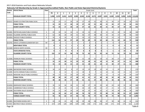| <b>District</b> | <b>District Name</b>                   | <b>Class</b> |           |                 |              |                |                |                |                | Grade Level  |                          |             |              |                         |       |                | Total   |
|-----------------|----------------------------------------|--------------|-----------|-----------------|--------------|----------------|----------------|----------------|----------------|--------------|--------------------------|-------------|--------------|-------------------------|-------|----------------|---------|
| Code            |                                        |              | <b>PK</b> | ĸ               | $\mathbf{1}$ | $\overline{2}$ | 3              | 4              | 5              | 6            | $\overline{\phantom{a}}$ | 8           | 9            | 10                      | 11    | 12             |         |
|                 | <b>DOUGLAS COUNTY TOTAL</b>            |              | 5,496     | 8,747           | 8,412        | 8,679          | 8,903          | 8,942          | 8,156          | 8,571        | 8,387                    | 8,491       | 8,189        | 8,320                   | 8,094 | 8,452          | 115,839 |
|                 |                                        |              |           |                 |              |                |                |                |                |              |                          |             |              |                         |       |                |         |
| 29-0117         | <b>DUNDY CO STRATTON PUBLIC SCHS</b>   | 3            | 21        | 23              | 17           | 26             | 19             | 27             | 16             | 21           | 26                       | 21          | 26           | 27                      | 19    | 32             | 321     |
|                 | <b>PUBLIC TOTAL</b>                    |              | 21        | 23              | 17           | 26             | 19             | 27             | 16             | 21           | 26                       | 21          | 26           | 27                      | 19    | 32             | 321     |
|                 | <b>DUNDY COUNTY TOTAL</b>              |              | 21        | 23              | 17           | 26             | 19             | 27             | 16             | 21           | 26                       | 21          | 26           | 27                      | 19    | 32             | 321     |
|                 |                                        |              |           |                 |              |                |                |                |                |              |                          |             |              |                         |       |                |         |
| 30-0001         | <b>EXETER-MILLIGAN PUBLIC SCHOOLS</b>  | 3            | 22        | 10 <sup>1</sup> | 14           | 14             | 11             | 14             | 11             | 13           | 9                        | 15          | 14           | 10                      | 14    | 18             | 189     |
| 30-0025         | <b>FILLMORE CENTRAL PUBLIC SCHS</b>    | 3            | 62        | 36              | 28           | 39             | 41             | 46             | 37             | 48           | 39                       | 33          | 44           | 37                      | 48    | 46             | 584     |
|                 | 30-0054 SHICKLEY PUBLIC SCHOOLS        | 3            | 32        | 8               | 10           | $\overline{4}$ | 17             | 10             | 12             | 11           | 6                        | 12          | 13           | 12                      | 7     | 11             | 165     |
|                 | <b>PUBLIC TOTAL</b>                    |              | 116       | 54              | 52           | 57             | 69             | 70             | 60             | 72           | 54                       | 60          | 71           | 59                      | 69    | 75             | 938     |
| 30-0701         | <b>GRACE LUTHERAN ELEMENTARY SCH</b>   | <b>NP</b>    | 6         | 3               | 1            |                | 1              | $\overline{2}$ |                | 3            |                          | $\mathbf 1$ | 0            | $\Omega$                | 0     | $\overline{0}$ | 21      |
|                 | <b>NON PUBLIC TOTAL</b>                |              | 6         | 3               | 1            | $1\vert$       | 1              | $\overline{2}$ | $\overline{2}$ | $\mathbf{3}$ | 1                        | 1           | $\mathbf{0}$ | $\mathbf 0$             | 0     | 0              | 21      |
|                 | 30-0600 GENEVA NORTH SCHOOL            | <b>SO</b>    | $\Omega$  | $\mathbf 0$     | $\mathbf 0$  | $\Omega$       | $\overline{0}$ | 0              | $\Omega$       | $\Omega$     | $\mathbf 0$              | 1           | $\mathbf{1}$ | $\overline{2}$          | 10    | $6 \mid$       | 20      |
|                 | <b>STATE OPERATED TOTAL</b>            |              | 0         | $\Omega$        | $\mathbf{0}$ | $\mathbf{0}$   | 0              | 0              | 0              | $\mathbf{0}$ | $\mathbf 0$              | 1           | 1            | $\overline{\mathbf{2}}$ | 10    | 6 <sup>1</sup> | 20      |
|                 | <b>FILLMORE COUNTY TOTAL</b>           |              | 122       | 57              | 53           | 58             | <b>70</b>      | 72             | 62             | 75           | 55                       | 62          | 72           | 61                      | 79    | 81             | 979     |
|                 |                                        |              |           |                 |              |                |                |                |                |              |                          |             |              |                         |       |                |         |
|                 | 31-0506 FRANKLIN PUBLIC SCHOOLS        | 3            | 31        | 15              | 20           | 21             | 23             | 21             | 18             | 21           | 14                       | 15          | 30           | 27                      | 21    | 31             | 308     |
|                 | <b>PUBLIC TOTAL</b>                    |              | 31        | 15              | 20           | 21             | 23             | 21             | 18             | 21           | 14                       | 15          | 30           | 27                      | 21    | 31             | 308     |
|                 | <b>FRANKLIN COUNTY TOTAL</b>           |              | 31        | 15              | 20           | 21             | 23             | 21             | 18             | 21           | 14                       | 15          | 30           | 27                      | 21    | 31             | 308     |
|                 |                                        |              |           |                 |              |                |                |                |                |              |                          |             |              |                         |       |                |         |
|                 | 32-0046   MAYWOOD PUBLIC SCHOOLS       | 3            | 16        | 13              | 14           | 8              | 17             | 13             | 13             | 13           | 12                       | 14          | 5            | 20                      | 5     | 7 <sup>1</sup> | 170     |
|                 | 32-0095 EUSTIS-FARNAM PUBLIC SCHOOLS   | 3            |           | 8               | 13           | $\overline{9}$ | 11             | 18             | 9              |              | 11                       | 10          | 16           | 14                      | 15    | 13             | 157     |
|                 | 32-0125 MEDICINE VALLEY PUBLIC SCHOOLS | 3            | 29        | 17              | 12           | 10             | 20             | 10             | 19             | 17           | 15                       | 12          | 9            | 14                      | 16    | 24             | 224     |
|                 | <b>PUBLIC TOTAL</b>                    |              | 48        | 38              | 39           | 27             | 48             | 41             | 41             | 37           | 38                       | 36          | 30           | 48                      | 36    | 44             | 551     |
|                 | <b>FRONTIER COUNTY TOTAL</b>           |              | 48        | 38              | 39           | 27             | 48             | 41             | 41             | 37           | 38                       | 36          | 30           | 48                      | 36    | 44             | 551     |
|                 |                                        |              |           |                 |              |                |                |                |                |              |                          |             |              |                         |       |                |         |
|                 | 33-0018 ARAPAHOE PUBLIC SCHOOLS        | 3            | 35        | 31              | 26           | 26             | 21             | 24             | 27             | 25           | 25                       | 30          | 24           | 20                      | 22    | 24             | 360     |
|                 | 33-0021 CAMBRIDGE PUBLIC SCHOOLS       | 3            | 31        | 24              | 16           | 15             | 21             | 26             | 24             | 20           | 22                       | 27          | 21           | 32                      | 31    | 24             | 334     |
|                 | 33-0540 SOUTHERN VALLEY SCHOOLS        | 3            | 25        | 21              | 20           | 26             | 24             | 26             | 25             | 32           | 25                       | 31          | 29           | 38                      | 38    | 39             | 399     |
|                 | <b>PUBLIC TOTAL</b>                    |              | 91        | 76              | 62           | 67             | 66             | 76             | 76             | 77           | 72                       | 88          | 74           | 90                      | 91    | 87             | 1,093   |
|                 | <b>FURNAS COUNTY TOTAL</b>             |              | 91        | 76              | 62           | 67             | 66             | 76             | 76             | 77           | 72                       | 88          | 74           | 90                      | 91    | 87             | 1,093   |
|                 |                                        |              |           |                 |              |                |                |                |                |              |                          |             |              |                         |       |                |         |
| 34-0001         | SOUTHERN SCHOOL DIST 1                 | 3            | 43        | 25              | 23           | 20             | 40             | 29             | 26             | 28           | 34                       | 27          | 30           | 36                      | 22    | 31             | 414     |
|                 | 34-0015 BEATRICE PUBLIC SCHOOLS        | 3            | 227       | 129             | 128          | 109            | 129            | 138            | 136            | 171          | 154                      | 148         | 172          | 154                     | 174   | 161            | 2,130   |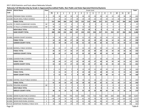| <b>District</b> | . .<br><b>District Name</b>            | <b>Class</b> |                |     |                |                |                 |     |                 | Grade Level    | . .            |              |                |              |     |                | <b>Total</b> |
|-----------------|----------------------------------------|--------------|----------------|-----|----------------|----------------|-----------------|-----|-----------------|----------------|----------------|--------------|----------------|--------------|-----|----------------|--------------|
| Code            |                                        |              | <b>PK</b>      | K   | $\mathbf{1}$   | $\overline{2}$ | 3               | 4   | 5               | 6              | $\overline{7}$ | 8            | 9              | 10           | 11  | 12             |              |
|                 | 34-0034 FREEMAN PUBLIC SCHOOLS         | 3            | 29             | 36  | 29             | 30             | 35              | 36  | 35              | 23             | 34             | 26           | 35             | 29           | 38  | 30             | 445          |
|                 | 34-0100 DILLER-ODELL PUBLIC SCHOOLS    | 3            | 17             | 16  | 20             | 17             | 18              | 19  | 19              | 22             | 15             | 20           | 13             | 18           | 26  | 20             | 260          |
|                 | <b>PUBLIC TOTAL</b>                    |              | 316            | 206 | 200            | 176            | 222             | 222 | 216             | 244            | 237            | 221          | 250            | 237          | 260 | 242            | 3,249        |
|                 | 34-0701 ST JOSEPH ELEMENTARY SCHOOL    | <b>NP</b>    | 36             | 12  | 17             | 8              | $\overline{7}$  | 8   | 9               | $\overline{0}$ | 0              | $\Omega$     | $\overline{0}$ | 0            | 0   | $\overline{0}$ | 97           |
|                 | 34-0702 ST PAUL'S LUTHERAN ELEM SCHOOL | <b>NP</b>    | 56             | 12  | 15             | 10             | 18              | 13  | 10              | $\overline{0}$ | $\mathbf 0$    | $\Omega$     | $\overline{0}$ | $\Omega$     | 0   | $\overline{0}$ | 134          |
|                 | <b>NON PUBLIC TOTAL</b>                |              | 92             | 24  | 32             | 18             | 25              | 21  | 19              | 0              | $\mathbf 0$    | $\mathbf{0}$ | $\mathbf{0}$   | $\mathbf 0$  | 0   | 0              | 231          |
|                 | <b>GAGE COUNTY TOTAL</b>               |              | 408            | 230 | 232            | 194            | 247             | 243 | 235             | 244            | 237            | 221          | 250            | 237          | 260 | 242            | 3,480        |
| 35-0001         | <b>GARDEN COUNTY SCHOOLS</b>           | 3            | 14             | 19  | 20             | 17             | 20              | 21  | 13              | 19             | 22             | 16           | 12             | 21           | 19  | 17             | 250          |
|                 | <b>PUBLIC TOTAL</b>                    |              | 14             | 19  | 20             | 17             | 20              | 21  | 13              | 19             | 22             | 16           | 12             | 21           | 19  | 17             | 250          |
|                 | <b>GARDEN COUNTY TOTAL</b>             |              | 14             | 19  | 20             | 17             | 20              | 21  | 13              | 19             | 22             | 16           | 12             | 21           | 19  | 17             | 250          |
|                 |                                        |              |                |     |                |                |                 |     |                 |                |                |              |                |              |     |                |              |
|                 | 36-0100 BURWELL PUBLIC SCHOOLS         | 3            | 26             | 22  | 17             | 16             | 27              | 23  | 22              | 20             | 29             | 23           | 32             | 23           | 26  | 26             | 332          |
|                 | <b>PUBLIC TOTAL</b>                    |              | 26             | 22  | 17             | 16             | 27              | 23  | 22              | 20             | 29             | 23           | 32             | 23           | 26  | 26             | 332          |
|                 | <b>GARFIELD COUNTY TOTAL</b>           |              | 26             | 22  | 17             | 16             | 27              | 23  | 22              | 20             | 29             | 23           | 32             | 23           | 26  | 26             | 332          |
|                 | 37-0030 ELWOOD PUBLIC SCHOOLS          | 3            | 13             | 14  | 17             | 17             | 12              | 14  | 12              | 17             | 16             | 16           | 25             | 14           | 21  | 13             | 221          |
|                 | <b>PUBLIC TOTAL</b>                    |              | 13             | 14  | 17             | 17             | 12              | 14  | 12              | 17             | 16             | 16           | 25             | 14           | 21  | 13             | 221          |
|                 | <b>GOSPER COUNTY TOTAL</b>             |              | 13             | 14  | 17             | 17             | 12              | 14  | 12              | 17             | 16             | 16           | 25             | 14           | 21  | 13             | 221          |
| 38-0011         | <b>HYANNIS AREA SCHOOLS</b>            | 3            |                | 11  | 15             |                | 8               | 13  | 10              | 11             | 10             | 20           | 15             | 9            | 15  | 14             | 160          |
|                 | <b>PUBLIC TOTAL</b>                    |              | $\overline{2}$ | 11  | 15             | 7              | 8               | 13  | 10              | ${\bf 11}$     | 10             | 20           | 15             | 9            | 15  | 14             | 160          |
|                 | <b>GRANT COUNTY TOTAL</b>              |              | $\overline{2}$ | 11  | 15             | $\overline{7}$ | 8 <sup>1</sup>  | 13  | 10              | 11             | 10             | <b>20</b>    | 15             | $\mathbf{9}$ | 15  | 14             | 160          |
|                 | 39-0060 CENTRAL VALLEY PUBLIC SCHOOLS  | 3            | 41             | 19  | 23             | 25             | 16              | 18  | 16              | 19             | 22             | 21           | 21             | 19           | 17  | 16             | 293          |
|                 | <b>PUBLIC TOTAL</b>                    |              | 41             | 19  | 23             | 25             | 16              | 18  | 16              | 19             | 22             | 21           | 21             | 19           | 17  | 16             | 293          |
| 39-0702         | <b>SPALDING ACADEMY</b>                | <b>NP</b>    |                | 6   | $\overline{2}$ |                | 4               | 7   | 3               | 4              | 6              | 3            | 8              | 8            | 8   | 8              | 81           |
|                 | <b>NON PUBLIC TOTAL</b>                |              |                | 6   | 2              |                | 4               | 7   | 3               |                | 6              | 3            | 8              | 8            | 8   | 8              | 81           |
|                 | <b>GREELEY COUNTY TOTAL</b>            |              | 48             | 25  | 25             | 32             | 20 <sup>1</sup> | 25  | 19 <sup>1</sup> | 23             | 28             | 24           | 29             | 27           | 25  | 24             | 374          |
|                 |                                        |              |                |     |                |                |                 |     |                 |                |                |              |                |              |     |                |              |
|                 | 40-0002 GRAND ISLAND PUBLIC SCHOOLS    | 3            | 590            | 695 | 759            | 794            | 814             | 804 | 735             | 716            | 743            | 689          | 684            | 680          | 585 | 609            | 9,897        |
| 40-0082         | NORTHWEST PUBLIC SCHOOLS               | 3            | 40             | 95  | 79             | 90             | 77              | 81  | 92              | $70\,$         | 78             | 73           | 199            | 177          | 193 | 173            | 1,517        |
|                 | 40-0083 WOOD RIVER RURAL SCHOOLS       | 3            | 39             | 33  | 39             | 41             | 43              | 41  | 36              | 44             | 36             | 42           | 37             | 40           | 47  | 36             | 554          |
|                 | 40-0126 DONIPHAN-TRUMBULL PUBLIC SCHS  | 3            | 16             | 26  | 27             | 24             | 37              | 35  | 36              | 32             | 46             | 39           | 34             | 44           | 33  | 36             | 465          |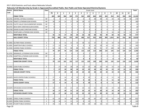| <b>District</b> | . .<br><b>District Name</b>                 | <b>Class</b>   |                 |             |              |                |                |             |                | Grade Level    | . .            |          |                |             |          |                | <b>Total</b> |
|-----------------|---------------------------------------------|----------------|-----------------|-------------|--------------|----------------|----------------|-------------|----------------|----------------|----------------|----------|----------------|-------------|----------|----------------|--------------|
| Code            |                                             |                | <b>PK</b>       | K           | $\mathbf{1}$ | $\overline{2}$ | 3              | 4           | 5              | 6              | $\overline{7}$ | 8        | 9              | 10          | 11       | 12             |              |
|                 | <b>PUBLIC TOTAL</b>                         |                | 685             | 849         | 904          | 949            | 971            | 961         | 899            | 862            | 903            | 843      | 954            | 941         | 858      | 854            | 12,433       |
| 40-0701         | <b>CENTRAL CATHOLIC SCHOOLS</b>             | <b>NP</b>      | $\Omega$        | $\mathbf 0$ | 0            | $\Omega$       | $\overline{0}$ | $\mathbf 0$ | $\overline{0}$ | 38             | 40             | 35       | 44             | 36          | 46       | 40             | 279          |
| 40-0704         | <b>TRINITY LUTHERAN ELEM SCHOOL</b>         | <b>NP</b>      | 30              | 19          | 23           | 17             | 18             | 18          | 11             | 17             | 14             | 13       | $\overline{0}$ | $\sqrt{ }$  | 0        | $\Omega$       | 180          |
|                 | 40-0705 PLATTE VALLEY SDA ELEMENTARY SCHOOL | <b>NP</b>      | $\overline{0}$  |             |              |                | 1              |             |                |                |                |          | $\overline{0}$ | $\Omega$    | 0        | $\overline{0}$ | 13           |
| 40-0707         | NEW HOPE CHRISTIAN ELEM SCHOOL              | <b>NP</b>      | $\Omega$        | 5           |              |                | $\overline{7}$ | 1           | 6              |                | $\mathbf{1}$   | $\Omega$ | $\overline{0}$ | 0           | 0        | $\overline{0}$ | 29           |
|                 | 40-0708 GRAND ISLAND CHRISTIAN SCHOOL       | <b>NP</b>      |                 | 6           |              |                | $\overline{0}$ | 1           | $\Omega$       | $\Omega$       | $\mathbf 0$    | $\Omega$ | $\Omega$       | $\Omega$    | $\Omega$ | $\overline{0}$ | 15           |
| 40-0711         | <b>HEARTLAND LUTHERAN HIGH SCHOOL</b>       | <b>NP</b>      | $\Omega$        | 0           | 0            | $\overline{0}$ | $\overline{0}$ | 0           | $\overline{0}$ | $\overline{0}$ | $\mathbf 0$    | $\Omega$ | 16             | 20          | 12       | 13             | 61           |
|                 | <b>NON PUBLIC TOTAL</b>                     |                | 35              | 31          | 27           | 26             | 26             | 22          | 18             | 60             | 56             | 49       | 60             | 56          | 58       | 53             | 577          |
|                 | <b>HALL COUNTY TOTAL</b>                    |                | 720             | 880         | 931          | 975            | 997            | 983         | 917            | 922            | 959            | 892      | 1,014          | 997         | 916      | 907            | 13,010       |
|                 |                                             |                |                 |             |              |                |                |             |                |                |                |          |                |             |          |                |              |
| 41-0002         | <b>GILTNER PUBLIC SCHOOLS</b>               | 2              | 0               | 9           | 11           | 12             | 13             | 18          | 11             | 17             | $\overline{7}$ | 12       | 14             | 15          | 17       | 21             | 177          |
| 41-0091         | <b>HAMPTON PUBLIC SCHOOLS</b>               | 3              | 17              | 13          | 10           | $\overline{9}$ | 9              | 6           | 9              | 13             | 10             | 16       | 13             | 11          | 17       | 12             | 165          |
|                 | 41-0504 AURORA PUBLIC SCHOOLS               | 3              | 62              | 85          | 74           | 98             | 88             | 91          | 99             | 83             | 91             | 97       | 108            | 88          | 101      | 86             | 1,251        |
|                 | <b>PUBLIC TOTAL</b>                         |                | 79              | 107         | 95           | 119            | 110            | 115         | 119            | 113            | 108            | 125      | 135            | 114         | 135      | 119            | 1,593        |
| 41-0701         | IIMMANUEL LUTHERAN ELEM SCHOOL              | <b>NP</b>      | $\Omega$        | 3           | 3            | $\mathbf{0}$   | 3              | 0           |                |                | 1              | 1        | $\overline{0}$ | $\Omega$    | 0        | $\overline{0}$ | 14           |
|                 | 41-0702 HAMPTON LUTHERAN ELEM SCHOOL        | <b>NP</b>      | $\overline{0}$  | 5           | 3            |                | $\overline{4}$ | 6           |                | 5              | $\mathbf 0$    | $\Omega$ | $\overline{0}$ | $\Omega$    | 0        | $\Omega$       | 29           |
|                 | <b>NON PUBLIC TOTAL</b>                     |                | 0               | 8           | 6            |                | $\overline{ }$ | 6           | 4              | 7              | 1              | 1        | $\mathbf{0}$   | $\mathbf 0$ | 0        | $\mathbf{0}$   | 43           |
|                 | <b>HAMILTON COUNTY TOTAL</b>                |                | 79              | 115         | 101          | 122            | 117            | 121         | 123            | 120            | 109            | 126      | 135            | 114         | 135      | 119            | 1,636        |
|                 |                                             |                |                 |             |              |                |                |             |                |                |                |          |                |             |          |                |              |
|                 | 42-0002 ALMA PUBLIC SCHOOLS                 | 3              |                 | 27          | 29           | 28             | 24             | 22          | 22             | 34             | 23             | 24       | 23             | 23          | 25       | 25             | 336          |
|                 | <b>PUBLIC TOTAL</b>                         |                |                 | 27          | 29           | 28             | 24             | 22          | 22             | 34             | 23             | 24       | 23             | 23          | 25       | 25             | 336          |
|                 | <b>HARLAN COUNTY TOTAL</b>                  |                |                 | 27          | 29           | 28             | 24             | 22          | 22             | 34             | 23             | 24       | 23             | 23          | 25       | 25             | 336          |
|                 | 43-0079 HAYES CENTER PUBLIC SCHOOLS         | 3              | 17              | 4           | 14           | 4              | 15             | 6           | 10             | 5              | 6              | 4        | 11             | 10          | 3        | 6              | 115          |
|                 | <b>PUBLIC TOTAL</b>                         |                | 17              | Δ           | 14           | 4              | 15             | 6           | 10             | 5              | 6              | 4        | 11             | 10          | 3        | 6 <sup>1</sup> | 115          |
|                 | <b>HAYES COUNTY TOTAL</b>                   |                | 17              | Δ           | 14           | 4              | 15             | 6           | 10             |                | 6              | 4        | 11             | 10          | 3        | 6 <sup>1</sup> | 115          |
|                 |                                             |                |                 |             |              |                |                |             |                |                |                |          |                |             |          |                |              |
| 44-0070         | <b>HITCHCOCK CO SCH SYSTEM</b>              | 3              | 10              | 17          | 20           | 21             | 23             | 25          | 15             | 21             | 20             | 25       | 23             | 28          | 23       | 21             | 292          |
|                 | <b>PUBLIC TOTAL</b>                         |                | 10 <sup>1</sup> | 17          | 20           | 21             | 23             | 25          | 15             | 21             | 20             | 25       | 23             | 28          | 23       | 21             | 292          |
|                 | <b>HITCHCOCK COUNTY TOTAL</b>               |                | 10              | 17          | 20           | 21             | 23             | 25          | 15             | 21             | 20             | 25       | 23             | 28          | 23       | 21             | 292          |
|                 |                                             |                |                 |             |              |                |                |             |                |                |                |          |                |             |          |                |              |
|                 | 45-0007 O'NEILL PUBLIC SCHOOLS              | 3              | 42              | 65          | 70           | 48             | 68             | 65          | 54             | 65             | 67             | 55       | 55             | 63          | 55       | 60             | 832          |
|                 | 45-0029 EWING PUBLIC SCHOOLS                | $\overline{2}$ | 14              | 16          | 11           | 11             | 11             | 8           | 15             | 7              | 9              | 7        | 7              | 18          | 7        | 8              | 149          |
|                 | 45-0044 STUART PUBLIC SCHOOLS               | 3              | 25              | 11          | 9            | 18             | $\overline{4}$ | $10\,$      | 22             | 10             | 15             | 12       | $\overline{7}$ | 11          | 13       | 9              | 176          |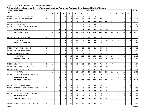| <b>District</b> | . .<br><b>District Name</b>            | <b>Class</b>   |                |              |                |                |              |                |                | Grade Level | . .            |                  |                 |              |                |                | <b>Total</b> |
|-----------------|----------------------------------------|----------------|----------------|--------------|----------------|----------------|--------------|----------------|----------------|-------------|----------------|------------------|-----------------|--------------|----------------|----------------|--------------|
| Code            |                                        |                | PК             | Κ            | 1              | $\overline{2}$ | 3            | 4              | 5              | 6           | $\overline{7}$ | 8                | 9               | 10           | 11             | 12             |              |
| 45-0137         | <b>CHAMBERS PUBLIC SCHOOLS</b>         | $\overline{2}$ |                | 11           | 12             | 10             | 9            | 4              | 8              | 8           | $\overline{7}$ | 10               | 13              | 6            | 11             | $\overline{7}$ | 118          |
| 45-0239         | <b>IWEST HOLT PUBLIC SCHOOLS</b>       | 3              | 33             | 35           | 34             | 41             | 36           | 35             | 33             | 36          | 37             | 19               | 31              | 28           | 20             | 27             | 445          |
|                 | <b>PUBLIC TOTAL</b>                    |                | 116            | 138          | 136            | 128            | 128          | 122            | 132            | 126         | 135            | 103              | 113             | 126          | 106            | 111            | 1,720        |
| 45-0701         | <b>ST MARY'S SCHOOLS</b>               | <b>NP</b>      | $\overline{0}$ | 13           | 17             | 13             | 19           | 14             | 8              | 19          | 12             | 17               | 10              | 11           | 16             | 11             | 180          |
|                 | 45-0703 ST JOSEPH'S ELEMENTARY SCHOOL  | <b>NP</b>      | 8              | 7            | 7              |                | 5            | 4              | 3              |             | 3              | $\overline{3}$   | $\overline{0}$  | 0            | 0              | $\overline{0}$ | 44           |
|                 | <b>NON PUBLIC TOTAL</b>                |                | 8              | 20           | 24             | 14             | 24           | 18             | 11             | 22          | 15             | 20               | 10 <sup>1</sup> | 11           | 16             | 11             | 224          |
|                 | <b>HOLT COUNTY TOTAL</b>               |                | 124            | 158          | 160            | 142            | 152          | 140            | 143            | 148         | 150            | 123              | 123             | 137          | 122            | 122            | 1,944        |
|                 |                                        |                |                |              |                |                |              |                |                |             |                |                  |                 |              |                |                |              |
| 46-0001         | <b>MULLEN PUBLIC SCHOOLS</b>           | 3              | 5 <sup>1</sup> | 11           | 8              | 9              | 13           | 8              | 12             | 10          | 9              | 12               | 10 <sup>1</sup> | 13           | 21             | 13             | 154          |
|                 | <b>PUBLIC TOTAL</b>                    |                | 5 <sub>l</sub> | 11           | 8              | 9              | 13<br>13     | 8              | 12             | 10<br>10    | 9 <sub>l</sub> | 12               | 10 <sup>1</sup> | 13<br>13     | 21             | 13<br>13       | 154          |
|                 | <b>HOOKER COUNTY TOTAL</b>             |                | 5 <sub>l</sub> | 11           | 8              | 9              |              | 8              | 12             |             | 9              | 12               | 10              |              | 21             |                | 154          |
| 47-0001         | <b>ST PAUL PUBLIC SCHOOLS</b>          | 3              | 37             | 54           | 40             | 49             | 52           | 56             | 50             | 61          | 56             | 49               | 58              | 43           | 39             | 42             | 686          |
| 47-0100         | <b>CENTURA PUBLIC SCHOOLS</b>          | 3              | 34             | 32           | 28             | 28             | 34           | 40             | 33             | 36          | 43             | 40               | 38              | 40           | 45             | 31             | 502          |
|                 | 47-0103 ELBA PUBLIC SCHOOLS            | $\overline{2}$ | 21             | 8            | $\overline{4}$ | 6              | 5            | 4              | 5              | 7           | 9              | $6 \overline{6}$ | $\overline{7}$  | -7           | 8              | 11             | 108          |
|                 | <b>PUBLIC TOTAL</b>                    |                | 92             | 94           | 72             | 83             | 91           | 100            | 88             | 104         | 108            | 95               | 103             | 90           | 92             | 84             | 1,296        |
|                 | <b>HOWARD COUNTY TOTAL</b>             |                | 92             | 94           | 72             | 83             | 91           | 100            | 88             | 104         | 108            | 95               | 103             | 90           | 92             | 84             | 1,296        |
|                 |                                        |                |                |              |                |                |              |                |                |             |                |                  |                 |              |                |                |              |
| 48-0008         | <b>FAIRBURY PUBLIC SCHOOLS</b>         | 3              | 116            | 56           | 72             | 60             | 62           | 66             | 59             | 56          | 72             | 52               | 75              | 56           | 74             | 58             | 934          |
| 48-0300         | <b>TRI COUNTY PUBLIC SCHOOLS</b>       | 3              | 31             | 33           | 29             | 29             | $20\,$       | 24             | 25             | 40          | 30             | 30               | 36              | 27           | 25             | 24             | 403          |
| 48-0303         | <b>MERIDIAN PUBLIC SCHOOLS</b>         | 3              | 14             | 17           | 9              | 18             | 13           | 17             | 15             | 12          | 16             | 19               | 18              | 19           | 23             | 24             | 234          |
|                 | <b>PUBLIC TOTAL</b>                    |                | 161            | 106          | 110            | 107            | 95           | 107            | 99             | 108         | 118            | 101              | 129             | 102          | 122            | 106            | 1,571        |
|                 | 48-0702 ST PAUL'S LUTHERAN ELEM SCHOOL | <b>NP</b>      | 21             | 8            | 6              | 9              | 10           | 6              | 7              | 11          | 0              | $\Omega$         | $\overline{0}$  | $\Omega$     | 0              | $\overline{0}$ | 78           |
|                 | <b>NON PUBLIC TOTAL</b>                |                | 21             | 8            | 6              | 9              | 10           | 6              | 7              | 11          | 0              | $\mathbf{0}$     | 0               | $\mathbf{0}$ | 0              | 0              | 78           |
|                 | JEFFERSON COUNTY TOTAL                 |                | 182            | 114          | 116            | 116            | 105          | 113            | 106            | 119         | 118            | 101              | 129             | 102          | 122            | 106            | 1,649        |
| 49-0033         | <b>STERLING PUBLIC SCHOOLS</b>         | 3              | 29             | 10           | 9              | 12             | 11           | 8              | 13             | 19          | 14             | 17               | 16              | 11           | 19             | 10             | 198          |
| 49-0050         | JOHNSON CO CENTRAL PUBLIC SCHS         | 3              | 35             | 36           | 28             | 43             | 47           | 40             | 34             | 40          | 40             | 40               | 33              | 42           | 39             | 41             | 538          |
|                 | <b>PUBLIC TOTAL</b>                    |                | 64             | 46           | 37             | 55             | 58           | 48             | 47             | 59          | 54             | 57               | 49              | 53           | 58             | 51             | 736          |
|                 | 49-0702 IST ANDREW ELEMENTARY SCHOOL   | <b>NP</b>      | 8              | $\mathbf{1}$ | 3              | 2              | $\mathbf{1}$ | $\overline{3}$ | $\overline{0}$ | 4           | $\overline{0}$ | $\overline{0}$   | $\overline{0}$  | $\mathbf 0$  | $\overline{0}$ | $\overline{0}$ | 22           |
|                 | <b>NON PUBLIC TOTAL</b>                |                | 8              | 1            | 3              | $\overline{2}$ | 1            | 3              | 0              |             | 0              | $\mathbf 0$      | $\mathbf{0}$    | $\mathbf 0$  | 0              | $\mathbf{0}$   | 22           |
|                 | <b>JOHNSON COUNTY TOTAL</b>            |                | 72             | 47           | 40             | 57             | 59           | 51             | 47             | 63          | 54             | 57               | 49              | 53           | 58             | 51             | 758          |
|                 |                                        |                |                |              |                |                |              |                |                |             |                |                  |                 |              |                |                |              |
|                 | 50-0001 WILCOX-HILDRETH PUBLIC SCHOOLS | 3              | 21             | 13           | 14             | $24\,$         | 10           | 16             | 22             | 14          | 13             | $11\,$           | 18              | 9            | 21             | $17\,$         | 223          |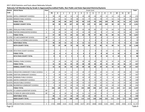| <b>District</b> | <b>District Name</b>                      | <b>Class</b>   |           |             |                |                |                |              |                | Grade Level    |                |                |                |                |          |                   | <b>Total</b> |
|-----------------|-------------------------------------------|----------------|-----------|-------------|----------------|----------------|----------------|--------------|----------------|----------------|----------------|----------------|----------------|----------------|----------|-------------------|--------------|
| Code            |                                           |                | <b>PK</b> | K           | $\mathbf{1}$   | $\overline{2}$ | 3              | 4            | 5              | 6              | $\overline{7}$ | 8              | 9              | 10             | 11       | $12 \overline{ }$ |              |
| 50-0501         | <b>AXTELL COMMUNITY SCHOOLS</b>           | 3              | 30        | 20          | 19             | 13             | 15             | 19           | 20             | 23             | 22             | 21             | 21             | 21             | 12       | 19                | 275          |
| 50-0503         | MINDEN PUBLIC SCHOOLS                     | 3              | 33        | 61          | 56             | 70             | 58             | 55           | 77             | 55             | 70             | 77             | 51             | 51             | 58       | 51                | 823          |
|                 | <b>PUBLIC TOTAL</b>                       |                | 84        | 94          | 89             | 107            | 83             | 90           | 119            | 92             | 105            | 109            | 90             | 81             | 91       | 87                | 1,321        |
|                 | <b>KEARNEY COUNTY TOTAL</b>               |                | 84        | 94          | 89             | 107            | 83             | 90           | 119            | 92             | 105            | 109            | 90             | 81             | 91       | 87                | 1,321        |
|                 |                                           |                |           |             |                |                |                |              |                |                |                |                |                |                |          |                   |              |
| 51-0001         | OGALLALA PUBLIC SCHOOLS                   | 3              | 33        | 49          | 59             | 50             | 47             | 50           | 58             | 83             | 77             | 74             | 64             | 72             | 56       | 63                | 835          |
| 51-0006         | <b>PAXTON CONSOLIDATED SCHOOLS</b>        | 3              | 14        | 20          | 14             | 14             | 15             | 14           | 20             | 14             | 9              | 17             | 16             | 19             | 16       | 20                | 222          |
|                 | <b>PUBLIC TOTAL</b>                       |                | 47        | 69          | 73             | 64             | 62             | 64           | 78             | 97             | 86             | 91             | 80             | 91             | 72       | 83                | 1,057        |
| 51-0701         | <b>ST LUKE ELEMENTARY SCHOOL</b>          | <b>NP</b>      | 11        | 6           | 9              | 10             | 3              | 7            |                | οI             | 0              | $\Omega$       | $\overline{0}$ | $\mathbf 0$    | $\Omega$ | 0                 | 53           |
|                 | 51-0702 ST PAUL'S LUTHERAN ELEM SCHOOL    | <b>NP</b>      | 35        | 12          | 6              | 5 <sub>l</sub> | 3              | 5            | 4              | $\overline{0}$ | 0              | $\Omega$       | $\overline{0}$ | 0              | $\Omega$ |                   | 70           |
|                 | <b>NON PUBLIC TOTAL</b>                   |                | 46        | 18          | 15             | 15             | 6              | 12           | 11             | $\mathbf{0}$   | 0              | $\mathbf{0}$   | 0              | $\mathbf 0$    | 0        | 0                 | 123          |
|                 | <b>KEITH COUNTY TOTAL</b>                 |                | 93        | 87          | 88             | 79             | 68             | 76           | 89             | 97             | 86             | 91             | 80             | 91             | 72       | 83                | 1,180        |
|                 |                                           |                |           |             |                |                |                |              |                |                |                |                |                |                |          |                   |              |
| 52-0100         | <b>KEYA PAHA COUNTY SCHOOLS</b>           | $\overline{2}$ | $\Omega$  | 6           | $\overline{4}$ | 5 <sup>1</sup> | 5              | 6            | 5              | 8              | 8              | 10             | $6 \mid$       | 10             | 8        |                   | 86           |
|                 | <b>PUBLIC TOTAL</b>                       |                | 0         | 6           | 4              | 5 <sup>1</sup> | 5              | 6            | 5              | 8              | 8              | 10             | 6 <sup>1</sup> | 10             | 8        |                   | 86           |
|                 | <b>KEYA PAHA COUNTY TOTAL</b>             |                | 0         | 6           | $\overline{4}$ | 5              | 5 <sub>l</sub> | 6            | 5 <sub>l</sub> | 8              | 8              | 10             | 61             | 10             | 8        |                   | 86           |
|                 |                                           |                |           |             |                |                |                |              |                |                |                |                |                |                |          |                   |              |
| 53-0001         | KIMBALL PUBLIC SCHOOLS                    | 3              | 31        | 34          | 26             | 35             | 29             | 28           | 30             | 30             | 29             | 35             | 32             | 25             | 36       | 37                | 437          |
|                 | <b>PUBLIC TOTAL</b>                       |                | 31        | 34          | 26             | 35             | 29             | 28           | 30             | 30l            | 29             | 35             | 32             | 25             | 36       | 37                | 437          |
|                 | <b>KIMBALL COUNTY TOTAL</b>               |                | 31        | 34          | 26             | 35             | 29             | 28           | 30             | 30             | 29             | 35             | 32             | 25             | 36       | 37                | 437          |
|                 |                                           |                |           |             |                |                |                |              |                |                |                |                |                |                |          |                   |              |
| 54-0013         | <b>CREIGHTON COMMUNITY PUBLIC SCHOOLS</b> | 3              | 24        | 24          | 14             | 11             | 22             | 18           | 17             | 16             | 23             | 32             | 25             | 29             | 26       | 29                | 310          |
|                 | 54-0096 CROFTON COMMUNITY SCHOOLS         | 3              |           | 24          | 16             | 21             | $17\,$         | 22           | 13             | 21             | 23             | 25             | 31             | 30             | 33       | 27                | 307          |
| 54-0501         | NIOBRARA PUBLIC SCHOOLS                   | 3              | 17        | 16          | 14             | 11             | 21             | 16           | 19             | 15             | 21             | 9              | 14             | 14             | 13       | 14                | 214          |
| 54-0505         | <b>SANTEE COMMUNITY SCHOOLS</b>           | 2              | 33        | 21          | 17             | $6 \mid$       | 14             | 10           | 9              | 13             | 15             | 12             | $\overline{9}$ | 9              | 13       | 18                | 199          |
| 54-0576         | <b>WAUSA PUBLIC SCHOOLS</b>               | 3              | 25        | 16          | 14             | 19             | 18             | 16           | 22             | 21             | 21             | 21             | 16             | 24             | 14       | 16                | 263          |
|                 | 54-0586 BLOOMFIELD COMMUNITY SCHOOLS      | 3              |           | 19          | 22             | 24             | 19             | 21           | 20             | 20             | 24             | 15             | 18             | 13             | 18       | 18                | 254          |
|                 | <b>PUBLIC TOTAL</b>                       |                | 106       | 120         | 97             | 92             | 111            | 103          | 100            | 106            | 127            | 114            | 113            | 119            | 117      | 122               | 1,547        |
|                 | 54-0701 ST LUDGER ELEMENTARY SCHOOL       | <b>NP</b>      |           | 3           | $\overline{7}$ | $1\vert$       | 5 <sub>l</sub> | $\mathbf{1}$ | $\overline{4}$ | $\mathbf{1}$   | $\overline{0}$ | 0I             | $\Omega$       | $\overline{0}$ | 0I       | $\overline{0}$    | 25           |
|                 | 54-0702 IST ROSE OF LIMA ELEM SCHOOL      | <b>NP</b>      | 33        | $\mathbf 0$ | 10             | 15             | 14             | 11           | 11             | 13             | 9              | 9              | $\overline{0}$ | $\mathbf 0$    | 0        | 0                 | 125          |
|                 | <b>NON PUBLIC TOTAL</b>                   |                | 36        | 3           | 17             | 16             | 19             | 12           | 15             | 14             | 9              | $\overline{9}$ | $\mathbf{0}$   | $\mathbf 0$    | 0        | 0                 | 150          |
|                 | <b>KNOX COUNTY TOTAL</b>                  |                | 142       | 123         | 114            | 108            | 130            | 115          | 115            | 120            | 136            | 123            | 113            | 119            | 117      | 122               | 1,697        |
|                 |                                           |                |           |             |                |                |                |              |                |                |                |                |                |                |          |                   |              |
|                 | 55-0001 LINCOLN PUBLIC SCHOOLS            | 4              | 1723      | 3080        | 3142           | 3111           | 3260           | 3227         | 2871           | 3068           | 3020           | 3136           | 3069           | 2929           | 2930     | 3171              | 41,737       |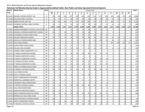| <b>District</b> | <b>District Name</b>                         | Class     |           |                |             |                |                |       |          | Grade Level    |                |                |                |                |                |                | Total  |
|-----------------|----------------------------------------------|-----------|-----------|----------------|-------------|----------------|----------------|-------|----------|----------------|----------------|----------------|----------------|----------------|----------------|----------------|--------|
| Code            |                                              |           | <b>PK</b> | ĸ              | 1           | $\overline{2}$ | 3              | 4     | 5        | 6              | $\overline{7}$ | 8              | 9              | 10             | 11             | 12             |        |
| 55-0145         | <b>WAVERLY SCHOOL DISTRICT 145</b>           | 3         | 59        | 139            | 154         | 137            | 179            | 162   | 143      | 151            | 171            | 158            | 153            | 140            | 170            | 145            | 2,061  |
| 55-0148         | <b>IMALCOLM PUBLIC SCHOOLS</b>               | 3         | 8         | 40             | 41          | 34             | 42             | 46    | 44       | 39             | 40             | 40             | 54             | 39             | 41             | 48             | 556    |
| 55-0160         | NORRIS SCHOOL DIST 160                       | 3         | 70        | 165            | 183         | 177            | 174            | 202   | 183      | 173            | 175            | 177            | 183            | 177            | 157            | 162            | 2,358  |
|                 | 55-0161   RAYMOND CENTRAL PUBLIC SCHOOLS     | 3         | 43        | 44             | 47          | 54             | 54             | 43    | 48       | 56             | 37             | 52             | 56             | 45             | 62             | 47             | 688    |
|                 | <b>PUBLIC TOTAL</b>                          |           | 1,903     | 3,468          | 3,567       | 3,513          | 3,709          | 3,680 | 3,289    | 3,487          | 3,443          | 3,563          | 3,515          | 3,330          | 3,360          | 3,573          | 47,400 |
|                 | 55-0701 BLESSED SACRAMENT CATHOLIC ELEM SCHO | <b>NP</b> | 13        | 16             | 7           | 14             | 21             | 14    | 18       | 17             | 27             | 14             |                | 0              | 0              | 0              | 161    |
| 55-0702         | IMESSIAH LUTHERAN ELEMENTARY SCHOOL          | NP.       | 80        | 17             | 28          | 17             | 25             | 24    | 24       | 0              | $\mathbf 0$    | 0              |                | 0              | 0              | $\Omega$       | 215    |
| 55-0703         | CATHEDRAL OF RISEN CHRIST ELEM               | <b>NP</b> | $\Omega$  | 30             | 34          | 38             | 37             | 39    | 31       | 36             | 33             | 34             | $\Omega$       | $\mathbf 0$    | $\Omega$       | $\Omega$       | 312    |
|                 | 55-0704 LINCOLN CHRISTIAN SCHOOLS            | <b>NP</b> | 78        | 37             | 39          | 39             | 44             | 44    | 46       | 49             | 53             | 44             | 47             | 53             | 50             | 52             | 675    |
|                 | 55-0706 LINCOLN LUTHERAN MS/SR HIGH          | NP.       | 0         | $\overline{0}$ | $\mathbf 0$ | $\overline{0}$ | $\overline{0}$ | 0     | $\Omega$ | 33             | 69             | 45             | 36             | 37             | 59             | 44             | 323    |
| 55-0707         | <b>PIUS X HIGH SCHOOL</b>                    | <b>NP</b> | 0         | $\overline{0}$ | $\mathbf 0$ | $\overline{0}$ | $\overline{0}$ | 0     | $\Omega$ | $\overline{0}$ | 0              | 0              | 305            | 309            | 322            | 315            | 1,251  |
|                 | 55-0708  SACRED HEART ELEM SCHOOL            | <b>NP</b> | 8         | 14             | 15          | 15             | 17             | 17    | 11       | 15             | 23             | 19             | O              | 0              | $\overline{0}$ | $\Omega$       | 154    |
| 55-0709         | <b>COLLEGE VIEW ACADEMY</b>                  | <b>NP</b> | 16        | 26             | 17          | 15             | 30             | 7     | 24       | 16             | 13             | 19             | 12             | 16             | 26             | 17             | 254    |
| 55-0711         | <b>GEORGE STONE ELEMENTARY S D A</b>         | <b>NP</b> | 0         | 3              | 2           | 5 <sub>l</sub> | 3              | 3     |          | 1              | 3              | -1             | $\Omega$       | $\mathbf 0$    | 0              | $\overline{0}$ | 22     |
| 55-0712         | <b>ST JOHN'S ELEMENTARY SCHOOL</b>           | <b>NP</b> | 36        | 34             | 40          | 38             | 42             | 40    | 40       | 41             | 33             | 33             | $\overline{0}$ | $\mathbf 0$    | $\Omega$       | $\Omega$       | 377    |
|                 | 55-0713 IST MARK ELEMENTARY SCHOOL           | <b>NP</b> | $\Omega$  | 5              | 9           | $6 \mid$       | $\overline{2}$ | 3     | $\Omega$ | $6 \mid$       | 1              | 3              | $\Omega$       | $\mathbf 0$    | 0              | $\overline{0}$ | 35     |
|                 | 55-0714 IST MARY'S ELEMENTARY SCHOOL         | <b>NP</b> | 20        | 16             | 17          | 14             | 12             | 15    |          | 15             | 15             | 16             | 0              | $\mathbf 0$    | $\Omega$       | $\Omega$       | 147    |
|                 | 55-0715 ST PATRICK CATHOLIC SCHOOL           | <b>NP</b> | 18        | 17             | 23          | 16             | 14             | 18    | 13       | 17             | 12             | 11             | 0              | $\Omega$       | ŋ              | 0              | 159    |
|                 | 55-0716 ST TERESA ELEMENTARY SCHOOL          | <b>NP</b> | 27        | 21             | 22          | 29             | 26             | 26    | 25       | 24             | 32             | 39             |                | $\mathbf 0$    | O              | 0              | 271    |
| 55-0717         | <b>TRINITY LUTHERAN ELEM SCHOOL</b>          | <b>NP</b> | 19        | 15             | 9           | 12             | 9              | 3     | 14       | $\overline{0}$ | $\mathbf 0$    | $\overline{0}$ | 0              | $\mathbf 0$    | $\Omega$       | $\Omega$       | 81     |
|                 | 55-0719 ST JOSEPH'S CATHOLIC SCHOOL          | <b>NP</b> | 59        | 52             | 53          | 55             | 45             | 47    | 47       | 58             | 50             | 57             | $\Omega$       | $\mathbf 0$    | 0              | $\Omega$       | 523    |
| 55-0720         | VILLA MARIE SCHOOL                           | NP.       | 0         | $\mathbf 0$    |             |                | 3              | 3     |          |                | $\overline{2}$ | 4              | $\Omega$       | $\mathbf 0$    | $\Omega$       | $\Omega$       | 21     |
|                 | 55-0728 FAITH LUTHERAN SCHOOL                | <b>NP</b> | 0         | 23             | 30          | 19             | 15             | 18    | 19       | $\overline{0}$ | 0              | 0              | 0              | $\mathbf 0$    | $\Omega$       | $\Omega$       | 124    |
|                 | 55-0734 TRINITY KINDERGARTEN PROGRAM         | <b>NP</b> | 0         | 10             | $\mathbf 0$ | $\Omega$       | $\mathbf 0$    | 0     | $\Omega$ | 0              | 0              | 0              |                | $\mathbf 0$    | 0              | 0              | 10     |
|                 | 55-0743 PRAIRIE HILL LEARNING CENTER         | <b>NP</b> | 23        | 8              | 11          |                | 7              | 11    | 8        |                | 6              |                |                | 0              | O              | 0              | 85     |
| 55-0745         | <b>CHILDREN'S CIRCLE MONTESSORI</b>          | <b>NP</b> | 35        | 4              | $\mathbf 0$ | $\Omega$       | $\Omega$       | 0     | $\Omega$ | $\Omega$       | 0              | 0              | 0              | $\mathbf 0$    | 0              | $\Omega$       | 39     |
|                 | 55-0753 ST PETER'S CATHOLIC SCHOOL           | <b>NP</b> | 24        | 42             | 29          | 38             | 40             | 48    | 46       | 42             | 57             | 47             | 0              | $\mathbf 0$    | $\Omega$       | $\Omega$       | 413    |
|                 | 55-0754 CHILD VIEW MONTESSORI                | <b>NP</b> | 20        | 5              | 0           | $\overline{0}$ | $\overline{0}$ | 0     | 0        | οI             | $\mathbf 0$    | 0              | 0              | $\overline{0}$ | 0              | 0              | 25     |
|                 | 55-0755 PARKVIEW CHRISTIAN SCHOOLS           | <b>NP</b> | 20        | 10             | q           | 10             | 8              | 4     | $\Delta$ | 71             | 7 <sup>1</sup> | 11             | 11             | 10             | 14             | 15             | 140    |
|                 | 55-0758 NORTH AMERICAN MARTYRS SCHOOL        | <b>NP</b> | 63        | 43             | 54          | 59             | 59             | 60    | 62       | 52             | 60             | 57             | 0              | $\mathbf 0$    | $\Omega$       | $\overline{0}$ | 569    |
|                 | 55-0759 BERNIKLAU ED SOLUTIONS TEAM          | <b>NP</b> | O         | 0              | 0           | $\overline{0}$ | 0              | 0     | 0        | $\overline{0}$ | 0              | 0              |                |                |                |                | 4      |
|                 | 55-0762 GOOD SHEPHERD LUTHERAN SCHOOL        | <b>NP</b> | 48        | 3              | 5           | $\overline{2}$ | $\mathbf{1}$   | 0     |          | 1              | $\overline{2}$ | $\overline{0}$ | 0              | $\mathbf 0$    | $\overline{0}$ | $\overline{0}$ | 64     |
|                 | 55-0764 CHRIST ELEMENTARY SCHOOL             | <b>NP</b> | 51        | 25             | 30          | 24             | 23             | 17    | 18       | $\overline{0}$ | 0              | $\overline{0}$ | 0              | 0              | 0              | $\overline{0}$ | 188    |
|                 | 55-0766 ST MICHAEL CATHOLIC SCHOOL           | <b>NP</b> | $\Omega$  | 32             | 37          | 28             | 29             | 30    | 30       | $27\,$         | 23             | 14             | $\overline{0}$ | $\overline{0}$ | $\overline{0}$ | $\overline{0}$ | 250    |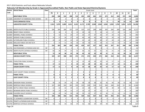| <b>District</b> | . .<br><b>District Name</b>            | <b>Class</b>   |           |                |                |                 |              |                |                | Grade Level    |                |                |                |             |              |                   | <b>Total</b> |
|-----------------|----------------------------------------|----------------|-----------|----------------|----------------|-----------------|--------------|----------------|----------------|----------------|----------------|----------------|----------------|-------------|--------------|-------------------|--------------|
| Code            |                                        |                | <b>PK</b> | ĸ              | $\mathbf{1}$   | $\overline{2}$  | 3            | 4              | 5              | 6              | $\overline{7}$ | 8              | 9              | 10          | 11           | $12 \overline{ }$ |              |
|                 | <b>NON PUBLIC TOTAL</b>                |                | 658       | 508            | 522            | 498             | 512          | 491            | 494            | 461            | 521            | 473            | 412            | 426         | 472          | 444               | 6,892        |
| 55-0605         | UNIVERSITY OF NEBRASKA HIGH SCHOOL     | <b>SO</b>      | 0         | 0              | 0              | $\Omega$        | 0            | 0              | $\Omega$       | $\overline{0}$ | 0              | $\Omega$       |                | 28          | 22           | 53                | 104          |
|                 | <b>STATE OPERATED TOTAL</b>            |                | 0         | $\mathbf{0}$   | $\mathbf{0}$   | 0               | $\mathbf{0}$ | $\mathbf{0}$   | $\mathbf{0}$   | ٥I             | 0              | $\mathbf{0}$   |                | 28          | 22           | 53                | 104          |
|                 | <b>LANCASTER COUNTY TOTAL</b>          |                | 2,561     | 3,976          | 4,089          | 4,011           | 4,221        | 4,171          | 3,783          | 3,948          | 3,964          | 4,036          | 3,928          | 3,784       | 3,854        | 4,070             | 54,396       |
|                 |                                        |                |           |                |                |                 |              |                |                |                |                |                |                |             |              |                   |              |
|                 | 56-0001 NORTH PLATTE PUBLIC SCHOOLS    | 3              | 206       | 304            | 280            | 331             | 319          | 325            | 322            | 298            | 306            | 303            | 284            | 300         | 330          | 309               | 4,217        |
|                 | 56-0006 BRADY PUBLIC SCHOOLS           | 2              |           | 16             | 8              | 9               | 15           | 10             | 14             | 7              | 16             | 14             | 17             | 20          | 13           | 14                | 173          |
| 56-0007         | MAXWELL PUBLIC SCHOOLS                 | 3              |           | 12             | 11             | 24              | 17           | 22             | 17             | 27             | 22             | 27             | 24             | 31          | 16           | 31                | 285          |
| 56-0037         | <b>HERSHEY PUBLIC SCHOOLS</b>          | 3              | 24        | 37             | 26             | 27              | 43           | 40             | 44             | 45             | 44             | 51             | 39             | 42          | 47           | 47                | 556          |
| 56-0055         | <b>SUTHERLAND PUBLIC SCHOOLS</b>       | 3              | 20        | 19             | 24             | 23              | 25           | 22             | 24             | 33             | 30             | 37             | 20             | 25          | 26           | 27                | 355          |
|                 | 56-0565 WALLACE PUBLIC SCH DIST 65 R   | $\overline{2}$ |           | 15             | 11             | 16              | 16           | 10             | <b>16</b>      | 17             | 14             | 21             | 13             | 13          | 16           | 18                | 198          |
|                 | <b>PUBLIC TOTAL</b>                    |                | 256       | 403            | 360            | 430             | 435          | 429            | 437            | 427            | 432            | 453            | 397            | 431         | 448          | 446               | 5,784        |
| 56-0701         | <b>OUR REDEEMER LUTHERAN ELEM SCH</b>  | <b>NP</b>      | 13        | 6              | 4              |                 | 5            | 6              |                | $\overline{7}$ | 8              | 6              | 0              | $\mathbf 0$ | $\Omega$     | $\Omega$          | 61           |
| 56-0702         | NORTH PLATTE CATHOLIC SCHOOLS          | <b>NP</b>      | 60        | 28             | 34             | 23              | 31           | 36             | 31             | 25             | 31             | 25             | 21             | 23          | 28           | 16                | 412          |
|                 | <b>NON PUBLIC TOTAL</b>                |                | 73        | 34             | 38             | 25              | 36           | 42             | 35             | 32             | 39             | 31             | 21             | 23          | 28           | 16                | 473          |
|                 | <b>LINCOLN COUNTY TOTAL</b>            |                | 329       | 437            | 398            | 455             | 471          | 471            | 472            | 459            | 471            | 484            | 418            | 454         | 476          | 462               | 6,257        |
|                 |                                        |                |           |                |                |                 |              |                |                |                |                |                |                |             |              |                   |              |
|                 | 57-0501 STAPLETON PUBLIC SCHOOLS       | 3              | 17        | 11             | 7              | 9               | 14           | 13             | 18             | 19             | 25             | 14             | 17             | 12          | 15           | 8                 | 199          |
|                 | <b>PUBLIC TOTAL</b>                    |                | 17        | 11             | 7              | 9               | 14           | 13             | 18             | 19             | 25             | 14             | 17             | 12          | 15           | 8                 | 199          |
|                 | <b>LOGAN COUNTY TOTAL</b>              |                | 17        | 11             | $\overline{7}$ | 9 <sub>l</sub>  | 14           | 13             | 18             | 19             | 25             | 14             | 17             | 12          | 15           | 8                 | 199          |
|                 |                                        |                |           |                |                |                 |              |                |                |                |                |                |                |             |              |                   |              |
|                 | 58-0025 LOUP COUNTY PUBLIC SCHOOLS     | 2              |           | 5              | 5              | $\overline{2}$  |              | 8              | 6              | 4              | 5              |                | 8              | 6           | 3            |                   | 69           |
|                 | <b>PUBLIC TOTAL</b>                    |                |           | 5              | 5              | $\overline{2}$  |              | 8              | 6 <sup>1</sup> | 4              | 5              |                | 8              | 6           | 3            |                   | 69           |
|                 | <b>LOUP COUNTY TOTAL</b>               |                |           | 5              | 5              | $\overline{2}$  | $\mathbf{1}$ | 8              | 6              | Δ              | 5              | 3              |                | 6           | 3            |                   | 69           |
|                 |                                        |                |           |                |                |                 |              |                |                |                |                |                |                |             |              |                   |              |
| 59-0001         | MADISON PUBLIC SCHOOLS                 | 3              | 49        | 25             | 29             | 35              | 34           | 38             | 24             | 38             | 32             | 36             | 44             | 39          | 42           | 48                | 513          |
| 59-0002         | NORFOLK PUBLIC SCHOOLS                 | 3              | 187       | 289            | 345            | 303             | 335          | 323            | 330            | 318            | 311            | 304            | 348            | 318         | 317          | 341               | 4,369        |
|                 | 59-0005 BATTLE CREEK PUBLIC SCHOOLS    | 3              | 22        | 32             | 32             | 33              | 21           | 22             | 28             | 19             | 39             | 39             | 38             | 40          | 32           | 41                | 438          |
|                 | 59-0013 NEWMAN GROVE PUBLIC SCHOOLS    | 3              | 22        | 23             | 16             | 13              | 17           | 13             | 12             | 15             | 11             | $\mathsf{q}$   | 51             | q           | $\mathbf{q}$ | 15                | 189          |
|                 | 59-0080 ELKHORN VALLEY SCHOOLS         | 3              | 46        | 29             | 34             | 30 <sup>l</sup> | 28           | 33             | 22             | 37             | 21             | 36             | 21             | 19          | 22           | 19                | 397          |
|                 | <b>PUBLIC TOTAL</b>                    |                | 326       | 398            | 456            | 414             | 435          | 429            | 416            | 427            | 414            | 424            | 456            | 425         | 422          | 464               | 5,906        |
|                 | 59-0702 ST LEONARD'S ELEMENTARY SCHOOL | <b>NP</b>      | 8         | $\overline{2}$ | 5 <sub>l</sub> | 3               | 5            | $\overline{2}$ | 3              | 4              | 0              | 0              | 0              | 0           | 0            | 0                 | 32           |
|                 | 59-0703 TRINITY LUTHERAN ELEM SCHOOL   | <b>NP</b>      | 7         | 6              | 5 <sup>1</sup> | 1               | 6            | 9              | -1             | 5              | 6              | $\overline{7}$ | $\overline{0}$ | 0           | 0            | 0                 | 53           |
|                 | 59-0704 NORFOLK CATHOLIC SCHOOLS       | <b>NP</b>      | 55        | 41             | 44             | 50              | 37           | 51             | 50             | 37             | 47             | 49             | 40             | 44          | 32           | 60                | 637          |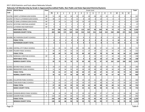| <b>District</b> | <b>District Name</b>                  | Class     |           |                |                |                |                |          |          | Grade Level    | $\cdot$ , $\cdot$ , $\cdot$ |          |                |          |     |          | <b>Total</b> |
|-----------------|---------------------------------------|-----------|-----------|----------------|----------------|----------------|----------------|----------|----------|----------------|-----------------------------|----------|----------------|----------|-----|----------|--------------|
| Code            |                                       |           | <b>PK</b> | K              | $\mathbf{1}$   | $\overline{2}$ | 3              | 4        | 5        | 6              | $\overline{7}$              | 8        | 9              | 10       | 11  | 12       |              |
|                 | 59-0706 CHRIST LUTHERAN ELEM SCHOOL   | <b>NP</b> | 51        | 28             | 31             | 34             | 33             | 33       | 24       | 26             | 21                          | 26       | 0              | 0        | 0   | O        | 307          |
| 59-0707         | <b>ST PAUL'S LUTHERAN ELEM SCHOOL</b> | <b>NP</b> | 38        | 11             | 11             | $\overline{9}$ | 11             | 8        | 10       | 6              | 12                          | $6 \mid$ | $\Omega$       | $\Omega$ | U   | $\Omega$ | 122          |
|                 | 59-0708 ST JOHN LUTHERAN ELEM SCHOOL  | <b>NP</b> | $\Omega$  | 16             | 21             | 13             | 16             | 16       | 19       | 11             | 14                          | 8        | $\overline{0}$ | 0        | 0   | $\Omega$ | 134          |
|                 | 59-0712 KEYSTONE CHRISTIAN ACADEMY    | <b>NP</b> | 8         | 4              |                |                | 2              | 4        | $\Omega$ | 5 <sub>l</sub> |                             |          | $\Omega$       | 0        | 0   | $\Omega$ | 37           |
|                 | 59-0714 LUTHERAN HIGH NORTHEAST       | <b>NP</b> | 0         | $\Omega$       | $\overline{0}$ | $\Omega$       | $\overline{0}$ | $\Omega$ | $\Omega$ | οI             | $\Omega$                    | $\Omega$ | 34             | 29       | 21  | 30       | 114          |
|                 | <b>NON PUBLIC TOTAL</b>               |           | 167       | 108            | 119            | 115            | 110            | 123      | 107      | 94             | 104                         | 99       | 74             | 73       | 53  | 90       | 1,436        |
|                 | <b>MADISON COUNTY TOTAL</b>           |           | 493       | 506            | 575            | 529            | 545            | 552      | 523      | 521            | 518                         | 523      | 530            | 498      | 475 | 554      | 7,342        |
|                 |                                       |           |           |                |                |                |                |          |          |                |                             |          |                |          |     |          |              |
|                 | 60-0090 MC PHERSON COUNTY SCHOOLS     | 3         | $\Omega$  | $\overline{2}$ | $\overline{2}$ |                | 9              | 8        |          | $\overline{2}$ | 8                           |          | 6              | 10       | 8   | 6        | 73           |
|                 | <b>PUBLIC TOTAL</b>                   |           | 0         | $\mathbf{2}$   | 2              | 4              | 9              | 8        | 51       | $\overline{2}$ | 8                           |          | 6 <sup>1</sup> | 10       | 8   | 6        | 73           |
|                 | <b>MCPHERSON COUNTY TOTAL</b>         |           | 0         | 2 <sup>1</sup> | $\overline{2}$ | $\overline{4}$ | 9 <sub>l</sub> | 8        | 51       | $\overline{2}$ | 8                           | 3        | 61             | 10       | 8   | 6        | 73           |
|                 | 61-0004 CENTRAL CITY PUBLIC SCHOOLS   | 3         | 54        | 45             | 53             | 54             | 49             | 59       | 46       | 48             | 57                          | 52       | 53             | 69       | 43  | 49       | 731          |
|                 | 61-0049 PALMER PUBLIC SCHOOLS         | 3         | 30        | 24             | 20             | 16             | 26             | 21       | 17       | 14             | 21                          | 24       | 33             | 25       | 23  | 18       | 312          |
|                 | <b>PUBLIC TOTAL</b>                   |           | 84        | 69             | 73             | 70             | 75             | 80       | 63       | 62             | 78                          | 76       | 86             | 94       | 66  | 67       | 1,043        |
| 61-0701         | NEBRASKA CHRISTIAN SCHOOLS            | <b>NP</b> | 8         | 4              | 6              | $6 \mid$       | 4              | 4        | $6 \mid$ | 13             | 19                          | 17       | 16             | 26       | 34  | 35       | 198          |
|                 | <b>NON PUBLIC TOTAL</b>               |           | 8         | 4              | 6              | 6              | Δ              | Δ        | 6        | 13             | 19                          | 17       | 16             | 26       | 34  | 35       | 198          |
|                 | <b>MERRICK COUNTY TOTAL</b>           |           | 92        | 73             | 79             | 76             | 79             | 84       | 69       | 75             | 97                          | 93       | 102            | 120      | 100 | 102      | 1,241        |
|                 |                                       |           |           |                |                |                |                |          |          |                |                             |          |                |          |     |          |              |
| 62-0021         | <b>BAYARD PUBLIC SCHOOLS</b>          | 3         | 24        | 27             | 33             | 21             | 26             | 24       | 33       | 26             | 33                          | 28       | 31             | 30       | 35  | 25       | 396          |
|                 | 62-0063 BRIDGEPORT PUBLIC SCHOOLS     | 3         | 11        | 34             | 34             | 35             | 42             | 36       | 24       | 36             | 34                          | 28       | 36             | 36       | 44  | 34       | 464          |
|                 | <b>PUBLIC TOTAL</b>                   |           | 35        | 61             | 67             | 56             | 68             | 60       | 57       | 62             | 67                          | 56       | 67             | 66       | 79  | 59       | 860          |
|                 | <b>MORRILL COUNTY TOTAL</b>           |           | 35        | 61             | 67             | 56             | 68             | 60       | 57       | 62             | 67                          | 56       | 67             | 66       | 79  | 59       | 860          |
|                 |                                       |           |           |                |                |                |                |          |          |                |                             |          |                |          |     |          |              |
|                 | 63-0001 FULLERTON PUBLIC SCHOOLS      | 3         |           | 23             | 21             | 27             | 18             | 24       | 24       | 21             | 28                          | 19       | 32             | 24       | 22  | 21       | 306          |
|                 | 63-0030 TWIN RIVER PUBLIC SCHOOLS     | 3         | 25        | 42             | 22             | 32             | 34             | 39       | 37       | 25             | 30                          | 36       | 36             | 27       | 39  | 23       | 447          |
|                 | <b>PUBLIC TOTAL</b>                   |           | 27        | 65             | 43             | 59             | 52             | 63       | 61       | 46             | 58                          | 55       | 68             | 51       | 61  | 44       | 753          |
|                 | <b>NANCE COUNTY TOTAL</b>             |           | 27        | 65             | 43             | 59             | 52             | 63       | 61       | 46             | 58                          | 55       | 68             | 51       | 61  | 44       | 753          |
|                 | 64-0023 JOHNSON-BROCK PUBLIC SCHOOLS  | 3         | 36        | 18             | 23             | 30             | 27             | 29       | 25       | 30             | 27                          | 17       | 20             | 23       | 19  | 18       | 342          |
|                 | 64-0029 AUBURN PUBLIC SCHOOLS         | 3         | 110       | 64             | 45             | 66             | 51             | 65       | 50       | 65             | 67                          | 60       | 55             | 67       | 60  | 67       | 892          |
|                 | <b>PUBLIC TOTAL</b>                   |           | 146       | 82             | 68             | 96             | 78             | 94       | 75       | 95             | 94                          | 77       | 75             | 90       | 79  | 85       | 1,234        |
|                 | <b>NEMAHA COUNTY TOTAL</b>            |           | 146       | 82             | 68             | 96             | 78             | 94       | 75       | 95             | 94                          | 77       | 75             | 90       | 79  | 85       | 1,234        |
|                 |                                       |           |           |                |                |                |                |          |          |                |                             |          |                |          |     |          |              |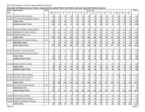| <b>District</b> | . .<br><b>District Name</b>          | <b>Class</b> |                |     |              |                |            |                |             | Grade Level    |                |     |              |             |              |                | <b>Total</b> |
|-----------------|--------------------------------------|--------------|----------------|-----|--------------|----------------|------------|----------------|-------------|----------------|----------------|-----|--------------|-------------|--------------|----------------|--------------|
| Code            |                                      |              | <b>PK</b>      | К   | $\mathbf{1}$ | $\overline{2}$ | 3          | 4              | 5           | 6              | $\overline{7}$ | 8   | 9            | 10          | 11           | 12             |              |
| 65-0011         | <b>SUPERIOR PUBLIC SCHOOLS</b>       | 3            | 28             | 21  | 28           | 26             | 22         | 35             | 30          | 30             | 36             | 36  | 28           | 39          | 28           | 34             | 421          |
| 65-2005         | ISOUTH CENTRAL NEBRASKA UNIFIED 5    | 3            | 80             | 42  | 37           | 45             | 43         | 47             | 45          | 45             | 49             | 47  | 47           | 48          | 46           | 60             | 681          |
|                 | <b>PUBLIC TOTAL</b>                  |              | 108            | 63  | 65           | 71             | 65         | 82             | 75          | 75             | 85             | 83  | 75           | 87          | 74           | 94             | 1,102        |
|                 | <b>NUCKOLLS COUNTY TOTAL</b>         |              | 108            | 63  | 65           | 71             | 65         | 82             | 75          | 75             | 85             | 83  | 75           | 87          | 74           | 94             | 1,102        |
|                 |                                      |              |                |     |              |                |            |                |             |                |                |     |              |             |              |                |              |
| 66-0027         | SYRACUSE-DUNBAR-AVOCA SCHOOLS        | 3            | 54             | 62  | 56           | 61             | 63         | 53             | 48          | 57             | 52             | 51  | 55           | 54          | 47           | 60             | 773          |
| 66-0111         | <b>INEBRASKA CITY PUBLIC SCHOOLS</b> | 3            | 98             | 104 | 94           | 119            | 103        | 93             | 105         | 101            | 117            | 95  | 100          | 102         | 115          | 119            | 1,465        |
| 66-0501         | <b>PALMYRA DISTRICT O R 1</b>        | 3            | 55             | 44  | 52           | 38             | 49         | 45             | 33          | 38             | 38             | 28  | 32           | 27          | 35           | 30             | 544          |
|                 | <b>PUBLIC TOTAL</b>                  |              | 207            | 210 | 202          | 218            | 215        | 191            | 186         | 196            | 207            | 174 | 187          | 183         | 197          | 209            | 2,782        |
| 66-0701         | NEBRASKA CITY LOURDES CENTRAL        | <b>NP</b>    | 0              | 20  | 24           | 21             | 22         | 21             | 33          | 22             | 25             | 36  | 30           | 30          | 17           | 27             | 328          |
|                 | <b>NON PUBLIC TOTAL</b>              |              | 0              | 20  | 24           | 21             | 22         | 21             | 33          | 22             | 25             | 36  | 30           | 30          | 17           | 27             | 328          |
|                 | <b>OTOE COUNTY TOTAL</b>             |              | 207            | 230 | 226          | 239            | 237        | 212            | 219         | 218            | 232            | 210 | 217          | 213         | 214          | 236            | 3,110        |
|                 |                                      |              |                |     |              |                |            |                |             |                |                |     |              |             |              |                |              |
| 67-0001         | PAWNEE CITY PUBLIC SCHOOLS           | 3            | 33             | 15  | 21           | 16             | 20         | 20             | 20          | 21             | 19             | 27  | 10           | 27          | 22           | 28             | 299          |
| 67-0069         | LEWISTON CONSOLIDATED SCHOOLS        | 3            | 35             | 13  | 6            | 15             | 18         | 13             | 8           | 10             | 11             | 13  | 14           | 14          | 11           | 12             | 193          |
|                 | <b>PUBLIC TOTAL</b>                  |              | 68             | 28  | 27           | 31             | 38         | 33             | 28          | 31             | 30             | 40  | 24           | 41          | 33           | 40             | 492          |
|                 | <b>PAWNEE COUNTY TOTAL</b>           |              | 68             | 28  | 27           | 31             | 38         | 33             | 28          | 31             | 30             | 40  | 24           | 41          | 33           | 40             | 492          |
|                 |                                      |              |                |     |              |                |            |                |             |                |                |     |              |             |              |                |              |
| 68-0020         | <b>PERKINS COUNTY SCHOOLS</b>        | 3            | 40             | 26  | 35           | 25             | 36         | 30             | 38          | 22             | 22             | 32  | 20           | 29          | 23           | 31             | 409          |
|                 | <b>PUBLIC TOTAL</b>                  |              | 40             | 26  | 35           | 25             | 36         | 30             | 38          | 22             | 22             | 32  | 20           | 29          | 23           | 31             | 409          |
|                 | PERKINS COUNTY TOTAL                 |              | 40             | 26  | 35           | 25             | 36         | 30             | 38          | 22             | 22             | 32  | 20           | 29          | 23           | 31             | 409          |
|                 |                                      |              |                |     |              |                |            |                |             |                |                |     |              |             |              |                |              |
|                 | 69-0044 HOLDREGE PUBLIC SCHOOLS      | 3            | 54             | 73  | 72           | 75             | 87         | 74             | 78          | 87             | 86             | 74  | 79           | 102         | 101          | 100            | 1,142        |
|                 | 69-0054 BERTRAND PUBLIC SCHOOLS      | 3            | 18             | 17  | 13           | 18             | 23         | 21             | 21          | 19             | 18             | 19  | 16           | 20          | 18           | 20             | 261          |
|                 | 69-0055 LOOMIS PUBLIC SCHOOLS        | 2            | 17             | 18  | 20           | 20             | 13         | 17             | 11          | 14             | 15             | 14  | 15           | 11          | 16           | 13             | 214          |
|                 | <b>PUBLIC TOTAL</b>                  |              | 89             | 108 | 105          | 113            | 123        | 112            | 110         | 120            | 119            | 107 | 110          | 133         | 135          | 133            | 1,617        |
|                 | 69-0705 ALL SAINTS CATHOLIC SCHOOL   | <b>NP</b>    | 29             | 6   | 8            | 6              | 7          | $\overline{4}$ | $\Omega$    | $\overline{0}$ | 0              | 0   | 0            | $\mathbf 0$ | $\Omega$     | $\overline{0}$ | 60           |
|                 | <b>NON PUBLIC TOTAL</b>              |              | 29             | 6   | 8            | 6              | 7          | 4              | $\mathbf 0$ | $\mathbf{0}$   | $\mathbf 0$    | 0   | $\mathbf{0}$ | 0           | $\mathbf{0}$ | 0              | 60           |
|                 | <b>PHELPS COUNTY TOTAL</b>           |              | 118            | 114 | 113          | 119            | <b>130</b> | 116            | 110         | <b>120</b>     | 119            | 107 | 110          | 133         | <b>135</b>   | 133            | 1,677        |
|                 |                                      |              |                |     |              |                |            |                |             |                |                |     |              |             |              |                |              |
|                 | 70-0002 PIERCE PUBLIC SCHOOLS        | 3            | 40             | 52  | 24           | 47             | 44         | 46             | 48          | 41             | 48             | 51  | 58           | 46          | 55           | 53             | 653          |
|                 | 70-0005 PLAINVIEW PUBLIC SCHOOLS     | 3            | 23             | 25  | 22           | 20             | 30         | 19             | 23          | 23             | 24             | 25  | 19           | 22          | 17           | 27             | 319          |
|                 | 70-0542 OSMOND COMMUNITY SCHOOLS     | 3            | $\overline{2}$ | 11  | 8            | 10             | 12         | 10             | 12          | 15             | 19             | 15  | 18           | 18          | 17           | 25             | 192          |
|                 | <b>PUBLIC TOTAL</b>                  |              | 65             | 88  | 54           | 77             | 86         | 75             | 83          | 79             | 91             | 91  | 95           | 86          | 89           | 105            | 1,164        |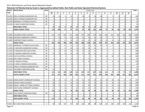| <b>District</b> | <b>District Name</b>                       | <b>Class</b> |           |                |                |                |                |                         |          | Grade Level  |                |                |          |                |              |                | <b>Total</b> |
|-----------------|--------------------------------------------|--------------|-----------|----------------|----------------|----------------|----------------|-------------------------|----------|--------------|----------------|----------------|----------|----------------|--------------|----------------|--------------|
| Code            |                                            |              | <b>PK</b> | К              | $\mathbf{1}$   | $\overline{2}$ | 3              | 4                       | 5        | 6            | $\overline{7}$ | 8              | 9        | 10             | 11           | 12             |              |
| 70-0701         | ZION LUTHERAN ELEMENTARY SCH               | <b>NP</b>    | 26        | 10             | $\overline{4}$ | 12             | 7              | 10                      | 8        | 13           | 10             |                | 0        | 0              | $\Omega$     | $\Omega$       | 101          |
| 70-0702         | <b>IZION LUTHERAN ELEMENTARY SCH</b>       | <b>NP</b>    |           |                | 6              | $\overline{3}$ | 9              |                         |          |              | $\overline{0}$ | 0              | $\Omega$ | $\Omega$       | $\Omega$     | $\Omega$       | 32           |
| 70-0703         | IMMANUEL LUTHERAN ELEM SCH                 | <b>NP</b>    | 9         | $\overline{2}$ | 1              | $\overline{2}$ | 1              | $\overline{2}$          |          |              | 1              |                | $\Omega$ | 0              | 0            | $\overline{0}$ | 22           |
|                 | 70-0705 ST MARY ELEMENTARY SCHOOL          | <b>NP</b>    | 15        | 5              | 6              | $\overline{3}$ | 8              | $\overline{2}$          | 5        | $6 \mid$     | $\overline{2}$ | 3              | 0        | 0              | $\Omega$     | $\overline{0}$ | 55           |
|                 | <b>NON PUBLIC TOTAL</b>                    |              | 54        | 20             | 17             | 20             | 25             | 18                      | 15       | 22           | 13             | 6              | 0        | 0              | $\mathbf{0}$ | 0              | 210          |
|                 | PIERCE COUNTY TOTAL                        |              | 119       | 108            | 71             | 97             | 111            | 93                      | 98       | 101          | 104            | 97             | 95       | 86             | 89           | 105            | 1,374        |
|                 |                                            |              |           |                |                |                |                |                         |          |              |                |                |          |                |              |                |              |
| 71-0001         | COLUMBUS PUBLIC SCHOOLS                    | 3            | 213       | 279            | 228            | 311            | 260            | 297                     | 284      | 279          | 258            | 289            | 332      | 306            | 284          | 308            | 3,928        |
| 71-0005         | LAKEVIEW COMMUNITY SCHOOLS                 | 3            | 9         | 50             | 55             | 63             | 64             | 67                      | 55       | 61           | 63             | 70             | 71       | 71             | 92           | 72             | 863          |
| 71-0067         | <b>HUMPHREY PUBLIC SCHOOLS</b>             | 3            | 37        | 27             | 17             | 16             | 15             | 22                      | 19       | 24           | 18             | 20             | 15       | 19             | 17           | 15             | 281          |
|                 | <b>PUBLIC TOTAL</b>                        |              | 259       | 356            | 300            | 390            | 339            | 386                     | 358      | 364          | 339            | 379            | 418      | 396            | 393          | 395            | 5,072        |
| 71-0701         | <b>IMMANUEL LUTHERAN ELEM SCHOOL</b>       | <b>NP</b>    | 0         | 15             | 21             | 21             | 22             | 17                      | 14       | 22           | 19             | 22             | O        | 0              | $\Omega$     | $\Omega$       | 173          |
|                 | 71-0702 ST ANTHONY ELEMENTARY SCHOOL       | <b>NP</b>    | 25        | 14             | 17             | 19             | 12             | 18                      | 13       | 14           | 0              | $\overline{0}$ | 0        | $\Omega$       | $\Omega$     | $\Omega$       | 132          |
| 71-0703         | <b>ST BONAVENTURE ELEM SCHOOL</b>          | <b>NP</b>    | $\Omega$  | 20             | 30             | 20             | 20             | 33                      | 24       | 21           | 0              | $\Omega$       | $\Omega$ | 0              | $\Omega$     | $\Omega$       | 168          |
|                 | 71-0704 ST ISIDORE ELEMENTARY SCHOOL       | <b>NP</b>    | 59        | 29             | 25             | 26             | 28             | 27                      | 33       | 22           | 0              | 0              | $\Omega$ | 0              | $\Omega$     | $\Omega$       | 249          |
|                 | 71-0705 SCOTUS CENTRAL CATHOLIC            | <b>NP</b>    | $\Omega$  | $\Omega$       | $\mathbf 0$    | $\overline{0}$ | $\overline{0}$ | 0                       | $\Omega$ | 0l           | 70             | 64             | 58       | 47             | 61           | 64             | 364          |
|                 | 71-0706 HOLY FAMILY SCHOOLS                | <b>NP</b>    | 0         | 0              | 8              | 14             | 11             | 6                       | 11       | $\mathbf{1}$ | $\overline{7}$ | 9              |          | 5              | 6            | 6              | 91           |
|                 | 71-0708 ST FRANCIS SCHOOLS                 | <b>NP</b>    | 0         | 20             | 12             | 17             | 12             | 19                      | 10       | 16           | 15             | 12             | 14       | 20             | 12           | 17             | 196          |
| 71-0710         | <b>ST JOHN LUTHERAN ELEM SCHOOL</b>        | <b>NP</b>    | 8         | 7              | 2              | 8              | 2              | 1                       | 2        |              | 3              | 1              | 0        | 0              | $\Omega$     | $\overline{0}$ | 39           |
| 71-0711         | CHRIST LUTHERAN ELEMENTARY SCH             | <b>NP</b>    | $\Omega$  | 5              | 5              | $\overline{3}$ | 2              | 1                       | 4        |              | $\overline{2}$ | 3              | $\Omega$ | 0              | $\Omega$     | $\overline{0}$ | 27           |
| 71-0712         | <b>COLUMBUS CHRISTIAN SCHOOL</b>           | <b>NP</b>    | 20        | 5              | 8              | $\overline{2}$ | 4              | 3                       | 6        | 4            | $\overline{4}$ | 3              | $\Omega$ | $\overline{0}$ | $\Omega$     | $\Omega$       | 59           |
|                 | <b>NON PUBLIC TOTAL</b>                    |              | 112       | 115            | 128            | 130            | 113            | 125                     | 117      | 107          | 120            | 114            | 79       | 72             | 79           | 87             | 1,498        |
|                 | PLATTE COUNTY TOTAL                        |              | 371       | 471            | 428            | 520            | 452            | 511                     | 475      | 471          | 459            | 493            | 497      | 468            | 472          | 482            | 6,570        |
|                 |                                            |              |           |                |                |                |                |                         |          |              |                |                |          |                |              |                |              |
| 72-0015         | <b>CROSS COUNTY COMMUNITY SCHOOLS</b>      | 3            | 29        | 23             | 19             | 27             | 25             | 21                      | 35       | 29           | 21             | 30             | 30       | 26             | 27           | 31             | 373          |
| 72-0019         | OSCEOLA PUBLIC SCHOOLS                     | 3            | 26        | 11             | 17             | 16             | 23             | 15                      | 17       | 19           | 18             | 17             | 18       | 12             | 16           | 24             | 249          |
| 72-0032         | <b>SHELBY - RISING CITY PUBLIC SCHOOLS</b> | 3            | 39        | 27             | 22             | 19             | 32             | 31                      | 20       | 26           | 23             | 25             | 34       | 32             | 33           | 30             | 393          |
|                 | 72-0075 HIGH PLAINS COMMUNITY SCHOOLS      | 3            | 21        | 9              | 16             | 8              | 22             | 14                      | 21       | 14           | 13             | 17             | 16       | 16             | 17           | 21             | 225          |
|                 | <b>PUBLIC TOTAL</b>                        |              | 115       | 70             | 74             | 70             | 102            | 81                      | 93       | 88           | 75             | 89             | 98       | 86             | 93           | 106            | 1,240        |
|                 | 72-0701 POLK COUNTY CHRISTIAN SCHOOL       | <b>NP</b>    | 0         | 1              | $\mathbf{1}$   | $\overline{2}$ | 2              | $\overline{2}$          |          | 4            | 5              | 1              | 0        | 0              | 0            | $\overline{0}$ | 19           |
|                 | <b>NON PUBLIC TOTAL</b>                    |              | 0         | 1              | 1              | $\overline{2}$ | $\overline{2}$ | $\overline{\mathbf{2}}$ |          | 4            | 5              | 1              | 0        | $\mathbf 0$    | $\mathbf{0}$ | 0              | 19           |
|                 | POLK COUNTY TOTAL                          |              | 115       | 71             | 75             | 72             | 104            | 83                      | 94       | 92           | 80             | 90             | 98       | 86             | 93           | 106            | 1,259        |
|                 |                                            |              |           |                |                |                |                |                         |          |              |                |                |          |                |              |                |              |
|                 | 73-0017 MC COOK PUBLIC SCHOOLS             | 3            | 40        | 91             | 107            | 97             | 88             | 116                     | 88       | 98           | 110            | 113            | 128      | 107            | 109          | 132            | 1,424        |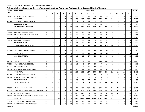| <b>District</b> | . .<br><b>District Name</b>                   | <b>Class</b> |           |       |              |                |              |       |                | Grade Level    |                |                 |                |                |                |                | <b>Total</b>   |
|-----------------|-----------------------------------------------|--------------|-----------|-------|--------------|----------------|--------------|-------|----------------|----------------|----------------|-----------------|----------------|----------------|----------------|----------------|----------------|
| Code            |                                               |              | <b>PK</b> | К     | $\mathbf{1}$ | $\overline{2}$ | 3            | 4     | 5              | 6              | $\overline{7}$ | 8               | 9              | 10             | 11             | 12             |                |
| 73-0179         | SOUTHWEST PUBLIC SCHOOLS                      | 3            | 31        | 19    | 18           | 16             | 15           | 18    | 18             | 24             | 30             | 16              | 17             | 22             | 38             | 28             | 310            |
|                 | <b>PUBLIC TOTAL</b>                           |              | 71        | 110   | 125          | 113            | 103          | 134   | 106            | 122            | 140            | 129             | 145            | 129            | 147            | 160            | 1,734          |
| 73-0701         | <b>ST PATRICK'S ELEMENTARY SCHOOL</b>         | <b>NP</b>    | 15        | 11    | 13           | 17             | 18           | 13    | 15             | 8              | 16             | 17              | 0              | $\Omega$       | $\Omega$       | $\Omega$       | 143            |
|                 | <b>NON PUBLIC TOTAL</b>                       |              | 15        | 11    | 13           | 17             | 18           | 13    | 15             | 8              | 16             | 17              | 0              | 0              | $\Omega$       | $\Omega$       | 143            |
|                 | <b>RED WILLOW COUNTY TOTAL</b>                |              | 86        | 121   | 138          | 130            | 121          | 147   | 121            | 130            | 156            | 146             | 145            | 129            | 147            | 160            | 1,877          |
|                 |                                               |              |           |       |              |                |              |       |                |                |                |                 |                |                |                |                |                |
|                 | 74-0056 FALLS CITY PUBLIC SCHOOLS             | 3            | 166       | 57    | 61           | 54             | 53           | 68    | 55             | 55             | 61             | 61              | 64             | 64             | 54             | 63             | 936            |
| 74-0070         | <b>HUMBOLDT TABLE ROCK STEINAUER</b>          | 3            | 56        | 26    | 19           | 27             | 26           | 23    | 17             | 21             | 19             | 32              | 31             | 24             | 21             | 22             | 364            |
|                 | <b>PUBLIC TOTAL</b>                           |              | 222       | 83    | 80           | 81             | 79           | 91    | 72             | 76             | 80             | 93              | 95             | 88             | 75             | 85             | 1,300          |
| 74-0702         | <b>SACRED HEART SCHOOLS</b>                   | <b>NP</b>    | 29        | 17    | 22           | 12             | 14           | 10    | 19             | 9              | 19             | 23              | 8              | 18             | 12             | 18             | 230            |
|                 | <b>NON PUBLIC TOTAL</b>                       |              | 29        | 17    | 22           | 12             | 14           | 10    | 19             | 9 <sub>l</sub> | 19             | 23              | 8              | 18             | 12             | 18             | 230            |
|                 | RICHARDSON COUNTY TOTAL                       |              | 251       | 100   | 102          | 93             | 93           | 101   | 91             | 85             | 99             | 116             | 103            | 106            | 87             | 103            | 1,530          |
|                 |                                               |              |           |       |              |                |              |       |                |                |                |                 |                |                |                |                |                |
| 75-0100         | ROCK COUNTY PUBLIC SCHOOLS                    | 3            | 18        | 15    | 16           | 18             | 16           | 15    | 17             | 18             | 20             | 30              | 20             | 16             | 13             | 20             | 252            |
|                 | <b>PUBLIC TOTAL</b>                           |              | 18        | 15    | 16           | 18             | 16           | 15    | 17             | 18             | 20             | 30              | 20             | 16             | 13             | <b>20</b>      | 252            |
|                 | <b>ROCK COUNTY TOTAL</b>                      |              | 18        | 15    | 16           | 18             | 16           | 15    | 17             | 18             | 20             | 30 <sub>1</sub> | 20             | 16             | 13             | 20             | 252            |
|                 |                                               |              |           |       |              |                |              |       |                |                |                |                 |                |                |                |                |                |
| 76-0002         | <b>CRETE PUBLIC SCHOOLS</b>                   | 3            | 218       | 138   | 130          | 147            | 149          | 134   | 111            | 162            | 146            | 135             | 146            | 152            | 147            | 130            | 2,045          |
| 76-0044         | DORCHESTER PUBLIC SCHOOL                      | 3            | 30        | 16    | 12           | 16             | 12           | 6     | 17             | 16             | 7              | 16              | 15             | 13             | 13             | 12             | 201            |
| 76-0068         | <b>FRIEND PUBLIC SCHOOLS</b>                  | 3            | 29        | 21    | 13           | 19             | 20           | 14    | 16             | 18             | 17             | 12              | 17             | 17             | 17             | 30             | 260            |
| 76-0082         | <b>WILBER-CLATONIA PUBLIC SCHOOLS</b>         | 3            | 31        | 49    | 46           | 44             | 46           | 47    | 43             | 49             | 35             | 41              | 44             | 41             | 44             | 40             | 600            |
|                 | <b>PUBLIC TOTAL</b>                           |              | 308       | 224   | 201          | 226            | 227          | 201   | 187            | 245            | 205            | 204             | 222            | 223            | 221            | 212            | 3,106          |
| 76-0701         | <b>ST JAMES ELEMENTARY SCHOOL</b>             | <b>NP</b>    | 13        | 8     | 9            | 13             | 9            | 10    | 15             | 12             | 0              | 0               | 0              | 0              | $\Omega$       | $\overline{0}$ | 89             |
|                 | 76-0703 ZION LUTHERAN ELEMENTARY SCH          | <b>NP</b>    | 0         | -1    | 1            | 1              | $\mathbf{1}$ | 0     | $\overline{0}$ | 0              | 0              | 0               |                | $\mathbf 0$    | $\overline{0}$ | $\overline{0}$ | $\overline{4}$ |
|                 | <b>NON PUBLIC TOTAL</b>                       |              | 13        | 9     | 10           | 14             | 10           | 10    | 15             | 12             | $\mathbf 0$    | $\mathbf{0}$    | 0              | $\mathbf{0}$   | $\mathbf{0}$   | 0              | 93             |
|                 | <b>SALINE COUNTY TOTAL</b>                    |              | 321       | 233   | 211          | 240            | 237          | 211   | 202            | 257            | 205            | 204             | 222            | 223            | 221            | 212            | 3,199          |
|                 |                                               |              |           |       |              |                |              |       |                |                |                |                 |                |                |                |                |                |
|                 | 77-0001 BELLEVUE PUBLIC SCHOOLS               | 3            | 470       | 684   | 673          | 675            | 687          | 687   | 685            | 661            | 679            | 766             | 751            | 767            | 785            | 831            | 9,801          |
|                 | 77-0027 PAPILLION LA VISTA COMMUNITY SCHOOLS  | 3            | 411       | 863   | 826          | 890            | 898          | 909   | 825            | 914            | 919            | 901             | 916            | 962            | 834            | 950            | 12,018         |
|                 | 77-0037 GRETNA PUBLIC SCHOOLS                 | 3            | 205       | 421   | 429          | 436            | 403          | 429   | 394            | 378            | 380            | 357             | 351            | 322            | 299            | 286            | 5,090          |
|                 | 77-0046 SPRINGFIELD PLATTEVIEW COMMUNITY SCHO | 3            | 58        | 66    | 73           | 73             | 66           | 74    | 83             | 83             | 99             | 100             | 96             | 103            | 91             | 103            | 1,168          |
|                 | <b>PUBLIC TOTAL</b>                           |              | 1,144     | 2,034 | 2,001        | 2,074          | 2,054        | 2,099 | 1,987          | 2,036          | 2,077          | 2,124           | 2,114          | 2,154          | 2,009          | 2,170          | 28,077         |
| 77-0701         | <b>ST MARY ELEMENTARY SCHOOL</b>              | <b>NP</b>    | 21        | 21    | 19           | 21             | 21           | 20    | 13             | 21             | 23             | 23              | $\mathbf 0$    | 0              | 0              | $\overline{0}$ | 203            |
|                 | 77-0702 ST BERNADETTE ELEMENTARY SCH          | <b>NP</b>    | 43        | 31    | 33           | 36             | 25           | 26    | 25             | 22             | 29             | 40              | $\overline{0}$ | $\overline{0}$ | $\mathbf 0$    | $\overline{0}$ | 310            |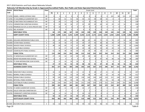| <b>District</b> | <b>District Name</b>                        | <b>Class</b> |           |                |                |                |                |              |          | Grade Level    |                |                |                |                |                |                | <b>Total</b> |
|-----------------|---------------------------------------------|--------------|-----------|----------------|----------------|----------------|----------------|--------------|----------|----------------|----------------|----------------|----------------|----------------|----------------|----------------|--------------|
| Code            |                                             |              | <b>PK</b> | ĸ              | 1              | $\overline{2}$ | 3              | 4            | 5        | 6              | $\overline{7}$ | 8              | 9              | 10             | 11             | 12             |              |
| 77-0703         | DANIEL J GROSS CATHOLIC HIGH                | <b>NP</b>    | n         | $\Omega$       | $\mathbf 0$    | $\Omega$       | $\Omega$       | 0            | $\Omega$ | 0              | 0              | 0              | 101            | 98             | 113            | 87             | 399          |
| 77-0705         | <b>ST COLUMBKILLE ELEMENTARY SCH</b>        | <b>NP</b>    | $\Omega$  | 60             | 61             | 51             | 56             | 54           | 51       | 59             | 58             | 61             | $\Omega$       | $\Omega$       | $\Omega$       | $\Omega$       | 511          |
|                 | 77-0706 ST MATTHEW THE EVANGELIST SCH       | <b>NP</b>    | $\Omega$  | 20             | 17             | 23             | 16             | 11           | 9        | 13             | 8              | 11             | 0              | $\Omega$       | 0              | $\Omega$       | 128          |
|                 | 77-0713 CORNERSTONE CHRISTIAN SCHOOLS       | <b>NP</b>    | $\Omega$  | 33             | 30             | 36             | 27             | 32           | 30       | 24             | 26             | 34             | 29             | 12             | 16             | $\overline{9}$ | 338          |
| 77-0720         | <b>PRIMROSE SCH OF LA VISTA-PRIVATE KDG</b> | <b>NP</b>    | 0         | 10             | $\mathbf 0$    | $\overline{0}$ | $\mathbf 0$    | 0            | $\Omega$ | $\overline{0}$ | $\mathbf 0$    | 0              | 0              | $\Omega$       | $\overline{0}$ | $\Omega$       | 10           |
|                 | 77-0721 INGL ACADEMY                        | <b>NP</b>    | 0         | 0              | $\mathbf 0$    | $\Omega$       | $\mathbf 0$    | 0            | $\Omega$ | $\Omega$       | $\Omega$       | 0              | 12             | $\mathbf 0$    | $\Omega$       | $\Omega$       | 12           |
|                 | <b>NON PUBLIC TOTAL</b>                     |              | 64        | 175            | 160            | 167            | 145            | 143          | 128      | 139            | 144            | 169            | 142            | 110            | 129            | 96             | 1,911        |
|                 | <b>SARPY COUNTY TOTAL</b>                   |              | 1,208     | 2,209          | 2,161          | 2,241          | 2,199          | 2,242        | 2,115    | 2,175          | 2,221          | 2,293          | 2,256          | 2,264          | 2,138          | 2,266          | 29,988       |
|                 |                                             |              |           |                |                |                |                |              |          |                |                |                |                |                |                |                |              |
| 78-0001         | IASHLAND-GREENWOOD PUBLIC SCHS              | 3            | 45        | 62             | 65             | 81             | 60             | 68           | 62       | 65             | 71             | 73             | 76             | 67             | 54             | <b>60</b>      | 909          |
| 78-0009         | <b>YUTAN PUBLIC SCHOOLS</b>                 | 3            | 33        | 33             | 30             | 37             | 25             | 29           | 27       | 43             | 30             | 38             | 29             | 37             | 31             | 44             | 466          |
| 78-0039         | <b>WAHOO PUBLIC SCHOOLS</b>                 | 3            | 48        | 83             | 69             | 75             | 67             | 80           | 80       | 73             | 90             | 90             | 71             | 80             | 75             | 85             | 1,066        |
| 78-0072         | <b>IMEAD PUBLIC SCHOOLS</b>                 | 3            |           | 16             | 17             | 22             | 20             | 19           | 18       | 21             | 15             | 28             | 20             | 15             | 12             | 13             | 243          |
| 78-0107         | <b>CEDAR BLUFFS PUBLIC SCHOOLS</b>          | 3            | 41        | 36             | 38             | 38             | 24             | 19           | 29       | 30             | 19             | 27             | 23             | 23             | 19             | 18             | 384          |
|                 | <b>PUBLIC TOTAL</b>                         |              | 174       | 230            | 219            | 253            | 196            | 215          | 216      | 232            | 225            | 256            | 219            | 222            | 191            | 220            | 3,068        |
| 78-0701         | <b>ST WENCESLAUS ELEMENTARY SCH</b>         | <b>NP</b>    | 27        | 35             | 33             | 42             | 40             | 40           | 36       | 30             | 0              | $\overline{0}$ | $\Omega$       | $\mathbf 0$    | $\Omega$       | $\Omega$       | 283          |
| 78-0702         | <b>BISHOP NEUMANN HIGH SCHOOL</b>           | <b>NP</b>    | 0         | 0              | $\mathbf 0$    | $\Omega$       | $\mathbf 0$    | 0            | 0        | $\overline{0}$ | 47             | 40             | 48             | 50             | 56             | 48             | 289          |
|                 | 78-0703 ST JOHN NEPOMUCENE ELEM SCHOOL      | <b>NP</b>    | 0         | 12             | 10             | 10             | 10             | 8            |          |                | 0              | 0              | 0              | $\Omega$       | $\Omega$       | $\Omega$       | 62           |
|                 | <b>NON PUBLIC TOTAL</b>                     |              | 27        | 47             | 43             | 52             | 50             | 48           | 43       | 35             | 47             | 40             | 48             | 50             | 56             | 48             | 634          |
|                 | <b>SAUNDERS COUNTY TOTAL</b>                |              | 201       | 277            | 262            | 305            | 246            | 263          | 259      | 267            | 272            | 296            | 267            | 272            | 247            | 268            | 3,702        |
|                 |                                             |              |           |                |                |                |                |              |          |                |                |                |                |                |                |                |              |
| 79-0002         | MINATARE PUBLIC SCHOOLS                     | 3            | 16        | 15             | 16             | 10             | 11             | 12           | 9        | 18             | 17             | 21             | 32             | 16             | $\Omega$       | 14             | 207          |
| 79-0011         | MORRILL PUBLIC SCHOOLS                      | 3            | 55        | 20             | 23             | 32             | 26             | 30           | 28       | 39             | 20             | 22             | 34             | 26             | 30             | 26             | 411          |
|                 | 79-0016 GERING PUBLIC SCHOOLS               | 3            | 99        | 120            | 118            | 129            | 134            | 138          | 146      | 149            | 169            | 124            | 151            | 148            | 157            | 148            | 1,930        |
|                 | 79-0031 IMITCHELL PUBLIC SCHOOLS            | 3            | 42        | 42             | 48             | 50             | 46             | 52           | 54       | 41             | 49             | 51             | 58             | 48             | 51             | 42             | 674          |
|                 | 79-0032 SCOTTSBLUFF PUBLIC SCHOOLS          | 3            | 186       | 234            | 260            | 247            | 264            | 251          | 230      | 259            | 279            | 252            | 259            | 249            | 242            | 286            | 3,498        |
|                 | <b>PUBLIC TOTAL</b>                         |              | 398       | 431            | 465            | 468            | 481            | 483          | 467      | 506            | 534            | 470            | 534            | 487            | 480            | 516            | 6,720        |
|                 | 79-0702 IST AGNES ELEMENTARY SCHOOL         | <b>NP</b>    | 18        | 20             | 12             | 18             | 17             | 16           | 17       | $\overline{0}$ | $\mathbf 0$    | 0              | 0              | 0              | 0              | $\Omega$       | 118          |
|                 | 79-0703 VALLEY VIEW SDA CHRISITAN SCH       | <b>NP</b>    | $\Omega$  | $\overline{0}$ | $\overline{2}$ | 1 <sup>1</sup> | $\overline{0}$ | $\mathbf{1}$ |          | 21             | $\overline{0}$ | 1              | $\Omega$       | $\overline{0}$ | οI             | $\Omega$       | 8            |
|                 | 79-0705 COMMUNITY CHRISTIAN SCHOOLS         | <b>NP</b>    | 34        | 11             | 13             | 12             | $\overline{7}$ | 10           | 13       | $\overline{7}$ | $\mathbf 0$    | $\overline{0}$ | $\overline{0}$ | $\overline{0}$ | 0              | $\overline{0}$ | 107          |
|                 | <b>NON PUBLIC TOTAL</b>                     |              | 52        | 31             | 27             | 31             | 24             | 27           | 31       | $\overline{9}$ | $\mathbf 0$    | 1              | 0              | 0              | $\mathbf{0}$   | 0              | 233          |
|                 | <b>SCOTTS BLUFF COUNTY TOTAL</b>            |              | 450       | 462            | 492            | 499            | 505            | 510          | 498      | 515            | 534            | 471            | 534            | 487            | 480            | 516            | 6,953        |
|                 |                                             |              |           |                |                |                |                |              |          |                |                |                |                |                |                |                |              |
|                 | 80-0005 MILFORD PUBLIC SCHOOLS              | 3            | 32        | 62             | 72             | 51             | 64             | 59           | 52       | 41             | 46             | 65             | 53             | 49             | 52             | 56             | 754          |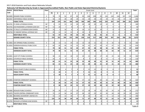| <b>District</b> | . .<br><b>District Name</b>           | <b>Class</b>   |                |     |     |                |                |                         |                | Grade Level | . .            |                |                |                |                |                         | <b>Total</b> |
|-----------------|---------------------------------------|----------------|----------------|-----|-----|----------------|----------------|-------------------------|----------------|-------------|----------------|----------------|----------------|----------------|----------------|-------------------------|--------------|
| Code            |                                       |                | PК             | Κ   | 1   | $\overline{2}$ | 3              | 4                       | 5              | 6           | $\overline{7}$ | 8              | 9              | 10             | 11             | 12                      |              |
| 80-0009         | <b>SEWARD PUBLIC SCHOOLS</b>          | 3              | 76             | 79  | 91  | 87             | 83             | 95                      | 104            | 109         | 92             | 126            | 120            | 144            | 107            | 133                     | 1,446        |
| 80-0567         | <b>CENTENNIAL PUBLIC SCHOOLS</b>      | 3              | 56             | 33  | 28  | 28             | 19             | 32                      | 24             | 34          | 25             | 29             | 34             | 33             | 47             | 32                      | 454          |
|                 | <b>PUBLIC TOTAL</b>                   |                | 164            | 174 | 191 | 166            | 166            | 186                     | 180            | 184         | 163            | 220            | 207            | 226            | 206            | 221                     | 2,654        |
| 80-0701         | <b>ST JOHN LUTHERAN SCHOOL</b>        | <b>NP</b>      | $\overline{0}$ | 21  | 23  | 23             | 20             | 20                      | 18             | 20          | 22             | 22             | $\overline{0}$ | 0              | 0              | $\overline{0}$          | 189          |
| 80-0703         | <b>OUR REDEEMER LUTHERAN ELEM SCH</b> | <b>NP</b>      | 11             | 10  | 7   | 8              | 4              | 4                       | 5              |             | 3              | $\overline{3}$ | $\overline{0}$ | $\Omega$       | 0              | $\overline{0}$          | 56           |
| 80-0704         | <b>ST PAUL'S LUTHERAN ELEM SCHOOL</b> | <b>NP</b>      | 15             | 5   | 10  | 6              | 4              | 10                      | 11             | 12          | 10             |                | $\overline{0}$ | $\Omega$       | 0              | $\Omega$                | 90           |
| 80-0710         | <b>ST VINCENT DEPAUL CATHOLIC SCH</b> | <b>NP</b>      | 29             | 11  | 14  | 12             | 8 <sup>1</sup> | 10                      | 0              | 0           | $\mathbf 0$    | $\Omega$       | $\overline{0}$ | O              | 0              | $\overline{0}$          | 84           |
|                 | <b>NON PUBLIC TOTAL</b>               |                | 55             | 47  | 54  | 49             | 36             | 44                      | 34             | 33          | 35             | 32             | 0              | $\mathbf 0$    | 0              | $\mathbf{0}$            | 419          |
|                 | <b>SEWARD COUNTY TOTAL</b>            |                | 219            | 221 | 245 | 215            | 202            | 230                     | 214            | 217         | 198            | 252            | 207            | 226            | 206            | 221                     | 3,073        |
|                 |                                       |                |                |     |     |                |                |                         |                |             |                |                |                |                |                |                         |              |
| 81-0003         | <b>HAY SPRINGS PUBLIC SCHOOLS</b>     | 3              | 19             | 13  | 11  | 19             | 13             | 13                      | 14             | 11          | 15             | 9              | 16             | 8              | 9              | 15                      | 185          |
| 81-0010         | <b>GORDON-RUSHVILLE PUBLIC SCHS</b>   | 3              | 60             | 45  | 40  | 33             | 32             | 54                      | 41             | 47          | 43             | 47             | 47             | 51             | 42             | 52                      | 634          |
|                 | <b>PUBLIC TOTAL</b>                   |                | 79             | 58  | 51  | 52             | 45             | 67                      | 55             | 58          | 58             | 56             | 63             | 59             | 51             | 67                      | 819          |
|                 | <b>SHERIDAN COUNTY TOTAL</b>          |                | 79             | 58  | 51  | 52             | 45             | 67                      | 55             | 58          | 58             | 56             | 63             | 59             | 51             | 67                      | 819          |
|                 |                                       |                |                |     |     |                |                |                         |                |             |                |                |                |                |                |                         |              |
| 82-0001         | LOUP CITY PUBLIC SCHOOLS              | 3              | 58             | 15  | 22  | 18             | 23             | 24                      | 21             | 34          | 17             | 28             | 25             | 26             | 19             | 34                      | 364          |
|                 | 82-0015 LITCHFIELD PUBLIC SCHOOLS     | $\overline{2}$ | 24             | 6   | 9   |                | 5              | 8                       | 7              |             | $\overline{4}$ | 11             | 6              | 8              | 6              | 11                      | 116          |
|                 | <b>PUBLIC TOTAL</b>                   |                | 82             | 21  | 31  | 25             | 28             | 32                      | 28             | 38          | 21             | 39             | 31             | 34             | 25             | 45                      | 480          |
|                 | <b>SHERMAN COUNTY TOTAL</b>           |                | 82             | 21  | 31  | 25             | 28             | 32                      | 28             | 38          | 21             | 39             | 31             | 34             | 25             | 45                      | 480          |
| 83-0500         | <b>SIOUX COUNTY PUBLIC SCHOOLS</b>    | 3              | $\overline{2}$ | 10  | 6   |                | Δ              | $\overline{7}$          | 11             | 11          | 6              | $\overline{9}$ | 8              | 7              |                | $\overline{3}$          | 98           |
|                 | <b>PUBLIC TOTAL</b>                   |                | $\overline{2}$ | 10  | 6   | 7              | 4              | $\overline{\mathbf{z}}$ | 11             | 11          | 6              | $\mathbf{9}$   | 8              | 7              |                | $\mathbf{3}$            | 98           |
|                 | <b>SIOUX COUNTY TOTAL</b>             |                | $\overline{2}$ | 10  | 6   | $\overline{7}$ | $\overline{4}$ | $\overline{7}$          | 11             | 11          | 6              | $\overline{9}$ | 8              | $\overline{ }$ |                | $\overline{\mathbf{3}}$ | 98           |
|                 |                                       |                |                |     |     |                |                |                         |                |             |                |                |                |                |                |                         |              |
| 84-0003         | <b>ISTANTON COMMUNITY SCHOOLS</b>     | 3              | 8              | 26  | 32  | 24             | 31             | 37                      | 33             | 34          | 26             | 33             | 32             | 40             | 28             | 36                      | 420          |
|                 | <b>PUBLIC TOTAL</b>                   |                | 8              | 26  | 32  | 24             | 31             | 37                      | 33             | 34          | 26             | 33             | 32             | 40             | 28             | 36                      | 420          |
|                 | <b>STANTON COUNTY TOTAL</b>           |                | 8              | 26  | 32  | 24             | 31             | 37                      | 33             | 34          | 26             | 33             | 32             | 40             | 28             | 36                      | 420          |
|                 |                                       |                |                |     |     |                |                |                         |                |             |                |                |                |                |                |                         |              |
|                 | 85-0060 DESHLER PUBLIC SCHOOLS        | 3              | 29             | 20  | 12  | 17             | 10             | 27                      | 18             | 14          | 21             | 20             | 25             | 15             | 18             | 26                      | 272          |
|                 | 85-0070 THAYER CENTRAL COMMUNITY SCHS | 3              | 75             | 21  | 34  | 34             | 27             | 36                      | 33             | 25          | 31             | 26             | 26             | 26             | 39             | 19                      | 452          |
| 85-2001         | <b>BRUNING-DAVENPORT UNIFIED SYS</b>  | $\overline{2}$ | 31             | 14  | 12  | 18             | 7              | 8                       | 16             | 9           | $20\,$         | 5              | 12             | 10             | 13             | 11                      | 186          |
|                 | <b>PUBLIC TOTAL</b>                   |                | 135            | 55  | 58  | 69             | 44             | 71                      | 67             | 48          | 72             | 51             | 63             | 51             | 70             | 56                      | 910          |
| 85-0703         | DESHLER LUTHERAN ELEM SCHOOL          | <b>NP</b>      | $\overline{0}$ | 6   | 5   | 7              | $6 \mid$       | 6                       | $\overline{7}$ | 5           | 3              | 4              | $\overline{0}$ | 0              | 0              | $\overline{0}$          | 49           |
|                 | <b>NON PUBLIC TOTAL</b>               |                | $\overline{0}$ | 6   | 5   | 7              | $6 \mid$       | 6                       | 7              | 5           | 3              | 4              | $\overline{0}$ | $\mathbf 0$    | $\overline{0}$ | $\overline{0}$          | 49           |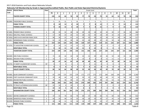| <b>District</b> | . .<br><b>District Name</b>            | <b>Class</b>   |           |                |              |                         |     |                         |                          | Grade Level    |                |                         |              |                         |              |                   | <b>Total</b> |
|-----------------|----------------------------------------|----------------|-----------|----------------|--------------|-------------------------|-----|-------------------------|--------------------------|----------------|----------------|-------------------------|--------------|-------------------------|--------------|-------------------|--------------|
| Code            |                                        |                | <b>PK</b> | ĸ              | $\mathbf{1}$ | $\overline{2}$          | 3   | 4                       | 5                        | 6              | $\overline{7}$ | 8                       | 9            | 10                      | 11           | $12 \overline{ }$ |              |
|                 | <b>THAYER COUNTY TOTAL</b>             |                | 135       | 61             | 63           | 76                      | 50  | 77                      | 74                       | 53             | 75             | 55                      | 63           | 51                      | 70           | 56                | 959          |
|                 |                                        |                |           |                |              |                         |     |                         |                          |                |                |                         |              |                         |              |                   |              |
| 86-0001         | <b>THEDFORD PUBLIC SCHOOLS</b>         | 2              | 9         | 10             | 12           | 3                       | 10  | 7                       | 7                        | 8              | 11             | 7                       | 9            | 7                       | 13           |                   | 115          |
|                 | <b>PUBLIC TOTAL</b>                    |                | 9         | 10             | 12           | $\overline{\mathbf{3}}$ | 10  | 7                       | $\overline{7}$           | 8              | 11             | $\overline{\mathbf{z}}$ | 9            | $\overline{\mathbf{z}}$ | 13           |                   | 115          |
|                 | <b>THOMAS COUNTY TOTAL</b>             |                |           | 10             | 12           | $\overline{\mathbf{3}}$ | 10  | 7                       | $\overline{\phantom{a}}$ | 8 <sup>1</sup> | 11             |                         |              | $\overline{\mathbf{z}}$ | 13           |                   | 115          |
|                 |                                        |                |           |                |              |                         |     |                         |                          |                |                |                         |              |                         |              |                   |              |
| 87-0001         | <b>PENDER PUBLIC SCHOOLS</b>           | 3              | 45        | 35             | 32           | 28                      | 36  | 20                      | 25                       | 18             | 32             | 20                      | 20           | 17                      | 26           | 30                | 384          |
| 87-0013         | <b>WALTHILL PUBLIC SCHOOLS</b>         | 3              | 17        | 30             | 23           | 26                      | 31  | 28                      | 31                       | 34             | 23             | 28                      | 32           | 24                      | 23           | 29                | 379          |
|                 | 87-0016 JUMO N HO N NATION PUBLIC SCHS | 3              | 96        | 36             | 25           | 41                      | 41  | 30                      | 35                       | 38             | 22             | 28                      | 31           | 30                      | 28           | 36                | 517          |
| 87-0017         | <b>WINNEBAGO PUBLIC SCHOOLS</b>        | 3              | 61        | 34             | 44           | 38                      | 36  | 42                      | 46                       | 40             | 42             | 45                      | 50           | 36                      | 44           | 51                | 609          |
|                 | <b>PUBLIC TOTAL</b>                    |                | 219       | 135            | 124          | 133                     | 144 | 120                     | 137                      | 130            | 119            | 121                     | 133          | 107                     | 121          | 146               | 1,889        |
| 87-0701         | <b>ST AUGUSTINE ELEMENTARY SCHOOL</b>  | <b>NP</b>      | O         | 14             | 11           | 13                      | 12  | 11                      | 9 <sub>l</sub>           | 12             | 8              | 5                       | 0            | 0                       | 0            |                   | 95           |
|                 | <b>NON PUBLIC TOTAL</b>                |                | Ω         | 14             | 11           | 13                      | 12  | 11                      | 9 <sub>l</sub>           | 12             | 8              | 5                       | 0            | $\mathbf 0$             | $\mathbf{0}$ |                   | 95           |
|                 | THURSTON COUNTY TOTAL                  |                | 219       | 149            | 135          | 146                     | 156 | 131                     | 146                      | 142            | 127            | 126                     | 133          | 107                     | 121          | 146               | 1,984        |
|                 |                                        |                |           |                |              |                         |     |                         |                          |                |                |                         |              |                         |              |                   |              |
| 88-0005         | <b>ORD PUBLIC SCHOOLS</b>              | 3              | 71        | 40             | 44           | 34                      | 38  | 35                      | 31                       | 39             | 34             | 38                      | 59           | 49                      | 35           | 46                | 593          |
| 88-0021         | <b>ARCADIA PUBLIC SCHOOLS</b>          | $\overline{2}$ | 14        | $\overline{7}$ | 12           | 9                       | 8   | 13                      | 9 <sub>l</sub>           | 6              | 9              | 11                      | 11           | 11                      |              | 8                 | 132          |
|                 | <b>PUBLIC TOTAL</b>                    |                | 85        | 47             | 56           | 43                      | 46  | 48                      | 40                       | 45             | 43             | 49                      | 70           | 60                      | 39           | 54                | 725          |
|                 | 88-0701 ST MARY'S ELEMENTARY SCHOOL    | <b>NP</b>      | O         | $\overline{7}$ | 8            | 5                       | 3   | 7                       | 4                        | 11             | 0              | $\Omega$                | 0            | 0                       | 0            |                   | 45           |
|                 | <b>NON PUBLIC TOTAL</b>                |                | 0         | $\overline{7}$ | 8            | 5                       | 3   | $\overline{\mathbf{z}}$ | 4                        | 11             | 0              | $\mathbf{0}$            | $\mathbf{0}$ | $\mathbf 0$             | 0            | 0                 | 45           |
|                 | <b>VALLEY COUNTY TOTAL</b>             |                | 85        | 54             | 64           | 48                      | 49  | 55                      | 44                       | 56             | 43             | 49                      | <b>70</b>    | 60                      | 39           | 54                | 770          |
|                 |                                        |                |           |                |              |                         |     |                         |                          |                |                |                         |              |                         |              |                   |              |
| 89-0001         | <b>BLAIR COMMUNITY SCHOOLS</b>         | 3              | 87        | 159            | 175          | 153                     | 179 | 171                     | 177                      | 175            | 172            | 184                     | 158          | 196                     | 175          | 199               | 2,360        |
| 89-0003         | <b>FORT CALHOUN COMMUNITY SCHS</b>     | 3              | 33        | 46             | 44           | 53                      | 41  | 50                      | 52                       | 61             | 56             | 60                      | 55           | 54                      | 58           | 62                | 725          |
|                 | 89-0024 ARLINGTON PUBLIC SCHOOLS       | 3              | 26        | 45             | 36           | 48                      | 53  | 49                      | 40                       | 46             | 48             | 53                      | 53           | 65                      | 43           | 54                | 659          |
|                 | <b>PUBLIC TOTAL</b>                    |                | 146       | 250            | 255          | 254                     | 273 | 270                     | 269                      | 282            | 276            | 297                     | 266          | 315                     | 276          | 315               | 3,744        |
|                 | 89-0701 ST PAUL'S LUTHERAN ELEM SCHOOL | <b>NP</b>      | 22        | 14             | 6            | 10                      | 3   | 6                       | 6                        | 7              | 7              |                         | 0            | 0                       | 0            | 0                 | 83           |
|                 | <b>NON PUBLIC TOTAL</b>                |                | 22        | 14             | 6            | 10                      | 3   | 6                       | 6                        | 7              | 7              | 2                       | 0            | 0                       | 0            | 0                 | 83           |
|                 | IWASHINGTON COUNTY TOTAL               |                | 168       | 264            | 261          | 264                     | 276 | 276                     | 275                      | 289            | 283            | 299                     | 266          | 315                     | 276          | <b>315</b>        | 3,827        |
|                 |                                        |                |           |                |              |                         |     |                         |                          |                |                |                         |              |                         |              |                   |              |
| 90-0017         | <b>WAYNE COMMUNITY SCHOOLS</b>         | 3              | 37        | 55             | 70           | 66                      | 70  | 69                      | 57                       | 59             | 83             | 72                      | 69           | 82                      | 70           | 64                | 923          |
|                 | 90-0560 WAKEFIELD PUBLIC SCHOOLS       | 3              | 64        | 33             | 40           | 32                      | 32  | 36                      | 26                       | 33             | 35             | 27                      | 45           | 33                      | 24           | 38                | 498          |
|                 | 90-0595 WINSIDE PUBLIC SCHOOLS         | 3              | 20        | 18             | 11           | 13                      | 16  | 14                      | 17                       | 15             | 12             | 17                      | 20           | 13                      | 9            | 20                | 215          |
|                 | <b>PUBLIC TOTAL</b>                    |                | 121       | 106            | 121          | 111                     | 118 | 119                     | 100                      | 107            | 130            | 116                     | 134          | 128                     | 103          | 122               | 1,636        |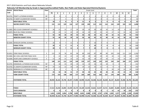| <b>District</b> | <b>District Name</b>                  | <b>Class</b> |           |                |                          |                |                             |                |                 | Grade Level    |                      |               |          |                |                |          | Total          |
|-----------------|---------------------------------------|--------------|-----------|----------------|--------------------------|----------------|-----------------------------|----------------|-----------------|----------------|----------------------|---------------|----------|----------------|----------------|----------|----------------|
| Code            |                                       |              | <b>PK</b> | K              | $\mathbf{1}$             | $\overline{2}$ | $\overline{\mathbf{3}}$     | 4              | 5               | 6              | $\overline{7}$       | 8             | 9        | 10             | 11             | 12       |                |
| 90-0701         | <b>TRINITY LUTHERAN SCHOOLS</b>       | <b>NP</b>    |           | $\mathbf 0$    | 3                        |                | $\overline{2}$              | 3              |                 | $\overline{2}$ | 1                    | $\Omega$      | $\Omega$ | $\mathbf 0$    | <sup>0</sup>   | $\Omega$ | 19             |
|                 | 90-0702 ST MARY'S ELEMENTARY SCHOOL   | <b>NP</b>    |           | $\overline{7}$ | 5                        | 4              | $\overline{7}$              | 8              |                 | 3              | 0                    | 0             | 0        | $\Omega$       | 0              | 0        | 43             |
|                 | <b>NON PUBLIC TOTAL</b>               |              | 10        | $\overline{7}$ | 8                        | 5              | 9                           | 11             | 6 <sup>1</sup>  | 5              | 1                    | $\mathbf{0}$  | 0        | $\mathbf 0$    | 0              | 0        | 62             |
|                 | <b>WAYNE COUNTY TOTAL</b>             |              | 131       | 113            | 129                      | 116            | 127                         | 130            | 106             | 112            | 131                  | 116           | 134      | 128            | 103            | 122      | 1,698          |
|                 | 91-0002 RED CLOUD COMMUNITY SCHOOLS   | 3            | 26        | 21             | 15                       | 17             | 24                          | 20             | 14              | 20             | 10                   | 16            | 15       | 10             | 8              | 15       | 231            |
|                 | 91-0074 BLUE HILL PUBLIC SCHOOLS      | 3            | 29        | 23             | 11                       | 22             | 29                          | 16             | 22              | 22             | 21                   | 24            | 27       | 31             | 22             | 26       | 325            |
|                 | <b>PUBLIC TOTAL</b>                   |              | 55        | 44             | 26                       | 39             | 53                          | 36             | 36 <sup>1</sup> | 42             | 31                   | 40            | 42       | 41             | 30             | 41       | 556            |
|                 | <b>WEBSTER COUNTY TOTAL</b>           |              | 55        | 44             | 26                       | 39             | 53                          | 36             | 36              | 42             | 31                   | 40            | 42       | 41             | 30             | 41       | 556            |
|                 | 92-0045 WHEELER CENTRAL SCHOOLS       | 3            | 20        | 9              | $\overline{7}$           | 11             | 6                           | $\overline{7}$ | 7 <sup>1</sup>  | 10             | 7                    | 8             | 4        | $\overline{4}$ | -1             | 11       | 112            |
|                 | <b>PUBLIC TOTAL</b>                   |              | 20        | 9              | $\overline{\phantom{a}}$ | 11             | 6 <sup>1</sup>              | 7              | $\overline{7}$  | 10             | 7                    | 8             | 4        | 4              |                | 11       | 112            |
|                 | <b>WHEELER COUNTY TOTAL</b>           |              | 20        | 9              | $\overline{7}$           | 11             | 6                           | $\overline{7}$ | $\overline{7}$  | 10             | $\overline{7}$       | 8             |          | Δ              | 1              | 11       | 112            |
|                 |                                       |              |           |                |                          |                |                             |                |                 |                |                      |               |          |                |                |          |                |
|                 | 93-0012 YORK PUBLIC SCHOOLS           | 3            | 115       | 79             | 76                       | 82             | 94                          | 89             | 103             | 87             | 84                   | 89            | 105      | 118            | 111            | 124      | 1,356          |
| 93-0083         | MC COOL JUNCTION PUBLIC SCHS          | 2            | 6         | 22             | 15                       | 22             | 24                          | 18             | 28              | 24             | 24                   | 20            | 26       | 15             | 24             | 24       | 292            |
|                 | 93-0096 HEARTLAND COMMUNITY SCHOOLS   | 3            | 27        | 20             | 21                       | 15             | 22                          | 32             | 26              | 19             | 27                   | 20            | 27       | 23             | 25             | 23       | 327            |
|                 | <b>PUBLIC TOTAL</b>                   |              | 148       | 121            | 112                      | 119            | 140                         | 139            | 157             | 130            | 135                  | 129           | 158      | 156            | 160            | 171      | 1,975          |
| 93-0701         | <b>EMMANUEL LUTHERAN ELEM SCHOOL</b>  | NP           | $\Omega$  | 18             | 23                       | 20             | 19                          | 12             | 13              | 16             | 13                   | 18            | 0        | 0              | $\overline{0}$ | 0        | 152            |
|                 | 93-0702 ST JOSEPH'S ELEMENTARY SCHOOL | <b>NP</b>    | 25        | 13             | 12                       | 16             | 16                          | 14             | 12              | 15             | 11                   | 8             | $\Omega$ | $\mathbf 0$    | $\Omega$       | $\Omega$ | 142            |
| 93-0703         | <b>NEBRASKA EV LUTHERAN SCHOOLS</b>   | <b>NP</b>    | $\Omega$  | $\mathbf{1}$   | 1                        | 5              | $\overline{2}$              | 4              | $\overline{7}$  | $\mathbf{1}$   | 6                    | 2             | 20       | 24             | 22             | 29       | 124            |
|                 | <b>NON PUBLIC TOTAL</b>               |              | 25        | 32             | 36                       | 41             | 37                          | 30             | 32              | 32             | 30                   | 28            | 20       | 24             | 22             | 29       | 418            |
|                 | YORK COUNTY TOTAL                     |              | 173       | 153            | 148                      | 160            | 177                         | 169            | 189             | 162            | 165                  | 157           | 178      | 180            | 182            | 200      | 2,393          |
|                 |                                       |              |           |                |                          |                |                             |                |                 |                |                      |               |          |                |                |          |                |
|                 | <b>STATEWIDE TOTAL</b>                |              | 20,934    | 26,161         | 25,746                   |                | 26,357 27,002               | 26,990         | 25,241          | 26,366         |                      | 26,124 26,428 | 26,137   | 26,024         | 25,406         | 26,703   | 361,605        |
|                 |                                       |              |           |                |                          |                |                             |                |                 |                |                      |               |          |                |                |          |                |
|                 | <b>PUBLIC</b>                         |              | 17,513    | 23,232         | 22,892                   |                | 23,559 24,173 24,169 22,553 |                |                 |                | 23,661 23,357 23,721 |               |          | 23,820 23,686  | 22,929         |          | 24,126 323,391 |
|                 | <b>STATE OPERATED</b>                 |              |           | $\mathbf{0}$   | $\mathbf{0}$             | $\mathbf{0}$   | $\mathbf{0}$                | $\mathbf{0}$   | $\mathbf{0}$    | 0              | $\mathbf{0}$         |               | 12       | 61             | 78             | 223      | 375            |
|                 | <b>NON PUBLIC</b>                     |              | 3,421     | 2,929          | 2,854                    | 2,798          | 2,829                       | 2,821          | 2,688           | 2,705          | 2,767                | 2,706         | 2,305    | 2,277          | 2,399          | 2,340    | 37,839         |
|                 | <b>STATEWIDE TOTAL</b>                |              |           | 20,934 26,161  | 25,746                   |                | 26,357 27,002 26,990        |                | 25,241          |                | 26,366 26,124 26,428 |               | 26,137   | 26,024         | 25,406         | 26,689   | 361,605        |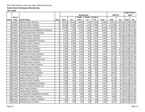|      |                 |                                      |                         |        |            |             |            |          |              |                  |              | <b>Pupil Teacher</b> |            |
|------|-----------------|--------------------------------------|-------------------------|--------|------------|-------------|------------|----------|--------------|------------------|--------------|----------------------|------------|
|      |                 |                                      |                         |        |            |             | Membership |          |              | <b>Staff FTE</b> |              | Ratio                |            |
|      | <b>District</b> |                                      |                         |        |            | Grades      | Grades     | Grades   |              |                  |              |                      |            |
| Rank | Code            | <b>District Name</b>                 | <b>Class</b>            | Elem   | <b>Sec</b> | <b>PK-6</b> | $7 - 8$    | $9 - 12$ | <b>Total</b> | Elem             | <b>Sec</b>   | Elem                 | <b>Sec</b> |
|      | 28-0001         | OMAHA PUBLIC SCHOOLS                 | 5                       | 36,810 | 16,026     | 30,828      | 7,444      | 14,564   | 52,836       | 2,699.53         | 1,022.39     | 13.64                | 15.68      |
|      | 55-0001         | LINCOLN PUBLIC SCHOOLS               | $\overline{4}$          | 29,638 | 12,099     | 23,482      | 6,156      | 12,099   | 41,737       | 2,272.80         | 813.78 13.04 |                      | 14.87      |
|      | 3 28-0017       | MILLARD PUBLIC SCHOOLS               | $\overline{3}$          | 16,582 | 7,436      | 12,942      | 3,640      | 7,436    | 24,018       | 1,096.03         | 433.53 15.13 |                      | 17.15      |
|      | 4 77-0027       | PAPILLION LA VISTA COMMUNITY SCHOOLS | $\overline{\mathbf{3}}$ | 6,536  | 5,482      | 6,536       | 1,820      | 3,662    | 12,018       | 442.70           |              | 343.55 14.76         | 15.96      |
|      | 5 40-0002       | <b>GRAND ISLAND PUBLIC SCHOOLS</b>   | $\mathbf{3}$            | 7,339  | 2,558      | 5,907       | 1,432      | 2,558    | 9,897        | 527.58           | 149.76       | 13.91                | 17.08      |
|      | 6 77-0001       | <b>BELLEVUE PUBLIC SCHOOLS</b>       | $\overline{3}$          | 5,222  | 4,579      | 5,222       | 1,445      | 3,134    | 9,801        | 357.67           | 305.18       | 14.60                | 15.00      |
|      | 7 28-0010       | <b>ELKHORN PUBLIC SCHOOLS</b>        | 3                       | 6,910  | 2,437      | 5,475       | 1,435      | 2,437    | 9,347        | 445.22           | 146.39 15.52 |                      | 16.65      |
|      | 8 28-0066       | <b>WESTSIDE COMMUNITY SCHOOLS</b>    | $\overline{3}$          | 3,142  | 2,924      | 3,142       | 960        | 1,964    | 6,066        | 223.26           | 210.84 14.07 |                      | 13.87      |
|      | 9 10-0007       | <b>KEARNEY PUBLIC SCHOOLS</b>        | $\overline{3}$          | 4,318  | 1,497      | 3,531       | 787        | 1,497    | 5,815        | 273.45           |              | 90.93 15.79          | 16.46      |
|      | 10 77-0037      | <b>GRETNA PUBLIC SCHOOLS</b>         | 3                       | 3,832  | 1,258      | 3,095       | 737        | 1,258    | 5,090        | 233.46           | 76.92        | 16.41                | 16.35      |
|      | 11 27-0001      | <b>FREMONT PUBLIC SCHOOLS</b>        | 3                       | 2,584  | 2,152      | 2,584       | 670        | 1,482    | 4,736        | 178.30           | 121.60       | 14.49                | 17.70      |
|      | 12 59-0002      | <b>NORFOLK PUBLIC SCHOOLS</b>        | $\overline{3}$          | 2,430  | 1,939      | 2,430       | 615        | 1,324    | 4,369        | 145.76           | 124.42       | 16.67                | 15.58      |
|      | 13 56-0001      | NORTH PLATTE PUBLIC SCHOOLS          | $\overline{3}$          | 2,385  | 1,832      | 2,385       | 609        | 1,223    | 4,217        | 160.39           | 112.60 14.87 |                      | 16.27      |
|      | 14 71-0001      | <b>COLUMBUS PUBLIC SCHOOLS</b>       | 3                       | 2,698  | 1,230      | 2,151       | 547        | 1,230    | 3,928        | 172.70           |              | 73.30 15.62          | 16.78      |
|      | 15 22-0011      | SO SIOUX CITY COMMUNITY SCHS         | 3                       | 2,680  | 1,170      | 2,131       | 549        | 1,170    | 3,850        | 215.00           |              | 74.50 12.47          | 15.70      |
|      | 16 01-0018      | <b>HASTINGS PUBLIC SCHOOLS</b>       | $\overline{3}$          | 2,641  | 1,099      | 2,109       | 532        | 1,099    | 3,740        | 186.30           | 72.24        | 14.18                | 15.21      |
|      | 17 79-0032      | <b>SCOTTSBLUFF PUBLIC SCHOOLS</b>    | $\overline{3}$          | 2,462  | 1,036      | 1,931       | 531        | 1,036    | 3,498        | 159.20           | 61.86        | 15.46                | 16.75      |
|      | 18 28-0054      | <b>RALSTON PUBLIC SCHOOLS</b>        | $\overline{\mathbf{3}}$ | 1,845  | 1,562      | 1,845       | 469        | 1,093    | 3,407        | 131.68           | 97.45        | 14.01                | 16.03      |
|      | 19 24-0001      | LEXINGTON PUBLIC SCHOOLS             | $\overline{3}$          | 2,167  | 884        | 1,717       | 450        | 884      | 3,051        | 147.93           | 61.69        | 14.65                | 14.33      |
|      | 20 28-0059      | <b>BENNINGTON PUBLIC SCHOOLS</b>     | 3                       | 2,089  | 582        | 1,681       | 408        | 582      | 2,671        | 128.56           |              | 33.36 16.25          | 17.45      |
|      | 21 89-0001      | <b>BLAIR COMMUNITY SCHOOLS</b>       | 3                       | 1,632  | 728        | 1,276       | 356        | 728      | 2,360        | 102.17           |              | 45.13 15.97          | 16.13      |
|      | 22 55-0160      | NORRIS SCHOOL DIST 160               | $\overline{3}$          | 1,679  | 679        | 1,327       | 352        | 679      | 2,358        | 97.98            | 43.17        | 17.14                | 15.73      |
|      | 23 34-0015      | <b>BEATRICE PUBLIC SCHOOLS</b>       | $\overline{3}$          | 1,469  | 661        | 1,167       | 302        | 661      | 2,130        | 102.06           | 40.55        | 14.39                | 16.30      |
|      | 24 19-0123      | <b>SCHUYLER COMMUNITY SCHOOLS</b>    | $\overline{3}$          | 1,498  | 573        | 1,220       | 278        | 573      | 2,071        | 99.32            | 42.84        | 15.08                | 13.38      |
|      | 25 55-0145      | <b>WAVERLY SCHOOL DISTRICT 145</b>   | $\overline{3}$          | 1,453  | 608        | 1,124       | 329        | 608      | 2,061        | 93.29            | 38.71        | 15.58                | 15.71      |
|      | 26 76-0002      | <b>CRETE PUBLIC SCHOOLS</b>          | $\overline{3}$          | 1,470  | 575        | 1,189       | 281        | 575      | 2,045        | 95.42            |              | 38.17 15.41          | 15.06      |
|      | 27 79-0016      | <b>GERING PUBLIC SCHOOLS</b>         | $\mathbf{3}$            | 1,033  | 897        | 1,033       | 293        | 604      | 1,930        | 61.63            | 67.45        | 16.76                | 13.30      |
|      | 28 13-0001      | PLATTSMOUTH COMMUNITY SCHOOLS        | $\overline{3}$          | 1,139  | 556        | 898         | 241        | 556      | 1,695        | 83.87            | 44.65        | 13.58                | 12.45      |
|      | 29 40-0082      | NORTHWEST PUBLIC SCHOOLS             | $\overline{\mathbf{3}}$ | 775    | 742        | 624         | 151        | 742      | 1,517        | 56.00            | 47.37        | 13.84                | 15.66      |
|      | 30 66-0111      | NEBRASKA CITY PUBLIC SCHOOLS         | 3                       | 1,029  | 436        | 817         | 212        | 436      | 1,465        | 75.45            | 32.80        | 13.64                | 13.29      |
|      | 31 80-0009      | <b>SEWARD PUBLIC SCHOOLS</b>         | $\overline{3}$          | 942    | 504        | 724         | 218        | 504      | 1,446        | 60.27            |              | 38.93 15.63          | 12.95      |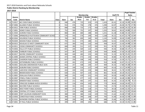|      |                 |                                        |                         |      |     |               |               |        |              |                  |       |             | <b>Pupil Teacher</b> |
|------|-----------------|----------------------------------------|-------------------------|------|-----|---------------|---------------|--------|--------------|------------------|-------|-------------|----------------------|
|      |                 |                                        |                         |      |     |               | Membership    |        |              | <b>Staff FTE</b> |       | Ratio       |                      |
|      | <b>District</b> |                                        |                         |      |     | <b>Grades</b> | <b>Grades</b> | Grades |              |                  |       |             |                      |
| Rank | Code            | <b>District Name</b>                   | <b>Class</b>            | Elem | Sec | <b>PK-6</b>   | $7 - 8$       | $9-12$ | <b>Total</b> | Elem             | Sec   | Elem        | <b>Sec</b>           |
|      | 32 73-0017      | MC COOK PUBLIC SCHOOLS                 | $\overline{3}$          | 948  | 476 | 725           | 223           | 476    | 1,424        | 65.41            | 32.10 | 14.49       | 14.83                |
|      | 33 07-0006      | ALLIANCE PUBLIC SCHOOLS                | 3                       | 914  | 476 | 736           | 178           | 476    | 1,390        | 62.07            |       | 26.50 14.73 | 17.96                |
|      | 34 93-0012      | YORK PUBLIC SCHOOLS                    | $\overline{3}$          | 898  | 458 | 725           | 173           | 458    | 1,356        | 63.14            |       | 28.09 14.22 | 16.30                |
|      | 35 17-0001      | <b>SIDNEY PUBLIC SCHOOLS</b>           | $\overline{3}$          | 752  | 580 | 752           | 197           | 383    | 1,332        | 50.61            | 38.32 | 14.86       | 15.14                |
|      | 36 41-0504      | <b>AURORA PUBLIC SCHOOLS</b>           | $\overline{3}$          | 868  | 383 | 680           | 188           | 383    | 1,251        | 61.28            | 35.88 | 14.16       | 10.67                |
|      | 37 77-0046      | SPRINGFIELD PLATTEVIEW COMMUNITY SCHOO | $\overline{3}$          | 576  | 592 | 576           | 199           | 393    | 1,168        | 45.21            | 42.47 | 12.74       | 13.94                |
|      | 38 69-0044      | <b>HOLDREGE PUBLIC SCHOOLS</b>         | $\overline{3}$          | 760  | 382 | 600           | 160           | 382    | 1,142        | 54.90            | 28.50 | 13.84       | 13.40                |
|      | 39 78-0039      | <b>WAHOO PUBLIC SCHOOLS</b>            | $\overline{3}$          | 755  | 311 | 575           | 180           | 311    | 1,066        | 52.41            | 23.94 | 14.41       | 12.99                |
|      | 40 28-0015      | DOUGLAS CO WEST COMMUNITY SCHS         | $\overline{3}$          | 675  | 283 | 543           | 132           | 283    | 958          | 45.07            |       | 22.50 14.98 | 12.58                |
|      | 41 24-0011      | <b>COZAD COMMUNITY SCHOOLS</b>         | $\overline{3}$          | 668  | 283 | 511           | 157           | 283    | 951          | 49.70            | 25.73 | 13.44       | 11.00                |
|      | 42 74-0056      | <b>FALLS CITY PUBLIC SCHOOLS</b>       | 3                       | 691  | 245 | 569           | 122           | 245    | 936          | 45.56            | 20.88 | 15.17       | 11.73                |
|      | 43 48-0008      | <b>FAIRBURY PUBLIC SCHOOLS</b>         | $\overline{3}$          | 547  | 387 | 547           | 124           | 263    | 934          | 38.80            | 37.03 | 14.10       | 10.45                |
|      | 44 90-0017      | <b>WAYNE COMMUNITY SCHOOLS</b>         | $\overline{\mathbf{3}}$ | 483  | 440 | 483           | 155           | 285    | 923          | 31.35            | 28.78 | 15.41       | 15.29                |
|      | 45 01-0090      | ADAMS CENTRAL PUBLIC SCHOOLS           | 3                       | 473  | 448 | 473           | 143           | 305    | 921          | 30.80            | 35.74 | 15.36       | 12.53                |
|      | 46 23-0002      | <b>CHADRON PUBLIC SCHOOLS</b>          | $\overline{3}$          | 657  | 259 | 508           | 149           | 259    | 916          | 47.93            | 22.59 | 13.71       | 11.47                |
|      | 47 24-0020      | <b>GOTHENBURG PUBLIC SCHOOLS</b>       | $\overline{\mathbf{3}}$ | 473  | 441 | 473           | 133           | 308    | 914          | 36.08            | 32.07 | 13.11       | 13.75                |
|      | 48 78-0001      | ASHLAND-GREENWOOD PUBLIC SCHS          | 3                       | 652  | 257 | 508           | 144           | 257    | 909          | 45.35            | 17.80 | 14.38       | 14.44                |
|      | 49 64-0029      | <b>AUBURN PUBLIC SCHOOLS</b>           | $\overline{3}$          | 643  | 249 | 516           | 127           | 249    | 892          | 43.16            | 22.17 | 14.90       | 11.23                |
|      | 50 71-0005      | LAKEVIEW COMMUNITY SCHOOLS             | $\overline{\mathbf{3}}$ | 424  | 439 | 424           | 133           | 306    | 863          | 30.41            | 31.70 | 13.94       | 13.85                |
|      | 51 21-0025      | <b>BROKEN BOW PUBLIC SCHOOLS</b>       | 3                       | 630  | 231 | 507           | 123           | 231    | 861          | 44.34            | 20.19 | 14.21       | 11.44                |
|      | 52 51-0001      | OGALLALA PUBLIC SCHOOLS                | $\overline{\mathbf{3}}$ | 580  | 255 | 429           | 151           | 255    | 835          | 50.26            |       | 24.89 11.54 | 10.25                |
|      | 53 45-0007      | O'NEILL PUBLIC SCHOOLS                 | $\overline{3}$          | 477  | 355 | 477           | 122           | 233    | 832          | 37.10            | 34.28 | 12.86       | 10.36                |
|      | 54 50-0503      | MINDEN PUBLIC SCHOOLS                  | $\overline{\mathbf{3}}$ | 612  | 211 | 465           | 147           | 211    | 823          | 41.42            | 23.10 | 14.78       | 9.13                 |
|      | 55 66-0027      | SYRACUSE-DUNBAR-AVOCA SCHOOLS          | $\overline{\mathbf{3}}$ | 557  | 216 | 454           | 103           | 216    | 773          | 38.63            | 19.26 | 14.42       | 11.21                |
|      | 56 80-0005      | MILFORD PUBLIC SCHOOLS                 | $\overline{\mathbf{3}}$ | 433  | 321 | 433           | 111           | 210    | 754          | 23.76            | 25.55 | 18.22       | 12.56                |
|      | 57 20-0001      | WEST POINT PUBLIC SCHOOLS              | $\overline{3}$          | 480  | 271 | 362           | 118           | 271    | 751          | 39.18            |       | 23.94 12.25 | 11.32                |
|      | 58 61-0004      | <b>CENTRAL CITY PUBLIC SCHOOLS</b>     | $\overline{3}$          | 517  | 214 | 408           | 109           | 214    | 731          | 40.02            | 20.11 | 12.92       | 10.64                |
|      | 59 89-0003      | FORT CALHOUN COMMUNITY SCHS            | $\overline{\mathbf{3}}$ | 380  | 345 | 380           | 116           | 229    | 725          | 21.62            | 24.38 | 17.58       | 14.15                |
|      | 60 13-0056      | <b>CONESTOGA PUBLIC SCHOOLS</b>        | $\overline{3}$          | 390  | 315 | 390           | 108           | 207    | 705          | 31.00            | 26.50 | 12.58       | 11.89                |
|      | 61 55-0161      | RAYMOND CENTRAL PUBLIC SCHOOLS         | $\overline{\mathbf{3}}$ | 389  | 299 | 389           | 89            | 210    | 688          | 25.84            | 26.10 | 15.05       | 11.46                |
|      | 62 47-0001      | <b>ST PAUL PUBLIC SCHOOLS</b>          | $\overline{3}$          | 399  | 287 | 399           | 105           | 182    | 686          | 29.75            |       |             | 24.19 13.41 11.86    |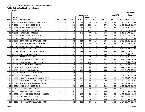|      |                 |                                       |                         |      |            |               |               |               |              |                  | <b>Pupil Teacher</b> |             |            |
|------|-----------------|---------------------------------------|-------------------------|------|------------|---------------|---------------|---------------|--------------|------------------|----------------------|-------------|------------|
|      |                 |                                       |                         |      |            |               | Membership    |               |              | <b>Staff FTE</b> |                      |             | Ratio      |
|      | <b>District</b> |                                       |                         |      |            | <b>Grades</b> | <b>Grades</b> | <b>Grades</b> |              |                  |                      |             |            |
| Rank | Code            | <b>District Name</b>                  | Class                   | Elem | <b>Sec</b> | <b>PK-6</b>   | $7 - 8$       | $9 - 12$      | <b>Total</b> | Elem             | <b>Sec</b>           | Elem        | <b>Sec</b> |
|      | 63 65-2005      | SOUTH CENTRAL NEBRASKA UNIFIED 5      | $\overline{\mathbf{3}}$ | 480  | 201        | 384           | 96            | 201           | 681          | 41.13            | 22.25                | 11.67       | 9.03       |
|      | 64 79-0031      | <b>MITCHELL PUBLIC SCHOOLS</b>        | $\overline{3}$          | 375  | 299        | 375           | 100           | 199           | 674          | 24.71            |                      | 23.00 15.18 | 13.00      |
|      | 65 13-0032      | LOUISVILLE PUBLIC SCHOOLS             | 3                       | 479  | 185        | 385           | 94            | 185           | 664          | 28.33            |                      | 15.97 16.91 | 11.58      |
|      | 66 89-0024      | <b>ARLINGTON PUBLIC SCHOOLS</b>       | 3                       | 343  | 316        | 343           | 101           | 215           | 659          | 21.06            | 25.09                | 16.29       | 12.59      |
|      | 67 70-0002      | PIERCE PUBLIC SCHOOLS                 | 3                       | 342  | 311        | 342           | 99            | 212           | 653          | 22.90            | 25.19                | 14.93       | 12.35      |
|      | 68 12-0056      | DAVID CITY PUBLIC SCHOOLS             | $\overline{3}$          | 377  | 272        | 377           | 87            | 185           | 649          | 32.84            | 27.27                | 11.48       | 9.97       |
|      | 69 15-0010      | <b>CHASE COUNTY SCHOOLS</b>           | 3                       | 457  | 188        | 369           | 88            | 188           | 645          | 32.15            | 19.10                | 14.21       | 9.84       |
|      | 70 27-0595      | <b>NORTH BEND CENTRAL PUBLIC SCHS</b> | 3                       | 403  | 232        | 356           | 90            | 189           | 635          | 24.86            |                      | 20.68 16.21 | 11.22      |
|      | 71 81-0010      | <b>GORDON-RUSHVILLE PUBLIC SCHS</b>   | 3                       | 442  | 192        | 352           | 90            | 192           | 634          | 38.46            |                      | 17.60 11.49 | 10.91      |
|      | 72 87-0017      | <b>WINNEBAGO PUBLIC SCHOOLS</b>       | 3                       | 428  | 181        | 341           | 87            | 181           | 609          | 46.97            | 20.03                | 9.11        | 9.04       |
|      | 73 10-0002      | <b>GIBBON PUBLIC SCHOOLS</b>          | 3                       | 344  | 256        | 344           | 86            | 170           | 600          | 21.06            | 23.12                | 16.33       | 11.07      |
|      | 74 76-0082      | WILBER-CLATONIA PUBLIC SCHOOLS        | 3                       | 355  | 245        | 355           | 76            | 169           | 600          | 20.65            | 19.11                | 17.19       | 12.82      |
|      | 75 06-0001      | <b>BOONE CENTRAL SCHOOLS</b>          | 3                       | 410  | 189        | 333           | 77            | 189           | 599          | 30.31            | 20.52                | 13.53       | 9.21       |
|      | 76 88-0005      | ORD PUBLIC SCHOOLS                    | 3                       | 332  | 261        | 332           | 72            | 189           | 593          | 22.06            |                      | 24.25 15.05 | 10.76      |
|      | 77 30-0025      | FILLMORE CENTRAL PUBLIC SCHS          | 3                       | 409  | 175        | 337           | 72            | 175           | 584          | 31.76            |                      | 20.59 12.88 | 8.50       |
|      | 78 16-0006      | <b>VALENTINE COMMUNITY SCHOOLS</b>    | 3                       | 394  | 178        | 288           | 106           | 178           | 572          | 41.35            | 21.00                | 9.53        | 8.48       |
|      | 79 27-0594      | LOGAN VIEW PUBLIC SCHOOLS             | 3                       | 301  | 256        | 301           | 83            | 173           | 557          | 21.01            | 24.66                | 14.33       | 10.38      |
|      | 80 55-0148      | MALCOLM PUBLIC SCHOOLS                | 3                       | 294  | 262        | 294           | 80            | 182           | 556          | 19.69            | 20.88                | 14.93       | 12.55      |
|      | 81 56-0037      | <b>HERSHEY PUBLIC SCHOOLS</b>         | 3                       | 286  | 270        | 286           | 95            | 175           | 556          | 19.34            |                      | 17.94 14.79 | 15.05      |
|      | 82 40-0083      | WOOD RIVER RURAL SCHOOLS              | 3                       | 394  | 160        | 316           | 78            | 160           | 554          | 31.65            |                      | 12.85 12.45 | 12.45      |
|      | 83 66-0501      | PALMYRA DISTRICT OR 1                 | 3                       | 354  | 190        | 354           | 66            | 124           | 544          | 26.00            |                      | 17.59 13.62 | 10.80      |
|      | 84 11-0001      | TEKAMAH-HERMAN COMMUNITY SCHS         | 3                       | 291  | 250        | 291           | 78            | 172           | 541          | 22.26            |                      | 27.00 13.07 | 9.26       |
|      | 85 49-0050      | JOHNSON CO CENTRAL PUBLIC SCHS        | 3                       | 383  | 155        | 303           | 80            | 155           | 538          | 32.59            | 17.40                | 11.75       | 8.91       |
|      | 86 87-0016      | UMO N HO N NATION PUBLIC SCHS         | 3                       | 392  | 125        | 342           | 50            | 125           | 517          | 48.82            | 13.70                | 8.03        | 9.12       |
|      | 87 59-0001      | <b>MADISON PUBLIC SCHOOLS</b>         | 3                       | 340  | 173        | 272           | 68            | 173           | 513          | 26.35            |                      | 16.05 12.90 | 10.78      |
|      | 88 47-0100      | <b>CENTURA PUBLIC SCHOOLS</b>         | 3                       | 265  | 237        | 265           | 83            | 154           | 502          | 20.13            |                      | 22.62 13.16 | 10.48      |
|      | 89 90-0560      | <b>WAKEFIELD PUBLIC SCHOOLS</b>       | 3                       | 296  | 202        | 296           | 62            | 140           | 498          | 21.31            | 17.37                | 13.89       | 11.63      |
|      | 90 14-0054      | LAUREL-CONCORD-COLERIDGE SCHOOL       | $\overline{3}$          | 361  | 124        | 293           | 68            | 124           | 485          | 26.45            | 14.58                | 13.65       | 8.50       |
|      | 91 26-0001      | PONCA PUBLIC SCHOOLS                  | $\overline{\mathbf{3}}$ | 254  | 214        | 254           | 65            | 149           | 468          | 19.85            | 19.15                | 12.80       | 11.17      |
|      | 92 78-0009      | YUTAN PUBLIC SCHOOLS                  | 3                       | 257  | 209        | 257           | 68            | 141           | 466          | 20.75            | 19.55                | 12.39       | 10.69      |
|      | 93 40-0126      | DONIPHAN-TRUMBULL PUBLIC SCHS         | 3                       | 233  | 232        | 233           | 85            | 147           | 465          | 21.60            |                      | 19.87 10.79 | 11.68      |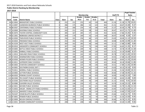|      |                 |                                     |                |      |            |               |         |        |              |                  |            |             | <b>Pupil Teacher</b> |
|------|-----------------|-------------------------------------|----------------|------|------------|---------------|---------|--------|--------------|------------------|------------|-------------|----------------------|
|      |                 |                                     |                |      |            | Membership    |         |        |              | <b>Staff FTE</b> |            |             | Ratio                |
|      | <b>District</b> |                                     |                |      |            | <b>Grades</b> | Grades  | Grades |              |                  |            |             |                      |
| Rank | Code            | <b>District Name</b>                | <b>Class</b>   | Elem | <b>Sec</b> | <b>PK-6</b>   | $7 - 8$ | $9-12$ | <b>Total</b> | Elem             | <b>Sec</b> | Elem        | <b>Sec</b>           |
|      | 94 62-0063      | <b>BRIDGEPORT PUBLIC SCHOOLS</b>    | 3              | 252  | 212        | 252           | 62      | 150    | 464          | 21.54            | 21.18      | 11.70       | 10.01                |
|      | 95 13-0097      | ELMWOOD-MURDOCK PUBLIC SCHOOLS      | 3              | 286  | 175        | 286           | 52      | 123    | 461          | 21.51            |            | 18.67 13.30 | 9.37                 |
|      | 96 80-0567      | <b>CENTENNIAL PUBLIC SCHOOLS</b>    | 3              | 254  | 200        | 254           | 54      | 146    | 454          | 21.57            |            | 20.56 11.78 | 9.73                 |
|      | 97 10-0069      | RAVENNA PUBLIC SCHOOLS              | 3              | 242  | 211        | 242           | 58      | 153    | 453          | 20.67            | 18.37      | 11.71       | 11.49                |
|      | 98 85-0070      | THAYER CENTRAL COMMUNITY SCHS       | 3              | 285  | 167        | 285           | 57      | 110    | 452          | 18.45            | 17.86      | 15.45       | 9.35                 |
|      | 99 02-2001      | NEBRASKA UNIFIED DISTRICT 1         | 3              | 269  | 179        | 269           | 55      | 124    | 448          | 28.97            | 29.99      | 9.29        | 5.97                 |
|      | 100 63-0030     | TWIN RIVER PUBLIC SCHOOLS           | 3              | 256  | 191        | 256           | 66      | 125    | 447          | 23.02            | 18.04      | 11.12       | 10.59                |
|      | 101 34-0034     | <b>FREEMAN PUBLIC SCHOOLS</b>       | 3              | 253  | 192        | 253           | 60      | 132    | 445          | 18.08            |            | 16.99 13.99 | 11.30                |
|      | 102 45-0239     | WEST HOLT PUBLIC SCHOOLS            | 3              | 283  | 162        | 283           | 56      | 106    | 445          | 22.11            |            | 17.88 12.80 | 9.06                 |
|      | 103 09-0010     | AINSWORTH COMMUNITY SCHOOLS         | 3              | 307  | 136        | 232           | 75      | 136    | 443          | 27.05            | 16.65      | 11.35       | 8.17                 |
|      | 104 59-0005     | <b>BATTLE CREEK PUBLIC SCHOOLS</b>  | 3              | 209  | 229        | 209           | 78      | 151    | 438          | 14.73            | 19.78      | 14.19       | 11.58                |
|      | 105 53-0001     | KIMBALL PUBLIC SCHOOLS              | 3              | 243  | 194        | 243           | 64      | 130    | 437          | 22.31            | 23.19      | 10.89       | 8.37                 |
|      | 106 11-0014     | OAKLAND CRAIG PUBLIC SCHOOLS        | 3              | 242  | 192        | 242           | 69      | 123    | 434          | 20.78            |            | 17.59 11.65 | 10.92                |
|      | 107 07-0010     | <b>HEMINGFORD PUBLIC SCHOOLS</b>    | 3              | 239  | 188        | 239           | 63      | 125    | 427          | 19.55            |            | 17.68 12.23 | 10.63                |
|      | 108 20-0030     | WISNER-PILGER PUBLIC SCHOOLS        | 3              | 237  | 189        | 237           | 64      | 125    | 426          | 20.52            |            | 18.83 11.55 | 10.04                |
|      | 109 65-0011     | <b>SUPERIOR PUBLIC SCHOOLS</b>      | 3              | 220  | 201        | 220           | 72      | 129    | 421          | 20.64            | 18.18      | 10.66       | 11.06                |
|      | 110 84-0003     | <b>STANTON COMMUNITY SCHOOLS</b>    | 3              | 225  | 195        | 225           | 59      | 136    | 420          | 19.31            | 17.89      | 11.65       | 10.90                |
|      | 111 34-0001     | SOUTHERN SCHOOL DIST 1              | 3              | 234  | 180        | 234           | 61      | 119    | 414          | 23.03            | 18.13      | 10.16       | 9.93                 |
|      | 112 79-0011     | MORRILL PUBLIC SCHOOLS              | 3              | 253  | 158        | 253           | 42      | 116    | 411          | 23.36            | 15.56      | 10.83       | 10.15                |
|      | 113 18-0002     | <b>SUTTON PUBLIC SCHOOLS</b>        | 3              | 216  | 194        | 216           | 74      | 120    | 410          | 20.66            |            | 17.38 10.45 | 11.16                |
|      | 114 68-0020     | PERKINS COUNTY SCHOOLS              | 3              | 252  | 157        | 252           | 54      | 103    | 409          | 18.90            |            | 19.90 13.33 | 7.89                 |
|      | 115 48-0300     | TRI COUNTY PUBLIC SCHOOLS           | 3              | 231  | 172        | 231           | 60      | 112    | 403          | 17.40            | 18.92      | 13.28       | 9.09                 |
|      | 116 33-0540     | SOUTHERN VALLEY SCHOOLS             | 3              | 199  | 200        | 199           | 56      | 144    | 399          | 21.15            | 19.05      | 9.41        | 10.50                |
|      | 117 59-0080     | <b>ELKHORN VALLEY SCHOOLS</b>       | 3              | 259  | 138        | 259           | 57      | 81     | 397          | 19.70            | 15.36      | 13.15       | 8.98                 |
|      | 118 62-0021     | <b>BAYARD PUBLIC SCHOOLS</b>        | 3              | 214  | 182        | 214           | 61      | 121    | 396          | 19.00            |            | 15.79 11.26 | 11.53                |
|      | 119 72-0032     | SHELBY - RISING CITY PUBLIC SCHOOLS | 3              | 264  | 129        | 216           | 48      | 129    | 393          | 23.95            |            | 11.55 11.02 | 11.17                |
|      | 120 10-0119     | <b>AMHERST PUBLIC SCHOOLS</b>       | $\overline{2}$ | 217  | 175        | 217           | 59      | 116    | 392          | 12.10            |            | 13.60 17.93 | 12.87                |
|      | 121 78-0107     | <b>CEDAR BLUFFS PUBLIC SCHOOLS</b>  | 3              | 301  | 83         | 255           | 46      | 83     | 384          | 23.66            | 8.34       | 12.72       | 9.95                 |
|      | 122 87-0001     | PENDER PUBLIC SCHOOLS               | 3              | 239  | 145        | 239           | 52      | 93     | 384          | 17.70            | 15.35      | 13.50       | 9.45                 |
|      | 123 02-0009     | NELIGH-OAKDALE SCHOOLS              | 3              | 233  | 150        | 233           | 52      | 98     | 383          | 20.60            | 16.76      | 11.31       | 8.95                 |
|      | 124 22-0031     | <b>HOMER COMMUNITY SCHOOLS</b>      | 3              | 208  | 174        | 208           | 68      | 106    | 382          | 17.80            |            | 19.20 11.69 | 9.06                 |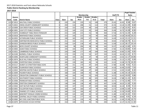|      |                 |                                           |                         |      |            |               |               |        |              |                  |            | <b>Pupil Teacher</b> |            |
|------|-----------------|-------------------------------------------|-------------------------|------|------------|---------------|---------------|--------|--------------|------------------|------------|----------------------|------------|
|      |                 |                                           |                         |      |            |               | Membership    |        |              | <b>Staff FTE</b> |            |                      | Ratio      |
|      | <b>District</b> |                                           |                         |      |            | <b>Grades</b> | <b>Grades</b> | Grades |              |                  |            |                      |            |
| Rank | Code            | <b>District Name</b>                      | <b>Class</b>            | Elem | <b>Sec</b> | <b>PK-6</b>   | $7 - 8$       | $9-12$ | <b>Total</b> | Elem             | <b>Sec</b> | Elem                 | <b>Sec</b> |
|      | 125 87-0013     | <b>WALTHILL PUBLIC SCHOOLS</b>            | 3                       | 220  | 159        | 220           | 51            | 108    | 379          | 25.65            | 16.45      | 8.58                 | 9.67       |
|      | 126 72-0015     | <b>CROSS COUNTY COMMUNITY SCHOOLS</b>     | 3                       | 259  | 114        | 208           | 51            | 114    | 373          | 22.35            | 13.14      | 11.59                | 8.68       |
|      | 127 10-0009     | <b>ELM CREEK PUBLIC SCHOOLS</b>           | 3                       | 220  | 153        | 220           | 49            | 104    | 373          | 13.83            |            | 17.18 15.91          | 8.91       |
|      | 128 82-0001     | LOUP CITY PUBLIC SCHOOLS                  | 3                       | 215  | 149        | 215           | 45            | 104    | 364          | 15.06            | 16.75      | 14.28                | 8.90       |
|      | 129 74-0070     | HUMBOLDT TABLE ROCK STEINAUER             | 3                       | 215  | 149        | 215           | 51            | 98     | 364          | 17.56            | 23.72      | 12.24                | 6.28       |
|      | 130 33-0018     | ARAPAHOE PUBLIC SCHOOLS                   | $\overline{\mathbf{3}}$ | 215  | 145        | 215           | 55            | 90     | 360          | 12.93            | 14.20      | 16.63                | 10.21      |
|      | 131 56-0055     | SUTHERLAND PUBLIC SCHOOLS                 | 3                       | 190  | 165        | 190           | 67            | 98     | 355          | 14.49            | 14.33      | 13.11                | 11.51      |
|      | 132 14-0008     | HARTINGTON NEWCASTLE PUBLIC SCHOOLS       | 3                       | 211  | 142        | 211           | 47            | 95     | 353          | 19.65            |            | 17.50 10.74          | 8.11       |
|      | 133 64-0023     | JOHNSON-BROCK PUBLIC SCHOOLS              | 3                       | 218  | 124        | 218           | 44            | 80     | 342          | 12.00            | 12.23      | 18.17                | 10.14      |
|      | 134 08-0051     | <b>BOYD COUNTY SCHOOLS</b>                | 3                       | 244  | 98         | 206           | 38            | 98     | 342          | 19.37            | 14.18      | 12.60                | 6.91       |
| 135  | 42-0002         | ALMA PUBLIC SCHOOLS                       | 3                       | 193  | 143        | 193           | 47            | 96     | 336          | 17.82            | 15.15      | 10.83                | 9.44       |
|      | 136 33-0021     | <b>CAMBRIDGE PUBLIC SCHOOLS</b>           | 3                       | 226  | 108        | 177           | 49            | 108    | 334          | 18.95            | 10.85      | 11.93                | 9.95       |
| 137  | 36-0100         | <b>BURWELL PUBLIC SCHOOLS</b>             | 3                       | 173  | 159        | 173           | 52            | 107    | 332          | 15.02            | 18.24      | 11.52                | 8.72       |
|      | 138 93-0096     | <b>HEARTLAND COMMUNITY SCHOOLS</b>        | 3                       | 182  | 145        | 182           | 47            | 98     | 327          | 14.95            | 14.42      | 12.17                | 10.06      |
|      | 139 91-0074     | <b>BLUE HILL PUBLIC SCHOOLS</b>           | 3                       | 174  | 151        | 174           | 45            | 106    | 325          | 15.06            |            | 15.12 11.55          | 9.99       |
|      | 140 24-0004     | <b>OVERTON PUBLIC SCHOOLS</b>             | 3                       | 183  | 139        | 183           | 45            | 94     | 322          | 13.32            | 13.38      | 13.74                | 10.39      |
|      | 141 29-0117     | DUNDY CO STRATTON PUBLIC SCHS             | 3                       | 170  | 151        | 170           | 47            | 104    | 321          | 17.80            | 16.38      | 9.55                 | 9.22       |
|      | 142 70-0005     | PLAINVIEW PUBLIC SCHOOLS                  | 3                       | 185  | 134        | 185           | 49            | 85     | 319          | 14.20            | 16.90      | 13.03                | 7.93       |
|      | 143 13-0022     | <b>WEEPING WATER PUBLIC SCHOOLS</b>       | 3                       | 215  | 100        | 168           | 47            | 100    | 315          | 17.01            | 12.05      | 12.64                | 8.30       |
|      | 144 61-0049     | <b>PALMER PUBLIC SCHOOLS</b>              | 3                       | 168  | 144        | 168           | 45            | 99     | 312          | 11.88            |            | 11.95 14.14          | 12.05      |
|      | 145 54-0013     | <b>CREIGHTON COMMUNITY PUBLIC SCHOOLS</b> | $\mathsf{3}$            | 146  | 164        | 146           | 55            | 109    | 310          | 14.55            | 16.63      | 10.03                | 9.86       |
|      | 146 73-0179     | SOUTHWEST PUBLIC SCHOOLS                  | 3                       | 159  | 151        | 159           | 46            | 105    | 310          | 14.26            | 17.88      | 11.15                | 8.45       |
|      | 147 31-0506     | <b>FRANKLIN PUBLIC SCHOOLS</b>            | 3                       | 170  | 138        | 170           | 29            | 109    | 308          | 13.71            | 17.75      | 12.40                | 7.77       |
|      | 148 54-0096     | <b>CROFTON COMMUNITY SCHOOLS</b>          | 3                       | 138  | 169        | 138           | 48            | 121    | 307          | 12.00            | 18.25      | 11.50                | 9.26       |
|      | 149 12-0502     | <b>EAST BUTLER PUBLIC SCHOOLS</b>         | 3                       | 159  | 147        | 159           | 47            | 100    | 306          | 18.50            | 16.10      | 8.59                 | 9.13       |
|      | 150 63-0001     | <b>FULLERTON PUBLIC SCHOOLS</b>           | 3                       | 160  | 146        | 160           | 47            | 99     | 306          | 13.75            |            | 14.99 11.64          | 9.74       |
|      | 151 67-0001     | <b>PAWNEE CITY PUBLIC SCHOOLS</b>         | 3                       | 166  | 133        | 166           | 46            | 87     | 299          | 11.30            | 15.59      | 14.69                | 8.53       |
|      | 152 20-0020     | BANCROFT-ROSALIE COMM SCHOOLS             | 3                       | 169  | 124        | 169           | 42            | 82     | 293          | 11.80            | 12.50      | 14.32                | 9.92       |
|      | 153 39-0060     | <b>CENTRAL VALLEY PUBLIC SCHOOLS</b>      | 3                       | 177  | 116        | 177           | 43            | 73     | 293          | 17.86            | 18.60      | 9.91                 | 6.24       |
|      | 154 93-0083     | MC COOL JUNCTION PUBLIC SCHS              | $\overline{2}$          | 159  | 133        | 159           | 44            | 89     | 292          | 10.22            | 12.40      | 15.56                | 10.73      |
|      | 155 44-0070     | HITCHCOCK CO SCH SYSTEM                   | 3                       | 152  | 140        | 152           | 45            | 95     | 292          | 12.45            | 12.17      | 12.21                | 11.50      |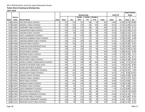|      |                 |                                       |                         |      |            |               |               |               |              |                  |            | <b>Pupil Teacher</b> |            |
|------|-----------------|---------------------------------------|-------------------------|------|------------|---------------|---------------|---------------|--------------|------------------|------------|----------------------|------------|
|      |                 |                                       |                         |      |            | Membership    |               |               |              | <b>Staff FTE</b> |            |                      | Ratio      |
|      | <b>District</b> |                                       |                         |      |            | <b>Grades</b> | <b>Grades</b> | <b>Grades</b> |              |                  |            |                      |            |
| Rank | Code            | <b>District Name</b>                  | <b>Class</b>            | Elem | <b>Sec</b> | <b>PK-6</b>   | $7 - 8$       | $9-12$        | <b>Total</b> | Elem             | <b>Sec</b> | Elem                 | <b>Sec</b> |
|      | 156 10-0019     | SHELTON PUBLIC SCHOOLS                | 3                       | 151  | 141        | 151           | 48            | 93            | 292          | 14.00            | 13.06      | 10.79                | 10.80      |
| 157  | 56-0007         | <b>MAXWELL PUBLIC SCHOOLS</b>         | 3                       | 134  | 151        | 134           | 49            | 102           | 285          | 10.73            | 13.35      | 12.49                | 11.31      |
|      | 158 71-0067     | <b>HUMPHREY PUBLIC SCHOOLS</b>        | 3                       | 177  | 104        | 177           | 38            | 66            | 281          | 12.73            |            | 10.71 13.90          | 9.71       |
|      | 159 10-0105     | PLEASANTON PUBLIC SCHOOLS             | 3                       | 164  | 115        | 164           | 32            | 83            | 279          | 10.75            |            | 10.25 15.26          | 11.22      |
|      | 160 18-0011     | <b>HARVARD PUBLIC SCHOOLS</b>         | 3                       | 187  | 89         | 153           | 34            | 89            | 276          | 15.30            | 13.88      | 12.22                | 6.41       |
|      | 161 50-0501     | <b>AXTELL COMMUNITY SCHOOLS</b>       | $\overline{\mathbf{3}}$ | 202  | 73         | 159           | 43            | 73            | 275          | 15.25            | 8.92       | 13.25                | 8.18       |
|      | 162 26-0561     | <b>EMERSON-HUBBARD PUBLIC SCHOOLS</b> | 3                       | 171  | 102        | 171           | 37            | 65            | 273          | 10.79            | 15.99      | 15.85                | 6.38       |
|      | 163 21-0015     | ANSELMO-MERNA PUBLIC SCHOOLS          | 3                       | 160  | 113        | 160           | 45            | 68            | 273          | 13.25            | 9.33       | 12.08                | 12.11      |
|      | 164 85-0060     | <b>DESHLER PUBLIC SCHOOLS</b>         | 3                       | 147  | 125        | 147           | 41            | 84            | 272          | 11.80            |            | 13.28 12.46          | 9.41       |
|      | 165 11-0020     | LYONS-DECATUR NORTHEAST SCHS          | 3                       | 186  | 85         | 186           | 33            | 52            | 271          | 12.48            | 12.78      | 14.90                | 6.65       |
|      | 166 01-0003     | <b>KENESAW PUBLIC SCHOOLS</b>         | 3                       | 150  | 121        | 150           | 41            | 80            | 271          | 10.00            | 10.65      | 15.00                | 11.36      |
|      | 167 54-0576     | <b>WAUSA PUBLIC SCHOOLS</b>           | 3                       | 151  | 112        | 151           | 42            | 70            | 263          | 8.20             | 11.80      | 18.41                | 9.49       |
|      | 168 69-0054     | <b>BERTRAND PUBLIC SCHOOLS</b>        | 3                       | 150  | 111        | 150           | 37            | 74            | 261          | 12.20            | 12.10      | 12.30                | 9.17       |
|      | 169 76-0068     | <b>FRIEND PUBLIC SCHOOLS</b>          | 3                       | 150  | 110        | 150           | 29            | 81            | 260          | 12.75            |            | 12.63 11.76          | 8.71       |
|      | 170 34-0100     | DILLER-ODELL PUBLIC SCHOOLS           | 3                       | 148  | 112        | 148           | 35            | 77            | 260          | 12.05            | 13.95      | 12.28                | 8.03       |
|      | 171 19-0070     | HOWELLS-DODGE CONSOLIDATED SCHOOLS    | 3                       | 106  | 153        | 106           | 49            | 104           | 259          | 10.92            | 14.95      | 9.71                 | 10.23      |
|      | 172 15-0536     | WAUNETA-PALISADE PUBLIC SCHS          | 3                       | 195  | 62         | 157           | 38            | 62            | 257          | 12.01            | 6.92       | 16.24                | 8.96       |
|      | 173 01-0123     | SILVER LAKE PUBLIC SCHOOLS            | 3                       | 168  | 87         | 168           | 33            | 54            | 255          | 13.82            | 11.21      | 12.16                | 7.76       |
|      | 174 54-0586     | <b>BLOOMFIELD COMMUNITY SCHOOLS</b>   | 3                       | 148  | 106        | 148           | 39            | 67            | 254          | 9.86             | 13.52      | 15.01                | 7.84       |
|      | 175 75-0100     | <b>ROCK COUNTY PUBLIC SCHOOLS</b>     | 3                       | 136  | 116        | 133           | 50            | 69            | 252          | 15.23            | 9.61       | 8.93                 | 12.07      |
|      | 176 35-0001     | <b>GARDEN COUNTY SCHOOLS</b>          | 3                       | 143  | 107        | 143           | 38            | 69            | 250          | 11.83            | 12.46      | 12.09                | 8.59       |
|      | 177 72-0019     | OSCEOLA PUBLIC SCHOOLS                | 3                       | 179  | 70         | 144           | 35            | 70            | 249          | 14.96            | 8.07       | 11.97                | 8.67       |
|      | 178 78-0072     | <b>MEAD PUBLIC SCHOOLS</b>            | 3                       | 140  | 103        | 140           | 43            | 60            | 243          | 10.00            | 13.01      | 14.00                | 7.92       |
|      | 179 14-0045     | RANDOLPH PUBLIC SCHOOLS               | 3                       | 136  | 103        | 136           | 28            | 75            | 239          | 10.90            | 13.18      | 12.48                | 7.81       |
|      | 180 06-0075     | RIVERSIDE PUBLIC SCHOOLS              | 3                       | 190  | 48         | 157           | 33            | 48            | 238          | 21.50            | 8.54       | 8.84                 | 5.62       |
|      | 181 19-0039     | LEIGH COMMUNITY SCHOOLS               | 3                       | 155  | 80         | 155           | 32            | 48            | 235          | 7.79             | 12.47      | 19.90                | 6.42       |
|      | 182 48-0303     | <b>MERIDIAN PUBLIC SCHOOLS</b>        | 3                       | 115  | 119        | 115           | 35            | 84            | 234          | 11.37            | 11.23      | 10.11                | 10.60      |
|      | 183 91-0002     | RED CLOUD COMMUNITY SCHOOLS           | 3                       | 157  | 74         | 157           | 26            | 48            | 231          | 12.98            | 10.47      | 12.10                | 7.07       |
| 184  | 23-0071         | <b>CRAWFORD PUBLIC SCHOOLS</b>        | 3                       | 133  | 94         | 133           | 24            | 70            | 227          | 9.60             | 11.29      | 13.85                | 8.33       |
|      | 185 72-0075     | HIGH PLAINS COMMUNITY SCHOOLS         | 3                       | 155  | 70         | 125           | 30            | 70            | 225          | 16.79            | 13.43      | 9.23                 | 5.21       |
|      | 186 32-0125     | <b>MEDICINE VALLEY PUBLIC SCHOOLS</b> | 3                       | 134  | 90I        | 134           | 27            | 63            | 224          | 11.24            | 10.99      | 11.92                | 8.19       |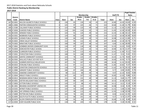|      |                 |                                       |                         |      |     |               |                   |          |              |                  |            | <b>Pupil Teacher</b> |            |
|------|-----------------|---------------------------------------|-------------------------|------|-----|---------------|-------------------|----------|--------------|------------------|------------|----------------------|------------|
|      |                 |                                       |                         |      |     |               | <b>Membership</b> |          |              | <b>Staff FTE</b> |            | Ratio                |            |
|      | <b>District</b> |                                       |                         |      |     | <b>Grades</b> | Grades            | Grades   |              |                  |            |                      |            |
| Rank | Code            | <b>District Name</b>                  | <b>Class</b>            | Elem | Sec | <b>PK-6</b>   | $7 - 8$           | $9 - 12$ | <b>Total</b> | Elem             | <b>Sec</b> | Elem                 | <b>Sec</b> |
| 187  | 50-0001         | WILCOX-HILDRETH PUBLIC SCHOOLS        | 3                       | 158  | 65  | 134           | 24                | 65       | 223          | 10.80            | 14.43      | 14.63                | 4.50       |
|      | 188 51-0006     | <b>PAXTON CONSOLIDATED SCHOOLS</b>    | 3                       | 125  | 97  | 125           | 26                | 71       | 222          | 10.60            | 11.20      | 11.79                | 8.66       |
|      | 189 21-0180     | CALLAWAY PUBLIC SCHOOLS               | 3                       | 123  | 99  | 123           | 39                | 60       | 222          | 11.13            | 11.92      | 11.05                | 8.31       |
|      | 190 37-0030     | ELWOOD PUBLIC SCHOOLS                 | 3                       | 116  | 105 | 116           | 32                | 73       | 221          | 11.05            |            | 12.59 10.50          | 8.34       |
|      | 191 90-0595     | <b>WINSIDE PUBLIC SCHOOLS</b>         | 3                       | 124  | 91  | 124           | 29                | 62       | 215          | 12.25            | 11.38      | 10.12                | 8.00       |
|      | 192 54-0501     | NIOBRARA PUBLIC SCHOOLS               | 3                       | 129  | 85  | 129           | 30                | 55       | 214          | 12.53            | 10.59      | 10.30                | 8.03       |
|      | 193 69-0055     | LOOMIS PUBLIC SCHOOLS                 | $\overline{a}$          | 130  | 84  | 130           | 29                | 55       | 214          | 10.98            | 12.52      | 11.84                | 6.71       |
|      | 194 25-0025     | <b>CREEK VALLEY SCHOOLS</b>           | $\overline{\mathbf{3}}$ | 112  | 95  | 112           | 35                | 60       | 207          | 10.44            | 12.19      | 10.73                | 7.79       |
|      | 195 79-0002     | <b>MINATARE PUBLIC SCHOOLS</b>        | 3                       | 108  | 99  | 107           | 38                | 62       | 207          | 6.00             |            | 11.56 18.00          | 8.56       |
|      | 196 27-0062     | SCRIBNER-SNYDER COMMUNITY SCHS        | 3                       | 118  | 87  | 118           | 28                | 59       | 205          | 12.25            | 13.25      | 9.63                 | 6.57       |
| 197  | 76-0044         | DORCHESTER PUBLIC SCHOOL              | 3                       | 125  | 76  | 125           | 23                | 53       | 201          | 10.90            | 10.73      | 11.47                | 7.08       |
|      | 198 19-0058     | <b>CLARKSON PUBLIC SCHOOLS</b>        | $\overline{\mathbf{3}}$ | 113  | 87  | 113           | 35                | 52       | 200          | 12.41            | 11.40      | 9.11                 | 7.63       |
|      | 199 57-0501     | <b>STAPLETON PUBLIC SCHOOLS</b>       | 3                       | 108  | 91  | 108           | 39                | 52       | 199          | 11.47            | 9.53       | 9.42                 | 9.55       |
|      | 200 54-0505     | <b>SANTEE COMMUNITY SCHOOLS</b>       | $\overline{2}$          | 123  | 76  | 123           | 27                | 49       | 199          | 14.25            | 11.75      | 8.63                 | 6.47       |
|      | 201 56-0565     | <b>WALLACE PUBLIC SCH DIST 65 R</b>   | $\overline{2}$          | 103  | 95  | 103           | 35                | 60       | 198          | 10.60            | 10.93      | 9.72                 | 8.69       |
|      | 202 24-0101     | SUMNER-EDDYVILLE-MILLER SCHS          | 3                       | 107  | 91  | 107           | 32                | 59       | 198          | 10.26            | 11.31      | 10.43                | 8.05       |
|      | 203 49-0033     | <b>STERLING PUBLIC SCHOOLS</b>        | 3                       | 111  | 87  | 111           | 31                | 56       | 198          | 11.85            | 10.82      | 9.37                 | 8.04       |
|      | 204 67-0069     | LEWISTON CONSOLIDATED SCHOOLS         | $\overline{3}$          | 118  | 75  | 118           | 24                | 51       | 193          | 11.62            | 10.75      | 10.15                | 6.98       |
|      | 205 21-0084     | <b>SARGENT PUBLIC SCHOOLS</b>         | 3                       | 106  | 87  | 106           | 28                | 59       | 193          | 9.77             | 8.90       | 10.85                | 9.78       |
|      | 206 70-0542     | OSMOND COMMUNITY SCHOOLS              | $\overline{3}$          | 80   | 112 | 80            | 34                | 78       | 192          | 9.97             | 12.33      | 8.02                 | 9.08       |
|      | 207 21-0044     | <b>ANSLEY PUBLIC SCHOOLS</b>          | 3                       | 107  | 83  | 107           | 23                | 60       | 190          | 10.85            | 12.02      | 9.86                 | 6.91       |
| 208  | 59-0013         | NEWMAN GROVE PUBLIC SCHOOLS           | $\overline{\mathbf{3}}$ | 131  | 58  | 131           | 20                | 38       | 189          | 11.13            | 9.69       | 11.77                | 5.99       |
| 209  | 30-0001         | <b>EXETER-MILLIGAN PUBLIC SCHOOLS</b> | 3                       | 109  | 80  | 109           | 24                | 56       | 189          | 10.53            | 14.38      | 10.35                | 5.56       |
|      | 210 17-0003     | <b>LEYTON PUBLIC SCHOOLS</b>          | 3                       | 129  | 57  | 88            | 41                | 57       | 186          | 14.11            | 8.21       | 9.14                 | 6.94       |
|      | 211 85-2001     | <b>BRUNING-DAVENPORT UNIFIED SYS</b>  | $\overline{2}$          | 140  | 46  | 115           | 25                | 46       | 186          | 16.98            | 8.54       | 8.24                 | 5.39       |
|      | 212 14-0101     | <b>WYNOT PUBLIC SCHOOLS</b>           | 3                       | 133  | 53  | 109           | 24                | 53       | 186          | 11.51            |            | 5.40 11.56           | 9.81       |
|      | 213 81-0003     | <b>HAY SPRINGS PUBLIC SCHOOLS</b>     | 3                       | 137  | 48  | 113           | 24                | 48       | 185          | 12.95            |            | 6.38 10.58           | 7.52       |
|      | 214 17-0009     | POTTER-DIX PUBLIC SCHOOLS             | 3                       | 105  | 76  | 105           | 26                | 50       | 181          | 8.50             | 12.61      | 12.35                | 6.03       |
|      | 215 25-0095     | SOUTH PLATTE PUBLIC SCHOOLS           | 3                       | 111  | 68  | 101           | 29                | 49       | 179          | 9.27             | 9.73       | 11.97                | 6.99       |
|      | 216 26-0070     | ALLEN CONSOLIDATED SCHOOLS            | 3                       | 84   | 95  | 84            | 27                | 68       | 179          | 10.00            | 11.25      | 8.40                 | 8.44       |
|      | 217 16-0030     | <b>CODY-KILGORE PUBLIC SCHS</b>       | $\overline{2}$          | 118  | 60  | 103           | 15                | 60       | 178          | 11.50            |            | $9.20$ 10.26         | 6.52       |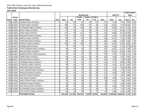|             |                 |                                     |                          |         |            |                   |               |          |              |                    |            |            | <b>Pupil Teacher</b> |
|-------------|-----------------|-------------------------------------|--------------------------|---------|------------|-------------------|---------------|----------|--------------|--------------------|------------|------------|----------------------|
|             |                 |                                     |                          |         |            | <b>Membership</b> |               |          |              | <b>Staff FTE</b>   |            | Ratio      |                      |
|             | <b>District</b> |                                     |                          |         |            | <b>Grades</b>     | <b>Grades</b> | Grades   |              |                    |            |            |                      |
| <b>Rank</b> | Code            | <b>District Name</b>                | <b>Class</b>             | Elem    | <b>Sec</b> | <b>PK-6</b>       | $7 - 8$       | $9 - 12$ | <b>Total</b> | Elem               | <b>Sec</b> | Elem       | <b>Sec</b>           |
|             | 218 41-0002     | <b>GILTNER PUBLIC SCHOOLS</b>       | $\overline{2}$           | 91      | 86         | 91                | 19            | 67       | 177          | 9.13               | 9.37       | 9.97       | 9.18                 |
|             | 219 45-0044     | <b>STUART PUBLIC SCHOOLS</b>        | 3                        | 109     | 67         | 109               | 27            | 40       | 176          | 10.55              | 8.74       | 10.33      | 7.67                 |
|             | 220 06-0017     | <b>ST EDWARD PUBLIC SCHOOLS</b>     | 3                        | 100     | 73         | 100               | 30            | 43       | 173          | 10.50              | 10.75      | 9.52       | 6.79                 |
|             | 221 56-0006     | <b>BRADY PUBLIC SCHOOLS</b>         | $\overline{2}$           | 79      | 94         | 79                | 30            | 64       | 173          | 9.72               | 10.96      | 8.13       | 8.58                 |
|             | 222 02-0018     | <b>ELGIN PUBLIC SCHOOLS</b>         | 3                        | 111     | 59         | 111               | 24            | 35       | 170          | 10.88              | 10.75      | 10.20      | 5.49                 |
|             | 223 32-0046     | <b>MAYWOOD PUBLIC SCHOOLS</b>       | 3                        | 107     | 63         | 107               | 26            | 37       | 170          | 9.65               | 11.25      | 11.09      | 5.60                 |
|             | 224 21-0089     | <b>ARNOLD PUBLIC SCHOOLS</b>        | $\overline{3}$           | 98      | 71         | 98                | 19            | 52       | 169          | 10.11              | 9.41       | 9.69       | 7.55                 |
|             | 225 41-0091     | <b>HAMPTON PUBLIC SCHOOLS</b>       | 3                        | 86      | 79         | 86                | 26            | 53       | 165          | 9.00               | 11.00      | 9.56       | 7.18                 |
|             | 226 30-0054     | SHICKLEY PUBLIC SCHOOLS             | 3                        | 104     | 61         | 104               | 18            | 43       | 165          | 12.05              | 12.65      | 8.63       | 4.82                 |
|             | 227 38-0011     | <b>HYANNIS AREA SCHOOLS</b>         | 3                        | 77      | 83         | 77                | 30            | 53       | 160          | 8.82               | 8.25       | 8.73       | 10.06                |
|             | 228 32-0095     | EUSTIS-FARNAM PUBLIC SCHOOLS        | 3                        | 78      | 79         | 78                | 21            | 58       | 157          | 10.27              | 12.37      | 7.59       | 6.39                 |
|             | 229 46-0001     | MULLEN PUBLIC SCHOOLS               | 3                        | 76      | 78         | 76                | 21            | 57       | 154          | 10.23              | 10.62      | 7.43       | 7.34                 |
|             | 230 04-0001     | <b>BANNER COUNTY PUBLIC SCHOOLS</b> | 3                        | 87      | 63         | 87                | 20            | 43       | 150          | 9.55               | 11.30      | 9.11       | 5.58                 |
|             | 231 45-0029     | <b>EWING PUBLIC SCHOOLS</b>         | $\overline{2}$           | 93      | 56         | 93                | 16            | 40       | 149          | 9.64               | 9.01       | 9.65       | 6.22                 |
|             | 232 88-0021     | <b>ARCADIA PUBLIC SCHOOLS</b>       | $\overline{2}$           | 78      | 54         | 78                | 20            | 34       | 132          | 6.70               |            | 7.30 11.64 | 7.40                 |
|             | 233 45-0137     | <b>CHAMBERS PUBLIC SCHOOLS</b>      | $\overline{2}$           | 64      | 54         | 64                | 17            | 37       | 118          | 9.22               | 10.82      | 6.94       | 4.99                 |
|             | 234 82-0015     | LITCHFIELD PUBLIC SCHOOLS           | $\overline{2}$           | 70      | 46         | 70                | 15            | 31       | 116          | 8.15               | 10.15      | 8.59       | 4.53                 |
|             | 235 86-0001     | THEDFORD PUBLIC SCHOOLS             | $\overline{a}$           | 66      | 49         | 66                | 18            | 31       | 115          | 6.55               | 8.92       | 10.08      | 5.49                 |
|             | 236 43-0079     | HAYES CENTER PUBLIC SCHOOLS         | 3                        | 75      | 40         | 75                | 10            | 30       | 115          | 9.00               | 7.65       | 8.33       | 5.23                 |
|             | 237 92-0045     | <b>WHEELER CENTRAL SCHOOLS</b>      | 3                        | 77      | 35         | 77                | 15            | 20       | 112          | 8.80               | 7.43       | 8.75       | 4.71                 |
|             | 238 03-0500     | <b>ARTHUR COUNTY SCHOOLS</b>        | $\overline{\phantom{a}}$ | 65      | 46         | 65                | 18            | 28       | 111          | 7.15               | 9.07       | 9.09       | 5.07                 |
|             | 239 47-0103     | <b>ELBA PUBLIC SCHOOLS</b>          | $\overline{2}$           | 60      | 48         | 60                | 15            | 33       | 108          | 9.08               | 8.72       | 6.61       | 5.50                 |
|             | 240 83-0500     | <b>SIOUX COUNTY PUBLIC SCHOOLS</b>  | 3                        | 73      | 25         | 58                | 15            | 25       | 98           | 11.29              | 7.38       | 6.47       | 3.39                 |
|             | 241 05-0071     | <b>SANDHILLS PUBLIC SCHOOLS</b>     | 3                        | 44      | 46         | 44                | 16            | 30       | 90           | 7.27               | 8.38       | 6.05       | 5.49                 |
|             | 242 52-0100     | <b>KEYA PAHA COUNTY SCHOOLS</b>     | $\overline{2}$           | 39      | 47         | 39                | 18            | 29       | 86           | 6.90               | 9.01       | 5.65       | 5.22                 |
|             | 243 60-0090     | <b>MC PHERSON COUNTY SCHOOLS</b>    | 3                        | 32      | 41         | 32                | 11            | 30       | 73           | 5.77               | 7.47       | 5.55       | 5.49                 |
|             | 244 58-0025     | LOUP COUNTY PUBLIC SCHOOLS          | $\overline{\phantom{a}}$ | 40      | 29         | 40                | 8             | 21       | 69           | 6.88               | 8.16       | 5.81       | 3.55                 |
|             |                 | <b>STATEWIDE TOTALS</b>             |                          | 212,192 | 111,199    | 181,752           | 47,078        | 94,561   | 323,391      | 15,399.06 8,366.93 |            | 13.78      | 13.29                |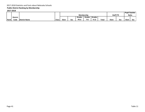### **Public District Ranking by Membership**

|      |                 |                      |              |      |     |             |                   |          |                  |      |       | <b>Pupil Teacher</b> |     |
|------|-----------------|----------------------|--------------|------|-----|-------------|-------------------|----------|------------------|------|-------|----------------------|-----|
|      |                 |                      |              |      |     |             | <b>Membership</b> |          | <b>Staff FTE</b> |      | Ratio |                      |     |
|      | <b>District</b> |                      |              |      |     | Grades      | <b>Grades</b>     | Grades   |                  |      |       |                      |     |
| Rank | Code            | <b>District Name</b> | <b>Class</b> | Elem | Sec | <b>PK-6</b> | 7-8               | $9 - 12$ | Total            | Elem | Sec   | Elem                 | Sec |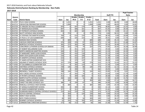*2017‐2018*

|      |                 |                                                 |                  |                  |                  |                   |               |                  |                  |            | <b>Pupil Teacher</b> |            |
|------|-----------------|-------------------------------------------------|------------------|------------------|------------------|-------------------|---------------|------------------|------------------|------------|----------------------|------------|
|      |                 |                                                 |                  |                  |                  | <b>Membership</b> |               |                  | <b>Staff FTE</b> |            | Ratio                |            |
|      | <b>District</b> |                                                 |                  |                  | <b>Grades</b>    | <b>Grades</b>     | <b>Grades</b> |                  |                  |            |                      |            |
| Rank | Code            | <b>District Name</b>                            | Elem             | Sec              | <b>PK-6</b>      | $7 - 8$           | $9 - 12$      | Total            | Elem             | <b>Sec</b> | Elem                 | <b>Sec</b> |
|      | 155-0707        | <b>PIUS X HIGH SCHOOL</b>                       | $\mathbf 0$      | 1,251            | $\overline{0}$   | $\mathbf 0$       | 1,251         | 1,251            | 0.00             | 66.95      | 0.00                 | 18.69      |
|      | 2 28-0713       | <b>CREIGHTON PREPARATORY SCHOOL</b>             | $\Omega$         | 1,008            | $\overline{0}$   | $\mathbf 0$       | 1,008         | 1.008            | 0.00             | 68.05      | 0.00                 | 14.81      |
|      | 3 28-0729       | <b>ST VINCENT DE PAUL ELEMENTARY</b>            | 876              | $\overline{0}$   | 697              | 179               | 0             | 876              | 38.85            | 0.00       | 22.55                | 0.00       |
|      | 4 28-0791       | <b>ST WENCESLAUS SCHOOL</b>                     | 847              | $\overline{0}$   | 686              | 161               | $\Omega$      | 847              | 41.65            | 0.00       | 20.34                | 0.00       |
|      | 5 28-0723       | <b>ST PATRICK'S CATHOLIC SCHOOL</b>             | 834              | $\overline{0}$   | 665              | 169               | 0             | 834              | 37.70            | 0.00       | 22.12                | 0.00       |
|      | 6 28-0749       | <b>SKUTT CATHOLIC HIGH SCHOOL</b>               | $\Omega$         | 774              | $\mathbf 0$      | $\mathbf 0$       | 774           | 774              | 0.00             | 50.31      | 0.00                 | 15.38      |
|      | 7 28-0708       | <b>ST STEPHEN THE MARTYR SCHOOL</b>             | 769              | $\overline{0}$   | 610              | 159               | $\mathbf 0$   | 769              | 38.30            | 0.00       | 20.08                | 0.00       |
|      | 8 28-0761       | ST PIUS X / ST LEO ELEMENTARY                   | 699              | $\Omega$         | 545              | 154               | $\Omega$      | 699              | 39.41            | 0.00       | 17.74                | 0.00       |
|      | 9 28-0726       | <b>MARIAN HIGH SCHOOL</b>                       | $\Omega$         | 689              | $\mathbf 0$      | $\mathbf 0$       | 689           | 689              | 0.00             | 45.15      | 0.00                 | 15.26      |
|      | 10 55-0704      | LINCOLN CHRISTIAN SCHOOLS                       | 376              | 299              | 376              | $\overline{97}$   | 202           | 675              | 17.34            | 20.11      | 21.68                | 14.87      |
|      | 11 59-0704      | <b>NORFOLK CATHOLIC SCHOOLS</b>                 | 365              | $\overline{272}$ | 365              | 96                | 176           | 637              | 20.54            | 18.46      | 17.77                | 14.73      |
|      | 12 28-0754      | CONCORDIA LUTHERAN SCHOOLS OF OMAHA             | 258              | 316              | 179              | 79                | 316           | 574              | 15.85            | 16.65      | 16.28                | 18.98      |
|      | 13 28-0763      | <b>ST ROBERT BELLARMINE ELEM</b>                | 571              | $\overline{0}$   | 451              | 120               | $\Omega$      | 571              | 29.50            | 0.00       | 19.36                | 0.00       |
|      | 14 55-0758      | NORTH AMERICAN MARTYRS SCHOOL                   | 569              | $\overline{0}$   | 452              | $\frac{117}{117}$ | 0             | 569              | 23.33            | 0.00       | 24.39                | 0.00       |
|      | 15 28-0755      | <b>ST MARGARET MARY ELEM SCHOOL</b>             | 534              | $\overline{0}$   | 416              | 118               | $\Omega$      | 534              | 25.15            | 0.00       | 21.23                | 0.00       |
|      | 16 28-0727      | MARY OUR QUEEN ELEM SCHOOL                      | 534              | $\overline{0}$   | 425              | 109               | $\mathbf{O}$  | 534              | 27.58            | 0.00       | 19.36                | 0.00       |
|      | 17 55-0719      | <b>ST JOSEPH'S CATHOLIC SCHOOL</b>              | 523              | $\Omega$         | 416              | 107               | $\Omega$      | 523              | 31.40            | 0.00       | 16.66                | 0.00       |
|      | 18 28-0752      | ST JAMES-SETON ELEMENTARY SCH                   | 516              | $\overline{0}$   | 379              | 137               | $\Omega$      | 516              | 28.58            | 0.00       | 18.05                | 0.00       |
|      | 19 12-0701      | AQUINAS ST MARYS CATHOLIC SCHS                  | 337              | 178              | $\overline{268}$ | 69                | 178           | $\overline{515}$ | 23.79            | 13.43      | 14.17                | 13.25      |
|      | 20 77-0705      | <b>ST COLUMBKILLE ELEMENTARY SCH</b>            | 511              | $\Omega$         | 392              | $\frac{119}{119}$ | $\Omega$      | $\overline{511}$ | 21.50            | 0.00       | 23.77                | 0.00       |
|      | 21 01-0702      | <b>HASTINGS CATHOLIC SCHOOLS</b>                | 338              | 136              | 258              | 80                | 136           | 474              | 23.59            | 12.15      | 14.33                | 11.19      |
|      | 22 28-0765      | <b>ST THOMAS MORE ELEM SCHOOL</b>               | 462              | $\overline{0}$   | 390              | $\overline{72}$   | $\Omega$      | 462              | 20.05            | 0.00       | 23.04                | 0.00       |
|      | 23 28-0706      | <b>BROWNELL TALBOT SCHOOLS</b>                  | 288              | 144              | 218              | $\overline{70}$   | 144           | 432              | 29.85            | 15.30      | 9.65                 | 9.41       |
|      | 24 28-0720      | <b>HOLY CROSS CATHOLIC SCHOOL</b>               | 417              | $\overline{0}$   | 343              | $\overline{74}$   | $\Omega$      | 417              | 23.50            | 0.00       | 17.74                | 0.00       |
|      | 25 55-0753      | <b>ST PETER'S CATHOLIC SCHOOL</b>               | 413              | $\overline{0}$   | 309              | 104               | $\Omega$      | 413              | 26.68            | 0.00       | 15.48                | 0.00       |
|      | 26 56-0702      | NORTH PLATTE CATHOLIC SCHOOLS                   | 268              | 144              | 268              | 56                | 88            | 412              | 17.00            | 16.00      | 15.76                | 9.00       |
|      | 27 77-0703      | DANIEL J GROSS CATHOLIC HIGH                    | 0                | 399              | $\overline{0}$   | $\mathbf 0$       | 399           | 399              | 0.00             | 27.12      | 0.00                 | 14.71      |
|      | 28 28 - 0712    | CHRIST THE KING CATHOLIC SCH                    | 386              | $\Omega$         | 299              | $\overline{87}$   | $\Omega$      | 386              | 24.00            | 0.00       | 16.08                | 0.00       |
|      | 29 28-0740      | RONCALLI CATHOLIC HIGH SCHOOL                   | $\mathbf{0}$     | 384              | $\overline{0}$   | $\mathbf 0$       | 384           | 384              | 0.00             | 25.50      | 0.00                 | 15.06      |
|      | 30 28-0751      | <b>ST GERALD ELEMENTARY SCHOOL</b>              | $\frac{1}{383}$  | $\overline{0}$   | 300              | $\overline{83}$   | $\mathbf 0$   | 383              | 22.10            | 0.00       | 17.33                | 0.00       |
|      | 31 55-0712      | <b>ST JOHN'S ELEMENTARY SCHOOL</b>              | 377              | $\Omega$         | 311              | 66                | $\Omega$      | $\overline{377}$ | 21.81            | 0.00       | 17.29                | 0.00       |
|      | 32 20-0710      | <b>GUARDIAN ANGELS CENTRAL CATHOLIC SCHOOLS</b> | 210              | 163              | 210              | 53                | 110           | 373              | 14.25            | 14.00      | 14.74                | 11.64      |
|      | 33 71-0705      | <b>SCOTUS CENTRAL CATHOLIC</b>                  | 0                | 364              | $\overline{0}$   | 134               | 230           | 364              | 0.00             | 25.63      | 0.00                 | 14.20      |
|      | 34 28-0730      | <b>MERCY HIGH SCHOOL</b>                        | $\mathbf 0$      | 350              | $\overline{0}$   | $\Omega$          | 350           | 350              | 0.00             | 24.30      | 0.00                 | 14.40      |
|      | 35 28-0703      | <b>BOYS TOWN SCHOOLS</b>                        | 40               | 309              | $6\phantom{1}$   | 34                | 309           | 349              | 7.63             | 36.37      | 5.24                 | 8.50       |
|      | 36 10-0701      | <b>KEARNEY CATHOLIC SCHOOLS</b>                 | $\overline{52}$  | 292              | 52               | 105               | 187           | 344              | 3.58             | 21.04      | 14.53                | 13.88      |
|      | 37 77-0713      | CORNERSTONE CHRISTIAN SCHOOLS                   | $\overline{272}$ | 66               | $\overline{212}$ | 60                | 66            | 338              | 21.60            | 8.50       | 12.59                | 7.76       |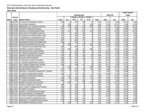*2017‐2018*

|      |                 |                                         |                  |                 |                   |                         |                 |                  |                  |            | <b>Pupil Teacher</b> |                    |
|------|-----------------|-----------------------------------------|------------------|-----------------|-------------------|-------------------------|-----------------|------------------|------------------|------------|----------------------|--------------------|
|      |                 |                                         |                  |                 |                   | <b>Membership</b>       |                 |                  | <b>Staff FTE</b> |            | Ratio                |                    |
|      | <b>District</b> |                                         |                  |                 | <b>Grades</b>     | <b>Grades</b>           | <b>Grades</b>   |                  |                  |            |                      |                    |
| Rank | Code            | <b>District Name</b>                    | Elem             | Sec             | <b>PK-6</b>       | $7 - 8$                 | $9 - 12$        | Total            | Elem             | <b>Sec</b> | Elem                 | <b>Sec</b>         |
|      | 38 28-0748      | <b>ST CECILIA CATHEDRAL SCHOOL</b>      | 333              | $\overline{0}$  | 277               | 56                      | $\Omega$        | 333              | 21.75            | 0.00       | 15.31                | 0.00               |
|      | 39 28-0716      | <b>DUCHESNE ACADEMY</b>                 | $\mathbf{0}$     | 329             | $\Omega$          | $\Omega$                | 329             | 329              | 0.00             | 25.47      | 0.00                 | 12.92              |
|      | 40 66-0701      | NEBRASKA CITY LOURDES CENTRAL           | $\overline{224}$ | 104             | $\frac{163}{ }$   | 61                      | 104             | 328              | 17.26            | 10.24      | 12.98                | 10.16              |
|      | 41 28-0780      | LIFEGATE CHRISTIAN SCHOOL               | 327              | $\Omega$        | 260               | 67                      | $\Omega$        | 327              | 22.10            | 0.00       | 14.80                | 0.00               |
|      | 42 55-0706      | LINCOLN LUTHERAN MS/SR HIGH             | 147              | 176             | 33                | 114                     | 176             | $\overline{323}$ | 8.74             | 12.09      | 16.82                | 14.56              |
|      | 43 28-0736      | OUR LADY OF LOURDES ELEM SCH            | $\overline{322}$ | $\overline{0}$  | $\overline{262}$  | 60                      | $\Omega$        | 322              | 15.70            | 0.00       | 20.51                | 0.00               |
|      | 44 55-0703      | CATHEDRAL OF RISEN CHRIST ELEM          | 312              | $\overline{0}$  | 245               | 67                      | $\mathbf 0$     | 312              | 24.33            | 0.00       | 12.82                | 0.00               |
|      | 45 77-0702      | <b>ST BERNADETTE ELEMENTARY SCH</b>     | 310              | $\overline{0}$  | 241               | 69                      | 0               | 310              | 16.20            | 0.00       | 19.14                | 0.00               |
|      | 46 59-0706      | CHRIST LUTHERAN ELEM SCHOOL             | 307              | $\overline{0}$  | 260               | 47                      | 0               | 307              | 20.36            | 0.00       | 15.08                | 0.00               |
|      | 47 27-0706      | <b>ARCHBISHOP BERGAN ELEMENTARY</b>     | 302              | $\mathsf{o}$    | 302               | $\mathbf 0$             | $\mathbf 0$     | 302              | 13.76            | 0.00       | 21.95                | 0.00               |
|      | 48 78-0702      | <b>BISHOP NEUMANN HIGH SCHOOL</b>       | 0                | 289             | $\mathbf 0$       | 87                      | 202             | 289              | 0.00             | 23.96      | 0.00                 | 12.06              |
|      | 49 78-0701      | ST WENCESLAUS ELEMENTARY SCH            | 283              | $\Omega$        | 283               | $\mathbf 0$             | $\Omega$        | 283              | 17.80            | 0.00       | 15.90                | 0.00               |
|      | 50 40-0701      | CENTRAL CATHOLIC SCHOOLS                | 113              | 166             | 38                | 75                      | 166             | 279              | 7.76             | 13.84      | 14.56                | 11.99              |
|      | 51 28-0759      | <b>STS PETER &amp; PAUL ELEM SCHOOL</b> | $\overline{279}$ | $\Omega$        | $\overline{223}$  | 56                      | $\Omega$        | 279              | 18.16            | 0.00       | 15.36                | 0.00               |
|      | 52 55-0716      | <b>ST TERESA ELEMENTARY SCHOOL</b>      | 271              | $\overline{0}$  | 200               | 71                      | $\Omega$        | 271              | 19.61            | 0.00       | 13.82                | 0.00               |
|      | 53 28-0767      | <b>OMAHA CHRISTIAN ACADEMY</b>          | 197              | $\overline{72}$ | $\frac{155}{155}$ | $\overline{42}$         | $\overline{72}$ | 269              | 13.27            | 6.12       | 14.85                | 11.76              |
|      | 54 55-0709      | <b>COLLEGE VIEW ACADEMY</b>             | 183              | $\overline{71}$ | $\frac{151}{151}$ | $\overline{32}$         | $\overline{71}$ | 254              | 10.50            | 7.05       | 17.43                | 10.07              |
|      | 55 55-0766      | ST MICHAEL CATHOLIC SCHOOL              | 250              | $\circ$         | 213               | $\overline{37}$         | $\Omega$        | 250              | 21.83            | 0.00       | 11.45                | 0.00               |
|      | 56 71-0704      | <b>ST ISIDORE ELEMENTARY SCHOOL</b>     | 249              | $\overline{0}$  | $\overline{249}$  | $\pmb{0}$               | $\mathbf 0$     | 249              | 15.53            | 0.00       | 16.03                | 0.00               |
|      | 57 28-0722      | <b>HOLY NAME ELEMENTARY SCHOOL</b>      | 239              | $\overline{0}$  | 198               | 41                      | $\Omega$        | 239              | 18.75            | 0.00       | 12.75                | 0.00               |
|      | 58 28-0733      | MT MICHAEL BENEDICTINE H S              | $\Omega$         | 238             | $\mathbf 0$       | $\mathbf 0$             | 238             | 238              | 0.00             | 22.30      | 0.00                 | 10.67              |
|      | 59 74-0702      | <b>SACRED HEART SCHOOLS</b>             | 132              | 98              | 132               | 42                      | 56              | 230              | 9.85             | 8.12       | 13.40                | 12.07              |
|      | 60 55-0702      | MESSIAH LUTHERAN ELEMENTARY SCHOOL      | 215              | $\overline{0}$  | 215               | $\Omega$                | $\Omega$        | 215              | 8.00             | 0.00       | 26.88                | 0.00               |
|      | 61 77-0701      | <b>ST MARY ELEMENTARY SCHOOL</b>        | 203              | $\overline{0}$  | 157               | 46                      | $\mathbf 0$     | 203              | 13.84            | 0.00       | 14.67                | 0.00               |
|      | 62 61-0701      | NEBRASKA CHRISTIAN SCHOOLS              | 51               | 147             | 51                | $\overline{36}$         | 111             | 198              | 3.17             | 11.61      | 16.09                | 12.66              |
|      | 63 71-0708      | <b>ST FRANCIS SCHOOLS</b>               | 106              | 90              | 106               | $\overline{27}$         | 63              | 196              | 9.05             | 10.50      | 11.71                | 8.57               |
|      | 64 80-0701      | <b>ST JOHN LUTHERAN SCHOOL</b>          | 189              | $\Omega$        | 145               | 44                      | $\Omega$        | 189              | 11.00            | 0.00       | 17.18                | 0.00               |
|      | 65 14-0702      | CEDAR CATHOLIC HIGH SCHOOL              | $\mathbf{0}$     | 188             | $\mathbf 0$       | 59                      | 129             | 188              | 0.00             | 14.91      | 0.00                 | 12.61              |
|      | 66 55-0764      | <b>CHRIST ELEMENTARY SCHOOL</b>         | 188              | $\overline{0}$  | 188               | $\mathbf 0$             | $\Omega$        | 188              | 9.20             | 0.00       | 20.43                | 0.00               |
|      | 67 14-0701      | <b>HOLY TRINITY ELEMENTARY SCHOOL</b>   | 184              | $\overline{0}$  | 184               | $\overline{\mathsf{o}}$ | $\mathbf 0$     | 184              | 10.50            | 0.00       | 17.52                | 0.00               |
|      | 68 45-0701      | <b>ST MARY'S SCHOOLS</b>                | $\frac{103}{ }$  | 77              | $\frac{103}{2}$   | 29                      | 48              | 180              | 9.88             | 8.29       | 10.43                | 9.29               |
|      | 69 40-0704      | TRINITY LUTHERAN ELEM SCHOOL            | 180              | $\overline{0}$  | 153               | $\overline{27}$         | $\mathbf 0$     | 180              | 9.88             | 0.00       | 18.22                | 0.00               |
|      | 70 28-0775      | INELSON MANDELA ELEMENTARY              | 179              | $\overline{0}$  | 179               | $\mathbf 0$             | $\Omega$        | 179              | 13.45            | 0.00       | 13.31                | 0.00               |
|      | 71 13-0701      | ST JOHN THE BAPTIST ELEMENTARY          | $\overline{178}$ | $\overline{0}$  | 151               | $\overline{27}$         | $\Omega$        | 178              | 12.90            | 0.00       | 13.80                | 0.00               |
|      | 72 10-0702      | <b>ZION LUTHERAN ELEMENTARY SCH</b>     | 178              | $\overline{0}$  | 168               | 10                      | $\Omega$        | 178              | 7.33             | 0.00       | 24.28                | 0.00               |
|      | 73 71-0701      | IMMANUEL LUTHERAN ELEM SCHOOL           | $\frac{173}{ }$  | $\overline{0}$  | 132               | 41                      | $\mathbf 0$     | 173              | 9.92             | 0.00       | 17.44                | 0.00               |
|      | 74 27-0701      | ARCHBISHOP BERGAN SCHOOL                | $\overline{0}$   | 168             | $\Omega$          | 66                      | 102             | 168              | 0.00             | 13.21      | 0.00                 | $\overline{12.72}$ |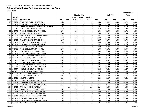*2017‐2018*

|      |                 |                                        |                  |                |                   |                   |               |                   |       |                  | <b>Pupil Teacher</b> |            |
|------|-----------------|----------------------------------------|------------------|----------------|-------------------|-------------------|---------------|-------------------|-------|------------------|----------------------|------------|
|      |                 |                                        |                  |                |                   | <b>Membership</b> |               |                   |       | <b>Staff FTE</b> | Ratio                |            |
|      | <b>District</b> |                                        |                  |                | <b>Grades</b>     | Grades            | <b>Grades</b> |                   |       |                  |                      |            |
| Rank | Code            | <b>District Name</b>                   | Elem             | <b>Sec</b>     | <b>PK-6</b>       | $7 - 8$           | $9 - 12$      | Total             | Elem  | <b>Sec</b>       | Elem                 | <b>Sec</b> |
|      | 75 71-0703      | <b>ST BONAVENTURE ELEM SCHOOL</b>      | 168              | $\mathbf{0}$   | 168               | $\mathbf 0$       | $\Omega$      | 168               | 11.41 | 0.00             | 14.72                | 0.00       |
|      | 76 22-0701      | <b>ST MICHAEL ELEMENTARY SCHOOL</b>    | 166              | $\overline{0}$ | 126               | 40                | $\Omega$      | 166               | 12.00 | 0.00             | 13.83                | 0.00       |
|      | 77 55-0701      | BLESSED SACRAMENT CATHOLIC ELEM SCHOOL | 161              | $\overline{0}$ | 120               | $\overline{41}$   | $\Omega$      | $\frac{161}{161}$ | 15.94 | 0.00             | 10.10                | 0.00       |
|      | 78 55-0715      | <b>ST PATRICK CATHOLIC SCHOOL</b>      | 159              | $\overline{0}$ | 136               | 23                | $\Omega$      | 159               | 12.45 | 0.00             | 12.77                | 0.00       |
|      | 79 28-0746      | <b>ST BERNARD ELEMENTARY SCHOOL</b>    | 159              | $\Omega$       | 135               | $\overline{24}$   | $\mathbf 0$   | 159               | 12.50 | 0.00             | 12.72                | 0.00       |
|      | 80 55-0708      | SACRED HEART ELEM SCHOOL               | 154              | $\overline{0}$ | 112               | 42                | 0             | 154               | 13.42 | 0.00             | 11.48                | 0.00       |
|      | 81 93-0701      | <b>EMMANUEL-FAITH LUTHERAN SCHOOL</b>  | 152              | $\overline{0}$ | 121               | $\overline{31}$   | $\Omega$      | 152               | 8.50  | 0.00             | 17.88                | 0.00       |
|      | 82 28-0709      | <b>ALL SAINTS CATHOLIC SCHOOL</b>      | 148              | $\overline{0}$ | 105               | 43                | $\mathbf 0$   | 148               | 12.00 | 0.00             | 12.33                | 0.00       |
|      | 83 55-0714      | <b>ST MARY'S ELEMENTARY SCHOOL</b>     | 147              | $\overline{0}$ | 116               | $\overline{31}$   | $\Omega$      | 147               | 10.70 | 0.00             | 13.74                | 0.00       |
|      | 84 73-0701      | <b>ST PATRICK'S ELEMENTARY SCHOOL</b>  | 143              | $\overline{0}$ | 110               | 33                | $\mathbf 0$   | 143               | 15.50 | 0.00             | 9.23                 | 0.00       |
|      | 85 93-0702      | ST JOSEPH'S ELEMENTARY SCHOOL          | 142              | $\overline{0}$ | 123               | 19                | $\Omega$      | 142               | 10.00 | 0.00             | 14.20                | 0.00       |
|      | 86 55-0755      | <b>PARKVIEW CHRISTIAN SCHOOLS</b>      | 72               | 68             | 72                | 18                | 50            | 140               | 6.32  | 8.54             | 11.39                | 7.96       |
|      | 87 07-0701      | <b>ST AGNES ELEMENTARY SCHOOL</b>      | 138              | $\circ$        | 108               | 30                | $\mathbf{0}$  | 138               | 11.01 | 0.00             | 12.53                | 0.00       |
|      | 88 59-0708      | <b>ST JOHN LUTHERAN ELEM SCHOOL</b>    | 134              | $\overline{0}$ | $\frac{112}{x}$   | $\overline{22}$   | $\mathbf 0$   | 134               | 9.00  | 0.00             | 14.89                | 0.00       |
|      | 89 34-0702      | ST PAUL'S LUTHERAN ELEM SCHOOL         | 134              | $\overline{0}$ | 134               | $\mathbf 0$       | $\mathbf 0$   | 134               | 7.25  | 0.00             | 18.48                | 0.00       |
|      | 90 20-0703      | <b>ST PAUL LUTHERAN ELEM SCHOOL</b>    | 133              | $\overline{0}$ | 110               | $\overline{23}$   | $\Omega$      | 133               | 9.60  | 0.00             | 13.85                | 0.00       |
|      | 91 27-0702      | TRINITY LUTHERAN ELEM SCHOOLS          | $\frac{132}{ }$  | $\overline{0}$ | $\frac{105}{105}$ | $\overline{27}$   | $\mathbf 0$   | 132               | 10.50 | 0.00             | 12.57                | 0.00       |
|      | 92 71-0702      | <b>ST ANTHONY ELEMENTARY SCHOOL</b>    | 132              | $\overline{0}$ | 132               | $\mathbf 0$       | $\mathbf 0$   | 132               | 8.51  | 0.00             | 15.51                | 0.00       |
|      | 93 28-0760      | <b>ST PHILIP NERI ELEM SCHOOL</b>      | $\overline{132}$ | $\overline{0}$ | $\frac{110}{1}$   | $\overline{22}$   | $\Omega$      | $\frac{132}{ }$   | 12.00 | 0.00             | 11.00                | 0.00       |
|      | 94 77-0706      | <b>ST MATTHEW THE EVANGELIST SCH</b>   | 128              | $\overline{0}$ | 109               | $\overline{19}$   | $\mathbf 0$   | 128               | 11.00 | 0.00             | 11.64                | 0.00       |
|      | 95 28-0741      | SACRED HEART ELEMENTARY SCHOOL         | 126              | $\overline{0}$ | 104               | $\overline{22}$   | $\mathbf 0$   | 126               | 15.00 | 0.00             | 8.40                 | 0.00       |
|      | 96 28-0707      | PHOENIX ACADEMY DAY SCHOOL             | 95               | 31             | 95                | 31                | 0             | 126               | 7.50  | 1.50             | 12.67                | 20.67      |
|      | 97 54-0702      | IST ROSE OF LIMA ELEM SCHOOL           | 125              | $\Omega$       | 107               | 18                | $\Omega$      | 125               | 8.00  | 0.00             | 15.63                | 0.00       |
|      | 98 93-0703      | NEBRASKA EV LUTHERAN SCHOOLS           | 29               | 95             | 21                | 8                 | 95            | 124               | 2.00  | 3.27             | 14.50                | 29.05      |
|      | 99 55-0728      | <b>FAITH LUTHERAN SCHOOL</b>           | $\frac{124}{x}$  | $\mathbf{0}$   | $\frac{124}{x}$   | $\mathbf 0$       | $\Omega$      | 124               | 8.47  | 0.00             | 14.64                | 0.00       |
|      | 100 28-0711     | <b>CHILDREN'S ROOM</b>                 | 123              | $\overline{0}$ | 123               | $\mathbf 0$       | 0             | 123               | 3.27  | 0.00             | 37.61                | 0.00       |
|      | 101 59-0707     | ST PAUL'S LUTHERAN ELEM SCHOOL         | 122              | $\overline{0}$ | 104               | 18                | $\Omega$      | 122               | 5.78  | 0.00             | 21.11                | 0.00       |
|      | 102 79-0702     | <b>ST AGNES ELEMENTARY SCHOOL</b>      | 118              | $\overline{0}$ | 118               | $\mathbf 0$       | 0             | 118               | 7.00  | 0.00             | 16.86                | 0.00       |
|      | 103 06-0701     | ST MICHAEL'S ELEMENTARY SCHOOL         | 115              | $\overline{0}$ | 84                | 31                | $\Omega$      | 115               | 9.65  | 0.00             | 11.92                | 0.00       |
|      | 104 59-0714     | LUTHERAN HIGH NORTHEAST                | $\mathbf{0}$     | 114            | $\overline{0}$    | $\mathbf 0$       | 114           | 114               | 0.00  | 8.63             | 0.00                 | 13.21      |
|      | 105 79-0705     | <b>COMMUNITY CHRISTIAN SCHOOLS</b>     | 107              | $\overline{0}$ | 107               | $\overline{0}$    | $\Omega$      | 107               | 7.00  | 0.00             | 15.29                | 0.00       |
|      | 106 28-0753     | <b>ST JOAN OF ARC ELEMENTARY SCH</b>   | 106              | $\overline{0}$ | 91                | 15                | $\mathbf 0$   | 106               | 10.01 | 0.00             | 10.59                | 0.00       |
|      | 107 70-0701     | <b>ZION LUTHERAN ELEMENTARY SCH</b>    | 101              | $\Omega$       | $\overline{90}$   | $\overline{11}$   | $\mathbf 0$   | 101               | 6.70  | 0.00             | 15.07                | 0.00       |
|      | 108 28-0719     | <b>GOOD SHEPHERD ELEMENTARY SCH</b>    | 99               | $\overline{0}$ | 82                | 17                | 0             | 99                | 6.00  | 0.00             | 16.50                | 0.00       |
|      | 109 34-0701     | ST JOSEPH ELEMENTARY SCHOOL            | $\overline{97}$  | $\overline{0}$ | $\overline{97}$   | $\mathbf 0$       | $\mathbf{0}$  | 97                | 6.10  | 0.00             | 15.90                | 0.00       |
|      | 110 87-0701     | <b>ST AUGUSTINE ELEMENTARY SCHOOL</b>  | 95               | $\overline{0}$ | 82                | 13                | $\mathbf 0$   | 95                | 8.50  | 0.00             | 11.18                | 0.00       |
|      | 111 71-0706     | <b>HOLY FAMILY SCHOOLS</b>             | 51               | 40             | 51                | 16                | 24            | 91                | 6.48  | 8.13             | 7.87                 | 4.92       |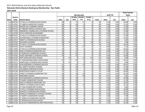*2017‐2018*

|      |                 |                                        |                 |                |                 |                         |                 |                 |                  | <b>Pupil Teacher</b> |       |            |
|------|-----------------|----------------------------------------|-----------------|----------------|-----------------|-------------------------|-----------------|-----------------|------------------|----------------------|-------|------------|
|      |                 |                                        |                 |                |                 | <b>Membership</b>       |                 |                 | <b>Staff FTE</b> |                      | Ratio |            |
|      | <b>District</b> |                                        |                 |                | <b>Grades</b>   | Grades                  | <b>Grades</b>   |                 |                  |                      |       |            |
| Rank | Code            | <b>District Name</b>                   | Elem            | <b>Sec</b>     | <b>PK-6</b>     | $7 - 8$                 | $9 - 12$        | Total           | Elem             | <b>Sec</b>           | Elem  | <b>Sec</b> |
|      | 112 80-0704     | IST PAUL'S LUTHERAN ELEM SCHOOL        | 90              | $\overline{0}$ | 73              | 17                      | $\Omega$        | 90              | 4.50             | 0.00                 | 20.00 | 0.00       |
|      | 113 76-0701     | <b>ST JAMES ELEMENTARY SCHOOL</b>      | 89              | οI             | 89              | $\Omega$                | $\mathbf{0}$    | 89              | 8.08             | 0.00                 | 11.01 | 0.00       |
|      | 114 55-0743     | <b>PRAIRIE HILL LEARNING CENTER</b>    | 85              | $\overline{0}$ | $\overline{74}$ | $\overline{11}$         | 0               | 85              | 5.00             | 0.00                 | 17.00 | 0.00       |
|      | 115 80-0710     | <b>ST VINCENT DEPAUL CATHOLIC SCH</b>  | 84              | $\overline{0}$ | 84              | 0                       | $\Omega$        | 84              | 6.50             | 0.00                 | 12.92 | 0.00       |
|      | 116 07-0705     | IMMANUEL EVANGELICAL LUTHERAN SCHOOL   | $\overline{83}$ | $\overline{0}$ | 83              | $\mathsf 0$             | $\mathbf{0}$    | $\overline{83}$ | 7.00             | 0.00                 | 11.86 | 0.00       |
|      | 117 10-0709     | <b>FAITH CHRISTIAN SCH/KEARNEY</b>     | $\overline{83}$ | $\overline{0}$ | 79              | $\overline{\mathbf{4}}$ | $\Omega$        | $\overline{83}$ | 6.85             | 0.00                 | 12.12 | 0.00       |
|      | 118 89-0701     | <b>ST PAUL'S LUTHERAN ELEM SCHOOL</b>  | 83              | $\overline{0}$ | $\overline{74}$ | $\overline{9}$          | $\Omega$        | 83              | 7.00             | 0.00                 | 11.86 | 0.00       |
|      | 119 28-0718     | <b>GETHSEMANE LUTHERAN ELEMENTARY</b>  | $\overline{82}$ | $\overline{0}$ | $\overline{58}$ | $\overline{24}$         | $\Omega$        | $\overline{82}$ | 5.25             | 0.00                 | 15.62 | 0.00       |
|      | 120 55-0717     | TRINITY LUTHERAN ELEM SCHOOL           | 81              | $\overline{0}$ | 81              | $\overline{0}$          | $\Omega$        | 81              | 8.21             | 0.00                 | 9.87  | 0.00       |
|      | 121 39-0702     | <b>SPALDING ACADEMY</b>                | 49              | 32             | 40              | $\overline{9}$          | 32              | 81              | 8.45             | 6.31                 | 5.80  | 5.07       |
| 122  | 48-0702         | ST PAUL'S LUTHERAN ELEM SCHOOL         | $\overline{78}$ | $\overline{0}$ | 78              | 0                       | $\Omega$        | $\overline{78}$ | 4.30             | 0.00                 | 18.14 | 0.00       |
|      | 123 28-0702     | <b>JESUIT ACADEMY</b>                  | 73              | $\Omega$       | 46              | 27                      | $\Omega$        | 73              | 8.00             | 0.00                 | 9.13  | 0.00       |
|      | 124 51-0702     | ST PAUL'S LUTHERAN ELEM SCHOOL         | 70              | $\overline{0}$ | 70              | $\pmb{0}$               | $\mathbf 0$     | $\overline{70}$ | 3.80             | 0.00                 | 18.42 | 0.00       |
|      | 125 01-0705     | <b>ZION LUTHERAN ELEMENTARY SCH</b>    | $\overline{70}$ | $\overline{0}$ | 67              | $\overline{3}$          | $\Omega$        | $\overline{70}$ | 6.00             | 0.00                 | 11.67 | 0.00       |
|      | 126 02-0701     | <b>ST BONIFACE ELEMENTARY SCHOOL</b>   | 69              | $\overline{0}$ | 69              | $\mathbf 0$             | $\Omega$        | 69              | 6.17             | 0.00                 | 11.18 | 0.00       |
|      | 127 55-0762     | GOOD SHEPHERD LUTHERAN SCHOOL          | $\overline{64}$ | $\overline{0}$ | 62              | $\overline{2}$          | $\Omega$        | 64              | 4.00             | 0.00                 | 16.00 | 0.00       |
|      | 128 02-0702     | POPE JOHN XXIII HIGH SCHOOL            | $\Omega$        | 62             | $\mathbf 0$     | $\overline{19}$         | 43              | 62              | 0.00             | 8.01                 | 0.00  | 7.74       |
|      | 129 78-0703     | <b>IST JOHN NEPOMUCENE ELEM SCHOOL</b> | 62              | $\Omega$       | 62              | $\Omega$                | $\Omega$        | 62              | 5.90             | 0.00                 | 10.51 | 0.00       |
|      | 130 40-0711     | <b>HEARTLAND LUTHERAN HIGH SCHOOL</b>  | $\mathbf 0$     | 61             | $\mathbf 0$     | $\mathbf 0$             | $\overline{61}$ | 61              | 0.00             | 6.15                 | 0.00  | 9.92       |
|      | 131 56-0701     | OUR REDEEMER LUTHERAN ELEM SCH         | 61              | $\overline{0}$ | 47              | $\overline{14}$         | $\Omega$        | 61              | 1.54             | 0.00                 | 39.61 | 0.00       |
|      | 132 69-0705     | ALL SAINTS CATHOLIC SCHOOL             | 60              | $\overline{0}$ | 60              | $\mathbf 0$             | $\Omega$        | 60              | 4.48             | 0.00                 | 13.39 | 0.00       |
|      | 133 71-0712     | <b>COLUMBUS CHRISTIAN SCHOOL</b>       | 59              | $\overline{0}$ | $\overline{52}$ | $\overline{7}$          | 0               | 59              | 5.00             | 0.00                 | 11.80 | 0.00       |
|      | 134 28-0790     | MONTESSORI PARENT'S CO-OP              | 57              | $\overline{0}$ | 57              | $\mathbf 0$             | $\Omega$        | 57              | 2.00             | 0.00                 | 28.50 | 0.00       |
|      | 135 01-0701     | <b>CHRIST LUTHERAN ELEMENTARY SCH</b>  | $\overline{56}$ | $\overline{0}$ | 46              | 10                      | $\mathbf{0}$    | 56              | 5.31             | 0.00                 | 10.55 | 0.00       |
|      | 136 28-0725     | MADONNA SCHOOL                         | $\overline{56}$ | οI             | $\overline{27}$ | $\overline{29}$         | $\Omega$        | 56              | 8.21             | 0.00                 | 6.82  | 0.00       |
|      | 137 80-0703     | OUR REDEEMER LUTHERAN ELEM SCH         | 56              | $\Omega$       | 50              | 6                       | 0               | 56              | 3.50             | 0.00                 | 16.00 | 0.00       |
|      | 138 70-0705     | <b>ST MARY ELEMENTARY SCHOOL</b>       | 55              | $\overline{0}$ | 50              | $\overline{5}$          | $\Omega$        | $\overline{55}$ | 4.87             | 0.00                 | 11.29 | 0.00       |
|      | 139 16-0701     | <b>ZION LUTHERAN ELEMENTARY SCH</b>    | 54              | $\overline{0}$ | 53              | $\mathbf{1}$            | $\Omega$        | 54              | 3.25             | 0.00                 | 16.62 | 0.00       |
|      | 140 59-0703     | <b>TRINITY LUTHERAN ELEM SCHOOL</b>    | 53              | $\overline{0}$ | 40              | 13                      | $\Omega$        | 53              | 3.60             | 0.00                 | 14.72 | 0.00       |
|      | 141 51-0701     | <b>ST LUKE ELEMENTARY SCHOOL</b>       | 53              | $\overline{0}$ | $\overline{53}$ | $\mathbf 0$             | $\Omega$        | $\overline{53}$ | 6.00             | 0.00                 | 8.83  | 0.00       |
|      | 142 28-0757     | <b>ST PAUL LUTHERAN ELEM SCHOOL</b>    | 53              | $\overline{0}$ | 46              | $\overline{7}$          | $\Omega$        | $\overline{53}$ | 5.00             | 0.00                 | 10.60 | 0.00       |
|      | 143 85-0703     | <b>DESHLER LUTHERAN ELEM SCHOOL</b>    | 49              | $\overline{0}$ | 42              | $\overline{7}$          | $\Omega$        | 49              | 4.75             | 0.00                 | 10.32 | 0.00       |
|      | 144 19-0704     | HOWELLS COMMUNITY CATHOLIC SCHOOL      | 49              | $\overline{0}$ | 49              | $\overline{0}$          | $\mathbf{0}$    | 49              | 4.60             | 0.00                 | 10.65 | 0.00       |
|      | 145 88-0701     | <b>ST MARY'S ELEMENTARY SCHOOL</b>     | 45              | $\overline{0}$ | $\overline{45}$ | $\mathbf 0$             | $\Omega$        | $\overline{45}$ | 4.60             | 0.00                 | 9.78  | 0.00       |
|      | 146 45-0703     | <b>ST JOSEPH'S ELEMENTARY SCHOOL</b>   | 44              | $\Omega$       | 38              | 6                       | $\Omega$        | 44              | 5.27             | 0.00                 | 8.35  | 0.00       |
|      | 147 27-0704     | <b>ST WENCESLAUS ELEM SCHOOL</b>       | 44              | $\overline{0}$ | 44              | $\overline{0}$          | 0               | 44              | 3.99             | 0.00                 | 11.03 | 0.00       |
|      | 148 28-0766     | ALLELUIA! KINDERGARTEN AND PRESCHOOLS  | 44              | $\Omega$       | 44              | $\mathsf 0$             | $\Omega$        | 44              | 2.70             | 0.00                 | 16.30 | 0.00       |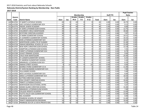*2017‐2018*

|      |                 |                                       |                 |                 |                 |                         |               |                 |                  |            | <b>Pupil Teacher</b> |            |
|------|-----------------|---------------------------------------|-----------------|-----------------|-----------------|-------------------------|---------------|-----------------|------------------|------------|----------------------|------------|
|      |                 |                                       |                 |                 |                 | <b>Membership</b>       |               |                 | <b>Staff FTE</b> |            | Ratio                |            |
|      | <b>District</b> |                                       |                 |                 | <b>Grades</b>   | <b>Grades</b>           | <b>Grades</b> |                 |                  |            |                      |            |
| Rank | Code            | <b>District Name</b>                  | Elem            | <b>Sec</b>      | <b>PK-6</b>     | $7 - 8$                 | $9 - 12$      | Total           | Elem             | <b>Sec</b> | Elem                 | <b>Sec</b> |
|      | 149 90-0702     | IST MARY'S CATHOLIC SCHOOL            | 43              | $\overline{0}$  | 43              | $\overline{0}$          | 0             | 43              | 4.00             | 0.00       | 10.75                | 0.00       |
|      | 150 14-0704     | <b>EAST CATHOLIC ELEMENTARY SCH</b>   | 41              | οI              | 41              | $\Omega$                | $\Omega$      | 41              | 4.50             | 0.00       | 9.11                 | 0.00       |
|      | 151 28-0776     | <b>FRIEDEL JEWISH ACADEMY</b>         | 40              | $\overline{0}$  | 40              | $\mathbf 0$             | $\Omega$      | 40              | 5.00             | 0.00       | 8.00                 | 0.00       |
|      | 152 71-0710     | <b>IST JOHN LUTHERAN ELEM SCHOOL</b>  | 39              | $\overline{0}$  | 35              | $\overline{4}$          | $\Omega$      | 39              | 3.06             | 0.00       | 12.75                | 0.00       |
|      | 153 55-0745     | <b>CHILDREN'S CIRCLE MONTESSORI</b>   | 39              | $\overline{0}$  | 39              | 0                       | 0             | 39              | 1.00             | 0.00       | 39.00                | 0.00       |
|      | 154 59-0712     | <b>KEYSTONE CHRISTIAN ACADEMY</b>     | $\overline{30}$ | $\overline{7}$  | $\overline{30}$ | $\overline{7}$          | $\Omega$      | $\overline{37}$ | 3.81             | 0.86       | 7.87                 | 8.14       |
|      | 155 55-0713     | <b>ST MARK ELEMENTARY SCHOOL</b>      | $\overline{35}$ | $\overline{0}$  | $\overline{31}$ | $\overline{\mathbf{4}}$ | $\Omega$      | $\overline{35}$ | 3.33             | 0.00       | 10.51                | 0.00       |
|      | 156 59-0702     | <b>ST LEONARD'S ELEMENTARY SCHOOL</b> | $\overline{32}$ | $\overline{0}$  | $\overline{32}$ | $\overline{0}$          | $\Omega$      | $\overline{32}$ | 3.10             | 0.00       | 10.32                | 0.00       |
|      | 157 70-0702     | <b>ZION LUTHERAN ELEMENTARY SCH</b>   | $\overline{32}$ | $\overline{0}$  | $\overline{32}$ | $\mathbf 0$             | $\Omega$      | $\overline{32}$ | 3.00             | 0.00       | 10.67                | 0.00       |
|      | 158 28-0737     | MONTESSORI LEARN CTR OF DUNDEE        | $\overline{31}$ | $\Omega$        | $\overline{31}$ | $\mathbf 0$             | $\Omega$      | 31              | 1.00             | 0.00       | 31.00                | 0.00       |
|      | 159 28-0728     | OMAHA MEMORIAL SCHOOL OF S D A        | 30              | $\overline{0}$  | 28              | $\overline{2}$          | 0             | 30              | 2.00             | 0.00       | 15.00                | 0.00       |
|      | 160 40-0707     | INEW HOPE CHRISTIAN ELEM SCHOOL       | 29              | $\overline{0}$  | 28              | $\mathbf 1$             | $\Omega$      | 29              | 2.20             | 0.00       | 13.18                | 0.00       |
|      | 161 41-0702     | HAMPTON LUTHERAN ELEM SCHOOL          | 29              | $\overline{0}$  | 29              | $\overline{0}$          | $\mathbf{0}$  | 29              | 4.00             | 0.00       | 7.25                 | 0.00       |
|      | 162 71-0711     | CHRIST LUTHERAN ELEMENTARY SCH        | $\overline{27}$ | $\overline{0}$  | $\overline{22}$ | $\overline{5}$          | $\Omega$      | $\overline{27}$ | 3.07             | 0.00       | 8.79                 | 0.00       |
|      | 163 28-0768     | <b>LEGACY PRIMARY SCHOOL</b>          | 27              | $\overline{0}$  | 27              | $\mathbf 0$             | $\Omega$      | 27              | 3.00             | 0.00       | 9.00                 | 0.00       |
|      | 164 55-0754     | <b>CHILD VIEW MONTESSORI</b>          | $\overline{25}$ | $\overline{0}$  | $\overline{25}$ | $\mathbf 0$             | $\mathbf{0}$  | $\overline{25}$ | 1.00             | 0.00       | 25.00                | 0.00       |
|      | 165 54-0701     | <b>ST LUDGER ELEMENTARY SCHOOL</b>    | $\overline{25}$ | $\overline{0}$  | $\overline{25}$ | $\mathbf 0$             | $\Omega$      | $\overline{25}$ | 3.89             | 0.00       | 6.43                 | 0.00       |
|      | 166 49-0702     | <b>ST ANDREW ELEMENTARY SCHOOL</b>    | $\overline{22}$ | $\Omega$        | $\overline{22}$ | $\overline{0}$          | $\Omega$      | 22              | 4.00             | 0.00       | 5.50                 | 0.00       |
|      | 167 70-0703     | IMMANUEL LUTHERAN ELEM SCH            | $\overline{22}$ | $\overline{0}$  | $\overline{19}$ | $\overline{3}$          | $\Omega$      | $\overline{22}$ | 3.50             | 0.00       | 6.29                 | 0.00       |
|      | 168 28-0796     | <b>OMAHA STREET SCHOOL</b>            | $\pmb{0}$       | $\overline{22}$ | $\mathbf 0$     | $\overline{0}$          | 22            | $\overline{22}$ | 0.00             | 4.55       | 0.00                 | 4.84       |
|      | 169 55-0711     | <b>GEORGE STONE ELEMENTARY S D A</b>  | 22              | $\overline{0}$  | 18              | $\overline{\mathbf{4}}$ | $\Omega$      | 22              | 2.00             | 0.00       | 11.00                | 0.00       |
|      | 170 19-0703     | <b>ST JOHN NEUMANN ELEMENTARY SCH</b> | $\overline{21}$ | $\overline{0}$  | $\overline{21}$ | $\overline{0}$          | $\Omega$      | $\overline{21}$ | 3.00             | 0.00       | 7.00                 | 0.00       |
|      | 171 55-0720     | <b>VILLA MARIE SCHOOL</b>             | 21              | $\overline{0}$  | 15              | 6                       | $\Omega$      | 21              | 3.70             | 0.00       | 5.68                 | 0.00       |
|      | 172 14-0703     | <b>WEST CATHOLIC ELEMENTARY SCH</b>   | $\overline{21}$ | $\overline{0}$  | $\overline{21}$ | $\overline{0}$          | $\mathbf 0$   | $\overline{21}$ | 3.50             | 0.00       | 6.00                 | 0.00       |
|      | 173 30-0701     | <b>GRACE LUTHERAN ELEMENTARY SCH</b>  | $\overline{21}$ | $\overline{0}$  | $\overline{19}$ | $\overline{2}$          | $\Omega$      | $\overline{21}$ | 2.00             | 0.00       | 10.50                | 0.00       |
|      | 174 18-0701     | <b>SUTTON CHRISTIAN SCHOOL</b>        | 19              | $\overline{0}$  | $\overline{19}$ | $\mathbf 0$             | 0             | 19              | 3.60             | 0.00       | 5.28                 | 0.00       |
|      | 175 72-0701     | POLK COUNTY CHRISTIAN SCHOOL          | 19              | $\overline{0}$  | 13              | 6                       | $\Omega$      | 19              | 1.00             | 0.00       | 19.00                | 0.00       |
|      | 176 90-0701     | <b>TRINITY LUTHERAN SCHOOLS</b>       | $\overline{19}$ | $\overline{0}$  | $\overline{18}$ | $\mathbf{1}$            | $\Omega$      | $\overline{19}$ | 2.00             | 0.00       | 9.50                 | 0.00       |
|      | 177 28-0731     | MONTESSORI EDUCATIONAL CNTRS          | 17              | $\overline{0}$  | 17              | $\Omega$                | $\Omega$      | 17              | 3.00             | 0.00       | 5.67                 | 0.00       |
|      | 178 40-0708     | <b> GRAND ISLAND CHRISTIAN SCHOOL</b> | 15              | $\overline{0}$  | 15              | $\overline{0}$          | $\mathbf 0$   | 15              | 1.00             | 0.00       | 15.00                | 0.00       |
|      | 179 41-0701     | IMMANUEL LUTHERAN ELEM SCHOOL         | 14              | $\overline{0}$  | $\overline{12}$ | $\overline{2}$          | $\Omega$      | $\overline{14}$ | 2.00             | 0.00       | 7.00                 | 0.00       |
|      | 180 23-0705     | <b>COLLEGE HEIGHTS ACADEMY</b>        | 13              | $\overline{0}$  | $\overline{13}$ | $\mathbf 0$             | 0             | 13              | 1.00             | 0.00       | 13.00                | 0.00       |
| 181  | 40-0705         | IPLATTE VALLEY SDA ELEMENTARY SCHOOL  | 13              | $\overline{0}$  | $\overline{11}$ | $\overline{2}$          | $\Omega$      | 13              | 1.00             | 0.00       | 13.00                | 0.00       |
| 182  | 77-0721         | <b>NGL ACADEMY</b>                    | $\mathbf 0$     | 12              | $\mathbf 0$     | 0                       | 12            | $\overline{12}$ | 0.00             | 2.15       | 0.00                 | 5.58       |
|      | 183 28-0744     | PRIMROSE SCHOOL OF LEGACY             | 11              | $\overline{0}$  | 11              | $\mathbf 0$             | $\mathbf{0}$  | 11              | 1.00             | 0.00       | 11.00                | 0.00       |
|      | 184 55-0734     | TRINITY KINDERGARTEN PROGRAM          | 10              | $\overline{0}$  | $\overline{10}$ | $\pmb{0}$               | 0             | $\overline{10}$ | 1.00             | 0.00       | 10.00                | 0.00       |
|      | 185 77-0720     | IPRIMROSE SCH OF LA VISTA-PRIVATE KDG | 10              | $\Omega$        | 10              | 0                       | $\Omega$      | 10              | 3.00             | 0.00       | 3.33                 | 0.00       |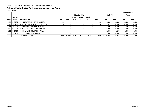|        |                 |                                          |                                          |            |                 |                   |          |        |                   |            | <b>Pupil Teacher</b> |       |
|--------|-----------------|------------------------------------------|------------------------------------------|------------|-----------------|-------------------|----------|--------|-------------------|------------|----------------------|-------|
|        |                 |                                          |                                          |            |                 | <b>Membership</b> |          |        | <b>Staff FTE</b>  |            | Ratio                |       |
|        | <b>District</b> |                                          | Grades<br><b>Grades</b><br><b>Grades</b> |            |                 |                   |          |        |                   |            |                      |       |
| l Rank | Code            | <b>District Name</b>                     | Elem                                     | <b>Sec</b> | <b>PK-6</b>     | 7-8               | $9 - 12$ | Total  | Elem              | <b>Sec</b> | Elem                 | Sec   |
|        |                 | 186 23-0704 TRUNK BUTTE CHRISTIAN SCHOOL | 10I                                      |            | 10 <sub>l</sub> |                   |          | 10I    | 1.00              | 0.00       | 10.00                | 0.00  |
|        | 187 28-0782     | LA BELLA VITA MONTESSORI SCHOOL, LLC     | 10 <sub>l</sub>                          |            | 10 <sub>l</sub> |                   |          | 10I    | 2.02              | 0.00       | 4.95                 | 0.00  |
|        | 188 79-0703     | <b>IVALLEY VIEW SDA CHRISITAN SCH</b>    |                                          |            |                 |                   |          |        | 1.00I             | 0.00       | 8.00                 | 0.00  |
|        | 189 76-0703     | <b>IZION LUTHERAN ELEMENTARY SCH</b>     |                                          |            |                 |                   |          |        | 1.00              | 0.00       | 4.00                 | 0.00  |
|        | 190 55-0759     | <b>IBERNIKLAU ED SOLUTIONS TEAM</b>      |                                          |            |                 |                   |          |        | 0.00 <sub>l</sub> | 4.25       | 0.00                 | 0.94  |
|        | 191 23-0701     | <b>IPRAIRIE VIEW S D A SCHOOL</b>        |                                          |            |                 |                   |          |        | 1.00 <sub>l</sub> | 0.00       | 2.00                 | 0.00  |
|        |                 | <b>ISTATEWIDE TOTALS</b>                 | 27.540                                   | 10.299     | 23.045          | 5.473             | 9.321    | 37.839 | 1.776.52          | 775.08     | 15.50                | 13.29 |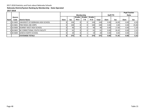### **Nebraska District/System Ranking by Membership ‐ State Operated**

|             |                 |                                    |      |           |               |                   |          |           |                   |            | <b>Pupil Teacher</b> |            |
|-------------|-----------------|------------------------------------|------|-----------|---------------|-------------------|----------|-----------|-------------------|------------|----------------------|------------|
|             |                 |                                    |      |           |               | <b>Membership</b> |          |           | <b>Staff FTE</b>  |            | Ratio                |            |
|             | <b>District</b> |                                    |      |           | <b>Grades</b> | <b>Grades</b>     | Grades   |           |                   |            |                      |            |
| <b>Rank</b> | Code            | <b>District Name</b>               | Elem | Sec       | <b>PK-6</b>   | 7-8               | $9 - 12$ | Total     | Elem              | <b>Sec</b> | Elem                 | <b>Sec</b> |
|             | 155-0605        | UNIVERSITY OF NEBRASKA HIGH SCHOOL |      | 104       |               |                   | 104      | 104       | 0.001             | 16.00      | 0.00                 | 6.50       |
|             | 2 23-0601       | <b>IPINE RIDGE JOB CORPS</b>       |      | 100       |               |                   | 100      | 100       | 0.00 <sub>l</sub> | 4.00       | 0.00                 | 25.00      |
|             | 3110-0600       | <b>IKEARNEY WEST HIGH SCHOOL</b>   |      | 90        |               |                   | 90I      | 90 l      | 0.00 <sub>l</sub> | 17.00      | 0.00                 | 5.29       |
|             | 4 28-0602       | INE CORRECTIONAL YOUTH FACILITY    |      | 61        |               |                   | 61       | 61        | 0.001             | 26.45      | 0.00                 | 2.31       |
|             | 5 30-0600       | <b>IGENEVA NORTH SCHOOL</b>        |      | <b>20</b> |               |                   | 19 l     | <b>20</b> | 0.00 <sub>l</sub> | 8.00       | 0.00                 | 2.50       |
|             |                 | <b>ISTATEWIDE TOTALS</b>           | 01   | 375I      | 01            |                   | 374      | 375I      | 0.001             | 71.45      | 0.00                 | 5.25       |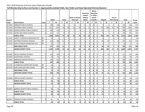|                 |                                     |                          |       |              |                |                |                         | <b>Black or African</b> |                | American<br>Indian/<br>Alaskan |                | <b>Native</b><br>Hawaiian<br>or Other<br><b>Pacific</b> |                |                         |                | Two or            |       |                |       |
|-----------------|-------------------------------------|--------------------------|-------|--------------|----------------|----------------|-------------------------|-------------------------|----------------|--------------------------------|----------------|---------------------------------------------------------|----------------|-------------------------|----------------|-------------------|-------|----------------|-------|
| <b>District</b> |                                     |                          | White |              | Asian          |                |                         | American                |                | <b>Native</b>                  |                | Islander                                                |                | <b>Hispanic</b>         |                | <b>More Races</b> |       | Total          | Grand |
| Code            | <b>District Name</b>                | Class                    | F.    | M            | F              | M              | F                       | M                       | F              | M                              | F              | M                                                       | F              | M                       | F              | М                 | F     | M              | Total |
| 01-0003         | <b>KENESAW PUBLIC SCHOOLS</b>       | 3                        | 130   | 128          | $\Omega$       | $\mathbf{1}$   | $\Omega$                | $\Omega$                | $\Omega$       | $\Omega$                       | $\overline{0}$ | $\mathbf{1}$                                            | 5              | 5 <sup>1</sup>          | $\mathbf 0$    | $\mathbf{1}$      | 135   | 136            | 271   |
| 01-0018         | <b>HASTINGS PUBLIC SCHOOLS</b>      | 3                        | 1257  | 1410         | 19             | 24             | 36                      | 38                      | 11             | 13                             | $\overline{2}$ | 5 <sub>l</sub>                                          | 413            | 408                     | 46             | 58                | 1784  | 1956           | 3740  |
| 01-0090         | <b>ADAMS CENTRAL PUBLIC SCHOOLS</b> | 3                        | 460   | 412          | 3              | $\mathbf{1}$   | 5                       | 4                       | $\overline{2}$ | 3                              | $\overline{0}$ | $\overline{0}$                                          | 12             | 11                      | $\overline{4}$ | $\overline{4}$    | 486   | 435            | 921   |
| 01-0123         | SILVER LAKE PUBLIC SCHOOLS          | 3                        | 121   | 117          | $\overline{0}$ | $\Omega$       | $\mathbf{1}$            |                         | $\Omega$       | 0                              | $\Omega$       | $\Omega$                                                | 8              | $\overline{7}$          | $\mathbf 0$    | $\Omega$          | 130   | 125            | 255   |
|                 | <b>PUBLIC TOTAL</b>                 |                          | 1,968 | 2,067        | 22             | 26             | 42                      | 43                      | 13             | 16                             | 2              | 6                                                       | 438            | 431                     | 50             | 63                | 2,535 | 2,652          | 5,187 |
| 01-0701         | CHRIST LUTHERAN ELEMENTARY SCH      | <b>NP</b>                | 54    | $\Omega$     | $\Omega$       | $\mathbf{1}$   | $\Omega$                | $\Omega$                | $\Omega$       | $\Omega$                       | $\Omega$       | $\Omega$                                                | $\Omega$       | $\mathbf{1}$            | $\Omega$       | $\Omega$          | 54    | $\overline{2}$ | 56    |
| 01-0702         | <b>HASTINGS CATHOLIC SCHOOLS</b>    | <b>NP</b>                | 195   | 186          | 21             | 6              | $\mathbf 0$             | $\Omega$                | $\overline{0}$ | 0                              | $\overline{0}$ | $\overline{0}$                                          | 30             | 28                      | 6              | $\overline{2}$    | 252   | 222            | 474   |
| 01-0705         | ZION LUTHERAN ELEMENTARY SCH        | <b>NP</b>                | 22    | 37           | $\Omega$       | $\overline{0}$ | $\mathbf 0$             | $\Omega$                | $\overline{0}$ | 0                              | $\overline{0}$ | $\Omega$                                                | $\Omega$       | 3                       | $\mathbf{1}$   |                   | 23    | 47             | 70    |
|                 | <b>NON PUBLIC TOTAL</b>             |                          | 271   | 223          | 21             | $\overline{7}$ | $\mathbf{0}$            | $\mathbf{0}$            | $\mathbf{0}$   | $\mathbf{0}$                   | οI             | $\mathbf{0}$                                            | 30             | 32                      | $\overline{7}$ | 9                 | 329   | 271            | 600   |
|                 | <b>ADAMS COUNTY TOTAL</b>           |                          | 2,239 | 2,290        | 43             | 33             | 42                      | 43                      | 13             | 16                             | $\overline{2}$ | 6 <sup>1</sup>                                          | 468            | 463                     | 57             | 72                | 2,864 | 2,923          | 5,787 |
|                 |                                     |                          |       |              |                |                |                         |                         |                |                                |                |                                                         |                |                         |                |                   |       |                |       |
| 02-0009         | NELIGH-OAKDALE SCHOOLS              | 3                        | 159   | 194          | $\overline{0}$ | 0              | $\mathbf{1}$            | $\overline{2}$          | $\overline{0}$ | 0                              | οI             | $\Omega$                                                | 9              | 13                      | $\overline{2}$ | 3                 | 171   | 212            | 383   |
| 02-0018         | <b>ELGIN PUBLIC SCHOOLS</b>         | 3                        | 78    | 82           | $\overline{0}$ | $\mathbf 0$    | $\mathbf 0$             | $\Omega$                | $\overline{0}$ | $\mathbf 0$                    | $\overline{0}$ | $\Omega$                                                | 6              | 3                       | $\pmb{0}$      | -1                | 84    | 86             | 170   |
| 02-2001         | NEBRASKA UNIFIED DISTRICT 1         | 3                        | 160   | 222          | $\overline{0}$ | $\mathbf 0$    | $\overline{2}$          | $\overline{2}$          | 9              | 4                              | $\mathbf{1}$   | $\Omega$                                                | 22             | 15                      | 6              | 5                 | 200   | 248            | 448   |
|                 | <b>PUBLIC TOTAL</b>                 |                          | 397   | 498          | $\mathbf{0}$   | $\mathbf 0$    | $\overline{\mathbf{3}}$ | 4                       | 9 <sub>l</sub> | 4                              | $\mathbf{1}$   | $\mathbf{0}$                                            | 37             | 31                      | 8              | 9 <sub>l</sub>    | 455   | 546            | 1,001 |
| 02-0701         | ST BONIFACE ELEMENTARY SCHOOL       | NP                       | 33    | $\mathbf{1}$ | $\overline{0}$ | $\mathbf 0$    | $\mathbf 0$             | $\Omega$                | $\overline{0}$ | $\Omega$                       | $\overline{0}$ | 33                                                      | $\mathbf 0$    | $\mathbf 0$             | $\overline{2}$ | $\overline{0}$    | 35    | 34             | 69    |
| 02-0702         | POPE JOHN XXIII HIGH SCHOOL         | <b>NP</b>                | 39    | 20           | 1              | $\mathbf 0$    | $\mathbf 0$             | $\Omega$                | $\overline{0}$ | $\overline{0}$                 | οI             | $\Omega$                                                | $\mathbf 0$    | $\overline{0}$          | $\overline{2}$ | $\overline{0}$    | 42    | 20             | 62    |
|                 | <b>NON PUBLIC TOTAL</b>             |                          | 72    | 21           | $\mathbf 1$    | $\mathbf{0}$   | $\mathbf 0$             | $\mathbf{0}$            | οl             | 0                              | 0              | 33                                                      | $\mathbf 0$    | $\mathbf 0$             | 4              | <sub>0</sub>      | 77    | 54             | 131   |
|                 | <b>ANTELOPE COUNTY TOTAL</b>        |                          | 469   | 519          | $\mathbf{1}$   | $\mathbf{0}$   | $\overline{\mathbf{3}}$ | Δ                       | 9 <sub>l</sub> | 4                              | -1             | 33                                                      | 37             | 31                      | 12             | q                 | 532   | 600            | 1,132 |
|                 |                                     |                          |       |              |                |                |                         |                         |                |                                |                |                                                         |                |                         |                |                   |       |                |       |
| 03-0500         | <b>ARTHUR COUNTY SCHOOLS</b>        | $\overline{\phantom{a}}$ | 51    | 60           | $\overline{0}$ | $\mathbf 0$    | $\mathbf 0$             | 0                       | $\overline{0}$ | 0                              | $\mathbf{0}$   | 0                                                       | $\mathbf 0$    | $\overline{0}$          | 0              | 0                 | 51    | 60             | 111   |
|                 | <b>PUBLIC TOTAL</b>                 |                          | 51    | 60           | $\mathbf{0}$   | $\mathbf 0$    | $\mathbf 0$             | 0                       | οI             | 0                              | 0              | $\mathbf{0}$                                            | $\mathbf 0$    | $\mathbf{0}$            | $\mathbf{0}$   | $\Omega$          | 51    | 60             | 111   |
|                 | <b>ARTHUR COUNTY TOTAL</b>          |                          | 51    | 60           | $\mathbf{0}$   | $\mathbf 0$    | $\mathbf 0$             | $\Omega$                | οl             | $\pmb{0}$                      | 0              | $\mathbf{0}$                                            | $\mathbf 0$    | $\mathbf{0}$            | $\mathbf{0}$   | $\Omega$          | 51    | 60             | 111   |
|                 |                                     |                          |       |              |                |                |                         |                         |                |                                |                |                                                         |                |                         |                |                   |       |                |       |
| 04-0001         | <b>BANNER COUNTY PUBLIC SCHOOLS</b> | 3                        | 66    | 62           | $\overline{0}$ | $\mathbf 0$    |                         |                         | $\Omega$       |                                | $\Omega$       | $\Omega$                                                | 12             | 7                       | $\Omega$       | $\Omega$          | 79    | 71             | 150   |
|                 | <b>PUBLIC TOTAL</b>                 |                          | 66    | 62           | 0              | $\mathbf{0}$   | $\mathbf{1}$            |                         | $\mathbf{0}$   | $\mathbf{1}$                   | 0              | $\mathbf{0}$                                            | 12             | $\overline{ }$          | 0              | 0                 | 79    | 71             | 150   |
|                 | <b>BANNER COUNTY TOTAL</b>          |                          | 66    | 62           | 0              | 0              | $\mathbf{1}$            | $\mathbf{1}$            | οI             | 1                              | 0              | $\mathbf{0}$                                            | 12             | $\overline{\mathbf{z}}$ | $\mathbf{0}$   | οI                | 79    | 71             | 150   |
|                 |                                     |                          |       |              |                |                |                         |                         |                |                                |                |                                                         |                |                         |                |                   |       |                |       |
| 05-0071         | <b>SANDHILLS PUBLIC SCHOOLS</b>     | 3                        | 42    | 44           | 0              | $\mathbf 0$    | $\mathbf 0$             | 0                       | 0              | 0                              | 0              | 0                                                       | $\overline{2}$ | $\overline{2}$          | 0              | 0                 | 44    | 46             | 90    |
|                 | <b>PUBLIC TOTAL</b>                 |                          | 42    | 44           | οl             | 0              | 0                       | 0                       | οl             | οl                             | οI             | $\mathbf{0}$                                            | $\overline{2}$ | $\overline{2}$          | $\mathbf{0}$   | οl                | 44    | 46             | 90    |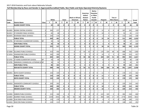|                 |                                     |              |       |      |                |                |                         | <b>Black or African</b> | American<br>Indian/ | Alaskan                 |                | <b>Native</b><br>Hawaiian<br>or Other<br><b>Pacific</b> |                         |                 |                | Two or            |      |       |              |
|-----------------|-------------------------------------|--------------|-------|------|----------------|----------------|-------------------------|-------------------------|---------------------|-------------------------|----------------|---------------------------------------------------------|-------------------------|-----------------|----------------|-------------------|------|-------|--------------|
| <b>District</b> |                                     |              | White |      | Asian          |                |                         | American                |                     | <b>Native</b>           |                | Islander                                                |                         | <b>Hispanic</b> |                | <b>More Races</b> |      | Total | Grand        |
| Code            | <b>District Name</b>                | <b>Class</b> | F     | М    | F              | M              | F.                      | M                       | F                   | M                       | F.             | M                                                       | F                       | M               | F.             | M                 | F    | М     | <b>Total</b> |
|                 | <b>BLAINE COUNTY TOTAL</b>          |              | 42    | 44   | $\mathbf 0$    | $\mathbf{0}$   | $\mathbf 0$             | $\mathbf{0}$            | $\mathbf{0}$        | 0                       | $\mathbf{0}$   | οl                                                      | $\overline{2}$          | $\overline{2}$  | 0              | 0                 | 44   | 46    | 90           |
|                 |                                     |              |       |      |                |                |                         |                         |                     |                         |                |                                                         |                         |                 |                |                   |      |       |              |
| 06-0001         | <b>BOONE CENTRAL SCHOOLS</b>        | 3            | 283   | 277  | 5              |                | 2                       | 3                       | 5                   | $\overline{2}$          | 0              | $\overline{0}$                                          | 12                      | $\overline{9}$  | 0              | $\overline{0}$    | 307  | 292   | 599          |
| 06-0017         | <b>ST EDWARD PUBLIC SCHOOLS</b>     | 3            | 82    | 68   | $\pmb{0}$      | $\overline{3}$ | $\Omega$                |                         | $\Omega$            | $\Omega$                | $\mathbf 0$    | $\Omega$                                                | 10                      | $\overline{9}$  | $\Omega$       | $\Omega$          | 92   | 81    | 173          |
| 06-0075         | <b>RIVERSIDE PUBLIC SCHOOLS</b>     | 3            | 104   | 116  | $\pmb{0}$      | $\mathbf 0$    | $\mathbf 0$             | $\Omega$                | $\Omega$            | 0                       | $\mathbf 0$    | $\Omega$                                                | $\overline{\mathbf{3}}$ | $6 \mid$        | 5              | 4                 | 112  | 126   | 238          |
|                 | <b>PUBLIC TOTAL</b>                 |              | 469   | 461  | 5              | 4              | $\overline{2}$          | Δ                       | 5                   | $\mathbf{2}$            | $\mathbf 0$    | οI                                                      | 25                      | 24              | 5              | $\overline{4}$    | 511  | 499   | 1,010        |
| 06-0701         | ST MICHAEL'S ELEMENTARY SCHOOL      | <b>NP</b>    | 56    | 56   | $\pmb{0}$      | $\mathbf 0$    | $\mathbf{1}$            |                         | 0                   | 0                       | 0              | οI                                                      | $\mathbf{1}$            | $\overline{0}$  | 0              | $\mathbf{0}$      | 58   | 57    | 115          |
|                 | <b>NON PUBLIC TOTAL</b>             |              | 56    | 56   | $\pmb{0}$      | $\mathbf 0$    | $\mathbf{1}$            | 1                       | $\mathbf{0}$        | $\mathbf 0$             | $\mathbf{0}$   | οI                                                      | $\mathbf{1}$            | $\mathbf{0}$    | 0              | 0l                | 58   | 57    | 115          |
|                 | <b>BOONE COUNTY TOTAL</b>           |              | 525   | 517  | 5              | 4              | $\overline{\mathbf{3}}$ | 5                       | 5                   | $\mathbf{2}$            | $\mathbf{0}$   | Οl                                                      | 26                      | 24              | 5              | 4                 | 569  | 556   | 1,125        |
|                 |                                     |              |       |      |                |                |                         |                         |                     |                         |                |                                                         |                         |                 |                |                   |      |       |              |
| 07-0006         | ALLIANCE PUBLIC SCHOOLS             | 3            | 419   | 456  | 4              | 3              | $\overline{4}$          | 6                       | 43                  | 41                      | $\mathbf 0$    | $1\overline{ }$                                         | 170                     | 154             | 48             | 41                | 688  | 702   | 1390         |
| 07-0010         | <b>HEMINGFORD PUBLIC SCHOOLS</b>    |              | 183   | 209  | $\mathbf{1}$   | $\mathbf 0$    | $\mathbf 0$             | $\overline{2}$          | 3                   | 5                       | 0              | $\Omega$                                                | 14                      |                 | 3              | $\overline{2}$    | 204  | 223   | 427          |
|                 | <b>PUBLIC TOTAL</b>                 |              | 602   | 665  | 5              | 3              | 4                       | 8                       | 46                  | 46                      | $\mathbf{0}$   | 1                                                       | 184                     | 159             | 51             | 43                | 892  | 925   | 1,817        |
| 07-0701         | <b>ST AGNES ELEMENTARY SCHOOL</b>   | <b>NP</b>    | 50    | 69   | $\mathbf 0$    | 1              | $\mathbf 0$             | -1                      | $\overline{2}$      | 1                       | $\mathbf 0$    | $\overline{0}$                                          | 6                       | 8               | 0              | $\overline{0}$    | 58   | 80    | 138          |
| 07-0705         | IMMANUEL EVANGELICAL LUTHERAN SCINP |              | 36    | 32   | $\mathbf 0$    | $\mathbf 0$    | $\mathbf 0$             | $\Omega$                | 2                   | 4                       | $\Omega$       | $\Omega$                                                | 0                       |                 | 3              | 5                 | 41   | 42    | 83           |
|                 | <b>NON PUBLIC TOTAL</b>             |              | 86    | 101  | $\mathbf 0$    | $\mathbf{1}$   | $\mathbf 0$             | 1                       | 4                   | 5                       | 0              | 0                                                       | 6                       | 9 <sub>l</sub>  | 3              | 5 <sup>1</sup>    | 99   | 122   | 221          |
|                 | <b>BOX BUTTE COUNTY TOTAL</b>       |              | 688   | 766  | 5 <sup>1</sup> | 4              | 4                       | 9                       | 50                  | 51                      | $\mathbf{0}$   | $\mathbf{1}$                                            | 190                     | 168             | 54             | 48                | 991  | 1,047 | 2,038        |
|                 |                                     |              |       |      |                |                |                         |                         |                     |                         |                |                                                         |                         |                 |                |                   |      |       |              |
| 08-0051         | <b>BOYD COUNTY SCHOOLS</b>          | 3            | 154   | 159  | $\Omega$       | $\Omega$       | $\Omega$                | $\Omega$                | $\overline{2}$      | $\overline{2}$          | $\Omega$       | $\Omega$                                                | 11                      | $\overline{7}$  | 3              | 4                 | 170  | 172   | 342          |
|                 | <b>PUBLIC TOTAL</b>                 |              | 154   | 159  | $\mathbf 0$    | $\mathbf{0}$   | $\mathbf 0$             | $\mathbf{0}$            | $\overline{2}$      | 2                       | $\mathbf{0}$   | Οl                                                      | 11                      | $\overline{7}$  | 3              | $\overline{4}$    | 170  | 172   | 342          |
|                 | <b>BOYD COUNTY TOTAL</b>            |              | 154   | 159  | οI             | $\mathbf{0}$   | $\mathbf{0}$            | $\mathbf 0$             | $\overline{2}$      | $\overline{2}$          | $\mathbf{0}$   | οI                                                      | 11                      | $\overline{7}$  | 3              | $\overline{4}$    | 170  | 172   | 342          |
|                 |                                     |              |       |      |                |                |                         |                         |                     |                         |                |                                                         |                         |                 |                |                   |      |       |              |
| 09-0010         | AINSWORTH COMMUNITY SCHOOLS         | 3            | 209   | 202  | $\mathbf 0$    | 0              | $\mathbf{1}$            | $\Omega$                |                     | 5                       | $\Omega$       | $\overline{0}$                                          | 10                      | $\overline{7}$  | 4              | οI                | 229  | 214   | 443          |
|                 | <b>PUBLIC TOTAL</b>                 |              | 209   | 202  | $\mathbf 0$    | $\mathbf 0$    | $\mathbf{1}$            | $\mathbf 0$             | 5                   | 5                       | $\mathbf 0$    | οI                                                      | 10                      | $\overline{7}$  | 4              | 0                 | 229  | 214   | 443          |
|                 | <b>BROWN COUNTY TOTAL</b>           |              | 209   | 202  | $\pmb{0}$      | $\mathbf 0$    | $\mathbf{1}$            | 0                       | 5                   | 5                       | $\mathbf 0$    | οI                                                      | 10                      | $\overline{7}$  | 4              | 0                 | 229  | 214   | 443          |
|                 |                                     |              |       |      |                |                |                         |                         |                     |                         |                |                                                         |                         |                 |                |                   |      |       |              |
| 10-0002         | <b>GIBBON PUBLIC SCHOOLS</b>        | 3            | 153   | 166  | $\mathbf 0$    | $\mathbf 0$    | 3                       | 4                       | 2                   | 0                       | $\mathbf 0$    | $\overline{0}$                                          | 122                     | 145             | $\overline{2}$ | 3                 | 282  | 318   | 600          |
| 10-0007         | <b>KEARNEY PUBLIC SCHOOLS</b>       | 3            | 2239  | 2432 | 26             | 46             | 65                      | 69                      | 21                  | 22                      | $\overline{2}$ | 5                                                       | 406                     | 428             | 17             | 37                | 2776 | 3039  | 5815         |
| 10-0009         | <b>ELM CREEK PUBLIC SCHOOLS</b>     | 3            | 176   | 179  | $\overline{2}$ | 1              | $\overline{2}$          | $\mathbf 0$             | $\mathbf{O}$        | 0                       | $\mathbf 0$    | $\overline{0}$                                          | 4                       |                 | 0              | 4                 | 184  | 189   | 373          |
| 10-0019         | <b>SHELTON PUBLIC SCHOOLS</b>       | 3            | 124   | 111  | $\mathbf 0$    | $\mathbf 0$    | 3                       | $\mathbf{1}$            | $\Omega$            | $\overline{\mathbf{c}}$ | $\mathbf 0$    | $\Omega$                                                | 21                      | 29              | 0              | $\mathbf{1}$      | 148  | 144   | 292          |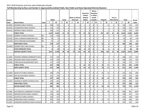|                 |                                   |                         |          |       |                         |                         |                         | <b>Black or African</b> | Indian/          | American<br>Alaskan |                | <b>Native</b><br>Hawaiian<br>or Other<br><b>Pacific</b> |                |                 |                         | Two or                   |                |       |       |
|-----------------|-----------------------------------|-------------------------|----------|-------|-------------------------|-------------------------|-------------------------|-------------------------|------------------|---------------------|----------------|---------------------------------------------------------|----------------|-----------------|-------------------------|--------------------------|----------------|-------|-------|
| <b>District</b> |                                   |                         | White    |       | Asian                   |                         |                         | American                |                  | <b>Native</b>       |                | Islander                                                |                | <b>Hispanic</b> |                         | <b>More Races</b>        | Total          |       | Grand |
| Code            | <b>District Name</b>              | Class                   | F.       | М     | F                       | М                       | F.                      | М                       | F                | М                   | F              | М                                                       | F.             | M               | F                       | M                        | F              | М     | Total |
| 10-0069         | RAVENNA PUBLIC SCHOOLS            | 3                       | 200      | 216   | $\overline{3}$          | $\overline{4}$          | $\overline{2}$          | $\Delta$                | $1\vert$         | $\overline{2}$      | $\overline{0}$ | $\Omega$                                                | $\overline{7}$ | 11              | 3                       | $\overline{0}$           | 216            | 237   | 453   |
| 10-0105         | PLEASANTON PUBLIC SCHOOLS         | 3                       | 133      | 140   | $\overline{0}$          | 1                       | $\mathbf 0$             | $\Omega$                | $\overline{0}$   | 0                   | $\Omega$       | $\overline{0}$                                          | $\overline{3}$ |                 | $\mathbf 0$             | 1                        | 136            | 143   | 279   |
| 10-0119         | <b>AMHERST PUBLIC SCHOOLS</b>     | $\overline{2}$          | 168      | 211   | $\overline{0}$          | $\pmb{0}$               | $\Omega$                | $\mathbf{1}$            | $\Omega$         | 0                   | $\overline{0}$ | $\overline{0}$                                          | $\overline{a}$ | 8               | 0                       | $\Omega$                 | 172            | 220   | 392   |
|                 | <b>PUBLIC TOTAL</b>               |                         | 3,193    | 3,455 | 31                      | 52                      | 75                      | 79                      | 24               | 26                  | $\overline{2}$ | 5                                                       | 567            | 627             | 22                      | 46                       | 3,914          | 4,290 | 8,204 |
| 10-0701         | <b>KEARNEY CATHOLIC SCHOOLS</b>   | <b>NP</b>               | 162      | 166   | $\overline{2}$          | $\overline{2}$          | $\Omega$                | $\mathcal{P}$           | $\Omega$         | $\Omega$            | $\mathbf{1}$   | $\mathbf{1}$                                            | 6              | $\overline{2}$  | $\Omega$                | $\Omega$                 | 171            | 173   | 344   |
| 10-0702         | ZION LUTHERAN ELEMENTARY SCH      | <b>NP</b>               | 79       | 74    | $\mathbf 1$             | $\overline{2}$          | $\mathbf{1}$            | $\Omega$                | 2 <sub>l</sub>   | 3                   | $\mathbf{1}$   | $\Omega$                                                | 8              | $\overline{7}$  | $\Omega$                | $\Omega$                 | 92             | 86    | 178   |
| 10-0709         | FAITH CHRISTIAN SCH/KEARNEY       | <b>NP</b>               | 37       | 37    | $\mathbf 2$             | $\overline{2}$          | $\overline{2}$          |                         | $\Omega$         | 0                   | $\Omega$       | $\Omega$                                                | $\overline{2}$ | $\Omega$        | $\Omega$                | $\Omega$                 | 43             | 40    | 83    |
|                 | <b>NON PUBLIC TOTAL</b>           |                         | 278      | 277   | 5                       | 6                       | $\overline{\mathbf{3}}$ | $\overline{\mathbf{3}}$ | 2                | 3                   | 2              | 1                                                       | 16             | 9               | $\mathbf 0$             | $\mathbf{0}$             | 306            | 299   | 605   |
| 10-0600         | <b>KEARNEY WEST HIGH SCHOOL</b>   | SO                      | $\Omega$ | 28    | $\overline{0}$          | 1                       | $\mathbf 0$             | 33                      | $\overline{0}$   | 17                  | $\overline{0}$ | -1                                                      | $\mathbf 0$    | 6               | 0                       | 4                        | $\overline{0}$ | 90    | 90    |
|                 | <b>STATE OPERATED TOTAL</b>       |                         | 0        | 28    | $\mathbf{0}$            | $\mathbf{1}$            | $\mathbf 0$             | 33                      | 0                | 17                  | $\mathbf{0}$   | 1                                                       | $\mathbf 0$    | 6               | $\mathbf 0$             | $\overline{4}$           | $\mathbf 0$    | 90    | 90    |
|                 | <b>BUFFALO COUNTY TOTAL</b>       |                         | 3,471    | 3,760 | 36                      | 59                      | 78                      | 115                     | 26               | 46                  | $\overline{4}$ | $\overline{\mathbf{z}}$                                 | 583            | 642             | 22                      | 50                       | 4,220          | 4,679 | 8,899 |
|                 |                                   |                         |          |       |                         |                         |                         |                         |                  |                     |                |                                                         |                |                 |                         |                          |                |       |       |
| 11-0001         | TEKAMAH-HERMAN COMMUNITY SCHS     | 3                       | 257      | 264   | 4                       | 0                       | 3                       | 0                       | $\overline{2}$   | 0                   | 0I             | $\overline{0}$                                          | 2              |                 | 0                       | 5                        | 268            | 273   | 541   |
| 11-0014         | OAKLAND CRAIG PUBLIC SCHOOLS      | 3                       | 193      | 204   | $\overline{3}$          | $\overline{2}$          | 1                       | 5                       | $6 \overline{6}$ | 6                   | $\overline{0}$ | $\overline{0}$                                          | 6              | 8               | $\mathbf 0$             | $\overline{0}$           | 209            | 225   | 434   |
| 11-0020         | LYONS-DECATUR NORTHEAST SCHS      | 3                       | 117      | 120   | $\overline{0}$          | 1                       | 1                       |                         | 7 <sup>1</sup>   | 8                   | 1              | $\overline{2}$                                          | 8              | 5               | $\Omega$                | $\Omega$                 | 134            | 137   | 271   |
|                 | <b>PUBLIC TOTAL</b>               |                         | 567      | 588   | $\overline{\mathbf{z}}$ | 3                       | 5                       | 6                       | 15               | 14                  | $\mathbf{1}$   | $\overline{2}$                                          | 16             | 17              | 0                       | 5                        | 611            | 635   | 1,246 |
|                 | <b>BURT COUNTY TOTAL</b>          |                         | 567      | 588   | $\overline{z}$          | $\overline{\mathbf{3}}$ | 5 <sup>1</sup>          | 6                       | 15               | 14                  | 1              | $\overline{2}$                                          | 16             | 17              | $\mathbf{0}$            | 5 <sup>1</sup>           | 611            | 635   | 1,246 |
| 12-0056         | DAVID CITY PUBLIC SCHOOLS         | 3                       | 296      | 276   | 3                       | 1                       | 2                       | $\Omega$                | $\mathbf{1}$     | $\overline{2}$      | $\overline{0}$ | $\Omega$                                                | 26             | 35              | 3                       | 4                        | 331            | 318   | 649   |
| 12-0502         | <b>EAST BUTLER PUBLIC SCHOOLS</b> | 3                       | 141      | 156   | $\overline{0}$          | $\mathbf 0$             | $\mathbf 0$             | $\Omega$                | $\overline{0}$   | 0                   | $\Omega$       | $\Omega$                                                | $\overline{a}$ | $\overline{2}$  | $\mathbf 0$             | 3                        | 145            | 161   | 306   |
|                 | <b>PUBLIC TOTAL</b>               |                         | 437      | 432   | $\overline{\mathbf{3}}$ | $\mathbf{1}$            | $\overline{2}$          | $\mathbf{0}$            | $\mathbf{1}$     | $\overline{2}$      | 0              | $\mathbf{0}$                                            | 30             | 37              | $\overline{\mathbf{3}}$ | $\overline{7}$           | 476            | 479   | 955   |
| 12-0701         | AQUINAS ST MARYS CATHOLIC SCHS    | <b>NP</b>               | 244      | 261   | $\overline{0}$          | $\mathbf{1}$            | $\Omega$                | $\Omega$                | $\Omega$         | $\Omega$            | $\Omega$       | $\Omega$                                                | 3              | $6 \mid$        | $\Omega$                | $\Omega$                 | 247            | 268   | 515   |
|                 | <b>NON PUBLIC TOTAL</b>           |                         | 244      | 261   | $\mathbf{0}$            | 1                       | $\mathbf 0$             | 0                       | οI               | $\mathbf{0}$        | 0              | $\mathbf{0}$                                            | 3              | $6 \mid$        | 0                       | 0                        | 247            | 268   | 515   |
|                 | <b>BUTLER COUNTY TOTAL</b>        |                         | 681      | 693   | $\mathbf{3}$            | $\overline{2}$          | $\mathbf{2}$            | $\mathbf{0}$            | $\mathbf{1}$     | $\mathbf{2}$        | οI             | $\mathbf{0}$                                            | 33             | 43              | 3                       | $\overline{\phantom{a}}$ | 723            | 747   | 1,470 |
|                 |                                   |                         |          |       |                         |                         |                         |                         |                  |                     |                |                                                         |                |                 |                         |                          |                |       |       |
| 13-0001         | PLATTSMOUTH COMMUNITY SCHOOLS     | $\overline{\mathbf{3}}$ | 741      | 807   | 9                       | 6                       | $\overline{7}$          | 15                      | $\overline{4}$   | 8                   | $\mathbf{1}$   | $\overline{0}$                                          | 31             | 46              | 11                      | $\overline{9}$           | 804            | 891   | 1695  |
| 13-0022         | WEEPING WATER PUBLIC SCHOOLS      | $\mathsf{3}$            | 144      | 160   | $\mathbf{1}$            | $\mathbf 0$             | $\mathbf{1}$            | $\mathbf 0$             | $\overline{0}$   | 1                   | $\overline{0}$ |                                                         | $\overline{2}$ | $\overline{2}$  | $\mathbf 0$             | 3 <sup>1</sup>           | 148            | 167   | 315   |
| 13-0032         | LOUISVILLE PUBLIC SCHOOLS         | 3                       | 292      | 327   | $\overline{3}$          | $\mathbf 0$             | 8                       | 10                      | $\overline{2}$   | 3                   | 1              | $\overline{2}$                                          | $\overline{7}$ | 7               | $\overline{2}$          | $\overline{0}$           | 315            | 349   | 664   |
| 13-0056         | <b>CONESTOGA PUBLIC SCHOOLS</b>   | 3                       | 287      | 355   | $\overline{0}$          | $\mathbf 0$             | $\overline{4}$          | 9                       | $\overline{5}$   | 4                   | $\overline{0}$ | $\overline{2}$                                          | 19             | 15              | 4                       | 1                        | 319            | 386   | 705   |
| 13-0097         | ELMWOOD-MURDOCK PUBLIC SCHOOLS    | 3                       | 221      | 219   | $\overline{2}$          | $\mathbf{1}$            | $\overline{2}$          |                         | $\Omega$         | $\mathbf{1}$        | -1             | 0                                                       | $\Delta$       | 6               | $\overline{2}$          | $\Omega$                 | 232            | 229   | 461   |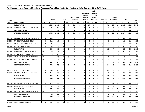|                         |                                       |                | White |       | Asian          |                |                  | <b>Black or African</b><br>American | Indian/        | American<br>Alaskan<br><b>Native</b> |                         | <b>Native</b><br>Hawaiian<br>or Other<br>Pacific<br>Islander |                | <b>Hispanic</b> | <b>More Races</b>       | Two or         |       | Total |                |
|-------------------------|---------------------------------------|----------------|-------|-------|----------------|----------------|------------------|-------------------------------------|----------------|--------------------------------------|-------------------------|--------------------------------------------------------------|----------------|-----------------|-------------------------|----------------|-------|-------|----------------|
| <b>District</b><br>Code | <b>District Name</b>                  | Class          | F     | М     | F              | М              | F.               | М                                   | F.             | М                                    | F                       | М                                                            | F.             | М               | F                       | М              | F     | М     | Grand<br>Total |
|                         | <b>PUBLIC TOTAL</b>                   |                | 1,685 | 1,868 | 15             | $\overline{7}$ | 22               | 36                                  | 11             | 17                                   | 3                       | 5 <sup>1</sup>                                               | 63             | 76              | 19                      | 13             | 1,818 | 2,022 | 3,840          |
| 13-0701                 | ST JOHN THE BAPTIST ELEMENTARY        | <b>NP</b>      | 71    | 99    | $\overline{0}$ | $\overline{0}$ | $\mathbf 0$      | -1                                  | $\overline{0}$ | 1                                    | $\mathbf 0$             | $\Omega$                                                     | 3              |                 | $\overline{2}$          | $\overline{0}$ | 76    | 102   | 178            |
|                         | <b>NON PUBLIC TOTAL</b>               |                | 71    | 99    | $\mathbf{0}$   | $\mathbf 0$    | $\mathbf 0$      | 1                                   | 0              | 1                                    | $\mathbf{0}$            | $\mathbf{0}$                                                 | 3              | -1              | $\overline{\mathbf{2}}$ | $\mathbf{0}$   | 76    | 102   | 178            |
|                         | <b>CASS COUNTY TOTAL</b>              |                | 1,756 | 1,967 | 15             | $\overline{ }$ | 22               | 37                                  | 11             | 18                                   | $\overline{\mathbf{3}}$ | 51                                                           | 66             | 77              | 21                      | 13             | 1,894 | 2,124 | 4,018          |
|                         |                                       |                |       |       |                |                |                  |                                     |                |                                      |                         |                                                              |                |                 |                         |                |       |       |                |
| 14-0008                 | HARTINGTON NEWCASTLE PUBLIC SCHO      | $\overline{3}$ | 163   | 173   | $\overline{0}$ | 0              | $\mathbf 0$      | 1                                   | $\overline{0}$ | 0                                    | 0                       | $\Omega$                                                     | 6              | 10              | 0                       | $\overline{0}$ | 169   | 184   | 353            |
| 14-0045                 | RANDOLPH PUBLIC SCHOOLS               | 3              | 111   | 117   | $\overline{0}$ | 1              | $\mathbf 0$      |                                     | $\overline{0}$ | 0                                    | 0                       | $\overline{0}$                                               | 3              | $\overline{2}$  | $\overline{2}$          | $\overline{2}$ | 116   | 123   | 239            |
| 14-0054                 | LAUREL-CONCORD-COLERIDGE SCHOOL       | $\overline{3}$ | 226   | 222   | $\overline{0}$ | $\mathbf 0$    | $\overline{4}$   | $\mathbf{1}$                        | $\mathbf{1}$   | 4                                    | $\mathbf 0$             | $\Omega$                                                     | 10             | 10              | 5                       | $\overline{2}$ | 246   | 239   | 485            |
| 14-0101                 | <b>WYNOT PUBLIC SCHOOLS</b>           | 3              | 89    | 96    | $\overline{0}$ | $\mathbf 0$    | $\mathbf 0$      | $\mathbf 0$                         | $\overline{0}$ | 0                                    | $\mathbf 0$             | $\overline{0}$                                               | $\mathbf 0$    | 1               | $\mathbf 0$             | $\Omega$       | 89    | 97    | 186            |
|                         | <b>PUBLIC TOTAL</b>                   |                | 589   | 608   | 0              | $\mathbf{1}$   | $\overline{4}$   | 3                                   | $\mathbf{1}$   | 4                                    | $\mathbf{0}$            | $\mathbf{0}$                                                 | 19             | 23              | 7                       | 4              | 620   | 643   | 1,263          |
| 14-0701                 | <b>HOLY TRINITY ELEMENTARY SCHOOL</b> | <b>NP</b>      | 69    | 115   | $\overline{0}$ | $\mathbf 0$    | $\mathbf 0$      | $\mathbf 0$                         | $\overline{0}$ | 0                                    | $\mathbf 0$             | $\overline{0}$                                               | $\mathbf 0$    | $\mathbf 0$     | $\pmb{0}$               | $\mathbf 0$    | 69    | 115   | 184            |
| 14-0702                 | CEDAR CATHOLIC HIGH SCHOOL            | <b>NP</b>      | 73    | 109   | $\overline{0}$ | $\mathbf 0$    | $\overline{2}$   | $\Omega$                            | $\mathbf{1}$   | 1                                    | $\mathbf 0$             |                                                              | $\mathbf 0$    |                 | $\mathbf 0$             | $\Omega$       | 76    | 112   | 188            |
| 14-0703                 | WEST CATHOLIC ELEMENTARY SCH          | <b>NP</b>      | 5     | 15    | $\overline{0}$ | $\mathbf 0$    | $\Omega$         | $\Omega$                            | $\Omega$       | $\Omega$                             | $\Omega$                | $\overline{0}$                                               | $\mathbf 0$    | $\Omega$        | $\mathbf{1}$            | $\Omega$       | 6     | 15    | 21             |
| 14-0704                 | <b>EAST CATHOLIC ELEMENTARY SCH</b>   | <b>NP</b>      | 15    | 26    | $\overline{0}$ | $\mathbf 0$    | $\mathbf 0$      | $\mathbf 0$                         | $\overline{0}$ | 0                                    | 0                       | $\Omega$                                                     | $\mathbf 0$    | $\mathbf 0$     | $\mathbf 0$             | $\Omega$       | 15    | 26    | 41             |
|                         | <b>NON PUBLIC TOTAL</b>               |                | 162   | 265   | $\mathbf{0}$   | $\mathbf 0$    | $\overline{2}$   | $\mathbf 0$                         | 1              | 1                                    | 0                       | $\mathbf{1}$                                                 | $\mathbf 0$    |                 | 1                       | $\mathbf{0}$   | 166   | 268   | 434            |
|                         | <b>CEDAR COUNTY TOTAL</b>             |                | 751   | 873   | $\mathbf{0}$   | $\mathbf{1}$   | $6 \overline{6}$ | $\overline{\mathbf{3}}$             | $\overline{2}$ | 5                                    | $\mathbf{0}$            | $\mathbf{1}$                                                 | 19             | 24              | 8                       | $\overline{4}$ | 786   | 911   | 1,697          |
|                         |                                       |                |       |       |                |                |                  |                                     |                |                                      |                         |                                                              |                |                 |                         |                |       |       |                |
| 15-0010                 | <b>CHASE COUNTY SCHOOLS</b>           | 3              | 243   | 243   | $\overline{0}$ | $\overline{2}$ | $\mathbf 0$      |                                     | $\overline{0}$ | 1                                    | 0                       | $\overline{0}$                                               | 75             | 80              | $\mathbf 0$             | $\mathbf 0$    | 318   | 327   | 645            |
| 15-0536                 | WAUNETA-PALISADE PUBLIC SCHS          | 3              | 112   | 119   | $\overline{0}$ | $\mathbf 0$    | $\mathbf{1}$     |                                     | $\overline{0}$ | 0                                    | $\mathbf 0$             | $\Omega$                                                     | 15             | 8               | $\mathbf 0$             | $\mathbf{1}$   | 128   | 129   | 257            |
|                         | <b>PUBLIC TOTAL</b>                   |                | 355   | 362   | $\mathbf{0}$   | $\overline{2}$ | $1\overline{ }$  | $\overline{2}$                      | οI             | 1                                    | $\mathbf{0}$            | $\mathbf{0}$                                                 | 90             | 88              | $\mathbf 0$             | 1              | 446   | 456   | 902            |
|                         | <b>CHASE COUNTY TOTAL</b>             |                | 355   | 362   | οI             | $\overline{2}$ | $1\overline{1}$  | $\overline{2}$                      | οI             | $\mathbf{1}$                         | $\mathbf{0}$            | $\mathbf{0}$                                                 | 90             | 88              | 0                       | 1              | 446   | 456   | 902            |
|                         |                                       |                |       |       |                |                |                  |                                     |                |                                      |                         |                                                              |                |                 |                         |                |       |       |                |
| 16-0006                 | VALENTINE COMMUNITY SCHOOLS           | 3              | 215   | 234   | $\mathbf{1}$   | 0              | 1                | $\mathbf 0$                         | 23             | 18                                   | 0                       | $\overline{0}$                                               | 12             | 12              | 25                      | 31             | 277   | 295   | 572            |
| 16-0030                 | CODY-KILGORE PUBLIC SCHS              | $\mathfrak{p}$ | 69    | 76    | $\overline{0}$ | $\mathbf 0$    | 1                |                                     | $\overline{9}$ | $\overline{7}$                       | $\mathbf 0$             | $\Omega$                                                     | $\overline{7}$ | 6               | $\mathbf{1}$            | $\mathbf{1}$   | 87    | 91    | 178            |
|                         | <b>PUBLIC TOTAL</b>                   |                | 284   | 310   | $\mathbf{1}$   | $\mathbf 0$    | $\overline{2}$   | 1                                   | 32             | 25                                   | $\mathbf{0}$            | $\mathbf{0}$                                                 | 19             | 18              | 26                      | 32             | 364   | 386   | 750            |
| 16-0701                 | ZION LUTHERAN ELEMENTARY SCH          | <b>NP</b>      | 18    | 32    | $\overline{0}$ | $\mathbf 0$    | $\mathbf 0$      | $\Omega$                            | $\mathbf{1}$   | 3                                    | 0                       | $\Omega$                                                     | $\mathbf 0$    | $\Omega$        | $\mathbf 0$             | $\overline{0}$ | 19    | 35    | 54             |
|                         | <b>NON PUBLIC TOTAL</b>               |                | 18    | 32    | $\mathbf{0}$   | $\mathbf 0$    | $\mathbf 0$      | $\mathbf{0}$                        | $\mathbf{1}$   | 3                                    | $\mathbf{0}$            | $\mathbf{0}$                                                 | $\mathbf 0$    | $\mathbf{0}$    | 0                       | $\mathbf{0}$   | 19    | 35    | 54             |
|                         | <b>CHERRY COUNTY TOTAL</b>            |                | 302   | 342   | $\mathbf{1}$   | $\mathbf 0$    | $\overline{2}$   |                                     | 33             | 28                                   | $\mathbf{0}$            | $\mathbf{0}$                                                 | 19             | 18              | 26                      | 32             | 383   | 421   | 804            |
|                         |                                       |                |       |       |                |                |                  |                                     |                |                                      |                         |                                                              |                |                 |                         |                |       |       |                |
| 17-0001                 | <b>SIDNEY PUBLIC SCHOOLS</b>          | 3              | 545   | 591   | 12             | 18             | $\overline{2}$   | $\overline{7}$                      | $\overline{2}$ | 0                                    | $\mathbf 0$             | $\overline{0}$                                               | 51             | 76              | 11                      | 17             | 623   | 709   | 1332           |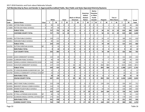|                         |                                      |                         | White |     | Asian          |                |                | <b>Black or African</b><br>American | American<br>Indian/<br>Alaskan<br><b>Native</b> |                |                          | <b>Native</b><br>Hawaiian<br>or Other<br>Pacific<br>Islander |                         | <b>Hispanic</b> |                | Two or<br><b>More Races</b> |       | Total |                |
|-------------------------|--------------------------------------|-------------------------|-------|-----|----------------|----------------|----------------|-------------------------------------|-------------------------------------------------|----------------|--------------------------|--------------------------------------------------------------|-------------------------|-----------------|----------------|-----------------------------|-------|-------|----------------|
| <b>District</b><br>Code | <b>District Name</b>                 | Class                   | F.    | М   | F.             | М              | F.             | М                                   | F.                                              | M              | F.                       | М                                                            | F                       | M               | F              | М                           | F     | М     | Grand<br>Total |
| 17-0003                 | LEYTON PUBLIC SCHOOLS                | $\overline{3}$          | 95    | 81  | $\overline{0}$ | $\pmb{0}$      | $\overline{0}$ | $\mathbf 0$                         | $\Omega$                                        | $\overline{0}$ | $\overline{2}$           | $\Omega$                                                     | $\overline{\mathbf{3}}$ | 2               | 1              | $\overline{2}$              | 101   | 85    | 186            |
| 17-0009                 | POTTER-DIX PUBLIC SCHOOLS            | $\overline{3}$          | 87    | 80  | $\mathbf{1}$   | $\overline{0}$ | $\overline{3}$ |                                     | $\Omega$                                        |                | $\mathbf 0$              | $\Omega$                                                     | $\overline{4}$          | 3               | $\mathbf 0$    | $\Omega$                    | 95    | 86    | 181            |
|                         | <b>PUBLIC TOTAL</b>                  |                         | 727   | 752 | 13             | 18             | 5 <sub>l</sub> | 9                                   | $\overline{\mathbf{2}}$                         | 1              | $\overline{2}$           | $\mathbf{0}$                                                 | 58                      | 81              | 12             | 19                          | 819   | 880   | 1,699          |
|                         | <b>CHEYENNE COUNTY TOTAL</b>         |                         | 727   | 752 | 13             | 18             | 5              | 9                                   | $\overline{2}$                                  | 1              | $\overline{\phantom{a}}$ | $\mathbf{0}$                                                 | 58                      | 81              | 12             | 19                          | 819   | 880   | 1,699          |
|                         |                                      |                         |       |     |                |                |                |                                     |                                                 |                |                          |                                                              |                         |                 |                |                             |       |       |                |
| 18-0002                 | <b>SUTTON PUBLIC SCHOOLS</b>         | $\overline{\mathbf{3}}$ | 150   | 172 | $\mathbf{1}$   | $\mathbf 0$    | 1              | 1                                   | 0                                               | $\overline{0}$ | $\mathbf 0$              | $\overline{0}$                                               | 35                      | 47              | $\overline{2}$ | 1                           | 189   | 221   | 410            |
| 18-0011                 | <b>HARVARD PUBLIC SCHOOLS</b>        | $\overline{3}$          | 84    | 101 | $\overline{0}$ | $\mathbf 0$    | $\overline{3}$ | $\Delta$                            | $\mathfrak{p}$                                  | $\overline{3}$ |                          | 1                                                            | 35                      | 42              | $\mathbf 0$    | $\Omega$                    | 125   | 151   | 276            |
|                         | <b>PUBLIC TOTAL</b>                  |                         | 234   | 273 | $\mathbf{1}$   | $\mathbf 0$    | $\overline{4}$ | 5                                   | $\overline{\mathbf{2}}$                         | 3              | 1                        | $\mathbf{1}$                                                 | 70                      | 89              | $\mathbf{2}$   | $\mathbf{1}$                | 314   | 372   | 686            |
| 18-0701                 | <b>SUTTON CHRISTIAN SCHOOL</b>       | <b>NP</b>               | 9     | 10  | $\overline{0}$ | $\mathbf 0$    | $\overline{0}$ | $\mathbf 0$                         | 0                                               | $\overline{0}$ | $\mathbf 0$              | $\overline{0}$                                               | $\mathbf 0$             | $\mathbf 0$     | 0              | $\Omega$                    | 9     | 10    | 19             |
|                         | <b>NON PUBLIC TOTAL</b>              |                         | 9     | 10  | $\mathbf 0$    | $\mathbf 0$    | $\mathbf{0}$   | $\mathbf 0$                         | 0                                               | $\mathbf 0$    | $\mathbf 0$              | $\Omega$                                                     | $\mathbf 0$             | $\mathbf{0}$    | 0              | $\mathbf{0}$                | 9     | 10    | 19             |
|                         | <b>CLAY COUNTY TOTAL</b>             |                         | 243   | 283 | $\mathbf{1}$   | $\mathbf{0}$   | $\overline{4}$ | 5                                   | $\overline{2}$                                  | $\mathbf{3}$   | $\mathbf{1}$             | $\mathbf{1}$                                                 | 70                      | 89              | $\overline{2}$ | $\mathbf{1}$                | 323   | 382   | 705            |
|                         |                                      |                         |       |     |                |                |                |                                     |                                                 |                |                          |                                                              |                         |                 |                |                             |       |       |                |
| 19-0039                 | LEIGH COMMUNITY SCHOOLS              | 3                       | 122   | 89  | $\overline{0}$ | $\mathbf 0$    | $\overline{0}$ | $\mathbf 0$                         | $\overline{2}$                                  | $\mathbf{1}$   | $\mathbf 0$              | $\overline{0}$                                               | $\overline{7}$          | 14              | $\mathbf 0$    | $\Omega$                    | 131   | 104   | 235            |
| 19-0058                 | <b>CLARKSON PUBLIC SCHOOLS</b>       | $\overline{3}$          | 96    | 88  | $\Omega$       | $\Omega$       | $\Omega$       | $\Omega$                            | $\Omega$                                        | $\Omega$       | $\Omega$                 | $\Omega$                                                     | 8                       | $\overline{7}$  | $\Omega$       | $\mathbf{1}$                | 104   | 96    | 200            |
| 19-0070                 | HOWELLS-DODGE CONSOLIDATED SCHO      | $\overline{3}$          | 104   | 104 | $\mathbf 0$    | $\pmb{0}$      | $\overline{0}$ | $\Omega$                            | $\Omega$                                        | 1              | $\Omega$                 | $\Omega$                                                     | 21                      | 23              | 3              | 3                           | 128   | 131   | 259            |
| 19-0123                 | <b>SCHUYLER COMMUNITY SCHOOLS</b>    | $\overline{3}$          | 127   | 143 | $\mathbf{1}$   | $\mathbf{1}$   | 28             | 28                                  | 9                                               | $\overline{3}$ | $\Omega$                 | $\Omega$                                                     | 858                     | 864             | $\overline{2}$ | $\overline{7}$              | 1025  | 1046  | 2071           |
|                         | <b>PUBLIC TOTAL</b>                  |                         | 449   | 424 | $\mathbf{1}$   | $\mathbf{1}$   | 28             | 28                                  | 11                                              | 5              | $\mathbf{0}$             | $\mathbf{0}$                                                 | 894                     | 908             | 5              | 11                          | 1,388 | 1,377 | 2,765          |
| 19-0703                 | ST JOHN NEUMANN ELEMENTARY SCH       | <b>NP</b>               | 15    | 6   | $\mathbf 0$    | $\Omega$       | $\overline{0}$ | $\Omega$                            | $\Omega$                                        | $\Omega$       | $\Omega$                 | $\Omega$                                                     | $\mathbf 0$             | $\mathbf 0$     | $\mathbf 0$    | $\Omega$                    | 15    | 6     | 21             |
| 19-0704                 | HOWELLS COMMUNITY CATHOLIC SCHOINP   |                         | 23    | 23  | $\overline{0}$ | $\overline{0}$ | $\overline{0}$ | $\Omega$                            | 0                                               | $\mathbf 0$    | $\Omega$                 | $\Omega$                                                     | $\mathbf 0$             | 2               | 0              | $\mathbf{1}$                | 23    | 26    | 49             |
|                         | <b>NON PUBLIC TOTAL</b>              |                         | 38    | 29  | $\mathbf{0}$   | $\mathbf{0}$   | 0              | $\mathbf 0$                         | $\mathbf{0}$                                    | $\mathbf{0}$   | $\mathbf{0}$             | $\mathbf{0}$                                                 | $\mathbf{0}$            | $\overline{2}$  | $\mathbf{0}$   | $\mathbf{1}$                | 38    | 32    | 70             |
|                         | <b>COLFAX COUNTY TOTAL</b>           |                         | 487   | 453 | $\mathbf{1}$   | $\mathbf{1}$   | 28             | 28                                  | 11                                              | 5              | $\mathbf{0}$             | 0                                                            | 894                     | 910             | 5              | 12                          | 1,426 | 1,409 | 2,835          |
| 20-0001                 | <b>WEST POINT PUBLIC SCHOOLS</b>     | $\overline{3}$          | 210   | 238 | $\overline{0}$ | $\overline{0}$ | $\overline{2}$ | $\Omega$                            | $\Omega$                                        | $\Omega$       | $\mathbf 0$              | $\Omega$                                                     | 139                     | 156             | 3              | $\overline{3}$              | 354   | 397   | 751            |
| 20-0020                 | BANCROFT-ROSALIE COMM SCHOOLS        | $\overline{\mathbf{3}}$ | 114   | 95  | $1\,$          | $\overline{2}$ | $\overline{2}$ | 3                                   | 25                                              | 27             | $\Omega$                 | 1                                                            | 6                       | 9               | $\mathbf{1}$   | $\overline{7}$              | 149   | 144   | 293            |
| 20-0030                 | WISNER-PILGER PUBLIC SCHOOLS         | $\overline{3}$          | 199   | 177 | $\overline{0}$ | $\overline{0}$ | 5 <sub>l</sub> |                                     |                                                 | $\overline{2}$ | $\Omega$                 | $\Omega$                                                     | 19                      | 19              | $\mathbf{1}$   | $\mathbf{1}$                | 226   | 200   | 426            |
|                         | <b>PUBLIC TOTAL</b>                  |                         | 523   | 510 | $\mathbf{1}$   | $\mathbf{2}$   | 9 <sub>l</sub> | Δ                                   | 27                                              | 29             | 0                        | $1\overline{1}$                                              | 164                     | 184             | 5              | 11                          | 729   | 741   | 1,470          |
| 20-0703                 | <b>ST PAUL LUTHERAN ELEM SCHOOL</b>  | <b>NP</b>               | 66    | 56  | $\Omega$       | $\mathbf 0$    | $\overline{0}$ | $\Omega$                            | 0                                               | $\Omega$       | 0                        | $\Omega$                                                     | 3                       | 3               | 3              | $\overline{2}$              | 72    | 61    | 133            |
| 20-0710                 | GUARDIAN ANGELS CENTRAL CATHOLIC INP |                         | 175   | 182 | $\overline{0}$ | $\mathbf 0$    | $\overline{0}$ | $\mathbf{1}$                        | $\Omega$                                        | $\mathbf 0$    | $\Omega$                 | $\Omega$                                                     | $\mathbf{1}$            | $\overline{7}$  | 3              | $\overline{4}$              | 179   | 194   | 373            |
|                         | <b>NON PUBLIC TOTAL</b>              |                         | 241   | 238 | $\mathbf{0}$   | $\mathbf 0$    | $\mathbf{0}$   | 1                                   | 0                                               | $\mathbf 0$    | $\mathbf 0$              | 0                                                            | $\overline{a}$          | 10              | 6              | 6                           | 251   | 255   | 506            |
|                         | <b>CUMING COUNTY TOTAL</b>           |                         | 764   | 748 | $\mathbf{1}$   | $\overline{2}$ | $\overline{9}$ | 5                                   | 27                                              | 29             | $\mathbf{0}$             | $\mathbf{1}$                                                 | 168                     | 194             | 11             | 17                          | 980   | 996   | 1,976          |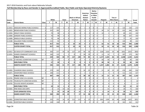| <b>District</b> |                                  |           |          | White          | Asian          |                         |                | <b>Black or African</b><br>American |                | American<br>Indian/<br>Alaskan<br><b>Native</b> |                | <b>Native</b><br>Hawaiian<br>or Other<br>Pacific<br>Islander |                         | <b>Hispanic</b> |                | Two or<br><b>More Races</b> |       | Total          | Grand          |
|-----------------|----------------------------------|-----------|----------|----------------|----------------|-------------------------|----------------|-------------------------------------|----------------|-------------------------------------------------|----------------|--------------------------------------------------------------|-------------------------|-----------------|----------------|-----------------------------|-------|----------------|----------------|
| Code            | <b>District Name</b>             | Class     | F        | М              | F              | М                       | F.             | M                                   | F.             | M                                               | F              | M                                                            | F                       | М               | F              | М                           | F     | М              | Total          |
|                 |                                  |           |          |                |                |                         |                |                                     |                |                                                 |                |                                                              |                         |                 |                |                             |       |                |                |
| 21-0015         | ANSELMO-MERNA PUBLIC SCHOOLS     | 3         | 117      | 145            | $\overline{0}$ | 0                       | 3              | 4                                   | $\mathbf{1}$   | 0                                               | 0              | $\overline{0}$                                               | 0                       |                 | $\overline{2}$ | $\overline{0}$              | 123   | 150            | 273            |
| 21-0025         | <b>BROKEN BOW PUBLIC SCHOOLS</b> | 3         | 355      | 392            | $\mathbf{1}$   | $\overline{2}$          | $\overline{2}$ | 12                                  | $\overline{2}$ | 1                                               | 1              | $\overline{0}$                                               | 40                      | 31              | 14             | 8                           | 415   | 446            | 861            |
| 21-0044         | ANSLEY PUBLIC SCHOOLS            | 3         | 79       | 98             | $\overline{0}$ | $\mathbf 0$             | $\mathbf 0$    | $\mathbf 0$                         | $\overline{0}$ | 0                                               | $\mathbf 0$    | $\Omega$                                                     | 10                      |                 | $\mathbf 0$    | $\Omega$                    | 89    | 101            | 190            |
| 21-0084         | SARGENT PUBLIC SCHOOLS           | 3         | 76       | 98             | $\overline{0}$ | $\overline{0}$          | 1              | 5                                   | $\mathbf{1}$   | 1                                               | $\mathbf 0$    | $\Omega$                                                     | $\overline{7}$          |                 | 1              | $\overline{2}$              | 86    | 107            | 193            |
| 21-0089         | ARNOLD PUBLIC SCHOOLS            | 3         | 75       | 88             | $\overline{0}$ | $\pmb{0}$               | $\overline{2}$ | $\overline{2}$                      | $\overline{0}$ | 0                                               | $\mathbf 0$    | $\overline{0}$                                               | $\pmb{0}$               | $\overline{2}$  | $\mathbf 0$    | $\Omega$                    | 77    | 92             | 169            |
| 21-0180         | CALLAWAY PUBLIC SCHOOLS          | 3         | 115      | 92             | $\overline{0}$ | $\overline{0}$          | $\overline{2}$ | $\overline{2}$                      | $\overline{0}$ | $\pmb{0}$                                       | $\mathbf 1$    | 1                                                            | 5                       | 3               | $\mathbf{1}$   | $\Omega$                    | 124   | 98             | 222            |
|                 | <b>PUBLIC TOTAL</b>              |           | 817      | 913            | $\mathbf{1}$   | $\overline{\mathbf{2}}$ | 10             | 25                                  | $\overline{4}$ | $\mathbf{2}$                                    | $\mathbf{2}$   | $1\overline{ }$                                              | 62                      | 41              | 18             | 10                          | 914   | 994            | 1,908          |
|                 | <b>CUSTER COUNTY TOTAL</b>       |           | 817      | 913            | $\mathbf{1}$   | $\overline{2}$          | 10             | 25                                  | $\overline{4}$ | $\mathbf{2}$                                    | $\overline{2}$ | $1\overline{ }$                                              | 62                      | 41              | 18             | 10 <sup>1</sup>             | 914   | 994            | 1,908          |
|                 |                                  |           |          |                |                |                         |                |                                     |                |                                                 |                |                                                              |                         |                 |                |                             |       |                |                |
| 22-0011         | SO SIOUX CITY COMMUNITY SCHS     | 3         | 369      | 377            | 59             | 76                      | 127            | 147                                 | 46             | 56                                              | 5              | 5 <sub>5</sub>                                               | 1166                    | 1310            | 59             | 48                          | 1831  | 2019           | 3850           |
| 22-0031         | HOMER COMMUNITY SCHOOLS          | 3         | 160      | 125            | $\mathbf{1}$   | $\mathbf{1}$            | $\Omega$       |                                     | 28             | 29                                              | $\overline{0}$ | $\Omega$                                                     | 11                      | 14              | $\overline{7}$ | 5                           | 207   | 175            | 382            |
|                 | <b>PUBLIC TOTAL</b>              |           | 529      | 502            | 60             | 77                      | 127            | 148                                 | 74             | 85                                              | 5              | 5 <sub>l</sub>                                               | 1,177                   | 1,324           | 66             | 53                          | 2,038 | 2,194          | 4,232          |
| 22-0701         | ST MICHAEL ELEMENTARY SCHOOL     | <b>NP</b> | 17       | 20             | $\mathbf{1}$   | $\Omega$                | $\mathbf 0$    | $\Omega$                            | $\overline{4}$ | $\overline{2}$                                  | $\Omega$       | $\Omega$                                                     | 60                      | 58              | $\mathbf 0$    | $\overline{4}$              | 82    | 84             | 166            |
|                 | <b>NON PUBLIC TOTAL</b>          |           | 17       | 20             | $\mathbf{1}$   | $\mathbf 0$             | $\mathbf{0}$   | $\mathbf 0$                         | 4              | $\mathbf{2}$                                    | $\mathbf{0}$   | $\mathbf{0}$                                                 | 60                      | 58              | $\mathbf 0$    | $\overline{a}$              | 82    | 84             | 166            |
|                 | <b>DAKOTA COUNTY TOTAL</b>       |           | 546      | 522            | 61             | 77                      | 127            | 148                                 | 78             | 87                                              | 5              | 51                                                           | 1,237                   | 1,382           | 66             | 57                          | 2,120 | 2,278          | 4,398          |
|                 |                                  |           |          |                |                |                         |                |                                     |                |                                                 |                |                                                              |                         |                 |                |                             |       |                |                |
| 23-0002         | <b>CHADRON PUBLIC SCHOOLS</b>    | 3         | 379      | 345            | $\overline{4}$ | 5                       | 5              | 5                                   | 36             | 35                                              | 8              | $\overline{7}$                                               | 21                      | 18              | 23             | 25                          | 476   | 440            | 916            |
| 23-0071         | <b>CRAWFORD PUBLIC SCHOOLS</b>   | 3         | 108      | 111            | $\overline{0}$ | $\overline{0}$          | $\mathbf 0$    | $\mathbf{1}$                        | $\overline{2}$ | $\mathbf{1}$                                    | $\mathbf 0$    | $\Omega$                                                     | $\mathbf{1}$            | 3               | $\mathbf 0$    | $\Omega$                    | 111   | 116            | 227            |
|                 | <b>PUBLIC TOTAL</b>              |           | 487      | 456            | $\overline{4}$ | 5                       | 5              | 6 <sup>1</sup>                      | 38             | 36                                              | 8              | $\overline{7}$                                               | 22                      | 21              | 23             | 25                          | 587   | 556            | 1,143          |
| 23-0701         | PRAIRIE VIEW S D A SCHOOL        | <b>NP</b> | $\Omega$ | $\overline{2}$ | $\overline{0}$ | $\mathbf 0$             | $\overline{0}$ | $\Omega$                            | $\Omega$       | $\overline{0}$                                  | $\mathbf 0$    | $\overline{0}$                                               | $\overline{0}$          | $\Omega$        | $\mathbf 0$    | $\Omega$                    | 0     | $\overline{2}$ | $\overline{2}$ |
| 23-0704         | TRUNK BUTTE CHRISTIAN SCHOOL     | <b>NP</b> | 5        | 4              | $\overline{0}$ | $\Omega$                | $\mathbf 0$    | $\Omega$                            | $\Omega$       | 0                                               | $\Omega$       | $\overline{0}$                                               | $\overline{1}$          | $\Omega$        | $\mathbf 0$    | $\Omega$                    | 6     | $\overline{4}$ | 10             |
| 23-0705         | <b>COLLEGE HEIGHTS ACADEMY</b>   | <b>NP</b> | 5        | 7              | $\mathbf{1}$   | $\Omega$                | $\Omega$       | $\Omega$                            | $\Omega$       | $\Omega$                                        | $\Omega$       | $\Omega$                                                     | $\mathbf 0$             | $\Omega$        | $\Omega$       | $\Omega$                    | 6     | $\overline{7}$ | 13             |
|                 | <b>NON PUBLIC TOTAL</b>          |           | 10       | 13             | $\mathbf{1}$   | $\mathbf{0}$            | $\mathbf 0$    | $\mathbf{0}$                        | οI             | 0                                               | 0              | $\mathbf{0}$                                                 | $\mathbf{1}$            | $\mathbf{0}$    | 0              | 0l                          | 12    | 13             | 25             |
| 23-0601         | PINE RIDGE JOB CORPS             | SO.       | 3        | 25             | 19             | 18                      | $\overline{2}$ | 11                                  | 3              | $\overline{2}$                                  | $\Omega$       | 1                                                            | $\overline{2}$          | 14              | $\mathbf 0$    | $\Omega$                    | 29    | 71             | 100            |
|                 | <b>STATE OPERATED TOTAL</b>      |           | 3        | 25             | 19             | 18                      | $\overline{2}$ | 11                                  | $\mathbf{3}$   | $\overline{2}$                                  | 0              | $1\overline{ }$                                              | $\overline{\mathbf{2}}$ | 14              | $\mathbf 0$    | $\mathbf{0}$                | 29    | 71             | 100            |
|                 | <b>DAWES COUNTY TOTAL</b>        |           | 500      | 494            | 24             | 23                      | $\overline{7}$ | 17                                  | 41             | 38                                              | 8              | 8                                                            | 25                      | 35              | 23             | 25                          | 628   | 640            | 1,268          |
|                 |                                  |           |          |                |                |                         |                |                                     |                |                                                 |                |                                                              |                         |                 |                |                             |       |                |                |
| 24-0001         | LEXINGTON PUBLIC SCHOOLS         | 3         | 225      | 252            | 14             | 10                      | 111            | 112                                 | $6 \mid$       | 13                                              | $\mathbf{1}$   | $\overline{2}$                                               | 1041                    | 1190            | 30             | 44                          | 1428  | 1623           | 3051           |
| 24-0004         | <b>OVERTON PUBLIC SCHOOLS</b>    | 3         | 144      | 146            | $\overline{0}$ | $\Omega$                | $\overline{2}$ |                                     | $\Omega$       | $\mathbf{1}$                                    | $\Omega$       | $\Omega$                                                     | 14                      | 13              | $\mathbf{1}$   | $\Omega$                    | 161   | 161            | 322            |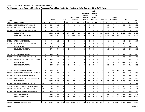|                 |                                                     |           | White       |             | Asian                            |                         |                         | <b>Black or African</b> | American<br>Indian/<br>Alaskan   |                   |                                | <b>Native</b><br>Hawaiian<br>or Other<br><b>Pacific</b> |                |                 |                    | Two or            | Total       |             |                |
|-----------------|-----------------------------------------------------|-----------|-------------|-------------|----------------------------------|-------------------------|-------------------------|-------------------------|----------------------------------|-------------------|--------------------------------|---------------------------------------------------------|----------------|-----------------|--------------------|-------------------|-------------|-------------|----------------|
| <b>District</b> |                                                     |           | F.          |             | F                                |                         | F                       | American                | <b>Native</b><br>F               |                   | F                              | Islander                                                | F.             | <b>Hispanic</b> | Е                  | <b>More Races</b> | F           |             | Grand          |
| Code            | <b>District Name</b>                                | Class     |             | М           |                                  | М                       |                         | M                       |                                  | М                 |                                | М                                                       |                | М               |                    | М                 |             | М           | Total          |
| 24-0011         | <b>COZAD COMMUNITY SCHOOLS</b>                      | 3         | 345         | 387         | $6 \mid$                         | $\overline{4}$          | 8                       | 10<br>4                 | $\overline{0}$<br>$\overline{2}$ | 4                 | $\overline{0}$                 | $\overline{0}$                                          | 91             | 87              | $\overline{7}$     | $\overline{2}$    | 457         | 494         | 951            |
| 24-0020         | <b>GOTHENBURG PUBLIC SCHOOLS</b>                    | 3<br>3    | 432         | 413         | $\overline{2}$<br>$\overline{0}$ | 0<br>$\mathbf 0$        | 6<br>$\Omega$           |                         | $\overline{2}$                   | $\mathbf{1}$<br>0 | $\mathbf{1}$<br>$\overline{0}$ | $\Omega$                                                | 30             | 15              | $\overline{4}$     | 3<br>$\Omega$     | 477         | 437         | 914            |
| 24-0101         | SUMNER-EDDYVILLE-MILLER SCHS<br><b>PUBLIC TOTAL</b> |           | 86<br>1,232 | 84<br>1,282 | 22                               | 14                      | 127                     | 128                     | 10                               | 19                | 2 <sub>l</sub>                 | 3                                                       | 10<br>1,186    | 14<br>1,319     | $\mathbf{1}$<br>43 | 49                | 99<br>2,622 | 99<br>2,814 | 198            |
|                 | <b>DAWSON COUNT TOTAL</b>                           |           | 1,232       | 1,282       | 22                               | 14                      | 127                     | 128                     | 10 <sup>1</sup>                  | 19                | $\mathbf{2}$                   | 3                                                       | 1,186          | 1,319           | 43                 | 49                | 2,622       | 2,814       | 5,436<br>5,436 |
|                 |                                                     |           |             |             |                                  |                         |                         |                         |                                  |                   |                                |                                                         |                |                 |                    |                   |             |             |                |
| 25-0025         | <b>CREEK VALLEY SCHOOLS</b>                         | 3         | 99          | 95          | $\overline{0}$                   | 0                       | $\mathbf 0$             | $\mathbf 0$             | $\overline{0}$                   | $\overline{2}$    | $\overline{0}$                 | $\overline{0}$                                          | 3              | 6               | $\mathbf{1}$       | $\mathbf{1}$      | 103         | 104         | 207            |
| 25-0095         | SOUTH PLATTE PUBLIC SCHOOLS                         | 3         | 75          | 79          | $\overline{0}$                   | $\mathbf 0$             | 3                       | $\Omega$                | $\overline{0}$                   |                   | $\overline{0}$                 | $\Omega$                                                | 9              | 11              | 0                  | $\Omega$          | 87          | 92          | 179            |
|                 | <b>PUBLIC TOTAL</b>                                 |           | 174         | 174         | $\mathbf{0}$                     | $\mathbf 0$             | 3                       | $\mathbf{0}$            | οI                               | 4                 | 0                              | $\mathbf{0}$                                            | 12             | 17              | $\mathbf{1}$       | 1                 | 190         | 196         | 386            |
|                 | <b>DEUEL COUNTY TOTAL</b>                           |           | 174         | 174         | $\mathbf{0}$                     | $\mathbf{0}$            | $\overline{\mathbf{3}}$ | $\mathbf 0$             | $\mathbf{0}$                     | 4                 | $\mathbf{0}$                   | $\mathbf{0}$                                            | 12             | 17              | $\mathbf{1}$       |                   | 190         | 196         | 386            |
|                 |                                                     |           |             |             |                                  |                         |                         |                         |                                  |                   |                                |                                                         |                |                 |                    |                   |             |             |                |
| 26-0001         | PONCA PUBLIC SCHOOLS                                | 3         | 194         | 240         | $\overline{2}$                   | $\mathbf 0$             | 2                       | 7                       | $\mathbf{1}$                     | $\overline{2}$    | 0I                             | $\overline{0}$                                          | 5              | 11              | $\mathbf 0$        | 4                 | 204         | 264         | 468            |
| 26-0070         | ALLEN CONSOLIDATED SCHOOLS                          | 3         | 64          | 101         | $\overline{0}$                   | $\mathbf 0$             | 3                       | $\overline{2}$          | $\Omega$                         | 0                 | $\overline{0}$                 | $\Omega$                                                | 3              | 6               | 0                  | $\overline{0}$    | 70          | 109         | 179            |
| 26-0561         | <b>EMERSON-HUBBARD PUBLIC SCHOOLS</b>               | 3         | 109         | 113         | $\overline{0}$                   | 3                       | $\mathbf{1}$            | 5                       | 5                                | 6                 | $\Omega$                       | $\overline{0}$                                          | 15             | 16              | $\mathbf 0$        | $\Omega$          | 130         | 143         | 273            |
|                 | <b>PUBLIC TOTAL</b>                                 |           | 367         | 454         | $\mathbf 2$                      | 3                       | 6                       | 14                      | 6 <sup>1</sup>                   | 8                 | 0                              | $\mathbf{0}$                                            | 23             | 33              | $\mathbf{0}$       | 4                 | 404         | 516         | 920            |
|                 | <b>DIXON COUNTY TOTAL</b>                           |           | 367         | 454         | $\mathbf{2}$                     | $\overline{\mathbf{3}}$ | $6 \overline{6}$        | 14                      | 6 <sup>1</sup>                   | 8                 | $\mathbf{0}$                   | 0                                                       | 23             | 33              | 0                  | 4                 | 404         | 516         | 920            |
|                 |                                                     |           |             |             |                                  |                         |                         |                         |                                  |                   |                                |                                                         |                |                 |                    |                   |             |             |                |
| 27-0001         | <b>FREMONT PUBLIC SCHOOLS</b>                       | 3         | 1460        | 1563        | 9                                | 15                      | 33                      | 28                      | 9                                | 9                 | $\overline{7}$                 | 7                                                       | 746            | 793             | 19                 | 38                | 2283        | 2453        | 4736           |
| 27-0062         | <b>SCRIBNER-SNYDER COMMUNITY SCHS</b>               | 3         | 95          | 86          | $\overline{0}$                   | $\overline{2}$          | $\mathbf{1}$            | -1                      | $\overline{0}$                   | $\mathbf{1}$      | $\overline{0}$                 | $\Omega$                                                | $\overline{7}$ | 8               | $\mathsf 3$        | $\mathbf{1}$      | 106         | 99          | 205            |
| 27-0594         | LOGAN VIEW PUBLIC SCHOOLS                           | 3         | 232         | 270         | $\overline{0}$                   | $\mathbf{1}$            | $\mathbf{1}$            | -1                      | $\overline{0}$                   | 2                 | $\overline{2}$                 | 5                                                       | 17             | 19              | 3                  | $\overline{4}$    | 255         | 302         | 557            |
| 27-0595         | NORTH BEND CENTRAL PUBLIC SCHS                      | $\vert$ 3 | 309         | 296         | $\overline{0}$                   | $\pmb{0}$               | $\overline{2}$          | 3                       | $\Omega$                         | 0                 | $\Omega$                       | $\Omega$                                                | 14             | 5               | $\overline{4}$     | $\overline{2}$    | 329         | 306         | 635            |
|                 | <b>PUBLIC TOTAL</b>                                 |           | 2,096       | 2,215       | 9                                | 18                      | 37                      | 33                      | 9 <sub>l</sub>                   | 12                | 9                              | 12                                                      | 784            | 825             | 29                 | 45                | 2,973       | 3,160       | 6,133          |
| 27-0701         | <b>ARCHBISHOP BERGAN SCHOOL</b>                     | NΡ        | 66          | 81          | $\mathbf{1}$                     | 3                       | $\mathbf 0$             |                         | $\Omega$                         | 0                 | $\mathbf{0}$                   | 0                                                       | $\overline{2}$ | 10              | -1                 | 3                 | 70          | 98          | 168            |
| 27-0702         | TRINITY LUTHERAN ELEM SCHOOLS                       | NΡ        | 61          | 60          | $\overline{0}$                   | $\mathbf 0$             | $\mathbf 0$             | $\mathbf 0$             | $\overline{0}$                   | 0                 | $\overline{0}$                 | $\overline{0}$                                          | -1             | 3               | 3                  | 4                 | 65          | 67          | 132            |
| 27-0704         | <b>ST WENCESLAUS ELEM SCHOOL</b>                    | <b>NP</b> | 20          | 23          | $\overline{0}$                   | $\mathbf 0$             | $\mathsf{O}\xspace$     | 0                       | $\Omega$                         | 0                 | $\overline{0}$                 | $\overline{0}$                                          | -1             | $\mathbf 0$     | 0                  | $\overline{0}$    | 21          | 23          | 44             |
| 27-0706         | ARCHBISHOP BERGAN ELEMENTARY                        | <b>NP</b> | 136         | 131         | $\overline{0}$                   | $\mathbf 0$             | $\mathbf 0$             | 0                       | $\mathbf{1}$                     | 0                 | $\overline{0}$                 | $\overline{0}$                                          | 12             | 15              | 3                  | 4                 | 152         | 150         | 302            |
|                 | <b>NON PUBLIC TOTAL</b>                             |           | 283         | 295         | 1                                | 3                       | $\mathbf 0$             |                         | 1                                | 0                 | 0                              | 0                                                       | 16             | 28              | $\overline{7}$     | 11                | 308         | 338         | 646            |
|                 | <b>DODGE COUNTY TOTAL</b>                           |           | 2,379       | 2,510       | 10                               | 21                      | 37                      | 34                      | 10                               | 12                | 9 <sub>l</sub>                 | 12                                                      | 800            | 853             | 36                 | 56                | 3,281       | 3,498       | 6,779          |
|                 |                                                     |           |             |             |                                  |                         |                         |                         |                                  |                   |                                |                                                         |                |                 |                    |                   |             |             |                |
| 28-0001         | OMAHA PUBLIC SCHOOLS                                | 5         | 6833        | 7457        | 1588                             | 1639                    | 6510                    | 6739                    | 202                              | 249               | 31                             | 38                                                      | 9102           | 9647            | 1440               | 1361              | 25706       | 27130       | 52836          |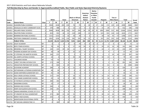|                 |                                       |              |          |        |                |              |                | <b>Black or African</b> | Indian/                 | American<br>Alaskan |                | <b>Native</b><br>Hawaiian<br>or Other<br><b>Pacific</b> |                |                 |                | Two or            |              |          |        |
|-----------------|---------------------------------------|--------------|----------|--------|----------------|--------------|----------------|-------------------------|-------------------------|---------------------|----------------|---------------------------------------------------------|----------------|-----------------|----------------|-------------------|--------------|----------|--------|
| <b>District</b> |                                       |              |          | White  | Asian          |              |                | American                |                         | <b>Native</b>       |                | Islander                                                |                | <b>Hispanic</b> |                | <b>More Races</b> | Total        |          | Grand  |
| Code            | <b>District Name</b>                  | <b>Class</b> | F.       | М      | F              | М            | F.             | М                       | F                       | M                   | F              | М                                                       | F.             | М               | F              | М                 | F            | М        | Total  |
| 28-0010         | <b>ELKHORN PUBLIC SCHOOLS</b>         | 3            | 3920     | 4228   | 205            | 219          | 76             | 79                      | 8                       | 10                  | -51            | 17                                                      | 156            | 172             | 129            | 123               | 4499         | 4848     | 9347   |
| 28-0015         | DOUGLAS CO WEST COMMUNITY SCHS        | 3            | 370      | 488    | $\overline{2}$ | 5            | 12             | 13                      | $\overline{0}$          | $\overline{2}$      | $\Omega$       | 0                                                       | 21             | 29              | $\overline{7}$ | 9                 | 412          | 546      | 958    |
| 28-0017         | MILLARD PUBLIC SCHOOLS                | 3            | 9048     | 9638   | 663            | 720          | 367            | 399                     | 36                      | 39                  | 33             | 35                                                      | 1002           | 1040            | 515            | 483               | 11664        | 12354    | 24018  |
| 28-0054         | <b>RALSTON PUBLIC SCHOOLS</b>         | 3            | 819      | 953    | 28             | 31           | 129            | 108                     | $\overline{7}$          | 12                  | $\overline{9}$ | 3                                                       | 525            | 555             | 118            | 110               | 1635         | 1772     | 3407   |
| 28-0059         | <b>BENNINGTON PUBLIC SCHOOLS</b>      | 3            | 1151     | 1213   | 12             | 16           | 26             | 30                      | 3                       | 3                   | $\mathbf{1}$   | $\Omega$                                                | 58             | 56              | 45             | 57                | 1296         | 1375     | 2671   |
| 28-0066         | <b>WESTSIDE COMMUNITY SCHOOLS</b>     | 3            | 2052     | 2236   | 125            | 116          | 281            | 295                     | 10 <sup>1</sup>         | 15                  | $\overline{2}$ | $\overline{0}$                                          | 247            | 232             | 235            | 220               | 2952         | 3114     | 6066   |
|                 | <b>PUBLIC TOTAL</b>                   |              | 24,193   | 26,213 | 2,623          | 2,746        | 7,401          | 7,663                   | 266                     | 330                 | 81             |                                                         | 93 11,111      | 11,731          | 2,489          | 2,363             | 48,164       | 51,139   | 99,303 |
| 28-0702         | <b>JESUIT ACADEMY</b>                 | <b>NP</b>    | $\Omega$ | -1     | $\overline{0}$ | 0            | $\mathbf 0$    | 70                      | $\overline{0}$          | 0                   | 0I             | $\overline{0}$                                          | 0              |                 | 0              | $\overline{0}$    | $\Omega$     | 73       | 73     |
| 28-0703         | <b>BOYS TOWN SCHOOLS</b>              | <b>NP</b>    | 78       | 82     | $\Omega$       | $\Delta$     | 17             | 63                      | 10                      | 4                   | $\overline{0}$ | 1                                                       | 20             | 25              | 16             | 29                | 141          | 208      | 349    |
| 28-0706         | <b>BROWNELL TALBOT SCHOOLS</b>        | <b>NP</b>    | 140      | 135    | 49             | 34           | 11             | 7                       | $\overline{0}$          | 0                   | $\Omega$       | $\overline{0}$                                          | 10             | 2               | 23             | 21                | 233          | 199      | 432    |
| 28-0707         | PHOENIX ACADEMY DAY SCHOOL            | <b>NP</b>    | 28       | 38     | $\mathbf{1}$   | 0            | 25             | 22                      | $\overline{0}$          | $\overline{2}$      | $\overline{0}$ | $\overline{0}$                                          | $\overline{2}$ | Δ               | $\mathbf{1}$   | 3                 | 57           | 69       | 126    |
| 28-0708         | <b>ST STEPHEN THE MARTYR SCHOOL</b>   | <b>NP</b>    | 336      | 373    | 6              | 4            | 2              | 3                       | $\overline{0}$          | 0                   | 1              | $\mathbf{1}$                                            | Е              |                 | 24             | 14                | 372          | 397      | 769    |
| 28-0709         | ALL SAINTS CATHOLIC SCHOOL            | <b>NP</b>    | 10       | 6      | $\mathbf{1}$   | -1           | 44             | 44                      | $\Omega$                | 0                   | $\Omega$       | $\overline{0}$                                          | 18             | 13              | 6              | 5                 | 79           | 69       | 148    |
| 28-0711         | <b>CHILDREN'S ROOM</b>                | <b>NP</b>    | 54       | 43     | 3              | 5            | 1              | 4                       | $\overline{0}$          | 0                   | $\overline{0}$ | $\overline{0}$                                          | $\mathbf 0$    | 7               | $\overline{3}$ |                   | 61           | 62       | 123    |
| 28-0712         | CHRIST THE KING CATHOLIC SCH          | <b>NP</b>    | 173      | 168    | 5              | $\mathbf 0$  | 9              | 5                       | $\Omega$                | 0                   | $\overline{0}$ | $\overline{0}$                                          | 3              | $\overline{2}$  | 11             | 10                | 201          | 185      | 386    |
| 28-0713         | <b>CREIGHTON PREPARATORY SCHOOL</b>   | <b>NP</b>    | $\Omega$ | 826    | $\overline{0}$ | 29           | $\mathbf 0$    | 59                      | $\overline{0}$          | $\overline{2}$      | $\overline{0}$ | $\overline{0}$                                          | $\mathbf 0$    | 61              | 0              | 31                | $\Omega$     | 1008     | 1008   |
| 28-0716         | <b>DUCHESNE ACADEMY</b>               | <b>NP</b>    | 280      | 0      | 14             | $\mathbf 0$  | 15             | $\mathbf 0$             | 5 <sub>l</sub>          | 0                   | $\overline{0}$ | $\overline{0}$                                          | 15             | $\overline{0}$  | $\mathbf 0$    | $\overline{0}$    | 329          | $\Omega$ | 329    |
| 28-0718         | <b>GETHSEMANE LUTHERAN ELEMENTARY</b> | <b>NP</b>    | 38       | 26     | 6              | 7            | $\mathbf 0$    | 0                       | $\overline{0}$          | 0                   | $\mathbf{0}$   | $\overline{0}$                                          | $\mathbf 0$    | $\overline{2}$  | $\mathbf{1}$   |                   | 45           | 37       | 82     |
| 28-0719         | GOOD SHEPHERD ELEMENTARY SCH          | <b>NP</b>    | 35       | 46     | $\overline{0}$ | $\mathbf{1}$ | 6              | $\overline{2}$          | $\Omega$                | 3                   | $\overline{0}$ | $\overline{0}$                                          | $\overline{2}$ | 1               | $\mathbf{1}$   | 2                 | 44           | 55       | 99     |
| 28-0720         | <b>HOLY CROSS CATHOLIC SCHOOL</b>     | ΝP           | 157      | 145    | $\overline{3}$ | 3            | 16             | 15                      | $1\vert$                | 0                   | $\overline{0}$ | $\overline{0}$                                          | 32             | 25              | 10             | 10                | 219          | 198      | 417    |
| 28-0722         | HOLY NAME ELEMENTARY SCHOOL           | ΝP           | 25       | 14     | $\overline{0}$ | 0            | 80             | 75                      | $\overline{0}$          | 0                   | $\overline{0}$ | $\overline{0}$                                          | 12             | 16              | 6              | 11                | 123          | 116      | 239    |
| 28-0723         | ST PATRICK'S CATHOLIC SCHOOL          | <b>NP</b>    | 389      | 393    | 10             | 8            | 5              | 5                       | $1\vert$                | 1                   | $\Omega$       | $\overline{2}$                                          | $\mathbf{1}$   | 3               | 9              | 7                 | 415          | 419      | 834    |
| 28-0725         | MADONNA SCHOOL                        | <b>NP</b>    | 23       | 27     | $\overline{0}$ | 0            | 2              | $\overline{2}$          | $\overline{0}$          | 0                   | $\Omega$       | $\overline{0}$                                          | $\mathbf{1}$   |                 | $\mathbf 0$    | $\Omega$          | 26           | 30       | 56     |
| 28-0726         | <b>MARIAN HIGH SCHOOL</b>             | <b>NP</b>    | 584      | 0      | 15             | 0            | 48             | 0                       | $\overline{\mathbf{3}}$ | 0                   | $\mathbf{1}$   | $\overline{0}$                                          | 9              | $\overline{0}$  | 29             | $\Omega$          | 689          | $\Omega$ | 689    |
| 28-0727         | MARY OUR QUEEN ELEM SCHOOL            | <b>NP</b>    | 246      | 245    | 4              | 5            | $\overline{4}$ | $\Omega$                | $\mathbf{1}$            | 1                   | $\overline{0}$ | $\overline{0}$                                          | 11             | 14              | $\overline{2}$ | $\mathbf{1}$      | 268          | 266      | 534    |
| 28-0728         | OMAHA MEMORIAL SCHOOL OF S D A        | <b>NP</b>    |          | 5      | $\overline{0}$ | $\mathbf 0$  | 3              | 4                       | $\overline{0}$          | 0                   | $\overline{0}$ | $\Omega$                                                | 8              | 6               | $\mathbf 0$    | $\Omega$          | 15           | 15       | 30     |
| 28-0729         | ST VINCENT DE PAUL ELEMENTARY         | <b>NP</b>    | 373      | 380    | 13             | 16           | 15             | 5                       | $\Omega$                | 3                   | $\mathbf{1}$   | 1                                                       | 30             | 14              | 16             | $\overline{9}$    | 448          | 428      | 876    |
| 28-0730         | <b>MERCY HIGH SCHOOL</b>              | <b>NP</b>    | 255      | 0      | 11             | 0            | 20             | $\Omega$                | $\overline{2}$          | 0                   | $\mathbf{1}$   | $\overline{0}$                                          | 51             | $\overline{0}$  | 10             | $\Omega$          | 350          | $\Omega$ | 350    |
| 28-0731         | <b>MONTESSORI EDUCATIONAL CNTRS</b>   | <b>NP</b>    | 4        | 8      | $\mathbf{1}$   | $\mathbf{1}$ | $\mathbf 0$    | 0                       | $\overline{0}$          | 0                   | $\overline{0}$ | $\overline{0}$                                          | $\mathbf{1}$   | $\mathbf 0$     | $\overline{2}$ | $\overline{0}$    | 8            | 9        | 17     |
| 28-0733         | <b>MT MICHAEL BENEDICTINE H S</b>     | <b>NP</b>    | $\Omega$ | 189    | $\overline{0}$ | 28           | $\mathbf 0$    | 8                       | $\Omega$                | $\overline{2}$      | $\Omega$       | $\overline{2}$                                          | $\Omega$       | $\overline{9}$  | 0              | $\Omega$          | $\mathsf{o}$ | 238      | 238    |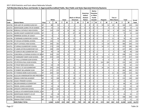|             |                                        |              |          |       |                |                |                | <b>Black or African</b> | American<br>Indian/<br>Alaskan |                |                | <b>Native</b><br>Hawaiian<br>or Other<br><b>Pacific</b> |                |                 |                   | Two or         |       |                |        |
|-------------|----------------------------------------|--------------|----------|-------|----------------|----------------|----------------|-------------------------|--------------------------------|----------------|----------------|---------------------------------------------------------|----------------|-----------------|-------------------|----------------|-------|----------------|--------|
| District    |                                        |              | White    |       | Asian          |                |                | American                | <b>Native</b>                  |                |                | Islander                                                |                | <b>Hispanic</b> | <b>More Races</b> |                | Total |                | Grand  |
| <b>Code</b> | <b>District Name</b>                   | <b>Class</b> | F.       | М     | F.             | М              | F.             | М                       | F.                             | М              | F              | М                                                       | F.             | M               | F                 | М              | F     | M              | Total  |
| 28-0736     | OUR LADY OF LOURDES ELEM SCH           | <b>NP</b>    | 88       | 91    | $\mathbf{1}$   | 1              | $\overline{2}$ | 6                       | 3                              | 0              | 0              | $\overline{0}$                                          | 59             | 52              | 10                | $\overline{9}$ | 163   | 159            | 322    |
| 28-0737     | <b>MONTESSORI LEARN CTR OF DUNDEE</b>  | <b>NP</b>    | 15       | 13    | $\overline{0}$ | $\overline{0}$ | $\overline{2}$ | $\overline{0}$          | $\overline{0}$                 | 0              | 0              | $\overline{0}$                                          | $\mathbf{1}$   | $\overline{0}$  | $\mathbf 0$       | $\overline{0}$ | 18    | 13             | 31     |
| 28-0740     | RONCALLI CATHOLIC HIGH SCHOOL          | <b>NP</b>    | 116      | 170   | 6              | 14             | 20             | 23                      | $\overline{3}$                 | 4              | $\overline{0}$ | 1                                                       | 1              | 10              | 6                 | 10             | 152   | 232            | 384    |
| 28-0741     | SACRED HEART ELEMENTARY SCHOOL         | <b>NP</b>    | $\Omega$ | 0     | $\overline{0}$ | $\mathbf 0$    | 67             | 48                      | $\overline{0}$                 | 0              | 0              | $\overline{0}$                                          | 5              |                 | $\mathbf{1}$      | 3              | 73    | 53             | 126    |
| 28-0744     | PRIMROSE SCHOOL OF LEGACY              | <b>NP</b>    |          | 3     | $\overline{0}$ | $\mathbf 0$    | $\overline{0}$ | 0                       | $\Omega$                       | 0              | 0              | $\overline{0}$                                          | $\mathbf 0$    | $\mathbf 0$     | $\mathbf 0$       | $\Omega$       | 8     | 3              | 11     |
| 28-0746     | <b>ST BERNARD ELEMENTARY SCHOOL</b>    | <b>NP</b>    | 51       | 60    | $\overline{0}$ | $\overline{0}$ | 11             | 9                       | $\overline{0}$                 | 0              | 0              | $\overline{0}$                                          | 3              | 5               | 11                | $\overline{9}$ | 76    | 83             | 159    |
| 28-0748     | ST CECILIA CATHEDRAL SCHOOL            | <b>NP</b>    | 126      | 72    | 9              | $\overline{3}$ | 34             | 22                      | $\mathbf{1}$                   | 0              | 0              | $\overline{0}$                                          | 19             | 27              | 12                | 8              | 201   | 132            | 333    |
| 28-0749     | <b>SKUTT CATHOLIC HIGH SCHOOL</b>      | <b>NP</b>    | 340      | 355   | 13             | $\overline{7}$ | $\overline{2}$ | 4                       | 3                              | $\overline{0}$ | $\mathbf{1}$   | $\overline{0}$                                          | 15             | 20              | 6                 | 8              | 380   | 394            | 774    |
| 28-0751     | <b>ST GERALD ELEMENTARY SCHOOL</b>     | <b>NP</b>    | 173      | 159   | $\overline{0}$ | 5 <sup>1</sup> | $\mathbf{1}$   | $\overline{2}$          | $\mathbf{1}$                   | 0              | $\overline{2}$ | $\mathbf{1}$                                            | 16             | 17              | $\overline{4}$    | $\overline{2}$ | 197   | 186            | 383    |
| 28-0752     | ST JAMES-SETON ELEMENTARY SCH          | <b>NP</b>    | 198      | 259   | $\overline{2}$ | $\overline{3}$ | 14             | 16                      | 6                              | 5              | 1              | 1                                                       | 6              | 5               | $\mathbf 0$       | $\overline{0}$ | 227   | 289            | 516    |
| 28-0753     | ST JOAN OF ARC ELEMENTARY SCH          | <b>NP</b>    | 44       | 36    | $\mathbf{1}$   | $\mathbf 0$    | $\overline{4}$ | 3                       | $\overline{0}$                 | 0              | $\mathbf 0$    | $\overline{2}$                                          | $\overline{7}$ | $\overline{2}$  | $\overline{2}$    | 5              | 58    | 48             | 106    |
| 28-0754     | CONCORDIA LUTHERAN SCHOOLS OF OMNP     |              | 258      | 232   | 9              | 11             | $6 \mid$       | 8                       | $\overline{2}$                 | $\overline{2}$ | 5              | 10                                                      | $\overline{3}$ |                 | 15                | 9              | 298   | 276            | 574    |
| 28-0755     | ST MARGARET MARY ELEM SCHOOL           | <b>NP</b>    | 253      | 234   | $\overline{7}$ | $\overline{7}$ | 5              | $\overline{2}$          | $\mathbf{1}$                   | 1              | $\Omega$       | $\overline{0}$                                          | 10             | 11              | $\mathbf{1}$      |                | 277   | 257            | 534    |
| 28-0757     | ST PAUL LUTHERAN ELEM SCHOOL           | <b>NP</b>    | q        | 12    | $\overline{0}$ | $\overline{0}$ | 13             | 16                      | $\mathbf{1}$                   | 0              | $\mathbf 0$    | $\overline{0}$                                          | $\mathbf 0$    | $\overline{0}$  | $\mathbf{1}$      | 1              | 24    | 29             | 53     |
| 28-0759     | STS PETER & PAUL ELEM SCHOOL           | <b>NP</b>    | 6        | 9     | $\overline{0}$ | $\mathbf 0$    | 1              | $\overline{2}$          | 2                              | 3              | 0              | $\overline{0}$                                          | 143            | 109             | 1                 | 3              | 153   | 126            | 279    |
| 28-0760     | <b>ST PHILIP NERI ELEM SCHOOL</b>      | <b>NP</b>    | 54       | 49    | $\overline{2}$ | $\mathbf{1}$   | 4              | 3                       |                                | 0              | $\overline{2}$ | $\overline{0}$                                          | 0              | 5               | $\overline{7}$    | $\overline{4}$ | 70    | 62             | 132    |
| 28-0761     | ST PIUS X / ST LEO ELEMENTARY          | <b>NP</b>    | 245      | 254   | 6              | 13             | 65             | 59                      | 3                              | 2              | 0              | $\overline{0}$                                          | 26             | 26              | $\mathbf 0$       | $\overline{0}$ | 345   | 354            | 699    |
| 28-0763     | ST ROBERT BELLARMINE ELEM              | <b>NP</b>    | 271      | 275   | $\overline{2}$ | $\overline{2}$ | 3              | $\overline{2}$          | $\overline{4}$                 | 1              | 0              | $\overline{0}$                                          | $\mathbf{1}$   | $\overline{0}$  | $\mathbf{1}$      | $\overline{9}$ | 282   | 289            | 571    |
| 28-0765     | ST THOMAS MORE ELEM SCHOOL             | <b>NP</b>    | 204      | 165   | $\mathbf{1}$   | $\mathbf 0$    | 15             | 17                      | $\overline{7}$                 | 0              | 0              | $\overline{0}$                                          | $\mathbf 0$    | $\mathbf 0$     | 12                | 41             | 239   | 223            | 462    |
| 28-0766     | ALLELUIA! KINDERGARTEN AND PRESCHINP   |              | 21       | 21    | $\overline{0}$ | $\mathbf{1}$   | $\overline{0}$ | 0                       | $\overline{0}$                 | 0              | 0              | $\overline{0}$                                          | $\mathbf 0$    | $\overline{0}$  | $\mathbf{1}$      | $\mathbf 0$    | 22    | 22             | 44     |
| 28-0767     | OMAHA CHRISTIAN ACADEMY                | <b>NP</b>    | 91       | 100   | 6              | 8              | 18             | 11                      | $\overline{2}$                 | 0              | 0              | 1                                                       | 5              | $\overline{9}$  | 9                 | 9              | 131   | 138            | 269    |
| 28-0768     | <b>LEGACY PRIMARY SCHOOL</b>           | <b>NP</b>    | 13       | 13    | $\overline{0}$ | $\overline{0}$ | $\overline{0}$ | $\mathbf 0$             | $\overline{0}$                 | $\overline{0}$ | $\overline{0}$ | $\Omega$                                                | $\mathbf 0$    | 1               | $\mathbf 0$       | $\overline{0}$ | 13    | 14             | 27     |
| 28-0775     | NELSON MANDELA ELEMENTARY              | <b>NP</b>    | 10       | 7     | $\overline{3}$ | $\overline{2}$ | 63             | 75                      | οI                             | $\mathbf{1}$   | $\Omega$       | $\overline{0}$                                          | 3              | $\overline{2}$  | $\overline{7}$    | 6              | 86    | 93             | 179    |
| 28-0776     | <b>FRIEDEL JEWISH ACADEMY</b>          | <b>NP</b>    | 13       | 18    | $\mathbf 0$    | $\overline{0}$ | $\overline{2}$ | $\Omega$                | $\overline{0}$                 | 0              | 0              | $\Omega$                                                | $\mathbf 0$    | $\overline{0}$  | 6                 | $\mathbf{1}$   | 21    | 19             | 40     |
| 28-0780     | LIFEGATE CHRISTIAN SCHOOL              | <b>NP</b>    | 138      | 125   | $\overline{2}$ | $\overline{4}$ | 7 <sup>1</sup> | 7                       | $\overline{0}$                 | 0              | 0              | $\overline{0}$                                          | 3              | 9               | 17                | 15             | 167   | 160            | 327    |
| 28-0782     | LA BELLA VITA MONTESSORI SCHOOL, LLINP |              |          | 3     | $\overline{0}$ | 3              | $\overline{0}$ |                         | $\Omega$                       | 0              | 0              | $\Omega$                                                | $\Omega$       | $\overline{0}$  | $\mathbf 0$       | $\overline{0}$ | 3     | $\overline{7}$ | 10     |
| 28-0790     | MONTESSORI PARENT'S CO-OP              | <b>NP</b>    | 19       | 28    | $\mathbf 0$    | $\overline{2}$ | $\overline{4}$ | 3                       | $\overline{0}$                 | $\overline{0}$ | $\overline{0}$ | $\overline{0}$                                          | $\mathbf{1}$   | $\Omega$        | 0                 | $\overline{0}$ | 24    | 33             | 57     |
| 28-0791     | ST WENCESLAUS SCHOOL                   | <b>NP</b>    | 362      | 417   | 11             | 11             | $\overline{4}$ |                         | $\overline{2}$                 | 2              | $\mathbf{1}$   | 1                                                       | 15             | 16              | 3                 | 1              | 398   | 449            | 847    |
| 28-0796     | OMAHA STREET SCHOOL                    | <b>NP</b>    |          | 3     | $\mathbf 0$    | 0              | 5 <sub>l</sub> | 6                       | $\overline{0}$                 | 1              | 0              | $\overline{0}$                                          | 1              | 1               | 0                 | $\Omega$       | 11    | 11             | 22     |
|             | <b>NON PUBLIC TOTAL</b>                |              | 6,366    | 6,333 | 223            | 244            | 695            | 739                     | 65                             | 40             | 16             | 24                                                      | 572            | 542             | 303               | 313            | 8,240 | 8,235          | 16,475 |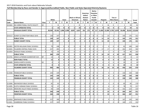|                 |                                       |                         |              | White  |                | Asian          | <b>Black or African</b> | American                | American                | Indian/<br>Alaskan<br><b>Native</b> |                | <b>Native</b><br>Hawaiian<br>or Other<br>Pacific |                               |                 |                         | Two or            |                | Total        |                |
|-----------------|---------------------------------------|-------------------------|--------------|--------|----------------|----------------|-------------------------|-------------------------|-------------------------|-------------------------------------|----------------|--------------------------------------------------|-------------------------------|-----------------|-------------------------|-------------------|----------------|--------------|----------------|
| <b>District</b> |                                       |                         |              |        | F              |                |                         |                         |                         |                                     |                | Islander                                         | F                             | <b>Hispanic</b> |                         | <b>More Races</b> |                |              | Grand          |
| Code            | <b>District Name</b>                  | <b>Class</b>            | F            | M      |                | М              | F.                      | М                       | F.                      | M                                   | F              | М                                                |                               | M               | F                       | М                 | F              | М            | Total          |
| 28-0602         | NE CORRECTIONAL YOUTH FACILITY        | SO.                     | $\mathbf{1}$ | 15     | 0              | 0              | 1                       | 25                      | 0                       | 1                                   | 0              | 0                                                | 0                             | 16              | 0                       | 2                 | $\overline{2}$ | 59           | 61             |
|                 | <b>STATE OPERATED TOTAL</b>           |                         |              | 15     | 0              | 0              | $1\vert$                | 25                      | οl                      | $\mathbf{1}$                        | 0              | 0                                                | $\mathbf{0}$                  | 16              | $\mathbf{0}$            | $\overline{2}$    | $\overline{2}$ | 59           | 61             |
|                 | <b>DOUGLAS COUNTY TOTAL</b>           |                         | 30,560       | 32,561 |                | 2,846 2,990    | 8,097                   | 8,427                   | 331                     | 371                                 | 97             |                                                  | 117 11,683 12,289 2,792 2,678 |                 |                         |                   | 56,406         |              | 59,433 115,839 |
|                 |                                       |                         |              |        |                |                |                         |                         |                         |                                     |                |                                                  |                               |                 |                         |                   |                |              |                |
| 29-0117         | DUNDY CO STRATTON PUBLIC SCHS         | $\overline{3}$          | 128          | 147    | $\mathbf{1}$   | $\overline{0}$ | 2                       | $\overline{2}$          | $\overline{2}$          | $\overline{2}$                      | 0              | $\overline{0}$                                   | 11                            | 23              | 1                       | $\overline{2}$    | 145            | 176          | 321            |
|                 | <b>PUBLIC TOTAL</b>                   |                         | 128          | 147    | $\mathbf{1}$   | $\mathbf{0}$   | $\overline{2}$          | $\overline{2}$          | $\overline{2}$          | 2                                   | 0              | $\mathbf{0}$                                     | 11                            | 23              | 1                       | $\overline{2}$    | 145            | 176          | 321            |
|                 | <b>DUNDY COUNTY TOTAL</b>             |                         | 128          | 147    | $\mathbf{1}$   | $\mathbf 0$    | $\overline{2}$          | $\overline{2}$          | $\overline{2}$          | 2                                   | $\mathbf 0$    | $\mathbf{0}$                                     | 11                            | 23              | $\mathbf{1}$            | $\overline{2}$    | 145            | 176          | 321            |
| 30-0001         | <b>EXETER-MILLIGAN PUBLIC SCHOOLS</b> | $\overline{3}$          | 79           | 108    | $\Omega$       | $\Omega$       | $\overline{0}$          | $\mathbf 0$             | $\overline{0}$          | $\overline{0}$                      | $\overline{0}$ | $\Omega$                                         | $\overline{2}$                | $\mathbf 0$     | 0                       | $\overline{0}$    | 81             | 108          | 189            |
| 30-0025         | FILLMORE CENTRAL PUBLIC SCHS          | $\overline{\mathbf{3}}$ | 237          | 285    | $\Omega$       | $\mathbf{1}$   | $\overline{\mathbf{3}}$ | $\mathsf{q}$            | $\Omega$                | 3                                   | $\mathbf 0$    | $\Omega$                                         | 17                            | 17              | $\overline{4}$          | 8                 | 261            | 323          | 584            |
| 30-0054         | <b>SHICKLEY PUBLIC SCHOOLS</b>        | $\overline{3}$          | 72           | 85     | $\Omega$       | $\pmb{0}$      | $\overline{0}$          | $\Omega$                | $\Omega$                | 1                                   | $\Omega$       | $\Omega$                                         | 3                             | $\overline{2}$  | $\pmb{0}$               | $\overline{2}$    | 75             | 90           | 165            |
|                 | <b>PUBLIC TOTAL</b>                   |                         | 388          | 478    | $\mathbf{0}$   | $\mathbf{1}$   | $\overline{\mathbf{3}}$ | 9                       | $\mathbf{0}$            | 4                                   | $\mathbf{0}$   | $\mathbf{0}$                                     | 22                            | 19              | 4                       | 10                | 417            | 521          | 938            |
| 30-0701         | <b>GRACE LUTHERAN ELEMENTARY SCH</b>  | <b>NP</b>               | 12           | 8      | $\mathbf 0$    | $\mathbf 0$    | $\overline{0}$          | $\Omega$                | $\mathbf{1}$            | $\Omega$                            | $\Omega$       | $\Omega$                                         | $\mathbf 0$                   | $\Omega$        | 0                       | $\Omega$          | 13             | 8            | 21             |
|                 | <b>NON PUBLIC TOTAL</b>               |                         | 12           | 8      | 0              | 0              | 0                       | $\mathbf{0}$            | $\mathbf{1}$            | 0                                   | $\mathbf{0}$   | $\mathbf{0}$                                     | $\mathbf{0}$                  | $\mathbf{0}$    | $\mathbf{0}$            | $\mathbf{0}$      | 13             | 8            | 21             |
| 30-0600         | <b>GENEVA NORTH SCHOOL</b>            | SO                      | $\Omega$     | 0      | 1              | $\Omega$       | $6 \mid$                | $\Omega$                | 3                       | 0                                   | $\Omega$       | $\Omega$                                         | $\overline{4}$                | $\mathbf 0$     | 6                       | $\Omega$          | 20             | $\Omega$     | 20             |
|                 | <b>STATE OPERATED TOTAL</b>           |                         | $\mathbf 0$  | 0      | $\mathbf{1}$   | $\mathbf{0}$   | 6 <sup>1</sup>          | $\mathbf{0}$            | 3                       | 0                                   | $\mathbf{0}$   | $\mathbf{0}$                                     | 4                             | $\mathbf{0}$    | 6                       | $\mathbf{0}$      | 20             | $\mathbf{0}$ | 20             |
|                 | <b>FILLMORE COUNTY TOTAL</b>          |                         | 400          | 486    | $\mathbf{1}$   | $\mathbf{1}$   | 9 <sub>l</sub>          | 9                       | 4                       | 4                                   | $\mathbf{0}$   | $\mathbf{0}$                                     | 26                            | 19              | 10                      | 10                | 450            | 529          | 979            |
|                 |                                       |                         |              |        |                |                |                         |                         |                         |                                     |                |                                                  |                               |                 |                         |                   |                |              |                |
| 31-0506         | <b>FRANKLIN PUBLIC SCHOOLS</b>        | 3                       | 144          | 149    | $\overline{0}$ | $\mathbf{1}$   | $\overline{0}$          | $\Omega$                | $\overline{0}$          | 2                                   | 0              | $\Omega$                                         | 3                             | 4               | 3                       | 2                 | 150            | 158          | 308            |
|                 | <b>PUBLIC TOTAL</b>                   |                         | 144          | 149    | $\mathbf{0}$   | $\mathbf{1}$   | $\mathbf{0}$            | $\mathbf 0$             | 0l                      | 2                                   | $\mathbf{0}$   | $\mathbf{0}$                                     | $\overline{\mathbf{3}}$       | 4               | $\overline{\mathbf{3}}$ | $\overline{2}$    | 150            | 158          | 308            |
|                 | <b>FRANKLIN COUNTY TOTAL</b>          |                         | 144          | 149    | $\mathbf{0}$   | $\mathbf{1}$   | $\mathbf{0}$            | $\mathbf{0}$            | $\mathbf{0}$            | $\mathbf{2}$                        | $\mathbf{0}$   | $\mathbf{0}$                                     | $\overline{\mathbf{3}}$       | $\overline{4}$  | $\overline{\mathbf{3}}$ |                   | 150            | 158          | 308            |
|                 |                                       |                         |              |        |                |                |                         |                         |                         |                                     |                |                                                  |                               |                 |                         |                   |                |              |                |
| 32-0046         | MAYWOOD PUBLIC SCHOOLS                | 3                       | 81           | 81     | $\overline{0}$ | $\overline{0}$ | 1                       | $\mathbf 1$             | $\overline{0}$          | 0                                   | $\mathbf 0$    | $\overline{0}$                                   | 3                             | 3               | $\mathbf 0$             | $\overline{0}$    | 85             | 85           | 170            |
| 32-0095         | EUSTIS-FARNAM PUBLIC SCHOOLS          | 3                       | 74           | 67     | $\overline{0}$ | $\mathbf{1}$   | 1                       |                         | $\mathbf{1}$            | 3                                   | 0              | $\mathbf{1}$                                     | $\overline{2}$                | 6               | 0                       | $\overline{0}$    | 78             | 79           | 157            |
| 32-0125         | MEDICINE VALLEY PUBLIC SCHOOLS        | $\overline{3}$          | 93           | 100    | $\overline{0}$ | $\pmb{0}$      | 5 <sup>1</sup>          |                         | $\mathbf{1}$            | 1                                   | $\Omega$       | $\Omega$                                         | $\overline{2}$                | 13              | $\pmb{0}$               | $\overline{4}$    | 101            | 123          | 224            |
|                 | <b>PUBLIC TOTAL</b>                   |                         | 248          | 248    | $\mathbf{0}$   | $\mathbf 1$    | $\overline{7}$          | $\overline{\mathbf{z}}$ | $\overline{\mathbf{c}}$ | 4                                   | $\mathbf{0}$   | $\mathbf{1}$                                     | $\overline{\mathbf{z}}$       | 22              | $\pmb{0}$               | $\overline{4}$    | 264            | 287          | 551            |
|                 | <b>FRONTIER COUNTY TOTAL</b>          |                         | 248          | 248    | 0              | $\mathbf{1}$   | $\overline{7}$          | $\overline{\mathbf{z}}$ | $\overline{2}$          | 4                                   | $\mathbf{0}$   | $\mathbf{1}$                                     | $\overline{7}$                | 22              | $\mathbf{0}$            | $\overline{4}$    | 264            | 287          | 551            |
|                 |                                       |                         |              |        |                |                |                         |                         |                         |                                     |                |                                                  |                               |                 |                         |                   |                |              |                |
| 33-0018         | <b>ARAPAHOE PUBLIC SCHOOLS</b>        | 3                       | 157          | 180    | 1              | $\overline{0}$ | $\overline{0}$          | $\mathbf 0$             | $\overline{0}$          | 2                                   | 1              | $\overline{0}$                                   | 5                             | 9               | 3                       |                   | 167            | 193          | 360            |
| 33-0021         | <b>CAMBRIDGE PUBLIC SCHOOLS</b>       | $\overline{3}$          | 157          | 165    | $\Omega$       | $\Omega$       | $\Omega$                | $\mathbf{1}$            | $\Omega$                | $\pmb{0}$                           | $\Omega$       | $\Omega$                                         | 3                             | 8               | $\mathbf 0$             | $\Omega$          | 160            | 174          | 334            |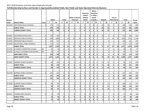|                 |                                       |                |       | White |                         | Asian                   |                 | <b>Black or African</b><br>American |                | American<br>Indian/<br>Alaskan<br><b>Native</b> |                | <b>Native</b><br>Hawaiian<br>or Other<br><b>Pacific</b> |                  |                 |                         | Two or                  |       |       |       |
|-----------------|---------------------------------------|----------------|-------|-------|-------------------------|-------------------------|-----------------|-------------------------------------|----------------|-------------------------------------------------|----------------|---------------------------------------------------------|------------------|-----------------|-------------------------|-------------------------|-------|-------|-------|
| <b>District</b> |                                       |                |       |       |                         |                         |                 |                                     |                |                                                 |                | <b>Islander</b>                                         |                  | <b>Hispanic</b> |                         | <b>More Races</b>       |       | Total | Grand |
| Code            | <b>District Name</b>                  | <b>Class</b>   | F.    | М     | F.                      | М                       | F.              | M                                   | F              | M                                               | F.             | M                                                       | F.               | М               | F                       | M                       | F     | М     | Total |
| 33-0540         | <b>SOUTHERN VALLEY SCHOOLS</b>        | $\overline{3}$ | 179   | 175   | $\overline{2}$          | $\mathbf 0$             | 1               | $\mathbf{1}$                        | $\overline{0}$ | 5 <sup>1</sup>                                  | $\mathbf 0$    | $\overline{0}$                                          | 18               | 18              | $\mathbf 0$             | $\overline{0}$          | 200   | 199   | 399   |
|                 | <b>PUBLIC TOTAL</b>                   |                | 493   | 520   | $\overline{\mathbf{3}}$ | $\mathbf{0}$            | $\mathbf{1}$    | $\overline{2}$                      | $\mathbf{0}$   | $\overline{ }$                                  | 1              | 0                                                       | 26               | 35              | 3                       | $\overline{2}$          | 527   | 566   | 1,093 |
|                 | <b>FURNAS COUNTY TOTAL</b>            |                | 493   | 520   | 3                       | $\mathbf{0}$            | $\mathbf{1}$    | $\overline{2}$                      | $\mathbf{0}$   | $\overline{z}$                                  |                | $\mathbf{0}$                                            | 26               | 35              | 3                       | $\overline{2}$          | 527   | 566   | 1,093 |
|                 |                                       |                |       |       |                         |                         |                 |                                     |                |                                                 |                |                                                         |                  |                 |                         |                         |       |       |       |
| 34-0001         | SOUTHERN SCHOOL DIST 1                | $\overline{3}$ | 193   | 184   | $\overline{0}$          | $\mathbf 0$             | 1               | 3                                   | 2              | $\overline{0}$                                  | $\overline{0}$ | $\Omega$                                                | 10               | 8               | 8                       | 5                       | 214   | 200   | 414   |
| 34-0015         | <b>BEATRICE PUBLIC SCHOOLS</b>        | $\overline{3}$ | 904   | 1006  | $\overline{7}$          | 10                      | 10 <sup>1</sup> | 16                                  | $6 \mid$       | 4                                               | $\Omega$       | $\Omega$                                                | 57               | 52              | 26                      | 32                      | 1010  | 1120  | 2,130 |
| 34-0034         | <b>FREEMAN PUBLIC SCHOOLS</b>         | $\overline{3}$ | 216   | 222   | $\overline{0}$          | $\overline{0}$          | $\overline{2}$  | $\overline{2}$                      | 0              | $\overline{0}$                                  | $\mathbf 0$    | $\overline{0}$                                          | $\mathbf{1}$     | $\mathbf 0$     | $\mathbf{1}$            | $\mathbf{1}$            | 220   | 225   | 445   |
| 34-0100         | DILLER-ODELL PUBLIC SCHOOLS           | $\overline{3}$ | 114   | 121   | $\overline{2}$          | $\mathbf{1}$            | $\overline{0}$  | 0                                   | 0              | $\overline{2}$                                  | 0              | $\Omega$                                                | 9                | $\overline{7}$  | $\overline{2}$          | $\overline{2}$          | 127   | 133   | 260   |
|                 | <b>PUBLIC TOTAL</b>                   |                | 1,427 | 1,533 | $\overline{9}$          | 11                      | 13              | 21                                  | 8              | 6                                               | $\mathbf{0}$   | $\mathbf{0}$                                            | 77               | 67              | 37                      | 40                      | 1,571 | 1,678 | 3,249 |
| 34-0701         | <b>ST JOSEPH ELEMENTARY SCHOOL</b>    | <b>NP</b>      | 41    | 45    | $\overline{0}$          | $\mathbf 0$             | $\overline{0}$  | $\Omega$                            | $\Omega$       | $\mathbf 0$                                     | $\Omega$       | $\overline{0}$                                          | $\mathbf{1}$     | $\mathbf 0$     | 6                       | $\overline{4}$          | 48    | 49    | 97    |
| 34-0702         | <b>ST PAUL'S LUTHERAN ELEM SCHOOL</b> | <b>NP</b>      | 63    | 63    | $\overline{0}$          | $\overline{3}$          | $\overline{0}$  | $\mathbf{1}$                        | $\Omega$       | $\mathbf 0$                                     | $\mathbf{0}$   | $\overline{0}$                                          | $\mathbf{1}$     | $\overline{3}$  | $\mathbf 0$             | $\Omega$                | 64    | 70    | 134   |
|                 | <b>NON PUBLIC TOTAL</b>               |                | 104   | 108   | $\mathbf{0}$            | $\overline{\mathbf{3}}$ | 0               | 1                                   | 0              | $\mathbf{0}$                                    | 0              | 0                                                       | $\overline{2}$   | 3               | 6                       | $\overline{4}$          | 112   | 119   | 231   |
|                 | <b>GAGE COUNTY TOTAL</b>              |                | 1.531 | 1,641 | $\mathbf{9}$            | 14                      | 13              | 22                                  | 8              | 6 <sup>1</sup>                                  | $\mathbf{0}$   | 0                                                       | 79               | 70              | 43                      | 44                      | 1,683 | 1,797 | 3,480 |
| 35-0001         | <b>GARDEN COUNTY SCHOOLS</b>          | 3              | 84    | 126   | $\overline{0}$          | $\overline{0}$          | $\overline{0}$  | 0                                   |                | $\overline{2}$                                  | $\mathbf 0$    | $\overline{0}$                                          | 11               | 20              | $\overline{2}$          | 3                       | 99    | 151   | 250   |
|                 | <b>PUBLIC TOTAL</b>                   |                | 84    | 126   | $\mathbf{0}$            | 0                       | 0               | $\mathbf{0}$                        | $\overline{2}$ | $\mathbf{2}$                                    | $\mathbf{0}$   | $\mathbf{0}$                                            | 11               | 20              | $\overline{\mathbf{2}}$ | $\overline{\mathbf{3}}$ | 99    | 151   | 250   |
|                 | <b>GARDEN COUNTY TOTAL</b>            |                | 84    | 126   | 0                       | $\mathbf{0}$            | 0               | $\mathbf 0$                         | $\overline{2}$ | 2 <sup>1</sup>                                  | 0              | 0                                                       | 11               | 20              | $\overline{2}$          | $\overline{\mathbf{3}}$ | 99    | 151   | 250   |
| 36-0100         | <b>BURWELL PUBLIC SCHOOLS</b>         | $\overline{3}$ | 161   | 162   | $\overline{0}$          | $\overline{0}$          | $\overline{0}$  | $\mathbf{1}$                        | 0              | 1                                               | 1              | $\Omega$                                                | 5                |                 | 0                       | $\mathbf 0$             | 167   | 165   | 332   |
|                 | <b>PUBLIC TOTAL</b>                   |                | 161   | 162   | $\mathbf{0}$            | $\mathbf{0}$            | 0               | 1                                   | $\mathbf{0}$   | $\mathbf{1}$                                    | $\mathbf{1}$   | 0                                                       | 5                | 1               | $\mathbf 0$             | 0                       | 167   | 165   | 332   |
|                 | <b>GARFIELD COUNTY TOTAL</b>          |                | 161   | 162   | $\mathbf{0}$            | $\mathbf{0}$            | 0               | $\mathbf{1}$                        | 0              | $\mathbf{1}$                                    | $\mathbf{1}$   | 0                                                       | 5                |                 | $\mathbf 0$             | 0                       | 167   | 165   | 332   |
| 37-0030         | <b>ELWOOD PUBLIC SCHOOLS</b>          | $\overline{3}$ | 96    | 97    | $\overline{0}$          | $\mathbf{1}$            | $\overline{2}$  | 3                                   | $\mathbf{1}$   | 1                                               | $\mathbf 0$    | $\Omega$                                                | 6                | 13              | $\mathbf{1}$            | $\overline{0}$          | 106   | 115   | 221   |
|                 | <b>PUBLIC TOTAL</b>                   |                | 96    | 97    | $\mathbf{0}$            | $\mathbf{1}$            | $\overline{2}$  | 3                                   | $\mathbf{1}$   | $\mathbf{1}$                                    | $\mathbf{0}$   | 0                                                       | $\boldsymbol{6}$ | 13              | $\mathbf{1}$            | 0l                      | 106   | 115   | 221   |
|                 | <b>GOSPER COUNTY TOTAL</b>            |                | 96    | 97    | $\mathbf{0}$            | $\mathbf{1}$            | $\overline{2}$  | $\overline{\mathbf{3}}$             | $\mathbf{1}$   | $\mathbf{1}$                                    | $\mathbf{0}$   | 0                                                       | 6                | 13              | $\mathbf{1}$            | Οl                      | 106   | 115   | 221   |
|                 |                                       |                |       |       |                         |                         |                 |                                     |                |                                                 |                |                                                         |                  |                 |                         |                         |       |       |       |
| 38-0011         | <b>HYANNIS AREA SCHOOLS</b>           | $\overline{3}$ | 72    | 84    | $\Omega$                | $\mathbf{1}$            | $\overline{0}$  | $\mathbf{1}$                        | 0              | $\overline{0}$                                  | $\mathbf 0$    | $\Omega$                                                | $\mathbf 0$      | $\overline{2}$  | 0                       | $\Omega$                | 72    | 88    | 160   |
|                 | <b>PUBLIC TOTAL</b>                   |                | 72    | 84    | $\mathbf{0}$            | $\mathbf{1}$            | $\mathbf{0}$    | 1                                   | $\mathbf{0}$   | $\mathbf{0}$                                    | $\mathbf{0}$   | 0                                                       | $\mathbf 0$      | $\overline{2}$  | 0                       | $\mathbf{0}$            | 72    | 88    | 160   |
|                 | <b>GRANT COUNTY TOTAL</b>             |                | 72    | 84    | $\mathbf{0}$            | $\mathbf{1}$            | 0               | $\mathbf{1}$                        | 0              | $\mathbf{0}$                                    | $\mathbf 0$    | $\mathbf{0}$                                            | $\mathbf{0}$     | $\overline{2}$  | 0                       | 0                       | 72    | 88    | 160   |
|                 |                                       |                |       |       |                         |                         |                 |                                     |                |                                                 |                |                                                         |                  |                 |                         |                         |       |       |       |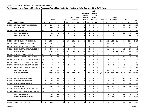|                         |                                      |              | White            |                | Asian                   |                |                         | <b>Black or African</b><br>American |                         | American<br>Indian/<br>Alaskan<br><b>Native</b> |                         | <b>Native</b><br>Hawaiian<br>or Other<br><b>Pacific</b><br>Islander |                | <b>Hispanic</b> |              | Two or<br><b>More Races</b> | Total          |                |                |
|-------------------------|--------------------------------------|--------------|------------------|----------------|-------------------------|----------------|-------------------------|-------------------------------------|-------------------------|-------------------------------------------------|-------------------------|---------------------------------------------------------------------|----------------|-----------------|--------------|-----------------------------|----------------|----------------|----------------|
| <b>District</b><br>Code | <b>District Name</b>                 | <b>Class</b> | F.               | М              | F                       | М              | F                       | М                                   | F                       | M                                               | F.                      | М                                                                   | F              | M               | F            | М                           | F              | M              | Grand<br>Total |
| 39-0060                 | CENTRAL VALLEY PUBLIC SCHOOLS        | 3            | 129              | 146            | $\overline{2}$          | 0              | $\mathbf 0$             | $\mathbf 0$                         | $\overline{0}$          | 0                                               | $\overline{0}$          | $\overline{0}$                                                      | 6              | $\overline{7}$  | 1            | 2                           | 138            | 155            | 293            |
|                         | <b>PUBLIC TOTAL</b>                  |              | 129              | 146            | $\mathbf{2}$            | 0              | $\mathbf{0}$            | $\mathbf 0$                         | οI                      | 0                                               | Οl                      | $\mathbf{0}$                                                        | 6              | 7               | $\mathbf{1}$ | $\overline{2}$              | 138            | 155            | 293            |
| 39-0702                 | <b>SPALDING ACADEMY</b>              | <b>NP</b>    | 32               | 41             | $\mathbf 0$             | $\mathbf 0$    | $\mathbf 0$             | 0                                   | $\overline{0}$          | 1                                               | $\overline{0}$          | $\Omega$                                                            | 3              | 4               | 0            | $\overline{0}$              | 35             | 46             | 81             |
|                         | <b>NON PUBLIC TOTAL</b>              |              | 32               | 41             | $\mathbf 0$             | $\mathbf 0$    | $\mathbf{0}$            | $\mathbf 0$                         | 0                       | 1                                               | 0                       | $\mathbf{0}$                                                        | 3              | Δ               | 0            | $\mathbf{0}$                | 35             | 46             | 81             |
|                         | <b>GREELEY COUNTY TOTAL</b>          |              | 161              | 187            | 2                       | $\mathbf 0$    | $\mathbf{0}$            | $\mathbf 0$                         | 0                       | 1                                               | 0                       | $\mathbf{0}$                                                        | 9              | 11              | 1            | $\overline{2}$              | 173            | 201            | 374            |
|                         |                                      |              |                  |                |                         |                |                         |                                     |                         |                                                 |                         |                                                                     |                |                 |              |                             |                |                |                |
| 40-0002                 | <b>GRAND ISLAND PUBLIC SCHOOLS</b>   | 3            | 1949             | 2164           | 52                      | 64             | 192                     | 249                                 | 48                      | 55                                              | $\overline{2}$          | 3                                                                   | 2357           | 2539            | 104          | 119                         | 4704           | 5193           | 9,897          |
| 40-0082                 | NORTHWEST PUBLIC SCHOOLS             | 3            | 676              | 629            | $\mathbf{1}$            | 5              | $\overline{7}$          | 5                                   | 13                      | 12                                              | $\overline{0}$          | $\mathbf{1}$                                                        | 75             | 86              | 3            | 4                           | 775            | 742            | 1,517          |
| 40-0083                 | WOOD RIVER RURAL SCHOOLS             | 3            | 174              | 225            | $\overline{0}$          | $\mathbf 0$    | 10                      | 3                                   | 3                       | 1                                               | $\mathbf{1}$            | 3                                                                   | 67             | 66              | $\mathbf 0$  | $\mathbf{1}$                | 255            | 299            | 554            |
| 40-0126                 | DONIPHAN-TRUMBULL PUBLIC SCHS        | 3            | 196              | 224            | 1                       | $\Omega$       | 4                       | $\overline{a}$                      | $\overline{0}$          | 0                                               | $\overline{0}$          | $\Omega$                                                            | 11             | 21              | $\mathbf{1}$ | $\overline{2}$              | 213            | 252            | 465            |
|                         | <b>PUBLIC TOTAL</b>                  |              | 2,995            | 3,242          | 54                      | 69             | 213                     | 262                                 | 64                      | 68                                              | $\overline{\mathbf{3}}$ | $\overline{7}$                                                      | 2,510          | 2,712           | 108          | 126                         | 5,947          | 6,486          | 12,433         |
| 40-0701                 | <b>CENTRAL CATHOLIC SCHOOLS</b>      | <b>NP</b>    | 119              | 104            | 5                       | 4              | $\overline{2}$          | 6                                   | $\overline{0}$          | 0                                               | $\overline{0}$          | $\Omega$                                                            | 13             | 26              | 0            | 0                           | 139            | 140            | 279            |
| 40-0704                 | TRINITY LUTHERAN ELEM SCHOOL         | <b>NP</b>    | 84               | 70             | $\overline{0}$          | $\mathbf 0$    | $\mathbf 0$             | $\Omega$                            | $\overline{0}$          | 0                                               | $\Omega$                | 0                                                                   | 9              | 14              | $\mathbf{1}$ |                             | 94             | 86             | 180            |
| 40-0705                 | PLATTE VALLEY SDA ELEMENTARY SCHOONP |              | $\overline{0}$   | 1              | $\overline{0}$          | $\mathbf 0$    | $\mathbf 0$             | $\Omega$                            | $\overline{0}$          | 0                                               | $\Omega$                | $\Omega$                                                            | 8              | 4               | $\mathbf 0$  | $\Omega$                    | 8              | 5              | 13             |
| 40-0707                 | NEW HOPE CHRISTIAN ELEM SCHOOL       | <b>NP</b>    | 13               | 14             | $\overline{0}$          | $\mathbf 0$    | $\mathbf{1}$            | $\Omega$                            | $\overline{0}$          | 0                                               | $\overline{0}$          | $\overline{0}$                                                      | -1             | 0               | 0            | $\Omega$                    | 15             | 14             | 29             |
| 40-0708                 | <b>GRAND ISLAND CHRISTIAN SCHOOL</b> | <b>NP</b>    | $\overline{7}$   | $\overline{4}$ | $\mathbf 0$             | $\mathbf{1}$   | $\mathbf 0$             | $\Omega$                            | $\overline{0}$          | 0                                               | οI                      | $\Omega$                                                            | 1              | 2               | 0            | $\Omega$                    | 8              | $\overline{7}$ | 15             |
| 40-0711                 | HEARTLAND LUTHERAN HIGH SCHOOL       | <b>NP</b>    | 28               | 28             | 1                       | $\mathbf 0$    | 1                       |                                     | $\overline{0}$          | 0                                               | $\mathbf{0}$            | $\mathbf{0}$                                                        | -1             | 1               | 0            | 0                           | 31             | 30             | 61             |
|                         | <b>NON PUBLIC TOTAL</b>              |              | 251              | 221            | 6                       | 5              | 4                       | 7                                   | $\mathbf 0$             | 0                                               | Οl                      | $\mathbf{0}$                                                        | 33             | 47              | 1            | $\overline{2}$              | 295            | 282            | 577            |
|                         | <b>HALL COUNTY TOTAL</b>             |              | 3,246            | 3,463          | 60                      | 74             | 217                     | 269                                 | 64                      | 68                                              | $\overline{\mathbf{3}}$ | 7                                                                   | 2,543          | 2,759           | 109          | 128                         | 6,242          | 6,768          | 13,010         |
| 41-0002                 | <b>GILTNER PUBLIC SCHOOLS</b>        |              | 84               | 87             | $\mathbf 0$             | $\mathbf 0$    | $\mathbf 0$             | $\Omega$                            | $\overline{2}$          | 0                                               | $\overline{0}$          | $\overline{0}$                                                      | $\overline{2}$ | 1               | 0            |                             | 88             | 89             | 177            |
| 41-0091                 | <b>HAMPTON PUBLIC SCHOOLS</b>        | 3            | 78               | 82             | $\mathbf 0$             | $\mathbf 0$    | $\mathbf 0$             | $\Omega$                            | $\overline{0}$          | $\overline{0}$                                  | ΟI                      | $\mathbf{0}$                                                        | $\Delta$       | -1              | 0            | $\mathbf{0}$                | 82             | 83             | 165            |
| 41-0504                 | <b>AURORA PUBLIC SCHOOLS</b>         | 3            | 525              | 605            | $\overline{3}$          | $\overline{2}$ | $\overline{4}$          | 10                                  | 1                       | 0                                               | $\Omega$                | 2                                                                   | 37             | 40              | 17           | 5                           | 587            | 664            | 1,251          |
|                         | <b>PUBLIC TOTAL</b>                  |              | 687              | 774            | $\overline{\mathbf{3}}$ | $\overline{2}$ | $\overline{4}$          | 10                                  | $\overline{\mathbf{3}}$ | 0                                               | $\mathbf{0}$            | $\overline{2}$                                                      | 43             | 42              | 17           | 6                           | 757            | 836            | 1,593          |
| 41-0701                 | IMMANUEL LUTHERAN ELEM SCHOOL        | <b>NP</b>    | $\overline{7}$   | $\overline{7}$ | $\pmb{0}$               | $\mathbf 0$    | $\mathbf 0$             | $\Omega$                            | $\overline{0}$          | 0                                               | $\overline{0}$          | $\overline{0}$                                                      | $\mathbf 0$    | 0               | 0            | $\mathbf{0}$                | $\overline{7}$ | $\overline{7}$ | 14             |
| 41-0702                 | HAMPTON LUTHERAN ELEM SCHOOL         | <b>NP</b>    | $6 \overline{6}$ | 19             | 1                       | $\Omega$       | 3                       | $\Omega$                            | $\overline{0}$          | 0                                               | $\Omega$                | $\Omega$                                                            | $\Omega$       | 0               | 0            | $\Omega$                    | 10             | 19             | 29             |
|                         | <b>NON PUBLIC TOTAL</b>              |              | 13               | 26             | $\mathbf{1}$            | $\mathbf 0$    | 3                       | $\mathbf 0$                         | 0                       | 0                                               | Οl                      | 0                                                                   | $\mathbf 0$    | 0               | 0            | $\mathbf{0}$                | 17             | 26             | 43             |
|                         | <b>HAMILTON COUNTY TOTAL</b>         |              | 700              | 800            | $\overline{4}$          | $\overline{2}$ | $\overline{\mathbf{z}}$ | 10                                  | 3                       | $\mathbf{0}$                                    | οI                      | $\overline{2}$                                                      | 43             | 42              | 17           | 6                           | 774            | 862            | 1,636          |
|                         |                                      |              |                  |                |                         |                |                         |                                     |                         |                                                 |                         |                                                                     |                |                 |              |                             |                |                |                |
| 42-0002                 | <b>ALMA PUBLIC SCHOOLS</b>           | 3            | 148              | 174            | 0                       | $\mathbf{1}$   | $\mathbf{0}$            | $\mathbf 0$                         | $\overline{0}$          | $\mathbf{1}$                                    | $\Omega$                | $\Omega$                                                            | $\overline{3}$ | 8               | $\mathbf{1}$ | $\Omega$                    | 152            | 184            | 336            |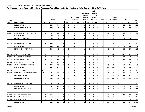| <b>District</b> |                                      |                |     | White |                | Asian          |                | <b>Black or African</b><br>American |                         | American<br>Indian/<br>Alaskan<br><b>Native</b> |                | <b>Native</b><br>Hawaiian<br>or Other<br><b>Pacific</b><br><b>Islander</b> |                         | <b>Hispanic</b> |                | Two or<br><b>More Races</b> |           | Total | Grand |
|-----------------|--------------------------------------|----------------|-----|-------|----------------|----------------|----------------|-------------------------------------|-------------------------|-------------------------------------------------|----------------|----------------------------------------------------------------------------|-------------------------|-----------------|----------------|-----------------------------|-----------|-------|-------|
| Code            | <b>District Name</b>                 | <b>Class</b>   | F   | М     | F              | М              | F              | М                                   | F                       | M                                               | F.             | M                                                                          | F                       | М               | F              | M                           | F.        | М     | Total |
|                 | <b>PUBLIC TOTAL</b>                  |                | 148 | 174   | $\mathbf 0$    | 1              | 0              | $\mathbf{0}$                        | $\mathbf{0}$            | 1                                               | 0l             | $\mathbf 0$                                                                | $\overline{\mathbf{3}}$ | 8               | 1              | $\mathbf 0$                 | 152       | 184   | 336   |
|                 | <b>HARLAN COUNTY TOTAL</b>           |                | 148 | 174   | $\mathbf 0$    |                | $\mathbf{0}$   | $\mathbf{0}$                        | 0                       | $\mathbf{1}$                                    | οI             | $\mathbf{0}$                                                               | $\overline{\mathbf{3}}$ | 8 <sup>1</sup>  | $\mathbf{1}$   | $\Omega$                    | 152       | 184   | 336   |
|                 |                                      |                |     |       |                |                |                |                                     |                         |                                                 |                |                                                                            |                         |                 |                |                             |           |       |       |
| 43-0079         | HAYES CENTER PUBLIC SCHOOLS          | 3              | 49  | 38    | $\Omega$       | $\mathbf 0$    | $\overline{0}$ | $\Omega$                            | $\Omega$                | 0                                               | $\Omega$       | $\overline{0}$                                                             | 9                       | 17              | 1              |                             | 59        | 56    | 115   |
|                 | <b>PUBLIC TOTAL</b>                  |                | 49  | 38    | $\mathbf{0}$   | 0              | 0              | 0                                   | $\mathbf{0}$            | $\mathbf 0$                                     | 0              | $\mathbf{0}$                                                               | 9                       | 17              | 1              |                             | 59        | 56    | 115   |
|                 | <b>HAYES COUNTY TOTAL</b>            |                | 49  | 38    | $\mathbf{0}$   | $\mathbf{0}$   | $\mathbf{0}$   | $\mathbf{0}$                        | $\mathbf{0}$            | 0                                               | Οl             | $\mathbf{0}$                                                               | 9                       | 17              | $\mathbf{1}$   |                             | 59        | 56    | 115   |
|                 |                                      |                |     |       |                |                |                |                                     |                         |                                                 |                |                                                                            |                         |                 |                |                             |           |       |       |
| 44-0070         | <b>HITCHCOCK CO SCH SYSTEM</b>       | $\overline{3}$ | 130 | 147   | $\mathbf 0$    | 0              | $\mathbf 0$    | 0                                   | $\mathbf{1}$            | 5                                               | $\overline{0}$ | 0                                                                          | $\overline{4}$          | 3               | $\overline{2}$ | $\mathbf 0$                 | 137       | 155   | 292   |
|                 | <b>PUBLIC TOTAL</b>                  |                | 130 | 147   | $\mathbf 0$    | $\mathbf 0$    | $\mathbf{0}$   | $\mathbf{0}$                        | $\mathbf{1}$            | 5                                               | 0              | $\mathbf{0}$                                                               | 4                       | 3               | $\overline{2}$ | $\mathbf{0}$                | 137       | 155   | 292   |
|                 | <b>HITCHCOCK COUNTY TOTAL</b>        |                | 130 | 147   | $\mathbf 0$    | $\mathbf 0$    | $\mathbf{0}$   | $\mathbf{0}$                        | $1\overline{1}$         | 5                                               | 0              | $\mathbf{0}$                                                               | Δ                       | 3               | $\overline{2}$ | $\Omega$                    | 137       | 155   | 292   |
| 45-0007         | O'NEILL PUBLIC SCHOOLS               | 3              | 313 | 339   | $\overline{7}$ | 4              | 1              | 3                                   | $\Omega$                | 0                                               | 0I             | 0                                                                          | 71                      | 71              | 14             | 9                           | 406       | 426   | 832   |
| 45-0029         | <b>EWING PUBLIC SCHOOLS</b>          | $\overline{2}$ | 65  | 68    | $\Omega$       | 0              | $\overline{2}$ | $\Omega$                            | $\Omega$                | $\mathbf{1}$                                    | $\Omega$       | $\Omega$                                                                   | 4                       | 8               | $\mathbf 0$    |                             | 71        | 78    | 149   |
| 45-0044         | <b>STUART PUBLIC SCHOOLS</b>         | 3              | 66  | 104   | $\overline{0}$ | $\mathbf 0$    | $\overline{0}$ | $\Omega$                            | $\Omega$                | 0                                               | $\Omega$       | $\Omega$                                                                   | -1                      | 1               | 1              |                             | 68        | 108   | 176   |
| 45-0137         | <b>CHAMBERS PUBLIC SCHOOLS</b>       | $\overline{2}$ | 54  | 60    | $\pmb{0}$      | $\mathbf 0$    | $\overline{0}$ | $\Omega$                            | $\Omega$                | $\mathbf{1}$                                    | $\overline{0}$ | $\overline{0}$                                                             | $\overline{2}$          | 1               | $\mathbf 0$    | $\mathbf 0$                 | 56        | 62    | 118   |
| 45-0239         | <b>WEST HOLT PUBLIC SCHOOLS</b>      | 3              | 197 | 221   | $\pmb{0}$      |                | $\overline{4}$ |                                     | $\Omega$                | 0                                               | οI             | $\Omega$                                                                   | 11                      | 9               | $\mathbf 0$    | $\Omega$                    | 212       | 233   | 445   |
|                 | <b>PUBLIC TOTAL</b>                  |                | 695 | 792   | $\overline{7}$ | 5              | $\overline{7}$ | 5                                   | $\mathbf{0}$            | $\overline{\mathbf{c}}$                         | οI             | $\mathbf 0$                                                                | 89                      | 90              | 15             | 13                          | 813       | 907   | 1,720 |
| 45-0701         | <b>ST MARY'S SCHOOLS</b>             | <b>NP</b>      | 77  | 99    | $\mathbf 1$    | 0              | $\overline{0}$ | $\Omega$                            | $\Omega$                | 0                                               | $\overline{0}$ | $\overline{0}$                                                             | 3                       | $\overline{0}$  | $\mathbf 0$    | $\mathbf 0$                 | 81        | 99    | 180   |
| 45-0703         | <b>ST JOSEPH'S ELEMENTARY SCHOOL</b> | <b>NP</b>      | 22  | 19    | $\overline{0}$ | $\mathbf 0$    | $\overline{0}$ | $\Omega$                            | $\Omega$                | 0                                               | $\overline{0}$ | $\overline{0}$                                                             | $\overline{2}$          | 1               | $\mathbf 0$    | $\Omega$                    | 24        | 20    | 44    |
|                 | <b>NON PUBLIC TOTAL</b>              |                | 99  | 118   | $\mathbf{1}$   | $\mathbf{0}$   | $\mathbf{0}$   | $\mathbf{0}$                        | $\mathbf{0}$            | 0                                               | οI             | $\mathbf 0$                                                                | 5                       | $\mathbf{1}$    | $\mathbf 0$    | $\mathbf{0}$                | 105       | 119   | 224   |
|                 | <b>HOLT COUNTY TOTAL</b>             |                | 794 | 910   | 8              | 5              | $\overline{7}$ | 5                                   | $\mathbf{0}$            | $\overline{2}$                                  | 0              | $\mathbf{0}$                                                               | 94                      | 91              | 15             | 13                          | 918       | 1,026 | 1,944 |
| 46-0001         | <b>MULLEN PUBLIC SCHOOLS</b>         | 3              | 67  | 83    | $\mathbf 0$    | $\mathbf 0$    | $\overline{0}$ | $\Omega$                            | $\Omega$                | $\mathbf 1$                                     | $\Omega$       | $\Omega$                                                                   | 3                       | Οl              | 0              | $\Omega$                    | 70        | 84    | 154   |
|                 | <b>PUBLIC TOTAL</b>                  |                | 67  | 83    | $\mathbf 0$    | $\mathbf 0$    | $\mathbf{0}$   | $\mathbf{0}$                        | $\mathbf{0}$            | 1                                               | 0              | $\mathbf{0}$                                                               | $\overline{\mathbf{3}}$ | $\mathbf{0}$    | $\mathbf 0$    | $\mathbf{0}$                | 70        | 84    | 154   |
|                 | <b>HOOKER COUNTY TOTAL</b>           |                | 67  | 83    | $\mathbf 0$    | $\mathbf{0}$   | $\mathbf{0}$   | $\mathbf{0}$                        | $\mathbf{0}$            | $\mathbf{1}$                                    | οI             | $\mathbf 0$                                                                | $\overline{\mathbf{3}}$ | $\mathbf{0}$    | $\mathbf{0}$   | $\mathbf{0}$                | <b>70</b> | 84    | 154   |
|                 |                                      |                |     |       |                |                |                |                                     |                         |                                                 |                |                                                                            |                         |                 |                |                             |           |       |       |
| 47-0001         | <b>ST PAUL PUBLIC SCHOOLS</b>        | 3              | 314 | 344   | $\overline{2}$ | $\mathbf 0$    | $\overline{0}$ | $\mathbf{1}$                        | $\Omega$                | 0                                               | 0I             | $\overline{0}$                                                             | 10                      | 13              | $\mathbf 0$    | $\overline{2}$              | 326       | 360   | 686   |
| 47-0100         | <b>CENTURA PUBLIC SCHOOLS</b>        | 3              | 219 | 239   | $\pmb{0}$      | $\mathbf 0$    | 4              | $\Omega$                            | $\Omega$                | 0                                               | $\overline{0}$ | $\mathbf 0$                                                                | 11                      | 21              | 8              | $\Omega$                    | 242       | 260   | 502   |
| 47-0103         | <b>ELBA PUBLIC SCHOOLS</b>           | $\overline{2}$ | 48  | 45    | $\pmb{0}$      | $\overline{2}$ | $\overline{0}$ | $\mathbf 0$                         | $\overline{3}$          | $\mathbf{1}$                                    | $\overline{0}$ | $\overline{0}$                                                             | $\overline{3}$          | 5               | $\mathbf 0$    |                             | 54        | 54    | 108   |
|                 | <b>PUBLIC TOTAL</b>                  |                | 581 | 628   | $\mathbf 2$    | $\overline{2}$ | 4              | 1                                   | $\overline{\mathbf{3}}$ | $\mathbf{1}$                                    | οI             | $\mathbf{0}$                                                               | 24                      | 39              | 8              |                             | 622       | 674   | 1,296 |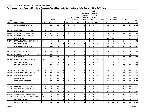|                 |                                  |           | White |     | Asian                   |                         |                         | <b>Black or African</b><br>American |                         | American<br>Indian/<br>Alaskan<br><b>Native</b> |              | <b>Native</b><br>Hawaiian<br>or Other<br>Pacific<br>Islander |                | <b>Hispanic</b> |                         | Two or<br><b>More Races</b> |     | Total          |       |
|-----------------|----------------------------------|-----------|-------|-----|-------------------------|-------------------------|-------------------------|-------------------------------------|-------------------------|-------------------------------------------------|--------------|--------------------------------------------------------------|----------------|-----------------|-------------------------|-----------------------------|-----|----------------|-------|
| <b>District</b> |                                  |           | F     | М   | F                       | М                       | F.                      | М                                   | F.                      | М                                               | F            |                                                              | F              | М               | F                       |                             | F   | М              | Grand |
| Code            | <b>District Name</b>             | Class     |       |     |                         | $\overline{2}$          |                         |                                     |                         |                                                 |              | М<br>0                                                       | 24             |                 |                         | M                           |     |                | Total |
|                 | <b>HOWARD COUNTY TOTAL</b>       |           | 581   | 628 | $\mathbf{2}$            |                         | 4                       | 1                                   | $\overline{\mathbf{3}}$ | 1                                               | $\mathbf 0$  |                                                              |                | 39              | 8                       | $\overline{\mathbf{3}}$     | 622 | 674            | 1,296 |
| 48-0008         | <b>FAIRBURY PUBLIC SCHOOLS</b>   | 3         | 401   | 425 | 1                       | 0                       | 2                       | 5                                   | $\mathbf{1}$            | 4                                               | 0            | 0                                                            | 36             | 24              | 14                      | 21                          | 455 | 479            | 934   |
| 48-0300         | TRI COUNTY PUBLIC SCHOOLS        | 3         | 174   | 204 | $\overline{4}$          | $\mathbf 0$             | $\overline{2}$          |                                     | $\mathbf{1}$            | 3                                               | $\mathbf 0$  | $\overline{0}$                                               | $\overline{4}$ | 6               | 3                       | 1                           | 188 | 215            | 403   |
| 48-0303         | <b>MERIDIAN PUBLIC SCHOOLS</b>   | 3         | 96    | 102 | $\overline{0}$          | $\mathbf 0$             | $\overline{3}$          | $\overline{2}$                      | 1                       | 0                                               | $\mathbf 0$  | $\mathbf{1}$                                                 | 12             | 16              | $\pmb{0}$               | 1                           | 112 | 122            | 234   |
|                 | <b>PUBLIC TOTAL</b>              |           | 671   | 731 | 5                       | $\mathbf 0$             | $\overline{z}$          | 8                                   | $\overline{\mathbf{3}}$ | $\overline{z}$                                  | $\mathbf 0$  | $\mathbf{1}$                                                 | 52             | 46              | 17                      | 23                          | 755 | 816            | 1,571 |
| 48-0702         | ST PAUL'S LUTHERAN ELEM SCHOOL   | <b>NP</b> | 33    | 43  | $\mathbf 0$             | 1                       | $\mathbf 0$             | $\mathbf 0$                         | 0                       | 0                                               | $\mathbf 0$  | $\mathbf 0$                                                  | $\mathbf 0$    | $\mathbf 0$     | 1                       | $\mathbf 0$                 | 34  | 44             | 78    |
|                 | <b>NON PUBLIC TOTAL</b>          |           | 33    | 43  | $\mathbf{0}$            | $\mathbf{1}$            | $\pmb{0}$               | $\mathbf{0}$                        | $\mathbf{0}$            | $\mathbf{0}$                                    | $\mathbf{0}$ | $\mathbf{0}$                                                 | $\mathbf 0$    | $\mathbf{0}$    | $\mathbf{1}$            | $\mathbf{0}$                | 34  | 44             | 78    |
|                 | JEFFERSON COUNTY TOTAL           |           | 704   | 774 | 5                       | $\mathbf{1}$            | $\overline{7}$          | 8                                   | 3                       | $\overline{7}$                                  | $\Omega$     | 1                                                            | 52             | 46              | 18                      | 23                          | 789 | 860            | 1,649 |
|                 |                                  |           |       |     |                         |                         |                         |                                     |                         |                                                 |              |                                                              |                |                 |                         |                             |     |                |       |
| 49-0033         | <b>STERLING PUBLIC SCHOOLS</b>   | 3         | 99    | 90  | $\mathbf{1}$            | $\mathbf 0$             | $\mathbf 0$             | -1                                  | $\Omega$                | 0                                               | $\Omega$     | $\overline{0}$                                               | 3              | $\overline{a}$  | $\pmb{0}$               | $\Omega$                    | 103 | 95             | 198   |
| 49-0050         | JOHNSON CO CENTRAL PUBLIC SCHS   | 3         | 189   | 210 | $\overline{\mathbf{3}}$ | 3                       | 3                       | $\overline{2}$                      | $\Omega$                | $\overline{0}$                                  | $\Omega$     | $\Omega$                                                     | 57             | 57              | 3                       | 11                          | 255 | 283            | 538   |
|                 | <b>PUBLIC TOTAL</b>              |           | 288   | 300 | $\overline{4}$          | $\overline{\mathbf{3}}$ | $\overline{\mathbf{3}}$ | 3                                   | οI                      | $\mathbf{0}$                                    | $\mathbf{0}$ | $\mathbf{0}$                                                 | 60             | 61              | 3                       | 11                          | 358 | 378            | 736   |
| 49-0702         | ST ANDREW ELEMENTARY SCHOOL      | <b>NP</b> | 5     | 4   | $\Omega$                | $\Omega$                | $\Omega$                | $\Omega$                            | $\Omega$                | $\Omega$                                        | $\Omega$     | $\Omega$                                                     | 10             | 3               | $\Omega$                | $\Omega$                    | 15  | $\overline{7}$ | 22    |
|                 | <b>NON PUBLIC TOTAL</b>          |           | 5     | 4   | $\mathbf{0}$            | $\mathbf 0$             | $\pmb{0}$               | $\mathbf 0$                         | $\mathbf{0}$            | 0                                               | $\mathbf{0}$ | $\mathbf{0}$                                                 | 10             | 3               | 0                       | $\mathbf{0}$                | 15  | $\overline{7}$ | 22    |
|                 | JOHNSON COUNTY TOTAL             |           | 293   | 304 | 4                       | $\overline{\mathbf{3}}$ | $\overline{\mathbf{3}}$ | $\overline{\mathbf{3}}$             | $\mathbf{0}$            | 0                                               | $\mathbf{0}$ | <sub>0</sub>                                                 | 70             | 64              | $\overline{\mathbf{3}}$ | 11                          | 373 | 385            | 758   |
| 50-0001         | WILCOX-HILDRETH PUBLIC SCHOOLS   | 3         | 85    | 126 | $\overline{0}$          | $\mathbf 0$             | $\mathbf 0$             | $\mathbf 0$                         | $\overline{0}$          | $\mathbf{1}$                                    | $\mathbf 0$  | $\overline{0}$                                               | 5              | $\overline{2}$  | $\overline{2}$          | $\overline{2}$              | 92  | 131            | 223   |
| 50-0501         | <b>AXTELL COMMUNITY SCHOOLS</b>  | 3         | 130   | 131 | $\overline{0}$          | $\mathbf 0$             | $\mathbf{1}$            | $\mathbf{1}$                        | $\Omega$                | $\overline{0}$                                  | $\mathbf 0$  | $\Omega$                                                     | $\overline{4}$ | 4               | $\mathbf{1}$            | $\overline{3}$              | 136 | 139            | 275   |
| 50-0503         | <b>MINDEN PUBLIC SCHOOLS</b>     | 3         | 356   | 364 | $\overline{2}$          | $\overline{0}$          | $\overline{2}$          | $\overline{4}$                      | $\mathbf{1}$            | $\overline{2}$                                  | $\Omega$     | $\overline{0}$                                               | 39             | 48              | 3                       | $\overline{2}$              | 403 | 420            | 823   |
|                 | <b>PUBLIC TOTAL</b>              |           | 571   | 621 | $\mathbf{2}$            | $\mathbf{0}$            | $\overline{\mathbf{3}}$ | 5                                   | $\mathbf{1}$            | $\overline{\mathbf{3}}$                         | $\mathbf 0$  | $\mathbf{0}$                                                 | 48             | 54              | 6                       | $\overline{7}$              | 631 | 690            | 1,321 |
|                 | <b>KEARNEY COUNTY TOTAL</b>      |           | 571   | 621 | $\overline{2}$          | $\mathbf{0}$            | $\overline{\mathbf{3}}$ | 5                                   |                         | 3                                               | 0            | $\mathbf{0}$                                                 | 48             | 54              | 6                       | $\overline{\mathbf{z}}$     | 631 | 690            | 1,321 |
|                 |                                  |           |       |     |                         |                         |                         |                                     |                         |                                                 |              |                                                              |                |                 |                         |                             |     |                |       |
| 51-0001         | OGALLALA PUBLIC SCHOOLS          | 3         | 305   | 367 | $\overline{3}$          | $\overline{2}$          |                         | $\Omega$                            | $\overline{2}$          | $\overline{7}$                                  | $\mathbf 0$  | $\overline{0}$                                               | 66             | 56              | 8                       | 18                          | 385 | 450            | 835   |
| 51-0006         | PAXTON CONSOLIDATED SCHOOLS      | 3         | 83    | 109 | $\mathbf{1}$            | $\mathbf 0$             | $\mathbf 0$             | 3                                   | $\overline{0}$          | 0                                               | $\Omega$     | $\Omega$                                                     | 15             | 11              | $\mathbf 0$             | $\Omega$                    | 99  | 123            | 222   |
|                 | <b>PUBLIC TOTAL</b>              |           | 388   | 476 | $\boldsymbol{4}$        | $\overline{\mathbf{2}}$ | $\mathbf{1}$            | $\overline{\mathbf{3}}$             | 2                       | $\overline{z}$                                  | $\mathbf{0}$ | $\mathbf{0}$                                                 | 81             | 67              | 8                       | 18                          | 484 | 573            | 1,057 |
| 51-0701         | <b>ST LUKE ELEMENTARY SCHOOL</b> | <b>NP</b> | 26    | 22  | $\overline{0}$          | $\mathbf{1}$            | $\mathbf 0$             | $\Omega$                            | $\overline{0}$          | 0                                               | $\mathbf 0$  | $\Omega$                                                     | $\overline{2}$ | $\overline{2}$  | $\mathbf 0$             | $\Omega$                    | 28  | 25             | 53    |
| 51-0702         | ST PAUL'S LUTHERAN ELEM SCHOOL   | <b>NP</b> | 32    | 29  | $\overline{0}$          | $\mathbf 0$             | $\mathbf 0$             | $\Omega$                            | $\Omega$                | $\overline{0}$                                  | $\mathbf 0$  | $\Omega$                                                     | $\mathbf{1}$   | 2               | 5                       | $\mathbf{1}$                | 38  | 32             | 70    |
|                 | <b>NON PUBLIC TOTAL</b>          |           | 58    | 51  | 0                       | $\mathbf{1}$            | $\mathbf 0$             | 0                                   | $\mathbf{0}$            | 0                                               | $\mathbf 0$  | $\mathbf{0}$                                                 | 3              | 4               | 5                       | $\mathbf{1}$                | 66  | 57             | 123   |
|                 | <b>KEITH COUNTY TOTAL</b>        |           | 446   | 527 | 4                       | $\overline{\mathbf{3}}$ | $\mathbf{1}$            | $\overline{\mathbf{3}}$             | $\overline{2}$          | $\overline{7}$                                  | $\mathbf{0}$ | $\mathbf{0}$                                                 | 84             | 71              | 13                      | 19                          | 550 | 630            | 1,180 |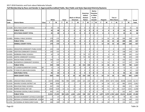| <b>District</b> |                                         |                | White    |              | Asian          |                         |                     | <b>Black or African</b><br>American |                | American<br>Indian/<br>Alaskan<br><b>Native</b> |                | <b>Native</b><br>Hawaiian<br>or Other<br>Pacific<br>Islander |                | <b>Hispanic</b> |                | Two or<br><b>More Races</b> |        | Total  | Grand  |
|-----------------|-----------------------------------------|----------------|----------|--------------|----------------|-------------------------|---------------------|-------------------------------------|----------------|-------------------------------------------------|----------------|--------------------------------------------------------------|----------------|-----------------|----------------|-----------------------------|--------|--------|--------|
| Code            | <b>District Name</b>                    | Class          | F.       | М            | F              | М                       | F.                  | М                                   | F.             | М                                               | F              | M                                                            | F              | М               | F              | М                           | F      | М      | Total  |
|                 |                                         |                |          |              |                |                         |                     |                                     |                |                                                 |                |                                                              |                |                 |                |                             |        |        |        |
| 52-0100         | <b>KEYA PAHA COUNTY SCHOOLS</b>         | $\mathfrak{p}$ | 45       | 40           | $\overline{0}$ | 1                       | $\mathbf 0$         | $\Omega$                            | $\overline{0}$ | 0                                               | $\Omega$       | $\overline{0}$                                               | $\mathbf 0$    | $\overline{0}$  | $\mathbf 0$    | $\Omega$                    | 45     | 41     | 86     |
|                 | <b>PUBLIC TOTAL</b>                     |                | 45       | 40           | 0              | 1                       | $\mathbf 0$         | $\mathbf{0}$                        | 0              | 0                                               | 0              | $\mathbf{0}$                                                 | $\mathbf 0$    | $\mathbf{0}$    | 0              | 0                           | 45     | 41     | 86     |
|                 | <b>KEYA PAHA COUNTY TOTAL</b>           |                | 45       | 40           | $\mathbf{0}$   | $\mathbf 1$             | $\mathbf{0}$        | $\Omega$                            | $\mathbf{0}$   | $\mathbf{0}$                                    | 0              | $\mathbf{0}$                                                 | $\mathbf 0$    | $\mathbf{0}$    | 0              | $\Omega$                    | 45     | 41     | 86     |
|                 |                                         |                |          |              |                |                         |                     |                                     |                |                                                 |                |                                                              |                |                 |                |                             |        |        |        |
| 53-0001         | KIMBALL PUBLIC SCHOOLS                  | 3              | 179      | 175          | 5 <sub>l</sub> | 3                       | $\mathbf 0$         | $\Omega$                            | $\overline{2}$ | 3                                               | $\mathbf 1$    | $\overline{2}$                                               | 12             | 35              | 10             | 10                          | 209    | 228    | 437    |
|                 | <b>PUBLIC TOTAL</b>                     |                | 179      | 175          | 5              | $\overline{\mathbf{3}}$ | $\mathbf 0$         | $\mathbf{0}$                        | 2              | 3                                               | $\mathbf{1}$   | $\overline{2}$                                               | 12             | 35              | 10             | 10 <sup>1</sup>             | 209    | 228    | 437    |
|                 | <b>KIMBALL COUNTY TOTAL</b>             |                | 179      | 175          | 5 <sup>1</sup> | 3                       | $\mathbf{0}$        | $\mathbf{0}$                        | 2 <sup>1</sup> | $\overline{\mathbf{3}}$                         | $\mathbf{1}$   | $\overline{2}$                                               | 12             | 35              | 10             | 10 <sup>1</sup>             | 209    | 228    | 437    |
|                 |                                         |                |          |              |                |                         |                     |                                     |                |                                                 |                |                                                              |                |                 |                |                             |        |        |        |
| 54-0013         | <b>CREIGHTON COMMUNITY PUBLIC SCHOO</b> | 3              | 135      | 136          | 8              | 5                       | 5 <sup>1</sup>      | 5                                   | $\mathbf{1}$   | 0                                               | $\Omega$       | $\overline{2}$                                               | 6              | $\overline{7}$  | $\mathbf 0$    | $\Omega$                    | 155    | 155    | 310    |
| 54-0096         | <b>CROFTON COMMUNITY SCHOOLS</b>        | 3              | 139      | 153          | $\overline{0}$ | $\mathbf 0$             | $\overline{2}$      | $\overline{2}$                      | $\mathbf{1}$   | 4                                               | $\mathbf{1}$   | $\Omega$                                                     | $\mathbf{1}$   | $\mathbf 0$     | $\overline{4}$ | $\Omega$                    | 148    | 159    | 307    |
| 54-0501         | NIOBRARA PUBLIC SCHOOLS                 |                | 42       | 35           | $\mathbf{1}$   | $\Omega$                | $\Omega$            | $\Omega$                            | 55             | 57                                              | $\Omega$       | $\Omega$                                                     | $\mathbf{1}$   | 6               | 10             | $\overline{7}$              | 109    | 105    | 214    |
| 54-0505         | SANTEE COMMUNITY SCHOOLS                |                | $\Omega$ | $\mathbf{1}$ | $\overline{0}$ | $\mathbf 0$             | $\Omega$            | $\Omega$                            | 91             | 92                                              | $\Omega$       | $\Omega$                                                     | $\overline{4}$ | 10              | $\mathbf{1}$   | $\Omega$                    | 96     | 103    | 199    |
| 54-0576         | <b>WAUSA PUBLIC SCHOOLS</b>             | 3              | 136      | 116          | $\overline{0}$ | $\mathbf 0$             | $\overline{2}$      | $\overline{2}$                      | $\Omega$       | 1                                               | $\overline{1}$ | $\Omega$                                                     | $\mathbf 0$    | $\Omega$        | 3              | $\overline{2}$              | 142    | 121    | 263    |
| 54-0586         | <b>BLOOMFIELD COMMUNITY SCHOOLS</b>     | 3              | 97       | 117          | $\overline{0}$ | $\mathbf{1}$            | $\mathbf{1}$        | $\mathbf 1$                         | $6 \mid$       | 5                                               | $\overline{2}$ | $\Omega$                                                     | 11             | 13              | $\mathbf 0$    | $\Omega$                    | 117    | 137    | 254    |
|                 | <b>PUBLIC TOTAL</b>                     |                | 549      | 558          | 9              | 6 <sup>1</sup>          | 10                  | 10                                  | 154            | 159                                             | 4              | 2 <sup>1</sup>                                               | 23             | 36              | 18             | 9                           | 767    | 780    | 1,547  |
| 54-0701         | ST LUDGER ELEMENTARY SCHOOL             | <b>NP</b>      | 11       | 14           | $\overline{0}$ | $\pmb{0}$               | $\mathsf{O}\xspace$ | $\mathbf 0$                         | $\overline{0}$ | 0                                               | 0              | $\overline{0}$                                               | $\pmb{0}$      | $\mathbf 0$     | $\pmb{0}$      | $\overline{0}$              | 11     | 14     | 25     |
| 54-0702         | ST ROSE OF LIMA ELEM SCHOOL             | <b>NP</b>      | 74       | 50           | $\overline{0}$ | $\pmb{0}$               | $\mathsf{O}\xspace$ | $\Omega$                            | $\Omega$       | 0                                               | $\Omega$       | $\Omega$                                                     | $\pmb{0}$      |                 | 0              | $\Omega$                    | 74     | 51     | 125    |
|                 | <b>NON PUBLIC TOTAL</b>                 |                | 85       | 64           | $\mathbf{0}$   | $\mathbf 0$             | $\mathbf 0$         | $\mathbf 0$                         | $\mathbf{0}$   | 0                                               | $\mathbf 0$    | $\mathbf{0}$                                                 | $\mathbf 0$    |                 | 0              | $\Omega$                    | 85     | 65     | 150    |
|                 | <b>KNOX COUNTY TOTAL</b>                |                | 634      | 622          | 9 <sub>l</sub> | 6                       | 10                  | 10                                  | 154            | 159                                             | 4              | $\overline{2}$                                               | 23             | 37              | 18             | 9                           | 852    | 845    | 1,697  |
|                 |                                         |                |          |              |                |                         |                     |                                     |                |                                                 |                |                                                              |                |                 |                |                             |        |        |        |
| 55-0001         | LINCOLN PUBLIC SCHOOLS                  |                | 13379    | 14486        | 962            | 999                     | 1349                | 1304                                | 125            | 139                                             | 18             | 13                                                           | 2790           | 2878            | 1675           | 1620                        | 20298  | 21439  | 41,737 |
| 55-0145         | <b>WAVERLY SCHOOL DISTRICT 145</b>      | 3              | 948      | 1018         | 2              | 5                       | 1                   | 8                                   | 5              | 6                                               | $\mathbf 0$    | 1                                                            | 18             | 26              | 11             | 12                          | 985    | 1076   | 2,061  |
| 55-0148         | MALCOLM PUBLIC SCHOOLS                  | 3              | 267      | 250          | $\overline{2}$ | 4                       | $\mathbf 0$         | $\overline{2}$                      | 1              | 0                                               | -1             | $\Omega$                                                     | 10             | 13              | 3              | $\overline{3}$              | 284    | 272    | 556    |
| 55-0160         | NORRIS SCHOOL DIST 160                  | 3              | 1034     | 1120         | 13             | 11                      | 12                  | 12                                  | 5 <sup>1</sup> | 3                                               | 0              | $\Omega$                                                     | 49             | 61              | 14             | 24                          | 1127   | 1231   | 2,358  |
| 55-0161         | RAYMOND CENTRAL PUBLIC SCHOOLS          | 3              | 303      | 351          | 4              | $\overline{2}$          | $\overline{3}$      | 6                                   | $\overline{2}$ | 4                                               | $\mathbf 0$    | $\overline{0}$                                               | 8              |                 | $\overline{1}$ | $\overline{3}$              | 321    | 367    | 688    |
|                 | <b>PUBLIC TOTAL</b>                     |                | 15,931   | 17,225       |                | 983 1,021               | 1,365               | 1,332                               | 138            | 152                                             | 19             | 14                                                           | 2,875          | 2,979           | 1,704          | 1,662                       | 23,015 | 24,385 | 47,400 |
| 55-0701         | BLESSED SACRAMENT CATHOLIC ELEM SINP    |                | 7        | 47           | $6 \mid$       | 5                       | 12                  | 13                                  | $\overline{0}$ | 0                                               | $\overline{0}$ | $\Omega$                                                     | 14             | 14              | 40             | $\overline{3}$              | 79     | 82     | 161    |
| 55-0702         | MESSIAH LUTHERAN ELEMENTARY SCHONP      |                | 109      | 93           | $\overline{0}$ | 2                       | $\mathsf{O}\xspace$ |                                     | $\overline{0}$ | 0                                               | 0              | 1                                                            | 3              | $\Omega$        | 3              | $\overline{3}$              | 115    | 100    | 215    |
| 55-0703         | CATHEDRAL OF RISEN CHRIST ELEM          | <b>NP</b>      | 108      | 109          | 15             | 15                      | 3                   | Δ                                   | 4              | $\mathbf 2$                                     | $\Omega$       | $\overline{0}$                                               | 24             | 20              | $\mathbf{1}$   | $\overline{7}$              | 155    | 157    | 312    |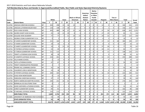|          |                                      |              |                |                    |                         |              | <b>Black or African</b> |                | American<br>Indian/<br>Alaskan |                |                | <b>Native</b><br>Hawaiian<br>or Other<br><b>Pacific</b> |                |                 |                | Two or            |                |                |        |
|----------|--------------------------------------|--------------|----------------|--------------------|-------------------------|--------------|-------------------------|----------------|--------------------------------|----------------|----------------|---------------------------------------------------------|----------------|-----------------|----------------|-------------------|----------------|----------------|--------|
| District |                                      |              |                | White              | Asian                   |              | American                |                | <b>Native</b>                  |                |                | Islander                                                |                | <b>Hispanic</b> |                | <b>More Races</b> | Total          |                | Grand  |
| Code     | <b>District Name</b>                 | <b>Class</b> | F.             | М                  | F                       | М            | F.                      | М              | F                              | M              | F              | М                                                       | F.             | М               | F              | М                 | F              | М              | Total  |
| 55-0704  | LINCOLN CHRISTIAN SCHOOLS            | NΡ           | 303            | 298                | 15                      | 16           | 14                      | $\overline{7}$ | $\overline{0}$                 | 1              | $\overline{0}$ | $\overline{0}$                                          | 12             | 9               | $\pmb{0}$      | $\overline{0}$    | 344            | 331            | 675    |
| 55-0706  | LINCOLN LUTHERAN MS/SR HIGH          | <b>NP</b>    | 133            | 148                | 17                      | 10           | $\overline{2}$          | 3              | $\overline{0}$                 | 0              | $\overline{0}$ | $\overline{0}$                                          | 0              |                 | 4              | 5                 | 156            | 167            | 323    |
| 55-0707  | PIUS X HIGH SCHOOL                   | <b>NP</b>    | 493            | 489                | 58                      | 57           | 15                      | 14             | $\overline{0}$                 | 0              | $\mathbf{1}$   | 1                                                       | 47             | 50              | 14             | 12                | 628            | 623            | 1,251  |
| 55-0708  | SACRED HEART ELEM SCHOOL             | <b>NP</b>    | 25             | 18                 | 23                      | 19           | 8                       | 3              | $\overline{0}$                 | 0              | $\overline{0}$ | $\overline{0}$                                          | 27             | 29              | 0              | 2                 | 83             | 71             | 154    |
| 55-0709  | <b>COLLEGE VIEW ACADEMY</b>          | <b>NP</b>    | 77             | 77                 | $\overline{7}$          | 11           | 14                      | 13             | $\overline{0}$                 | 1              | 3              | $\overline{2}$                                          | 24             | 22              | $\overline{2}$ | 1                 | 127            | 127            | 254    |
| 55-0711  | <b>GEORGE STONE ELEMENTARY S D A</b> | <b>NP</b>    | 5              | $\overline{2}$     | $\mathbf{1}$            | 1            | $\mathsf{O}\xspace$     | $\overline{2}$ | $\overline{0}$                 | 0              | $\overline{2}$ | $\overline{0}$                                          | 6              | 3               | 0              | $\overline{0}$    | 14             | 8              | 22     |
| 55-0712  | <b>ST JOHN'S ELEMENTARY SCHOOL</b>   | <b>NP</b>    | 151            | 164                | 6                       | 6            | 1                       |                | $\overline{0}$                 | 0              | $\overline{0}$ | $\overline{0}$                                          | 17             | 13              | 8              | 10                | 183            | 194            | 377    |
| 55-0713  | ST MARK ELEMENTARY SCHOOL            | <b>NP</b>    | 19             | 16                 | $\overline{0}$          | $\mathbf 0$  | $\mathbf 0$             | 0              | $\mathbf 0$                    | $\pmb{0}$      | $\overline{0}$ | $\overline{0}$                                          | $\mathbf 0$    | $\overline{0}$  | 0              | $\overline{0}$    | 19             | 16             | 35     |
| 55-0714  | ST MARY'S ELEMENTARY SCHOOL          | <b>NP</b>    | 19             | 9                  | 15                      | 23           | $\overline{2}$          | 5              | $\overline{0}$                 | 1              | 1              | $\overline{0}$                                          | 37             | 26              | 3              | $6 \mid$          | 77             | 70             | 147    |
| 55-0715  | <b>ST PATRICK CATHOLIC SCHOOL</b>    | <b>NP</b>    | 53             | 49                 | 5                       | 4            | $\overline{4}$          | 2              | $\overline{0}$                 | 0              | $\overline{0}$ | $\overline{0}$                                          | 19             | 21              | $\mathbf{1}$   | $\mathbf{1}$      | 82             | 77             | 159    |
| 55-0716  | ST TERESA ELEMENTARY SCHOOL          | <b>NP</b>    | 121            | 115                | $\overline{\mathbf{3}}$ | $\mathbf 0$  | $\mathbf 0$             | 1              | $\mathbf 1$                    | $\mathbf{1}$   | $\Omega$       | $\overline{0}$                                          | 8              | 11              | 5              | 5                 | 138            | 133            | 271    |
| 55-0717  | TRINITY LUTHERAN ELEM SCHOOL         | <b>NP</b>    | 38             | 30                 | $\overline{0}$          | $\mathbf 0$  | 4                       |                | $\Omega$                       | 0              | $\Omega$       | $\Omega$                                                | $\overline{2}$ | $\Omega$        | $\overline{4}$ |                   | 48             | 33             | 81     |
| 55-0719  | ST JOSEPH'S CATHOLIC SCHOOL          | <b>NP</b>    | 216            | 261                | 5                       | 6            | $\mathbf 0$             | -1             | $\overline{0}$                 | 0              | $\overline{0}$ | $\overline{2}$                                          | 12             | 13              | $\overline{2}$ | 5                 | 235            | 288            | 523    |
| 55-0720  | VILLA MARIE SCHOOL                   | <b>NP</b>    | $\overline{2}$ | 13                 | $\overline{0}$          | $\Omega$     | $\overline{3}$          | $\Omega$       | $\Omega$                       | $\Omega$       | $\Omega$       | $\Omega$                                                | $\overline{2}$ | $\mathbf 0$     | $\mathbf 0$    | -1                | $\overline{7}$ | 14             | 21     |
| 55-0728  | <b>FAITH LUTHERAN SCHOOL</b>         | <b>NP</b>    | 47             | 67                 | $\overline{0}$          | $\pmb{0}$    | 3                       | $\Omega$       | $\Omega$                       | 0              | $\overline{0}$ | $\overline{0}$                                          | $\overline{2}$ | 3               | $\overline{2}$ | $\Omega$          | 54             | 70             | 124    |
| 55-0734  | TRINITY KINDERGARTEN PROGRAM         | <b>NP</b>    |                | $\overline{7}$     | $\overline{0}$          | $\Omega$     | $\Omega$                | $\Omega$       | $\Omega$                       | 0              | $\Omega$       | $\Omega$                                                | $\Omega$       | $\Omega$        | $\Omega$       | $\Omega$          | 3              | $\overline{7}$ | 10     |
| 55-0743  | PRAIRIE HILL LEARNING CENTER         | NΡ           | 41             | 36                 | $\mathbf{1}$            | $\mathbf 0$  | $\overline{2}$          | $\Omega$       | $\mathbf{1}$                   | $\overline{2}$ | $\Omega$       | $\overline{0}$                                          | $\Omega$       | 1               | 0              |                   | 45             | 40             | 85     |
| 55-0745  | CHILDREN'S CIRCLE MONTESSORI         | <b>NP</b>    | 19             | 18                 | $\mathbf{1}$            | $\mathbf 0$  | $\mathbf 0$             | $\Omega$       | $\Omega$                       | 0              | $\Omega$       | $\overline{0}$                                          | $\Omega$       | $\Omega$        | $\mathbf{1}$   | $\Omega$          | 21             | 18             | 39     |
| 55-0753  | ST PETER'S CATHOLIC SCHOOL           | NΡ           | 184            | 165                | 13                      | 5            | $\mathbf 0$             | 6              | $\overline{0}$                 | $\Omega$       | $\overline{0}$ | $\overline{0}$                                          | 16             | 10              | 10             | $\overline{4}$    | 223            | 190            | 413    |
| 55-0754  | CHILD VIEW MONTESSORI                | <b>NP</b>    | 9              | 13                 | $\overline{0}$          | $\mathbf 0$  | $\mathbf 0$             | $\Omega$       | $\overline{0}$                 | 0              | $\Omega$       | $\overline{0}$                                          | $\mathbf 0$    | $\mathbf{1}$    | $\mathbf{1}$   | $\mathbf{1}$      | 10             | 15             | 25     |
| 55-0755  | <b>PARKVIEW CHRISTIAN SCHOOLS</b>    | <b>NP</b>    | 37             | 57                 | 9                       | 9            | $\overline{2}$          | 6              | $\Omega$                       | $\overline{0}$ | $\overline{0}$ | $\overline{0}$                                          | 6              | $\overline{2}$  | 5              |                   | 59             | 81             | 140    |
| 55-0758  | NORTH AMERICAN MARTYRS SCHOOL        | <b>NP</b>    | 240            | 231                | 26                      | 35           | 5                       | 10             | $\Omega$                       | 0              | $\Omega$       | $\Omega$                                                | 5              | 13              | 0              | 4                 | 276            | 293            | 569    |
| 55-0759  | BERNIKLAU ED SOLUTIONS TEAM          | <b>NP</b>    | $\Omega$       | $\mathbf 1$        | $\mathbf{1}$            | $\Omega$     | $\mathbf{1}$            |                | $\Omega$                       | $\Omega$       | $\Omega$       | $\Omega$                                                | $\Omega$       | $\overline{0}$  | $\Omega$       | $\Omega$          | $\overline{2}$ | $\overline{2}$ | 4      |
| 55-0762  | GOOD SHEPHERD LUTHERAN SCHOOL        | <b>NP</b>    | 26             | 27                 | $\overline{2}$          | 3            | $\mathbf 0$             | $\Omega$       | $\overline{0}$                 | 0              | $\Omega$       | $\overline{0}$                                          | $\Omega$       | $\overline{0}$  | 3              | 3                 | 31             | 33             | 64     |
| 55-0764  | <b>CHRIST ELEMENTARY SCHOOL</b>      | <b>NP</b>    | 94             | 81                 | $\mathbf{1}$            | $\mathbf 0$  | $\mathbf{1}$            |                | $\mathbf{1}$                   | 0              | $\Omega$       | $\overline{0}$                                          | $\mathbf{1}$   | 1               | $\overline{4}$ | 3                 | 102            | 86             | 188    |
| 55-0766  | ST MICHAEL CATHOLIC SCHOOL           | <b>NP</b>    | 110            | 113                | $\overline{2}$          | 6            | $\Omega$                | $\Omega$       | $\Omega$                       | 0              | $\mathbf{1}$   | $\overline{2}$                                          | $\overline{7}$ | 8               | $\overline{1}$ | $\Omega$          | 121            | 129            | 250    |
|          | <b>NON PUBLIC TOTAL</b>              |              | 2,689          | 2,754              | 232                     | 233          | 96                      | 95             | $\overline{7}$                 | 8              | 8              | 8                                                       | 291            | 271             | 114            | 86                | 3,437          | 3,455          | 6,892  |
| 55-0605  | UNIVERSITY OF NEBRASKA HIGH SCHOOLSO |              | 53             | 48                 | 1                       | $\mathbf 0$  | $\mathbf 0$             | $\mathbf 0$    | $\overline{0}$                 | 0              | $\Omega$       | $\Omega$                                                | $\mathbf 0$    | 2               | 0              | $\Omega$          | 54             | 50             | 104    |
|          | <b>STATE OPERATED TOTAL</b>          |              | 53             | 48                 | $\mathbf{1}$            | $\mathbf{0}$ | $\mathbf 0$             | $\mathbf{0}$   | $\mathbf{0}$                   | 0              | 0              | $\mathbf{0}$                                            | $\mathbf 0$    | $\overline{2}$  | $\mathbf 0$    | 0                 | 54             | 50             | 104    |
|          | <b>LANCASTER COUNTY TOTAL</b>        |              | 18,673         | 20,027 1,216 1,254 |                         |              | 1,461                   | 1,427          | 145                            | 160            | 27             | 22                                                      | 3,166          |                 |                | 3,252 1,818 1,748 | 26,506         | 27,890         | 54,396 |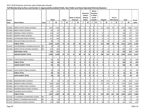|                 |                                     |                | White |       | Asian          |                |                 | <b>Black or African</b><br>American |                         | American<br>Indian/<br>Alaskan<br><b>Native</b> |                         | <b>Native</b><br>Hawaiian<br>or Other<br>Pacific<br>Islander |                         | <b>Hispanic</b> |                | Two or<br><b>More Races</b> |       | Total |       |
|-----------------|-------------------------------------|----------------|-------|-------|----------------|----------------|-----------------|-------------------------------------|-------------------------|-------------------------------------------------|-------------------------|--------------------------------------------------------------|-------------------------|-----------------|----------------|-----------------------------|-------|-------|-------|
| <b>District</b> |                                     |                | F.    |       | F              |                | F.              |                                     | F.                      |                                                 | F                       |                                                              | F                       |                 | F              |                             | F     |       | Grand |
| Code            | <b>District Name</b>                | Class          |       | М     |                | М              |                 | М                                   |                         | М                                               |                         | M                                                            |                         | М               |                | М                           |       | M     | Total |
| 56-0001         | <b>NORTH PLATTE PUBLIC SCHOOLS</b>  | 3              | 1614  | 1726  | 13             | 13             | 30              | 30                                  | 12                      | 9                                               | 3                       | $\overline{2}$                                               | 311                     | 329             | 54             | $71\,$                      | 2037  | 2180  | 4,217 |
| 56-0006         | <b>BRADY PUBLIC SCHOOLS</b>         | $\overline{2}$ | 85    | 82    | $\overline{0}$ | $\mathbf{1}$   | $\mathbf 0$     | $\mathbf 0$                         | $\overline{0}$          | $\mathbf{1}$                                    | $\overline{0}$          | $\mathbf{1}$                                                 | $\mathbf{1}$            |                 | $\mathbf 0$    | $\mathbf{1}$                | 86    | 87    | 173   |
| 56-0007         | <b>MAXWELL PUBLIC SCHOOLS</b>       | 3              | 132   | 114   | $\mathbf{1}$   | $\mathbf 0$    | 3               |                                     | $\overline{0}$          | $\overline{2}$                                  | $\Omega$                | $\overline{0}$                                               | 17                      | 9               | 5              | $\Omega$                    | 158   | 127   | 285   |
| 56-0037         | <b>HERSHEY PUBLIC SCHOOLS</b>       | 3              | 235   | 262   | $\mathbf{1}$   | $\mathbf 0$    | $\overline{2}$  | $\overline{2}$                      | $\overline{2}$          | $\Omega$                                        | $\Omega$                | $\overline{2}$                                               | 18                      | 30              | 1              | 1                           | 259   | 297   | 556   |
| 56-0055         | SUTHERLAND PUBLIC SCHOOLS           | 3              | 157   | 166   | $\mathbf{1}$   | $\mathbf{1}$   | $\mathbf 0$     | $\Omega$                            | $\overline{2}$          | 0                                               | $\Omega$                | $\overline{0}$                                               | 11                      | 12              | $\overline{2}$ | $\overline{3}$              | 173   | 182   | 355   |
| 56-0565         | <b>WALLACE PUBLIC SCH DIST 65 R</b> | $\overline{2}$ | 80    | 75    | $\overline{0}$ | $\mathbf 0$    | $\mathbf{1}$    | $\mathbf{1}$                        | $\Omega$                | $\Omega$                                        | $\Omega$                | $\Omega$                                                     | 18                      | 19              | $\overline{2}$ | $\overline{2}$              | 101   | 97    | 198   |
|                 | <b>PUBLIC TOTAL</b>                 |                | 2,303 | 2,425 | 16             | 15             | 36              | 35                                  | 16                      | 12                                              | 3                       | 5 <sup>1</sup>                                               | 376                     | 400             | 64             | 78                          | 2,814 | 2,970 | 5,784 |
| 56-0701         | OUR REDEEMER LUTHERAN ELEM SCH      | <b>NP</b>      | 26    | 30    | 1              | $\overline{2}$ | $\mathbf 0$     | $\Omega$                            | $\overline{0}$          | 0                                               | $\Omega$                | $\overline{2}$                                               | $\mathbf 0$             | $\Omega$        | $\mathbf 0$    | $\Omega$                    | 27    | 34    | 61    |
| 56-0702         | NORTH PLATTE CATHOLIC SCHOOLS       | <b>NP</b>      | 167   | 183   | 6              | $\overline{4}$ | $5\phantom{.0}$ | 3                                   | $\Omega$                | 0                                               | $\Omega$                | $\mathbf{1}$                                                 | 23                      | 13              | $\mathbf{1}$   | $6 \mid$                    | 202   | 210   | 412   |
|                 | <b>NON PUBLIC TOTAL</b>             |                | 193   | 213   | $\overline{7}$ | 6              | 5 <sup>1</sup>  | 3                                   | $\mathbf{0}$            | 0                                               | $\mathbf{0}$            | $\overline{\mathbf{3}}$                                      | 23                      | 13              | $\mathbf{1}$   | 6 <sup>1</sup>              | 229   | 244   | 473   |
|                 | <b>LINCOLN COUNTY TOTAL</b>         |                | 2,496 | 2,638 | 23             | 21             | 41              | 38                                  | 16                      | 12                                              | $\overline{\mathbf{3}}$ | 8                                                            | 399                     | 413             | 65             | 84                          | 3,043 | 3,214 | 6,257 |
|                 |                                     |                |       |       |                |                |                 |                                     |                         |                                                 |                         |                                                              |                         |                 |                |                             |       |       |       |
| 57-0501         | STAPLETON PUBLIC SCHOOLS            |                | 99    | 86    | $\overline{2}$ | $\Omega$       | $\Omega$        |                                     | $\Omega$                | $\Omega$                                        | $\Omega$                | $\Omega$                                                     | $\overline{4}$          |                 | $\mathbf{1}$   | $\mathbf{1}$                | 106   | 93    | 199   |
|                 | <b>PUBLIC TOTAL</b>                 |                | 99    | 86    | $\mathbf{2}$   | $\mathbf{0}$   | $\mathbf 0$     | Δ                                   | οI                      | 0                                               | $\mathbf{0}$            | $\mathbf{0}$                                                 | 4                       | $\overline{2}$  | 1              | $\mathbf{1}$                | 106   | 93    | 199   |
|                 | <b>LOGAN COUNTY TOTAL</b>           |                | 99    | 86    | $\mathbf 2$    | $\mathbf{0}$   | $\mathbf{0}$    | 4                                   | $\mathbf{0}$            | 0                                               | $\mathbf{0}$            | $\mathbf{0}$                                                 | $\overline{a}$          | $\overline{2}$  | $\mathbf{1}$   | $\mathbf{1}$                | 106   | 93    | 199   |
|                 |                                     |                |       |       |                |                |                 |                                     |                         |                                                 |                         |                                                              |                         |                 |                |                             |       |       |       |
| 58-0025         | LOUP COUNTY PUBLIC SCHOOLS          | $\mathfrak{p}$ | 28    | 29    | $\overline{0}$ | 0              | $\overline{2}$  | $\Omega$                            | $\overline{0}$          | 0                                               | $\overline{0}$          | $\overline{3}$                                               | 3                       | 4               | 0              | $\Omega$                    | 33    | 36    | 69    |
|                 | <b>PUBLIC TOTAL</b>                 |                | 28    | 29    | $\mathbf{0}$   | $\mathbf{0}$   | $\mathbf{2}$    | $\mathbf 0$                         | οI                      | 0                                               | $\mathbf{0}$            | $\overline{\mathbf{3}}$                                      | 3                       | $\overline{4}$  | 0              | $\mathbf{0}$                | 33    | 36    | 69    |
|                 | <b>LOUP COUNTY TOTAL</b>            |                | 28    | 29    | 0              | $\mathbf 0$    | $\mathbf{2}$    | 0                                   | $\mathbf{0}$            | 0                                               | $\mathbf 0$             | $\overline{\mathbf{3}}$                                      | $\overline{\mathbf{3}}$ | 4               | 0              | $\Omega$                    | 33    | 36    | 69    |
|                 |                                     |                |       |       |                |                |                 |                                     |                         |                                                 |                         |                                                              |                         |                 |                |                             |       |       |       |
| 59-0001         | <b>MADISON PUBLIC SCHOOLS</b>       | 3              | 47    | 50    | 17             | 10             | $\mathbf 0$     | $\overline{2}$                      | $\overline{0}$          |                                                 | 0                       | $\overline{0}$                                               | 204                     | 174             | $\overline{2}$ | 6                           | 270   | 243   | 513   |
| 59-0002         | <b>NORFOLK PUBLIC SCHOOLS</b>       | 3              | 1388  | 1440  | 22             | 15             | 34              | 39                                  | 47                      | 50                                              | 1                       | $\overline{3}$                                               | 541                     | 595             | 97             | 97                          | 2130  | 2239  | 4,369 |
| 59-0005         | <b>BATTLE CREEK PUBLIC SCHOOLS</b>  | 3              | 191   | 210   | $\overline{0}$ | 5              | $\overline{4}$  | Δ                                   | $\overline{\mathbf{3}}$ | 5                                               | $\mathbf 0$             | 1                                                            | -5                      | 6               | 3              | 1                           | 206   | 232   | 438   |
| 59-0013         | NEWMAN GROVE PUBLIC SCHOOLS         | 3              | 71    | 90    | $\overline{0}$ | $\mathbf 0$    | $\pmb{0}$       | $\mathbf 0$                         | $\mathbf 0$             | $\pmb{0}$                                       | 0                       | $\Omega$                                                     | 12                      | 16              | $\pmb{0}$      | $\overline{0}$              | 83    | 106   | 189   |
| 59-0080         | <b>ELKHORN VALLEY SCHOOLS</b>       | 3              | 158   | 195   | $\mathbf 1$    | $\mathbf 0$    | $\overline{3}$  | $\overline{7}$                      | $6 \mid$                | $\overline{7}$                                  | $\mathbf 0$             | $\overline{2}$                                               | $\overline{7}$          | 11              | $\mathbf 0$    | $\Omega$                    | 175   | 222   | 397   |
|                 | <b>PUBLIC TOTAL</b>                 |                | 1,855 | 1,985 | 40             | 30             | 41              | 52                                  | 56                      | 63                                              | 1                       | 6                                                            | 769                     | 802             | 102            | 104                         | 2,864 | 3,042 | 5,906 |
| 59-0702         | ST LEONARD'S ELEMENTARY SCHOOL      | <b>NP</b>      | 15    | 7     | 1              | $\mathbf{1}$   | $\mathbf 0$     | $\mathbf 0$                         | $\Omega$                | 0                                               | 0                       | $\overline{0}$                                               | 5                       | 3               | $\mathbf 0$    | $\overline{0}$              | 21    | 11    | 32    |
| 59-0703         | TRINITY LUTHERAN ELEM SCHOOL        | <b>NP</b>      | 24    | 20    | $\overline{0}$ | 0              | 1               |                                     | $\overline{0}$          | 0                                               | $\mathbf 0$             | $\overline{0}$                                               | 3                       |                 | 3              | $\Omega$                    | 31    | 22    | 53    |
| 59-0704         | <b>NORFOLK CATHOLIC SCHOOLS</b>     | <b>NP</b>      | 279   | 286   | 4              | 3              | $\mathbf{1}$    | 5                                   | $\Omega$                | $\mathbf 2$                                     | $\Omega$                | $\overline{0}$                                               | 28                      | 29              | $\mathbf 0$    | $\Omega$                    | 312   | 325   | 637   |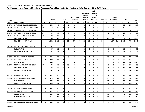|                         |                                       |                | White |       | Asian          |                |                         | <b>Black or African</b><br>American | American<br>Indian/<br>Alaskan<br><b>Native</b> |                         |              | <b>Native</b><br>Hawaiian<br>or Other<br>Pacific<br>Islander |                         | <b>Hispanic</b> |                         | Two or<br><b>More Races</b> |       | Total |                |
|-------------------------|---------------------------------------|----------------|-------|-------|----------------|----------------|-------------------------|-------------------------------------|-------------------------------------------------|-------------------------|--------------|--------------------------------------------------------------|-------------------------|-----------------|-------------------------|-----------------------------|-------|-------|----------------|
| <b>District</b><br>Code | <b>District Name</b>                  | Class          | F.    | М     | F              | М              | F.                      | M                                   | F                                               | М                       | F            | М                                                            | F                       | M               | F.                      | М                           | F     | М     | Grand<br>Total |
| 59-0706                 | CHRIST LUTHERAN ELEM SCHOOL           | <b>NP</b>      | 151   | 143   | $\mathbf 0$    | 1              | $1\vert$                | $\mathbf{1}$                        | $\mathbf 0$                                     | 1                       | 0            | $\overline{0}$                                               | 5                       | 4               | $\pmb{0}$               | $\overline{0}$              | 157   | 150   | 307            |
| 59-0707                 | <b>ST PAUL'S LUTHERAN ELEM SCHOOL</b> | <b>NP</b>      | 50    | 59    | $\overline{0}$ | $\mathbf{1}$   | $\overline{0}$          | $\mathbf 0$                         | $\mathbf 0$                                     | $\Omega$                | $\mathbf 0$  | $\overline{0}$                                               | $\pmb{0}$               | $\overline{0}$  | $\overline{7}$          | 5                           | 57    | 65    | 122            |
| 59-0708                 | ST JOHN LUTHERAN ELEM SCHOOL          | <b>NP</b>      | 62    | 57    | $\pmb{0}$      | $\pmb{0}$      | 1                       | $\mathbf 0$                         | $\overline{2}$                                  | $\overline{0}$          | $\mathbf 0$  | $\mathbf 0$                                                  | $\pmb{0}$               | $\mathbf{1}$    | 5                       | 6                           | 70    | 64    | 134            |
| 59-0712                 | KEYSTONE CHRISTIAN ACADEMY            | <b>NP</b>      | 16    | 13    | $\overline{2}$ | $\overline{0}$ | $\overline{0}$          | $\overline{2}$                      | 0                                               | $\overline{0}$          | $\mathbf 0$  | $\mathbf 0$                                                  | $\overline{2}$          | $\overline{2}$  | $\mathbf 0$             | $\overline{0}$              | 20    | 17    | 37             |
| 59-0714                 | LUTHERAN HIGH NORTHEAST               | <b>NP</b>      | 49    | 58    | 1              | $\overline{2}$ | $\overline{0}$          | $\overline{2}$                      | $\Omega$                                        | $\overline{0}$          | $\mathbf 0$  | $\Omega$                                                     | $\mathbf 0$             | $\overline{2}$  | $\mathbf 0$             | $\Omega$                    | 50    | 64    | 114            |
|                         | <b>NON PUBLIC TOTAL</b>               |                | 646   | 643   | 8              | 8              | $\overline{4}$          | 11                                  | $\overline{\phantom{a}}$                        | $\overline{\mathbf{3}}$ | $\mathbf 0$  | οI                                                           | 43                      | 42              | 15                      | 11                          | 718   | 718   | 1,436          |
|                         | <b>MADISON COUNTY TOTAL</b>           |                | 2,501 | 2,628 | 48             | 38             | 45                      | 63                                  | 58                                              | 66                      | $\mathbf{1}$ | $6 \overline{6}$                                             | 812                     | 844             | 117                     | 115                         | 3,582 | 3,760 | 7,342          |
|                         |                                       |                |       |       |                |                |                         |                                     |                                                 |                         |              |                                                              |                         |                 |                         |                             |       |       |                |
| 60-0090                 | MC PHERSON COUNTY SCHOOLS             | $\overline{3}$ | 37    | 35    | $\mathbf{0}$   | $\mathbf 0$    | $\overline{0}$          | $\mathbf 0$                         | $\pmb{0}$                                       | $\overline{0}$          | $\mathbf 0$  | $\overline{0}$                                               | 1                       | $\overline{0}$  | $\mathbf 0$             | $\mathbf{0}$                | 38    | 35    | 73             |
|                         | <b>PUBLIC TOTAL</b>                   |                | 37    | 35    | $\mathbf 0$    | $\mathbf 0$    | $\mathbf{0}$            | $\mathbf 0$                         | $\mathbf{0}$                                    | $\mathbf{0}$            | $\mathbf 0$  | $\mathbf{0}$                                                 | 1                       | $\mathbf{0}$    | 0                       | οI                          | 38    | 35    | 73             |
|                         | <b>MCPHERSON COUNTY TOTAL</b>         |                | 37    | 35    | $\mathbf{0}$   | $\mathbf{0}$   | 0                       | $\mathbf 0$                         | $\mathbf{0}$                                    | ٥l                      | $\mathbf 0$  | οI                                                           | $\mathbf 1$             | 0               | 0                       | οI                          | 38    | 35    | 73             |
|                         |                                       |                |       |       |                |                |                         |                                     |                                                 |                         |              |                                                              |                         |                 |                         |                             |       |       |                |
| 61-0004                 | CENTRAL CITY PUBLIC SCHOOLS           | 3              | 325   | 338   | $\mathbf 0$    | 0              | $\overline{\mathbf{3}}$ | -1                                  |                                                 | 4                       | $\mathbf 0$  | 1                                                            | 23                      | 23              | 4                       | 6                           | 358   | 373   | 731            |
| 61-0049                 | PALMER PUBLIC SCHOOLS                 | 3              | 140   | 155   | $\overline{0}$ | $\Omega$       | $1\vert$                | $\mathbf{1}$                        | $\Omega$                                        | $\Omega$                | $\Omega$     | $\Omega$                                                     | $\overline{4}$          | 10              | $\mathbf{1}$            | $\Omega$                    | 146   | 166   | 312            |
|                         | <b>PUBLIC TOTAL</b>                   |                | 465   | 493   | $\pmb{0}$      | $\pmb{0}$      | $\overline{4}$          | $\overline{\mathbf{2}}$             | 3                                               | 4                       | $\mathbf 0$  | $\mathbf{1}$                                                 | 27                      | 33              | 5                       | 6                           | 504   | 539   | 1,043          |
| 61-0701                 | <b>NEBRASKA CHRISTIAN SCHOOLS</b>     | <b>NP</b>      | 76    | 81    | 13             | 18             | $\overline{3}$          | $\overline{\phantom{0}}$            | $\Omega$                                        | 0                       | $\Omega$     | $\Omega$                                                     | $\overline{2}$          | 3               | $\Omega$                | $\Omega$                    | 94    | 104   | 198            |
|                         | <b>NON PUBLIC TOTAL</b>               |                | 76    | 81    | 13             | 18             | $\overline{\mathbf{3}}$ | $\overline{\mathbf{2}}$             | $\mathbf 0$                                     | $\mathbf 0$             | $\mathbf{0}$ | $\mathbf{0}$                                                 | $\overline{\mathbf{2}}$ | 3               | 0                       | οI                          | 94    | 104   | 198            |
|                         | <b>MERRICK COUNTY TOTAL</b>           |                | 541   | 574   | 13             | 18             | $\overline{7}$          | 4                                   | 3                                               | 4                       | $\mathbf{0}$ | $\mathbf{1}$                                                 | 29                      | 36              | 5                       | 6 <sup>1</sup>              | 598   | 643   | 1,241          |
|                         |                                       |                |       |       |                |                |                         |                                     |                                                 |                         |              |                                                              |                         |                 |                         |                             |       |       |                |
| 62-0021                 | <b>BAYARD PUBLIC SCHOOLS</b>          | 3              | 158   | 151   | $\overline{0}$ | $\overline{0}$ | $\overline{0}$          | $\mathbf 0$                         | 3                                               | $\overline{3}$          | $\Omega$     | $\Omega$                                                     | 40                      | 34              | 3                       | 4                           | 204   | 192   | 396            |
| 62-0063                 | <b>BRIDGEPORT PUBLIC SCHOOLS</b>      | 3              | 178   | 182   | $\mathbf{1}$   | $\mathbf{1}$   | οI                      | $\overline{3}$                      | $\Omega$                                        | $\overline{0}$          | $\mathbf 0$  | $\Omega$                                                     | 47                      | 51              | $\overline{0}$          | $\mathbf{1}$                | 226   | 238   | 464            |
|                         | <b>PUBLIC TOTAL</b>                   |                | 336   | 333   | 1              | 1              | $\mathbf{0}$            | $\overline{\mathbf{3}}$             | 3                                               | $\overline{\mathbf{3}}$ | $\mathbf 0$  | $\mathbf 0$                                                  | 87                      | 85              | 3                       | 5                           | 430   | 430   | 860            |
|                         | <b>MORRILL COUNTY TOTAL</b>           |                | 336   | 333   | $\mathbf{1}$   | $\mathbf{1}$   | 0                       | 3                                   |                                                 | $\overline{\mathbf{3}}$ | $\mathbf 0$  | 0                                                            | 87                      | 85              | 3                       | 5                           | 430   | 430   | 860            |
|                         |                                       |                |       |       |                |                |                         |                                     |                                                 |                         |              |                                                              |                         |                 |                         |                             |       |       |                |
| 63-0001                 | <b>FULLERTON PUBLIC SCHOOLS</b>       | 3              | 143   | 153   | $\overline{0}$ | 0              | $\mathbf{1}$            | -1                                  | 3                                               | 1                       | $\Omega$     | $\Omega$                                                     | 3                       | $\Omega$        | $\mathbf 0$             | 1                           | 150   | 156   | 306            |
| 63-0030                 | TWIN RIVER PUBLIC SCHOOLS             | $\overline{3}$ | 172   | 237   | $\mathbf 0$    | 3              | $\mathbf{1}$            | $\mathbf{1}$                        | $\overline{0}$                                  | $\overline{0}$          | $\mathbf 0$  | $\Omega$                                                     | 12                      | 11              | $\overline{7}$          | $\overline{3}$              | 192   | 255   | 447            |
|                         | <b>PUBLIC TOTAL</b>                   |                | 315   | 390   | $\mathbf 0$    | 3              | 2                       | $\overline{2}$                      | 3                                               | 1                       | $\mathbf{0}$ | 0                                                            | 15                      | 11              | $\overline{\mathbf{z}}$ | $\overline{4}$              | 342   | 411   | 753            |
|                         | <b>NANCE COUNTY TOTAL</b>             |                | 315   | 390   | $\mathbf 0$    | 3              | $\overline{2}$          | $\overline{2}$                      | 3                                               | $\mathbf{1}$            | $\mathbf 0$  | $\mathbf{0}$                                                 | 15                      | 11              | $\overline{7}$          | $\overline{4}$              | 342   | 411   | 753            |
|                         |                                       |                |       |       |                |                |                         |                                     |                                                 |                         |              |                                                              |                         |                 |                         |                             |       |       |                |
| 64-0023                 | JOHNSON-BROCK PUBLIC SCHOOLS          | 3              | 166   | 156   | $\Omega$       | $\mathbf 0$    | 5 <sup>1</sup>          | $\mathbf 0$                         | $\Omega$                                        | <sub>0</sub>            | 0            | $\Omega$                                                     | $\boldsymbol{9}$        | 3               | $\overline{2}$          | $\mathbf{1}$                | 182   | 160   | 342            |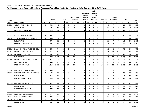|                 |                                  |                |       |       |                |                |                         | <b>Black or African</b> |                 | American<br>Indian/<br>Alaskan |                         | <b>Native</b><br>Hawaiian<br>or Other<br><b>Pacific</b> |                |                          |                          | Two or            |       |       |       |
|-----------------|----------------------------------|----------------|-------|-------|----------------|----------------|-------------------------|-------------------------|-----------------|--------------------------------|-------------------------|---------------------------------------------------------|----------------|--------------------------|--------------------------|-------------------|-------|-------|-------|
| <b>District</b> |                                  |                | White |       | Asian          |                |                         | American                |                 | <b>Native</b>                  |                         | Islander                                                |                | <b>Hispanic</b>          |                          | <b>More Races</b> |       | Total | Grand |
| Code            | <b>District Name</b>             | Class          | F.    | М     | F              | М              | F                       | М                       | F               | M                              | F.                      | М                                                       | F              | M                        | F                        | M                 | F     | М     | Total |
| 64-0029         | <b>AUBURN PUBLIC SCHOOLS</b>     | 3              | 408   | 442   | $\mathbf{1}$   | $\overline{2}$ | $\overline{2}$          | 3                       | $\overline{0}$  |                                | οI                      | $\mathbf 0$                                             | 8              | 9                        | $\overline{7}$           | 9                 | 426   | 466   | 892   |
|                 | <b>PUBLIC TOTAL</b>              |                | 574   | 598   | $\mathbf{1}$   | $\overline{2}$ | $\overline{7}$          | 3                       | οI              |                                | 0l                      | $\mathbf{0}$                                            | 17             | 12                       | 9                        | 10                | 608   | 626   | 1,234 |
|                 | <b>NEMAHA COUNTY TOTAL</b>       |                | 574   | 598   | $\mathbf{1}$   | $\overline{2}$ | $\overline{7}$          | 3                       | 0               | 1                              | 0                       | 0                                                       | 17             | 12                       | 9                        | 10                | 608   | 626   | 1,234 |
| 65-0011         | <b>SUPERIOR PUBLIC SCHOOLS</b>   | 3              | 184   | 213   | $\overline{0}$ | $\mathbf 0$    | 1                       | $\Delta$                | $\mathbf{1}$    | 0                              | 1                       | $\Omega$                                                | $\overline{2}$ | 11                       | $\mathbf{1}$             | 3                 | 190   | 231   | 421   |
| 65-2005         | SOUTH CENTRAL NEBRASKA UNIFIED 5 | 3              | 290   | 338   | $\mathbf 0$    | 0              | $\overline{2}$          | З                       | $\mathbf{1}$    | $\mathbf{1}$                   | $\overline{2}$          | $\Omega$                                                | 19             | 15                       | 6                        | 4                 | 320   | 361   | 681   |
|                 | <b>PUBLIC TOTAL</b>              |                | 474   | 551   | οI             | $\mathbf 0$    | $\overline{\mathbf{3}}$ | 7                       | $\overline{2}$  | 1                              | $\overline{\mathbf{3}}$ | $\mathbf{0}$                                            | 21             | 26                       | $\overline{7}$           |                   | 510   | 592   | 1,102 |
|                 | <b>NUCKOLLS COUNTY TOTAL</b>     |                | 474   | 551   | $\mathbf 0$    | $\mathbf 0$    | 3                       | 7                       | $\overline{2}$  | 1                              | $\overline{\mathbf{3}}$ | $\mathbf{0}$                                            | 21             | 26                       | $\overline{\phantom{a}}$ | $\overline{ }$    | 510   | 592   | 1,102 |
|                 |                                  |                |       |       |                |                |                         |                         |                 |                                |                         |                                                         |                |                          |                          |                   |       |       |       |
| 66-0027         | SYRACUSE-DUNBAR-AVOCA SCHOOLS    | 3              | 360   | 374   | $\mathbf 0$    | $\mathbf 0$    | $\overline{2}$          |                         | $\overline{0}$  | 0                              | $\overline{0}$          | $\mathbf 0$                                             | 14             | 13                       | $\overline{2}$           | 7                 | 378   | 395   | 773   |
| 66-0111         | NEBRASKA CITY PUBLIC SCHOOLS     | 3              | 555   | 562   | 6              | 10             | 5                       | $\mathcal{P}$           | 6               | $\overline{2}$                 | $\overline{0}$          | $\mathbf{0}$                                            | 130            | 148                      | 18                       | 21                | 720   | 745   | 1,465 |
| 66-0501         | PALMYRA DISTRICT OR 1            | 3              | 242   | 266   | $\mathbf{1}$   | $\overline{2}$ | 3                       |                         | $\overline{0}$  | 1                              | $\mathbf{1}$            | $\mathbf{0}$                                            | -7             | $\mathcal{P}$            | $\overline{7}$           | 8                 | 261   | 283   | 544   |
|                 | <b>PUBLIC TOTAL</b>              |                | 1,157 | 1,202 | $\overline{7}$ | 12             | 10                      | $\overline{\mathbf{z}}$ | <b>6</b>        | 3                              | $\mathbf{1}$            | $\mathbf 0$                                             | 151            | 163                      | 27                       | 36                | 1,359 | 1,423 | 2,782 |
| 66-0701         | NEBRASKA CITY LOURDES CENTRAL    | <b>NP</b>      | 153   | 129   | $\overline{2}$ | $\overline{2}$ | $\mathbf 0$             | $\Omega$                | $\overline{0}$  | 0                              | οI                      | $\mathbf{0}$                                            | 20             | 21                       | $\mathbf{1}$             | $\mathbf{0}$      | 176   | 152   | 328   |
|                 | <b>NON PUBLIC TOTAL</b>          |                | 153   | 129   | $\overline{2}$ | $\overline{2}$ | $\mathbf{0}$            | $\mathbf 0$             | οI              | 0                              | 0                       | $\mathbf{0}$                                            | 20             | 21                       | $\mathbf{1}$             | $\mathbf{0}$      | 176   | 152   | 328   |
|                 | <b>OTOE COUNTY TOTAL</b>         |                | 1,310 | 1,331 | $\mathbf{9}$   | 14             | 10                      | 7                       | 6 <sup>1</sup>  | 3                              | $\mathbf{1}$            | $\mathbf{0}$                                            | 171            | 184                      | 28                       | 36                | 1,535 | 1,575 | 3,110 |
| 67-0001         | PAWNEE CITY PUBLIC SCHOOLS       | 3              | 135   | 151   | $\Omega$       | $\mathbf 0$    | $\mathbf 0$             | $\Delta$                | $\overline{0}$  | 1                              | 1                       | 0                                                       | $\overline{0}$ | 3                        | 3                        |                   | 139   | 160   | 299   |
| 67-0069         | LEWISTON CONSOLIDATED SCHOOLS    | 3              | 80    | 100   | $\overline{2}$ | $\mathbf 0$    | $\mathbf{1}$            |                         | $\overline{0}$  | 0                              | $\overline{0}$          | $\Omega$                                                |                | 4                        | $\overline{2}$           | $\overline{2}$    | 86    | 107   | 193   |
|                 | <b>PUBLIC TOTAL</b>              |                | 215   | 251   | $\overline{2}$ | $\mathbf 0$    | $\mathbf{1}$            | 5                       | οI              | $\mathbf{1}$                   | $\mathbf{1}$            | $\mathbf{0}$                                            | 1              | $\overline{\phantom{a}}$ | 5                        | 3                 | 225   | 267   | 492   |
|                 | <b>PAWNEE COUNTY TOTAL</b>       |                | 215   | 251   | $\mathbf{2}$   | $\mathbf{0}$   | $\mathbf{1}$            | 5                       | 0               | 1                              | $\mathbf{1}$            | $\mathbf{0}$                                            | $\mathbf{1}$   | $\overline{7}$           | 5                        |                   | 225   | 267   | 492   |
|                 |                                  |                |       |       |                |                |                         |                         |                 |                                |                         |                                                         |                |                          |                          |                   |       |       |       |
| 68-0020         | PERKINS COUNTY SCHOOLS           | 3              | 172   | 196   | $\overline{0}$ |                | 3                       | $\overline{2}$          | 1               | $\overline{2}$                 | $\overline{0}$          | $\mathbf{0}$                                            | 18             | 14                       | 0                        | $\mathbf{0}$      | 194   | 215   | 409   |
|                 | <b>PUBLIC TOTAL</b>              |                | 172   | 196   | $\mathbf 0$    | -1             | 3                       | 2                       | $1\overline{1}$ | $\overline{2}$                 | 0                       | $\mathbf{0}$                                            | 18             | 14                       | 0                        | $\mathbf{0}$      | 194   | 215   | 409   |
|                 | PERKINS COUNTY TOTAL             |                | 172   | 196   | $\mathbf 0$    | 1              | $\overline{\mathbf{3}}$ | $\overline{\mathbf{2}}$ | $1\overline{1}$ | $\mathbf{2}$                   | οI                      | $\mathbf{0}$                                            | 18             | 14                       | 0                        | $\mathbf{0}$      | 194   | 215   | 409   |
| 69-0044         | <b>HOLDREGE PUBLIC SCHOOLS</b>   | 3              | 477   | 525   | $\overline{4}$ | $\mathbf 0$    | 3                       |                         | $\overline{9}$  | $\mathbf{1}$                   | οI                      | $\overline{0}$                                          | 54             | 47                       | 9                        | 12                | 556   | 586   | 1,142 |
| 69-0054         | <b>BERTRAND PUBLIC SCHOOLS</b>   | 3              | 103   | 127   | $\mathbf 0$    | $\Omega$       | $\mathbf 0$             |                         | $\overline{0}$  | 0                              | $\overline{0}$          | $\Omega$                                                | 16             | 14                       | $\mathbf 0$              | $\Omega$          | 119   | 142   | 261   |
| 69-0055         | LOOMIS PUBLIC SCHOOLS            | $\overline{2}$ | 89    | 100   | $\overline{0}$ | 1              | $\mathbf 0$             | $\mathbf 0$             | $\overline{2}$  | $\overline{2}$                 | $\overline{0}$          | $\mathbf 0$                                             | 8              | 11                       | 0                        | $\mathbf{1}$      | 99    | 115   | 214   |
|                 | <b>PUBLIC TOTAL</b>              |                | 669   | 752   | 4              | $\mathbf{1}$   | $\overline{\mathbf{3}}$ | $\overline{\mathbf{2}}$ | 11              | 3                              | οl                      | $\mathbf{0}$                                            | 78             | 72                       | 9                        | 13                | 774   | 843   | 1,617 |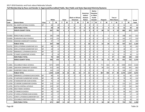|                 |                                     |                |          |       |                         |                |                         | <b>Black or African</b> | American<br>Indian/<br>Alaskan |                         |                         | <b>Native</b><br>Hawaiian<br>or Other<br><b>Pacific</b> |                |                 |                         | Two or            |       |       |       |
|-----------------|-------------------------------------|----------------|----------|-------|-------------------------|----------------|-------------------------|-------------------------|--------------------------------|-------------------------|-------------------------|---------------------------------------------------------|----------------|-----------------|-------------------------|-------------------|-------|-------|-------|
| <b>District</b> |                                     |                | White    |       | Asian                   |                |                         | American                | <b>Native</b>                  |                         |                         | Islander                                                |                | <b>Hispanic</b> |                         | <b>More Races</b> |       | Total | Grand |
| Code            | <b>District Name</b>                | <b>Class</b>   | F.       | M     | F                       | М              | F                       | М                       | F.                             | M                       | F.                      | М                                                       | F.             | M               | F                       | M                 | F     | M     | Total |
| 69-0705         | ALL SAINTS CATHOLIC SCHOOL          | <b>NP</b>      | 28       | 29    | $\mathbf 1$             | $\mathbf 0$    | $\overline{0}$          | $\mathbf 0$             | 0                              | 0                       | $\mathbf 0$             | $\overline{0}$                                          | $\overline{2}$ | $\overline{0}$  | 0                       | $\overline{0}$    | 31    | 29    | 60    |
|                 | <b>NON PUBLIC TOTAL</b>             |                | 28       | 29    | $\mathbf{1}$            | $\mathbf 0$    | $\mathbf{0}$            | $\mathbf{0}$            | $\mathbf{0}$                   | οI                      | $\mathbf 0$             | $\mathbf{0}$                                            | $\overline{2}$ | 0               | $\mathbf 0$             | 0                 | 31    | 29    | 60    |
|                 | PHELPS COUNTY TOTAL                 |                | 697      | 781   | 5 <sup>1</sup>          | $\mathbf{1}$   | $\vert$ 3               | $\overline{2}$          | 11                             | $\overline{\mathbf{3}}$ | $\mathbf 0$             | $\mathbf{0}$                                            | 80             | 72              | 9                       | 13                | 805   | 872   | 1,677 |
|                 |                                     |                |          |       |                         |                |                         |                         |                                |                         |                         |                                                         |                |                 |                         |                   |       |       |       |
| 70-0002         | PIERCE PUBLIC SCHOOLS               | 3              | 285      | 338   | 1                       | 0              | $\mathbf{1}$            | $\mathbf{1}$            |                                | 4                       | $\mathbf 0$             | $\Omega$                                                | 6              | $\overline{3}$  | 3                       | 9                 | 298   | 355   | 653   |
| 70-0005         | PLAINVIEW PUBLIC SCHOOLS            | 3              | 125      | 153   | $\mathbf{1}$            | $\mathbf{1}$   | $\overline{\mathbf{3}}$ | 3                       |                                | $6 \overline{6}$        | $\Omega$                | $\Omega$                                                | 8              | 13              | $\overline{3}$          | $\mathbf{1}$      | 142   | 177   | 319   |
| 70-0542         | OSMOND COMMUNITY SCHOOLS            | $\overline{3}$ | 97       | 77    | $\mathbf 0$             | $\mathbf{1}$   | $\overline{0}$          | $\overline{3}$          |                                | $\Omega$                | $\mathbf 0$             | $\Omega$                                                | 8              | $\overline{4}$  | $\mathbf{1}$            | $\overline{0}$    | 107   | 85    | 192   |
|                 | <b>PUBLIC TOTAL</b>                 |                | 507      | 568   | $\overline{\mathbf{2}}$ | $\overline{2}$ | $\overline{4}$          | $\overline{7}$          | 5                              | 10                      | $\mathbf 0$             | $\mathbf{0}$                                            | 22             | 20              | $\overline{\mathbf{z}}$ | 10 <sub>1</sub>   | 547   | 617   | 1,164 |
| 70-0701         | ZION LUTHERAN ELEMENTARY SCH        | <b>NP</b>      | 48       | 47    | $\mathbf 0$             | $\mathbf 0$    | $\overline{0}$          | $\Omega$                | $\Omega$                       | 1                       | $\Omega$                | $\Omega$                                                | $\mathbf{1}$   | $1\overline{ }$ | $\overline{2}$          | $\mathbf{1}$      | 51    | 50    | 101   |
| 70-0702         | ZION LUTHERAN ELEMENTARY SCH        | <b>NP</b>      | 18       | 14    | $\overline{0}$          | $\overline{0}$ | $\overline{0}$          | $\mathbf 0$             | $\mathbf 0$                    | $\overline{0}$          | $\Omega$                | $\Omega$                                                | $\mathbf 0$    | $\overline{0}$  | $\mathbf 0$             | $\Omega$          | 18    | 14    | 32    |
| 70-0703         | IMMANUEL LUTHERAN ELEM SCH          | <b>NP</b>      | 10       | 12    | $\Omega$                | $\overline{0}$ | $\overline{0}$          | $\mathbf 0$             | $\overline{0}$                 | $\mathbf{0}$            | $\Omega$                | $\Omega$                                                | 0              | $\overline{0}$  | 0                       | $\Omega$          | 10    | 12    | 22    |
| 70-0705         | ST MARY ELEMENTARY SCHOOL           | <b>NP</b>      | $\Omega$ | 30    | $\overline{0}$          | 0              | $\overline{0}$          | $\mathbf 0$             | $\Omega$                       | $\Omega$                | $\mathbf 0$             | $\Omega$                                                | 0              | $\overline{0}$  | 25                      | $\Omega$          | 25    | 30    | 55    |
|                 | <b>NON PUBLIC TOTAL</b>             |                | 76       | 103   | $\mathbf 0$             | $\mathbf 0$    | $\mathbf{0}$            | $\mathbf 0$             | $\mathbf 0$                    | 1                       | $\mathbf{0}$            | 0                                                       | 1              | 1               | 27                      | 1                 | 104   | 106   | 210   |
|                 | PIERCE COUNTY TOTAL                 |                | 583      | 671   | $\overline{2}$          | $\overline{2}$ | $\overline{4}$          | $\overline{\mathbf{z}}$ | 5                              | 11                      | $\mathbf{0}$            | $\mathbf{0}$                                            | 23             | 21              | 34                      | 11                | 651   | 723   | 1,374 |
|                 |                                     |                |          |       |                         |                |                         |                         |                                |                         |                         |                                                         |                |                 |                         |                   |       |       |       |
| 71-0001         | <b>COLUMBUS PUBLIC SCHOOLS</b>      | 3              | 1073     | 1099  | 6                       | 21             | 20                      | 21                      | 15                             | 18                      |                         | $\Omega$                                                | 771            | 826             | 23                      | 34                | 1909  | 2019  | 3,928 |
| 71-0005         | LAKEVIEW COMMUNITY SCHOOLS          | $\overline{3}$ | 312      | 305   | $\overline{4}$          | $\mathbf{1}$   | $\overline{2}$          | $\overline{1}$          | $\overline{2}$                 | $\overline{3}$          | $\overline{2}$          | 3                                                       | 96             | 122             | $\overline{4}$          | 6                 | 422   | 441   | 863   |
| 71-0067         | HUMPHREY PUBLIC SCHOOLS             | $\overline{3}$ | 144      | 135   | $\mathbf 0$             | $\overline{0}$ | $\overline{0}$          | $\mathbf 0$             | $\Omega$                       | $\overline{0}$          | $\mathbf 0$             | $\Omega$                                                | $\mathbf 0$    | $\overline{2}$  | $\mathbf 0$             | οI                | 144   | 137   | 281   |
|                 | <b>PUBLIC TOTAL</b>                 |                | 1,529    | 1,539 | 10                      | 22             | 22                      | 22                      | 17                             | 21                      | $\overline{\mathbf{3}}$ | $\mathbf{3}$                                            | 867            | 950             | 27                      | 40                | 2,475 | 2,597 | 5,072 |
| 71-0701         | IMMANUEL LUTHERAN ELEM SCHOOL       | <b>NP</b>      | 88       | 81    | $\mathbf{1}$            | $\overline{0}$ | $\overline{0}$          | $\mathbf 0$             | $\Omega$                       | $\overline{0}$          | $\mathbf 0$             | $\Omega$                                                | $\mathbf{1}$   | $\mathbf{1}$    | $\mathbf{1}$            | $\Omega$          | 91    | 82    | 173   |
| 71-0702         | <b>ST ANTHONY ELEMENTARY SCHOOL</b> | NP             | 63       | 48    | $\mathbf 0$             | 0              | $1\vert$                | $\mathbf{1}$            | 1                              | $\mathbf{1}$            | $\mathbf 0$             | $\Omega$                                                | 5              | 12              | 0                       | $\Omega$          | 70    | 62    | 132   |
| 71-0703         | ST BONAVENTURE ELEM SCHOOL          | <b>NP</b>      | 76       | 64    | 3                       | $\overline{4}$ | $\overline{0}$          | $\mathbf 0$             | $\Omega$                       | $\Omega$                | $\mathbf 0$             | $\Omega$                                                | 14             | $\overline{7}$  | 0                       | $\overline{0}$    | 93    | 75    | 168   |
| 71-0704         | ST ISIDORE ELEMENTARY SCHOOL        | <b>NP</b>      | 119      | 123   | $\mathbf 0$             | 1              | $\overline{0}$          | $\Omega$                | $\Omega$                       | $\Omega$                | $\mathbf 0$             | $\Omega$                                                | $\overline{2}$ | $\Omega$        | $\mathbf{1}$            | 3                 | 122   | 127   | 249   |
| 71-0705         | <b>SCOTUS CENTRAL CATHOLIC</b>      | <b>NP</b>      | 129      | 167   | 6                       | 9              | $\overline{0}$          | $\mathbf 0$             | $\overline{0}$                 | $\Omega$                | $\mathbf 0$             | $\Omega$                                                | 6              | 14              | 31                      | 2                 | 172   | 192   | 364   |
| 71-0706         | <b>HOLY FAMILY SCHOOLS</b>          | <b>NP</b>      | 46       | 45    | $\mathbf 0$             | $\mathbf 0$    | $\overline{0}$          | $\mathbf 0$             | $\overline{0}$                 | $\Omega$                | $\mathbf 0$             | $\Omega$                                                | $\mathbf 0$    | $\overline{0}$  | 0                       | $\overline{0}$    | 46    | 45    | 91    |
| 71-0708         | <b>ST FRANCIS SCHOOLS</b>           | <b>NP</b>      | 93       | 102   | $\mathbf{1}$            | $\mathbf 0$    | $\overline{0}$          | $\mathbf 0$             | $\mathbf 0$                    | $\overline{0}$          | $\mathbf 0$             | $\Omega$                                                | $\mathbf 0$    | $\overline{0}$  | $\pmb{0}$               | οI                | 94    | 102   | 196   |
| 71-0710         | ST JOHN LUTHERAN ELEM SCHOOL        | <b>NP</b>      | 22       | 17    | $\mathbf 0$             | $\overline{0}$ | $\overline{0}$          | $\mathbf 0$             | $\mathbf 0$                    | $\Omega$                | $\mathbf 0$             | $\Omega$                                                | $\overline{0}$ | $\overline{0}$  | 0                       | $\Omega$          | 22    | 17    | 39    |
| 71-0711         | CHRIST LUTHERAN ELEMENTARY SCH      | <b>NP</b>      | 12       | 14    | $\overline{0}$          | $\overline{0}$ | $\overline{0}$          | $\Omega$                | $\Omega$                       | $\Omega$                | $\Omega$                | $\Omega$                                                | 0              | $\overline{0}$  | 0                       | $\mathbf{1}$      | 12    | 15    | 27    |
| 71-0712         | <b>COLUMBUS CHRISTIAN SCHOOL</b>    | <b>NP</b>      | 23       | 23    | $\mathbf 0$             | 0              | $\overline{0}$          | $\mathbf 0$             | $\mathbf 0$                    | $\Omega$                | $\mathbf 0$             | $\Omega$                                                | 8              | $\overline{4}$  | 0                       | $\mathbf{1}$      | 31    | 28    | 59    |
|                 | <b>NON PUBLIC TOTAL</b>             |                | 671      | 684   | 11                      | 14             | $\mathbf{1}$            | $\mathbf{1}$            |                                | $\mathbf{1}$            | $\mathbf{0}$            | 0                                                       | 36             | 38              | 33                      | $\overline{7}$    | 753   | 745   | 1,498 |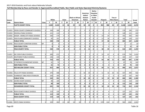|                         |                                                      |                |              | White | Asian                          |                         |                                       | <b>Black or African</b><br>American |                      | American<br>Indian/<br>Alaskan<br><b>Native</b> |                | <b>Native</b><br>Hawaiian<br>or Other<br>Pacific<br>Islander |                | <b>Hispanic</b>         |                 | Two or<br><b>More Races</b> |                | Total |                |
|-------------------------|------------------------------------------------------|----------------|--------------|-------|--------------------------------|-------------------------|---------------------------------------|-------------------------------------|----------------------|-------------------------------------------------|----------------|--------------------------------------------------------------|----------------|-------------------------|-----------------|-----------------------------|----------------|-------|----------------|
| <b>District</b><br>Code | <b>District Name</b>                                 | Class          | F            | М     | F                              | М                       | F.                                    | М                                   | F.                   | М                                               | F              | М                                                            | F              | М                       | F               | М                           | F              | М     | Grand<br>Total |
|                         | <b>PLATTE COUNTY TOTAL</b>                           |                | 2,200        | 2,223 | 21                             | 36                      | 23                                    | 23                                  | 18                   | 22                                              | 3              | $\overline{\mathbf{3}}$                                      | 903            | 988                     | 60              | 47                          | 3,228          | 3,342 | 6,570          |
|                         |                                                      |                |              |       |                                |                         |                                       |                                     |                      |                                                 |                |                                                              |                |                         |                 |                             |                |       |                |
| 72-0015                 | <b>CROSS COUNTY COMMUNITY SCHOOLS</b>                | $\overline{3}$ | 169          | 189   | $\overline{0}$                 | 0                       | $\mathbf{1}$                          | 3                                   | $\overline{0}$       | 0                                               | 0              | $\overline{0}$                                               | 9              | $\overline{2}$          | $\mathbf 0$     | $\overline{0}$              | 179            | 194   | 373            |
| 72-0019                 | <b>OSCEOLA PUBLIC SCHOOLS</b>                        | 3              | 121          | 114   | $\overline{0}$                 | $\mathbf 0$             | $\mathbf{1}$                          | $\Omega$                            | 2                    | $\overline{2}$                                  | $\Omega$       | $\mathbf{1}$                                                 | $\overline{3}$ | $\Delta$                | $\mathbf{1}$    | $\Omega$                    | 128            | 121   | 249            |
| 72-0032                 | SHELBY - RISING CITY PUBLIC SCHOOLS                  | 3              | 166          | 174   | $\overline{0}$                 | $\mathbf 0$             | $\Omega$                              | $\Omega$                            | $\mathbf{1}$         | $\Omega$                                        | $\Omega$       | $\Omega$                                                     | 23             | 24                      | $\mathbf{1}$    | $\overline{4}$              | 191            | 202   | 393            |
| 72-0075                 | HIGH PLAINS COMMUNITY SCHOOLS                        | 3              | 92           | 101   | $\overline{0}$                 | $\mathbf 0$             | $\mathbf{1}$                          |                                     | $\Omega$             | 0                                               | $\Omega$       | $\overline{0}$                                               | 12             | 18                      | $\mathbf 0$     | $\Omega$                    | 105            | 120   | 225            |
|                         | <b>PUBLIC TOTAL</b>                                  |                | 548          | 578   | $\mathbf{0}$                   | 0                       | $\overline{\mathbf{3}}$               | 4                                   | 3                    | $\mathbf{2}$                                    | $\mathbf{0}$   | $1\overline{ }$                                              | 47             | 48                      | $\overline{2}$  | $\overline{4}$              | 603            | 637   | 1,240          |
| 72-0701                 | POLK COUNTY CHRISTIAN SCHOOL                         | <b>NP</b>      | $\Omega$     | 0     | $\overline{0}$                 | $\mathbf 0$             | $\mathbf{1}$                          | $\overline{2}$                      | 5                    | 9                                               | $\Omega$       | $\Omega$                                                     | $\mathbf{1}$   | $\mathbf 1$             | $\mathbf 0$     | $\Omega$                    | $\overline{7}$ | 12    | 19             |
|                         | <b>NON PUBLIC TOTAL</b>                              |                | $\mathbf{0}$ | 0     | 0                              | $\mathbf 0$             | $\mathbf{1}$                          | $\overline{2}$                      | 5                    | 9                                               | $\mathbf{0}$   | $\mathbf{0}$                                                 | $\mathbf{1}$   | 1                       | 0               | $\mathbf{0}$                | $\overline{ }$ | 12    | 19             |
|                         | POLK COUNTY TOTAL                                    |                | 548          | 578   | $\mathbf{0}$                   | $\mathbf{0}$            | $\overline{4}$                        | 6                                   | 8                    | 11                                              | $\mathbf{0}$   | $1\overline{ }$                                              | 48             | 49                      | $\overline{2}$  | $\overline{a}$              | 610            | 649   | 1,259          |
|                         |                                                      |                |              |       |                                |                         |                                       |                                     |                      |                                                 |                |                                                              |                |                         |                 |                             |                |       |                |
| 73-0017                 | MC COOK PUBLIC SCHOOLS                               | $\mathbf{a}$   | 608          | 672   | $\overline{3}$                 | $\overline{3}$          | 3                                     | 3                                   | $\mathbf{1}$         | $\mathcal{P}$                                   | $\Omega$       | $\Omega$                                                     | 55             | 62                      | $\overline{4}$  | 8                           | 674            | 750   | 1,424          |
| 73-0179                 | SOUTHWEST PUBLIC SCHOOLS                             | 3              | 146          | 140   | $\Omega$                       | $\mathbf 0$             | $\mathbf{1}$                          | $\Omega$                            | $\Omega$             | $\Omega$                                        | $\Omega$       | $\Omega$                                                     | 9              | 6                       | $\overline{7}$  | $\mathbf{1}$                | 163            | 147   | 310            |
|                         | <b>PUBLIC TOTAL</b>                                  |                | 754          | 812   | $\overline{\mathbf{3}}$        | $\overline{\mathbf{3}}$ | $\overline{4}$                        | $\overline{\mathbf{3}}$             | $\mathbf{1}$         | $\overline{2}$                                  | $\mathbf{0}$   | $\mathbf{0}$                                                 | 64             | 68                      | 11              | $\mathbf{9}$                | 837            | 897   | 1,734          |
| 73-0701                 | ST PATRICK'S ELEMENTARY SCHOOL                       | <b>NP</b>      | 61           | 72    | $\Omega$                       | $\mathbf{1}$            | $\Omega$                              | $\Omega$                            | $\Omega$             | $\overline{0}$                                  | $\Omega$       | $\Omega$                                                     | 5              | 3                       | $\mathbf{1}$    | $\Omega$                    | 67             | 76    | 143            |
|                         | <b>NON PUBLIC TOTAL</b>                              |                | 61           | 72    | 0                              | $\mathbf{1}$            | $\mathbf 0$                           | $\mathbf{0}$                        | $\mathbf{0}$         | 0                                               | $\mathbf{0}$   | $\mathbf{0}$                                                 | 5              | $\overline{\mathbf{3}}$ | $\mathbf{1}$    | $\mathbf{0}$                | 67             | 76    | 143            |
|                         | RED WILLOW COUNTY TOTAL                              |                | 815          | 884   | 3                              | 4                       | 4                                     | $\overline{\mathbf{3}}$             | $\mathbf{1}$         | $\mathbf{2}$                                    | $\mathbf{0}$   | $\mathbf{0}$                                                 | 69             | 71                      | 12              | 9                           | 904            | 973   | 1,877          |
| 74-0056                 | <b>FALLS CITY PUBLIC SCHOOLS</b>                     | 3              | 379          | 408   |                                |                         |                                       |                                     |                      |                                                 | $\mathbf 0$    | $\overline{2}$                                               |                |                         |                 | 51                          | 437            | 499   |                |
| 74-0070                 |                                                      | 3              | 164          | 183   | $\mathbf{1}$<br>$\overline{0}$ | $\mathbf{1}$<br>1       | $\overline{2}$<br>$\mathsf{O}\xspace$ | $\overline{2}$                      | 18<br>$\overline{0}$ | 19<br>5                                         | $\Omega$       | $\Omega$                                                     | 11<br>3        | 16<br>3                 | 26<br>$\pmb{0}$ | $\overline{4}$              | 167            | 197   | 936<br>364     |
|                         | HUMBOLDT TABLE ROCK STEINAUER<br><b>PUBLIC TOTAL</b> |                | 543          | 591   | $\mathbf 1$                    | $\overline{2}$          | $\overline{2}$                        | $\overline{\mathbf{3}}$             | 18                   | 24                                              | $\mathbf{0}$   | 2                                                            | 14             | 19                      | 26              | 55                          | 604            | 696   | 1,300          |
| 74-0702                 | <b>SACRED HEART SCHOOLS</b>                          | <b>NP</b>      | 98           | 109   | $\mathbf{1}$                   | $\Omega$                | $\mathbf{1}$                          | $\mathbf 0$                         | $\overline{0}$       | $\overline{0}$                                  | $\mathbf 0$    | $\overline{0}$                                               | $\overline{4}$ |                         | 8               | 8                           | 112            | 118   | 230            |
|                         | <b>NON PUBLIC TOTAL</b>                              |                | 98           | 109   | $\mathbf{1}$                   | $\mathbf 0$             | 1                                     | 0                                   | $\mathbf{0}$         | 0                                               | $\mathbf{0}$   | $\mathbf{0}$                                                 | $\overline{a}$ | 1                       | 8               | 8                           | 112            | 118   | 230            |
|                         | <b>RICHARDSON COUNTY TOTAL</b>                       |                | 641          | 700   | $\mathbf{2}$                   | $\overline{\mathbf{2}}$ | $\overline{\mathbf{3}}$               | $\overline{\mathbf{3}}$             | 18                   | 24                                              | $\mathbf 0$    | 2                                                            | 18             | 20                      | 34              | 63                          | 716            | 814   | 1,530          |
|                         |                                                      |                |              |       |                                |                         |                                       |                                     |                      |                                                 |                |                                                              |                |                         |                 |                             |                |       |                |
| 75-0100                 | ROCK COUNTY PUBLIC SCHOOLS                           | 3              | 119          | 120   | $\overline{0}$                 | $\overline{0}$          | $\mathbf 0$                           | $\overline{0}$                      | 3 <sup>1</sup>       | 0                                               | $\mathbf 0$    | $\overline{0}$                                               | $\overline{4}$ | 4                       | 1               | $\mathbf{1}$                | 127            | 125   | 252            |
|                         | <b>PUBLIC TOTAL</b>                                  |                | 119          | 120   | $\mathbf{0}$                   | $\mathbf 0$             | $\mathbf 0$                           | $\mathbf{0}$                        | 3                    | 0                                               | 0              | $\mathbf{0}$                                                 | $\overline{a}$ | 4                       | 1               | 1                           | 127            | 125   | 252            |
|                         | <b>ROCK COUNTY TOTAL</b>                             |                | 119          | 120   | οl                             | $\mathbf 0$             | $\mathbf 0$                           | <sub>0</sub>                        | 3                    | $\mathbf{0}$                                    | $\mathbf{0}$   | 0                                                            | 4              | $\overline{4}$          | $\mathbf{1}$    | $\mathbf{1}$                | 127            | 125   | 252            |
|                         |                                                      |                |              |       |                                |                         |                                       |                                     |                      |                                                 |                |                                                              |                |                         |                 |                             |                |       |                |
| 76-0002                 | <b>CRETE PUBLIC SCHOOLS</b>                          | 3              | 329          | 402   | 21                             | 26                      | 13                                    | 10                                  | $\overline{7}$       | $\mathbf 2$                                     | $\overline{4}$ | $\overline{9}$                                               | 578            | 616                     | 11              | 17                          | 963            | 1082  | 2,045          |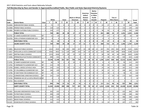|                  |                                        |                         | White  |                | Asian          |                | <b>Black or African</b><br>American |                | American<br>Indian/<br><b>Native</b> | Alaskan                  |                        | <b>Native</b><br>Hawaiian<br>or Other<br><b>Pacific</b><br>Islander |                         | <b>Hispanic</b> |                | Two or<br><b>More Races</b> | Total          |                |                |
|------------------|----------------------------------------|-------------------------|--------|----------------|----------------|----------------|-------------------------------------|----------------|--------------------------------------|--------------------------|------------------------|---------------------------------------------------------------------|-------------------------|-----------------|----------------|-----------------------------|----------------|----------------|----------------|
| District<br>Code | <b>District Name</b>                   | Class                   | F.     | М              | F              | М              | F.                                  | М              | F                                    | М                        | F                      | М                                                                   | F                       | M               | F.             | М                           | F              | М              | Grand<br>Total |
| 76-0044          | DORCHESTER PUBLIC SCHOOL               | $\overline{3}$          | 71     | 77             | $\overline{0}$ | 0              | $\overline{0}$                      | $\mathbf 0$    | 0                                    | $\Omega$                 | $\mathbf 0$            | $\Omega$                                                            | 23                      | 27              | 3              | $\overline{0}$              | 97             | 104            |                |
| 76-0068          | <b>FRIEND PUBLIC SCHOOLS</b>           | 3                       | 110    | 125            | $\overline{4}$ | $\mathbf{1}$   | $\overline{2}$                      | 6              | $\mathcal{P}$                        | $\mathfrak{p}$           | $\mathbf 0$            | $\Omega$                                                            | $\overline{2}$          | 3               | $\mathbf{1}$   | $\overline{2}$              | 121            | 139            | 201<br>260     |
| 76-0082          | <b>WILBER-CLATONIA PUBLIC SCHOOLS</b>  | 3                       | 218    | 277            | 3              | $\mathbf{1}$   | 2                                   | $\mathbf{1}$   | $\Omega$                             | 1                        | $\Omega$               | $\Omega$                                                            | 38                      | 42              | 9              | 8                           | 270            | 330            | 600            |
|                  | <b>PUBLIC TOTAL</b>                    |                         | 728    | 881            | 28             | 28             | 17                                  | 17             | 9                                    | 5                        | $\boldsymbol{\Lambda}$ | 9                                                                   | 641                     | 688             | 24             | 27                          | 1,451          | 1,655          | 3,106          |
| 76-0701          | ST JAMES ELEMENTARY SCHOOL             | <b>NP</b>               | 11     | 23             | $\mathbf{1}$   | $\Omega$       | $\Omega$                            | $\Omega$       | $\Omega$                             | $\Omega$                 | $\Omega$               | $\Omega$                                                            | 27                      | 27              | $\Omega$       | $\Omega$                    | 39             | 50             | 89             |
| 76-0703          | ZION LUTHERAN ELEMENTARY SCH           | <b>NP</b>               | O      | $\Omega$       | $\mathbf 0$    | $\Omega$       | $\Omega$                            | $\Omega$       |                                      | $\mathfrak{p}$           | $\Omega$               | $\Omega$                                                            | 0                       | $\Omega$        | 0              | $\Omega$                    | $\overline{2}$ | $\overline{2}$ | $\overline{4}$ |
|                  | <b>NON PUBLIC TOTAL</b>                |                         | 11     | 23             | $\mathbf{1}$   | $\mathbf{0}$   | 0                                   | $\mathbf{0}$   |                                      | $\overline{2}$           | $\mathbf 0$            | οI                                                                  | 27                      | 27              | $\mathbf{0}$   | 0                           | 41             | 52             | 93             |
|                  | <b>SALINE COUNTY TOTAL</b>             |                         | 739    | 904            | 29             | 28             | 17                                  | 17             | 11                                   | $\overline{\phantom{a}}$ | 4                      | 9                                                                   | 668                     | 715             | 24             | 27                          | 1,492          | 1,707          | 3,199          |
|                  |                                        |                         |        |                |                |                |                                     |                |                                      |                          |                        |                                                                     |                         |                 |                |                             |                |                |                |
| 77-0001          | <b>BELLEVUE PUBLIC SCHOOLS</b>         | 3                       | 3214   | 3535           | 86             | 105            | 383                                 | 427            | 33                                   | 38                       | 18                     | 13                                                                  | 647                     | 705             | 295            | 302                         | 4676           | 5125           | 9,801          |
| 77-0027          | PAPILLION LA VISTA COMMUNITY SCHOO     | $\overline{3}$          | 4566   | 4832           | 151            | 129            | 289                                 | 316            | 20                                   | 19                       | 14                     | 10                                                                  | 532                     | 586             | 258            | 296                         | 5830           | 6188           | 12,018         |
| 77-0037          | <b>GRETNA PUBLIC SCHOOLS</b>           | 3                       | 2276   | 2426           | 21             | 29             | 23                                  | 31             | 11                                   | 8                        | $\mathbf 0$            | $\mathbf{1}$                                                        | 90                      | 90              | 40             | 44                          | 2461           | 2629           | 5,090          |
| 77-0046          | SPRINGFIELD PLATTEVIEW COMMUNITY       | 3                       | 490    | 555            | 4              | 4              | 5 <sub>l</sub>                      | $\overline{2}$ | 3                                    | 3                        |                        | $\mathbf{1}$                                                        | 27                      | 38              | 15             | 20                          | 545            | 623            | 1,168          |
|                  | <b>PUBLIC TOTAL</b>                    |                         | 10,546 | 11,348         | 262            | 267            | 700                                 | 776            | 67                                   | 68                       | 33                     | 25                                                                  | 1,296                   | 1,419           | 608            | 662                         | 13,512         | 14,565         | 28,077         |
| 77-0701          | ST MARY ELEMENTARY SCHOOL              | <b>NP</b>               | 66     | 79             | 3              | 6              | 10                                  | 9              | $\overline{2}$                       | 1                        | $\mathbf 0$            | $\Omega$                                                            | 6                       | $6 \mid$        | 5              | 10                          | 92             | 111            | 203            |
| 77-0702          | ST BERNADETTE ELEMENTARY SCH           | <b>NP</b>               | 115    | 99             | $\overline{2}$ | 3              | $\overline{2}$                      | 4              | 0                                    | $\Omega$                 | $\mathbf 0$            | $\mathbf{1}$                                                        | 40                      | 35              | 3              | 6                           | 162            | 148            | 310            |
| 77-0703          | DANIEL J GROSS CATHOLIC HIGH           | <b>NP</b>               | 142    | 155            | $\overline{7}$ | 10             | 13                                  | 11             | $\Omega$                             | 1                        | $\Omega$               |                                                                     | 25                      | 34              | $\mathbf 0$    | $\Omega$                    | 187            | 212            | 399            |
| 77-0705          | ST COLUMBKILLE ELEMENTARY SCH          | <b>NP</b>               | 196    | 229            | 9              | 8              | 2                                   | 10             | $\mathbf{1}$                         | $\overline{0}$           | $\mathbf{1}$           | $\Omega$                                                            | 26                      | 13              | 11             | 5 <sub>l</sub>              | 246            | 265            | 511            |
| 77-0706          | ST MATTHEW THE EVANGELIST SCH          | <b>NP</b>               | 34     | 41             | $\mathbf{1}$   | $\mathbf{1}$   | $\overline{5}$                      | 6              | $\mathbf 0$                          | $\Omega$                 | $\Omega$               | $\Omega$                                                            | 12                      | 18              | 6              | 4                           | 58             | 70             | 128            |
| 77-0713          | <b>CORNERSTONE CHRISTIAN SCHOOLS</b>   | <b>NP</b>               | 141    | 133            | 5              | 3              | $\overline{4}$                      | 11             | $\mathbf 0$                          | $\Omega$                 | $\Omega$               | $\Omega$                                                            | 5                       | 3               | 20             | 13                          | 175            | 163            | 338            |
| 77-0720          | PRIMROSE SCH OF LA VISTA-PRIVATE KDINP |                         |        | 5 <sup>1</sup> | $\mathbf 0$    | 0              | $\overline{0}$                      | $\mathbf 0$    | $\Omega$                             | 0                        | $\Omega$               | $\Omega$                                                            | 0                       | $\overline{0}$  | $\mathbf{1}$   | $\overline{2}$              | 3              | $\overline{7}$ | 10             |
| 77-0721          | <b>NGL ACADEMY</b>                     |                         |        | 5              | $\Omega$       | $\Omega$       | $\mathbf{1}$                        | $\Omega$       | $\Omega$                             | $\overline{0}$           | $\Omega$               | $\Omega$                                                            | $\overline{3}$          | $\mathcal{P}$   | $\Omega$       | 1                           |                | 8              | 12             |
|                  | <b>NON PUBLIC TOTAL</b>                |                         | 696    | 746            | 27             | 31             | 37                                  | 51             | 3                                    | $\overline{\phantom{a}}$ |                        | $\overline{2}$                                                      | 117                     | 111             | 46             | 41                          | 927            | 984            | 1,911          |
|                  | <b>SARPY COUNTY TOTAL</b>              |                         | 11,242 | 12,094         | 289            | 298            | 737                                 | 827            | 70                                   | <b>70</b>                | 34                     | 27                                                                  | 1,413                   | 1,530           | 654            | 703                         | 14,439         | 15,549         | 29,988         |
|                  |                                        |                         |        |                |                |                |                                     |                |                                      |                          |                        |                                                                     |                         |                 |                |                             |                |                |                |
| 78-0001          | ASHLAND-GREENWOOD PUBLIC SCHS          | $\overline{3}$          | 383    | 433            | $\overline{4}$ | 3              | $\overline{3}$                      | 8              | $\mathbf{1}$                         | $\overline{3}$           | $\Omega$               | $\mathbf{1}$                                                        | 18                      | 17              | 16             | 19                          | 425            | 484            | 909            |
| 78-0009          | YUTAN PUBLIC SCHOOLS                   | 3                       | 206    | 239            | $\mathbf{1}$   | $\pmb{0}$      | $\mathbf 1$                         | $\overline{2}$ | 0                                    | 0                        |                        | 4                                                                   | 9                       | $\overline{2}$  | $\pmb{0}$      | $\mathbf{1}$                | 218            | 248            | 466            |
| 78-0039          | <b>WAHOO PUBLIC SCHOOLS</b>            | $\overline{3}$          | 443    | 528            | 8              | 3              | 6 <sup>1</sup>                      | 6              | $\overline{2}$                       | 4                        | 0                      | 1                                                                   | 19                      | 32              | 8              | 6                           | 486            | 580            | 1,066          |
| 78-0072          | <b>MEAD PUBLIC SCHOOLS</b>             | 3                       | 112    | 121            | $\overline{0}$ | $\overline{0}$ | $\overline{0}$                      | $\mathbf 0$    | $\overline{0}$                       | $\overline{0}$           | $\mathbf 0$            | $\overline{0}$                                                      | $\overline{\mathbf{3}}$ | 7               | 0              | $\mathbf{0}$                | 115            | 128            | 243            |
| 78-0107          | CEDAR BLUFFS PUBLIC SCHOOLS            | $\overline{\mathbf{3}}$ | 182    | 151            | $\overline{0}$ | $\mathbf 0$    | $\overline{7}$                      | 9              |                                      | $\mathbf{1}$             | $\Omega$               | $\overline{2}$                                                      | 15                      | 14              | $\overline{2}$ | $\Omega$                    | 207            | 177            | 384            |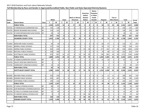|                         |                                       |                | White          |              |                | Asian          | <b>Black or African</b> | American                |                 | American<br>Indian/<br>Alaskan<br><b>Native</b> |                | <b>Native</b><br>Hawaiian<br>or Other<br><b>Pacific</b><br>Islander |                | <b>Hispanic</b> |                | Two or<br><b>More Races</b> |       | Total |                |
|-------------------------|---------------------------------------|----------------|----------------|--------------|----------------|----------------|-------------------------|-------------------------|-----------------|-------------------------------------------------|----------------|---------------------------------------------------------------------|----------------|-----------------|----------------|-----------------------------|-------|-------|----------------|
| <b>District</b><br>Code | <b>District Name</b>                  | Class          | F              | М            | F              | М              | F                       | М                       | F               | M                                               | F.             | М                                                                   | F              | М               | F              | M                           | F     | М     | Grand<br>Total |
|                         | <b>PUBLIC TOTAL</b>                   |                | 1,326          | 1,472        | 13             | 6              | 17                      | 25                      | $\overline{4}$  | 8                                               | $\mathbf{1}$   | 8                                                                   | 64             | 72              | 26             | 26                          | 1,451 | 1,617 | 3,068          |
| 78-0701                 | <b>ST WENCESLAUS ELEMENTARY SCH</b>   | <b>NP</b>      | 135            | 138          | $\overline{0}$ | 0              | $\overline{0}$          | $\Omega$                | $\Omega$        | 0                                               | $\overline{0}$ | $\overline{0}$                                                      | $\mathbf 0$    | $\overline{0}$  | 5              | 5                           | 140   | 143   | 283            |
| 78-0702                 | <b>BISHOP NEUMANN HIGH SCHOOL</b>     | <b>NP</b>      | 134            | 142          | $\Omega$       | 1              | 2                       | $\mathbf 1$             | $\Omega$        | $\mathbf 0$                                     | $\mathbf{1}$   |                                                                     | $\mathbf{1}$   | 1               | 1              | 4                           | 139   | 150   | 289            |
| 78-0703                 | ST JOHN NEPOMUCENE ELEM SCHOOL        | <b>NP</b>      | 28             | 34           | $\mathbf 0$    | $\mathbf 0$    | $\overline{0}$          | $\Omega$                | $\Omega$        | 0                                               | $\Omega$       | $\overline{0}$                                                      | $\mathbf 0$    | $\overline{0}$  | 0              | $\Omega$                    | 28    | 34    | 62             |
|                         | <b>NON PUBLIC TOTAL</b>               |                | 297            | 314          | $\mathbf 0$    | 1              | $\overline{2}$          |                         | $\mathbf{0}$    | 0                                               | 1              | 1                                                                   | $\mathbf{1}$   | 1               | 6              | 9                           | 307   | 327   | 634            |
|                         | <b>SAUNDERS COUNTY TOTAL</b>          |                | 1,623          | 1,786        | 13             | $\overline{7}$ | 19                      | 26                      | $\overline{4}$  | 8                                               | $\overline{2}$ | $\overline{9}$                                                      | 65             | 73              | 32             | 35                          | 1,758 | 1,944 | 3,702          |
|                         |                                       |                |                |              |                |                |                         |                         |                 |                                                 |                |                                                                     |                |                 |                |                             |       |       |                |
| 79-0002                 | MINATARE PUBLIC SCHOOLS               | 3              | 44             | 44           | $\mathbf 0$    | 1              | $\overline{0}$          | $\overline{2}$          | $\overline{5}$  | 3                                               | 0I             | $\mathbf 0$                                                         | 60             | 47              | 1              | $\overline{0}$              | 110   | 97    | 207            |
| 79-0011                 | <b>MORRILL PUBLIC SCHOOLS</b>         | 3              | 137            | 156          | $\mathbf{1}$   | $\Omega$       | $\overline{0}$          | $\overline{2}$          | $\mathsf{S}$    | $\overline{4}$                                  | $\Omega$       | $\mathbf{1}$                                                        | 50             | 55              | $\mathbf 0$    | $\Omega$                    | 193   | 218   | 411            |
| 79-0016                 | <b>GERING PUBLIC SCHOOLS</b>          | 3              | 603            | 618          | $\overline{4}$ | 1              | $6 \mid$                | 5                       | 19              | 18                                              | $\Omega$       | $\mathbf 0$                                                         | 277            | 332             | 17             | 30                          | 926   | 1004  | 1,930          |
| 79-0031                 | <b>MITCHELL PUBLIC SCHOOLS</b>        | 3              | 228            | 268          | $\mathbf{1}$   | $\mathbf 0$    | 2                       | $\overline{\mathbf{1}}$ | $\Omega$        | 0                                               | $\overline{0}$ | $\overline{0}$                                                      | 79             | 68              | 11             | 16                          | 321   | 353   | 674            |
| 79-0032                 | <b>SCOTTSBLUFF PUBLIC SCHOOLS</b>     | 3              | 876            | 867          | 14             | 13             | 9                       | 15                      | 44              | 49                                              | $\overline{2}$ |                                                                     | 736            | 801             | 34             | 36                          | 1715  | 1783  | 3,498          |
|                         | <b>PUBLIC TOTAL</b>                   |                | 1,888          | 1,953        | 20             | 15             | 17                      | 25                      | 73              | 74                                              | $\overline{2}$ | 3                                                                   | 1,202          | 1,303           | 63             | 82                          | 3,265 | 3,455 | 6,720          |
| 79-0702                 | <b>ST AGNES ELEMENTARY SCHOOL</b>     | <b>NP</b>      | 37             | 25           | $\mathbf{1}$   | $\mathbf 0$    | $\mathbf{1}$            | 2                       | $1\overline{ }$ | 0                                               | οI             | $\overline{0}$                                                      | 25             | 22              | $\overline{2}$ | $\overline{2}$              | 67    | 51    | 118            |
| 79-0703                 | VALLEY VIEW SDA CHRISITAN SCH         | <b>NP</b>      | $\overline{2}$ | $\mathbf{1}$ | $\mathbf 0$    | $\Omega$       | $\overline{0}$          | $\Omega$                | $\Omega$        | 0                                               | $\Omega$       | $\overline{0}$                                                      | 3              | $\overline{2}$  | $\mathbf 0$    | $\Omega$                    | 5     | 3     | 8              |
| 79-0705                 | <b>COMMUNITY CHRISTIAN SCHOOLS</b>    | <b>NP</b>      | 53             | 44           | $\mathbf 0$    | 3              | $\mathbf{1}$            | $\Omega$                | $\Omega$        | 0                                               | οI             | $\overline{0}$                                                      | 3              | 3               | $\mathbf 0$    | $\Omega$                    | 57    | 50    | 107            |
|                         | <b>NON PUBLIC TOTAL</b>               |                | 92             | 70           | $\mathbf{1}$   | 3              | $\overline{2}$          | $\overline{\mathbf{2}}$ | $\mathbf{1}$    | 0                                               | Οl             | 0                                                                   | 31             | 27              | $\overline{2}$ | $\overline{2}$              | 129   | 104   | 233            |
|                         | <b>SCOTTS BLUFF COUNTY TOTAL</b>      |                | 1,980          | 2,023        | 21             | 18             | 19                      | 27                      | 74              | 74                                              | 2 <sup>1</sup> | 3                                                                   | 1,233          | 1,330           | 65             | 84                          | 3,394 | 3,559 | 6,953          |
|                         |                                       |                |                |              |                |                |                         |                         |                 |                                                 |                |                                                                     |                |                 |                |                             |       |       |                |
| 80-0005                 | MILFORD PUBLIC SCHOOLS                | 3              | 356            | 334          | $\mathbf{1}$   | 5              | $6 \mid$                | 5                       | $\overline{2}$  | 3                                               | $\overline{0}$ | $\overline{0}$                                                      | 14             | 11              | 11             | $6 \overline{6}$            | 390   | 364   | 754            |
| 80-0009                 | <b>SEWARD PUBLIC SCHOOLS</b>          | $\overline{3}$ | 665            | 687          | $\mathbf 0$    | $\mathbf 0$    | 2                       | 8                       | $\overline{2}$  | $\overline{2}$                                  | $\Omega$       | $\overline{0}$                                                      | 21             | 33              | 16             | 10                          | 706   | 740   | 1,446          |
| 80-0567                 | <b>CENTENNIAL PUBLIC SCHOOLS</b>      | 3              | 199            | 216          | $\mathbf{1}$   | 0              | 8                       | 9                       | $\overline{2}$  | 3                                               | $\Omega$       | $\mathbf 0$                                                         | 10             | 4               | $\mathbf 0$    | $\overline{2}$              | 220   | 234   | 454            |
|                         | <b>PUBLIC TOTAL</b>                   |                | 1,220          | 1.237        | $\mathbf{2}$   | 5              | 16                      | 22                      | 6 <sup>1</sup>  | 8                                               | 0l             | 0                                                                   | 45             | 48              | 27             | 18                          | 1,316 | 1,338 | 2,654          |
| 80-0701                 | <b>ST JOHN LUTHERAN SCHOOL</b>        | <b>NP</b>      | 86             | 87           | $\overline{4}$ | $\mathbf{1}$   | 6                       | -2                      | $\Omega$        | 0                                               | $\Omega$       | $\mathbf 0$                                                         | $\overline{0}$ | 3               | $\Omega$       | $\Omega$                    | 96    | 93    | 189            |
| 80-0703                 | OUR REDEEMER LUTHERAN ELEM SCH        | <b>NP</b>      | 31             | 23           | $\pmb{0}$      | 0              | $\overline{0}$          | $\Omega$                | $\overline{0}$  | 0                                               | $\overline{0}$ | $\overline{0}$                                                      | $\mathbf 0$    | $\overline{0}$  | $\mathbf{1}$   |                             | 32    | 24    | 56             |
| 80-0704                 | ST PAUL'S LUTHERAN ELEM SCHOOL        | <b>NP</b>      | 41             | 49           | $\pmb{0}$      | 0              | $\overline{0}$          | $\Omega$                | $\Omega$        | 0                                               | $\Omega$       | $\Omega$                                                            | $\Omega$       | $\overline{0}$  | $\mathbf 0$    | $\Omega$                    | 41    | 49    | 90             |
| 80-0710                 | <b>ST VINCENT DEPAUL CATHOLIC SCH</b> | <b>NP</b>      | $\Omega$       | 0            | $\mathbf 0$    | $\overline{0}$ | $\overline{0}$          | $\Omega$                | 44              | 34                                              | οI             | $\Omega$                                                            | $\overline{2}$ | $\overline{0}$  | 1              | 3                           | 47    | 37    | 84             |
|                         | <b>NON PUBLIC TOTAL</b>               |                | 158            | 159          | $\overline{4}$ | 1              | 6                       | 2                       | 44              | 34                                              | οl             | $\mathbf{0}$                                                        | $\overline{2}$ | 3               | $\overline{2}$ | 4                           | 216   | 203   | 419            |
|                         | <b>SEWARD COUNTY TOTAL</b>            |                | 1,378          | 1,396        | 6 <sup>1</sup> | 6              | 22                      | 24                      | 50              | 42                                              | οl             | $\mathbf{0}$                                                        | 47             | 51              | 29             | 22                          | 1,532 | 1,541 | 3,073          |
|                         |                                       |                |                |              |                |                |                         |                         |                 |                                                 |                |                                                                     |                |                 |                |                             |       |       |                |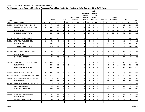|                         |                                      |                | White |     | Asian                   |                         |                | <b>Black or African</b><br>American |                         | American<br>Indian/<br>Alaskan<br><b>Native</b> |                | <b>Native</b><br>Hawaiian<br>or Other<br><b>Pacific</b><br>Islander |                         | <b>Hispanic</b> |                | Two or<br><b>More Races</b> |     | Total |                |
|-------------------------|--------------------------------------|----------------|-------|-----|-------------------------|-------------------------|----------------|-------------------------------------|-------------------------|-------------------------------------------------|----------------|---------------------------------------------------------------------|-------------------------|-----------------|----------------|-----------------------------|-----|-------|----------------|
| <b>District</b><br>Code | <b>District Name</b>                 | <b>Class</b>   | F     | М   | F                       | М                       | F              | М                                   | F                       | М                                               | F.             | M                                                                   | F                       | М               | F              | M                           | F   | М     | Grand<br>Total |
| 81-0003                 | <b>HAY SPRINGS PUBLIC SCHOOLS</b>    | 3              | 73    | 85  | $\mathbf 0$             | 1                       | $\mathbf 0$    | $\mathbf 0$                         | $\overline{4}$          | 6                                               | $\overline{0}$ | $\mathbf 0$                                                         | $\overline{\mathbf{3}}$ |                 | $\overline{2}$ | $\overline{7}$              | 82  | 103   | 185            |
| 81-0010                 | <b>GORDON-RUSHVILLE PUBLIC SCHS</b>  | 3              | 171   | 215 | $\overline{0}$          | $\mathbf{1}$            | $\mathbf 0$    | $\Omega$                            | 59                      | 61                                              | οI             | $\overline{0}$                                                      | 26                      | 30              | 33             | 38                          | 289 | 345   | 634            |
|                         | <b>PUBLIC TOTAL</b>                  |                | 244   | 300 | $\mathbf 0$             | $\overline{2}$          | $\mathbf{0}$   | $\mathbf 0$                         | 63                      | 67                                              | 0l             | $\mathbf 0$                                                         | 29                      | 34              | 35             | 45                          | 371 | 448   | 819            |
|                         | <b>SHERIDAN COUNTY TOTAL</b>         |                | 244   | 300 | $\mathbf 0$             | $\overline{\mathbf{c}}$ | $\mathbf{0}$   | $\mathbf 0$                         | 63                      | 67                                              | οl             | 0                                                                   | 29                      | 34              | 35             | 45                          | 371 | 448   | 819            |
|                         |                                      |                |       |     |                         |                         |                |                                     |                         |                                                 |                |                                                                     |                         |                 |                |                             |     |       |                |
| 82-0001                 | LOUP CITY PUBLIC SCHOOLS             | 3              | 163   | 180 | $\mathbf{1}$            | $\mathbf 0$             | $\mathbf 0$    | 4                                   | $\overline{0}$          | 0                                               | 1              | $\overline{0}$                                                      | -5                      | 9               | 0              | $\mathbf{1}$                | 170 | 194   | 364            |
| 82-0015                 | LITCHFIELD PUBLIC SCHOOLS            | $\mathfrak{p}$ | 61    | 47  | $\mathbf 0$             | $\mathbf{1}$            | $\mathbf 0$    | $\Omega$                            | $\overline{0}$          | 0                                               | $\overline{0}$ | $\Omega$                                                            | $\overline{2}$          | $\overline{2}$  | $\overline{3}$ | $\Omega$                    | 66  | 50    | 116            |
|                         | <b>PUBLIC TOTAL</b>                  |                | 224   | 227 | $\mathbf{1}$            | 1                       | $\mathbf 0$    | Δ                                   | $\mathbf{0}$            | $\mathbf 0$                                     | $\mathbf{1}$   | $\mathbf{0}$                                                        | $\overline{7}$          | 11              | 3              | $1\overline{ }$             | 236 | 244   | 480            |
|                         | <b>SHERMAN COUNTY TOTAL</b>          |                | 224   | 227 | $\mathbf{1}$            | $\mathbf{1}$            | $\mathbf{0}$   | Δ                                   | 0                       | 0                                               | $\mathbf{1}$   | $\mathbf{0}$                                                        | $\overline{7}$          | 11              | 3              | 1                           | 236 | 244   | 480            |
| 83-0500                 | <b>SIOUX COUNTY PUBLIC SCHOOLS</b>   | 3              | 49    | 39  | $\mathbf 0$             | 0                       | $\overline{0}$ | $\Omega$                            | $\overline{0}$          | $\overline{0}$                                  | οI             | $\overline{0}$                                                      | $\overline{0}$          | 5               | 2              |                             | 51  | 47    | 98             |
|                         | <b>PUBLIC TOTAL</b>                  |                | 49    | 39  | 0                       | $\mathbf{0}$            | $\mathbf{0}$   | $\mathbf{0}$                        | 0                       | $\mathbf{0}$                                    | 0l             | $\mathbf{0}$                                                        | $\mathbf 0$             | 5               | $\mathbf{2}$   |                             | 51  | 47    | 98             |
|                         | <b>SIOUX COUNTY TOTAL</b>            |                | 49    | 39  | $\mathbf 0$             | $\mathbf{0}$            | $\mathbf{0}$   | $\mathbf 0$                         | οl                      | $\mathbf{0}$                                    | οl             | 0                                                                   | $\mathbf 0$             | 5               | $\overline{2}$ | 3                           | 51  | 47    | 98             |
| 84-0003                 | <b>STANTON COMMUNITY SCHOOLS</b>     | 3              | 183   | 198 | $\overline{2}$          | $\mathbf 0$             | $\mathbf{1}$   |                                     | $\overline{3}$          | $\overline{2}$                                  | $\overline{0}$ | $\Omega$                                                            | 6                       | 8               | 5              | 11                          | 200 | 220   | 420            |
|                         | <b>PUBLIC TOTAL</b>                  |                | 183   | 198 | $\mathbf{2}$            | $\mathbf 0$             | $\mathbf{1}$   |                                     | $\overline{\mathbf{3}}$ | $\overline{2}$                                  | 0l             | $\mathbf{0}$                                                        | 6                       | 8               | 5              | 11                          | 200 | 220   | 420            |
|                         | <b>STANTON COUNTY TOTAL</b>          |                | 183   | 198 | $\overline{2}$          | $\mathbf 0$             | $\mathbf{1}$   | -1                                  | 3                       | $\overline{2}$                                  | Οl             | $\mathbf{0}$                                                        | 6                       | 8               | 5              | 11                          | 200 | 220   | 420            |
| 85-0060                 | <b>DESHLER PUBLIC SCHOOLS</b>        | 3              | 136   | 116 | $\mathbf{1}$            | $\mathbf 0$             | $\mathbf 0$    | $\Omega$                            | $\mathbf{1}$            | 1                                               | $\overline{0}$ | $\Omega$                                                            | 5                       | 8               | $\overline{2}$ | $\overline{2}$              | 145 | 127   | 272            |
| 85-0070                 | THAYER CENTRAL COMMUNITY SCHS        | 3              | 216   | 212 | $\overline{2}$          | $\mathbf{1}$            | 5 <sub>l</sub> | $\Omega$                            | $\overline{0}$          | $\overline{0}$                                  | $\overline{0}$ | $\overline{0}$                                                      | 5                       | 9               | $\overline{2}$ | $\mathbf 0$                 | 230 | 222   | 452            |
| 85-2001                 | <b>BRUNING-DAVENPORT UNIFIED SYS</b> | $\mathfrak{p}$ | 76    | 103 | $\overline{0}$          | $\mathbf 0$             | $\overline{0}$ | $\mathcal{I}$                       | $\overline{0}$          | $\overline{0}$                                  | 0              | $\Omega$                                                            | $\mathbf{1}$            | Δ               | 0              | $\Omega$                    | 77  | 109   | 186            |
|                         | <b>PUBLIC TOTAL</b>                  |                | 428   | 431 | $\overline{\mathbf{3}}$ | $\mathbf{1}$            | 5              | $\overline{\mathbf{z}}$             | $\mathbf{1}$            | $\mathbf{1}$                                    | οl             | $\mathbf{0}$                                                        | 11                      | 21              | 4              | $\overline{2}$              | 452 | 458   | 910            |
| 85-0703                 | DESHLER LUTHERAN ELEM SCHOOL         | <b>NP</b>      | 19    | 25  | $\overline{0}$          | $\mathbf{1}$            | $\Omega$       |                                     | $\Omega$                | 0                                               | $\Omega$       | $\overline{0}$                                                      | 1                       | $\mathbf{1}$    | $\mathbf 0$    |                             | 20  | 29    | 49             |
|                         | <b>NON PUBLIC TOTAL</b>              |                | 19    | 25  | $\mathbf 0$             | 1                       | $\mathbf{0}$   |                                     | 0                       | 0                                               | 0              | $\mathbf{0}$                                                        | $\mathbf{1}$            | 1               | $\mathbf{0}$   | 1                           | 20  | 29    | 49             |
|                         | <b>THAYER COUNTY TOTAL</b>           |                | 447   | 456 | $\overline{\mathbf{3}}$ | $\overline{2}$          | 5 <sup>1</sup> | 3                                   | $\mathbf{1}$            | $\mathbf{1}$                                    | 0l             | 0                                                                   | 12                      | 22              | 4              | $\overline{\mathbf{3}}$     | 472 | 487   | 959            |
| 86-0001                 | THEDFORD PUBLIC SCHOOLS              | $\overline{2}$ | 49    | 58  | $\overline{0}$          | $\mathbf 0$             | $\overline{4}$ | 3                                   | $\overline{0}$          | 1                                               | οI             | $\Omega$                                                            | $\overline{0}$          | 0               | 0              | $\Omega$                    | 53  | 62    | 115            |
|                         | <b>PUBLIC TOTAL</b>                  |                | 49    | 58  | $\mathbf 0$             | $\mathbf{0}$            | $\overline{4}$ | 3                                   | οI                      | 1                                               | 0              | $\mathbf{0}$                                                        | $\mathbf 0$             | $\mathbf{0}$    | 0              | 0                           | 53  | 62    | 115            |
|                         | THOMAS COUNTY TOTAL                  |                | 49    | 58  | $\mathbf 0$             | $\mathbf 0$             | $\overline{4}$ | 3                                   | οl                      | 1                                               | $\mathbf{0}$   | $\mathbf{0}$                                                        | $\mathbf 0$             | $\mathbf{0}$    | $\mathbf{0}$   | $\mathbf{0}$                | 53  | 62    | 115            |
|                         |                                      |                |       |     |                         |                         |                |                                     |                         |                                                 |                |                                                                     |                         |                 |                |                             |     |       |                |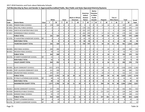#### 2017‐2018 Statistics and Facts about Nebraska Schools

# **Fall Membership by Race and Gender in Approved/Accredited Public, Non Public and State Operated Districts/Systems**

|                 |                                       |                |              |                |                 |                 |                | <b>Black or African</b> |                | American<br>Indian/<br>Alaskan |                | <b>Native</b><br>Hawaiian<br>or Other<br><b>Pacific</b> |                |                 |                | Two or            |       |       |       |
|-----------------|---------------------------------------|----------------|--------------|----------------|-----------------|-----------------|----------------|-------------------------|----------------|--------------------------------|----------------|---------------------------------------------------------|----------------|-----------------|----------------|-------------------|-------|-------|-------|
| <b>District</b> |                                       |                | White        |                | Asian           |                 |                | American                |                | <b>Native</b>                  |                | Islander                                                |                | <b>Hispanic</b> |                | <b>More Races</b> | Total |       | Grand |
| Code            | <b>District Name</b>                  | <b>Class</b>   | F.           | М              | F               | М               | F.             | М                       | F              | M                              | F.             | М                                                       | F.             | M               | F              | M                 | F     | М     | Total |
| 87-0001         | PENDER PUBLIC SCHOOLS                 | 3              | 178          | 166            | $\overline{0}$  | $\mathbf 0$     | 1              | $\mathbf 0$             | $\overline{4}$ | 1                              | $\overline{0}$ | $\overline{0}$                                          | 12             | 14              | $\overline{2}$ | $6 \mid$          | 197   | 187   | 384   |
| 87-0013         | <b>WALTHILL PUBLIC SCHOOLS</b>        | 3              | $\Omega$     | $\mathbf{1}$   | $\overline{0}$  | $\mathbf 0$     | $\overline{2}$ | $\mathbf{1}$            | 179            | 191                            | $\overline{0}$ | $\overline{0}$                                          | $\overline{3}$ |                 | $\mathbf 0$    | 1                 | 184   | 195   | 379   |
| 87-0016         | UMO N HO N NATION PUBLIC SCHS         | 3              | $\Omega$     | 0              | $\overline{0}$  | $\mathbf 0$     | $\mathbf 0$    | 0                       | 253            | 257                            | οI             | $\overline{0}$                                          | $\overline{2}$ | $\mathbf{1}$    | $\overline{4}$ | $\overline{0}$    | 259   | 258   | 517   |
| 87-0017         | <b>WINNEBAGO PUBLIC SCHOOLS</b>       | 3              | 3            | $\overline{2}$ | $\mathbf{1}$    | $\mathbf 0$     | $\mathbf{1}$   | $\Omega$                | 242            | 295                            | οI             |                                                         | 17             | 19              | 15             | 13                | 279   | 330   | 609   |
|                 | <b>PUBLIC TOTAL</b>                   |                | 181          | 169            | $\mathbf{1}$    | $\mathbf 0$     | 4              | -1                      | 678            | 744                            | 0              | 1                                                       | 34             | 35              | 21             | 20                | 919   | 970   | 1,889 |
| 87-0701         | ST AUGUSTINE ELEMENTARY SCHOOL        | <b>NP</b>      | $\Omega$     | $\mathbf 0$    | $\overline{0}$  | $\mathbf 0$     | $\mathbf 0$    | $\Omega$                | 42             | 53                             | $\overline{0}$ | $\overline{0}$                                          | $\mathbf 0$    | $\overline{0}$  | 0              | $\overline{0}$    | 42    | 53    | 95    |
|                 | <b>NON PUBLIC TOTAL</b>               |                | $\mathbf{0}$ | 0              | $\mathbf{0}$    | $\mathbf 0$     | $\mathbf 0$    | $\mathbf 0$             | 42             | 53                             | 0l             | $\mathbf{0}$                                            | $\mathbf 0$    | $\mathbf{0}$    | $\mathbf 0$    | 0                 | 42    | 53    | 95    |
|                 | <b>THURSTON COUNTY TOTAL</b>          |                | 181          | 169            | $\mathbf{1}$    | $\mathbf 0$     | 4              |                         | 720            | 797                            | 0l             | 1                                                       | 34             | 35              | 21             | 20                | 961   | 1,023 | 1,984 |
|                 |                                       |                |              |                |                 |                 |                |                         |                |                                |                |                                                         |                |                 |                |                   |       |       |       |
| 88-0005         | <b>ORD PUBLIC SCHOOLS</b>             | 3              | 284          | 286            | $\mathbf{1}$    | $\mathbf 0$     | 3              | $\overline{2}$          | $\overline{0}$ | $\overline{2}$                 | $\overline{0}$ | $\overline{0}$                                          | 5              | 10              | $\mathbf 0$    | $\Omega$          | 293   | 300   | 593   |
| 88-0021         | <b>ARCADIA PUBLIC SCHOOLS</b>         | $\mathfrak{p}$ | 58           | 62             | $\overline{0}$  | $\mathbf 0$     | $\overline{2}$ |                         | $\mathbf{1}$   | $\mathbf{1}$                   | $\overline{0}$ | $\overline{0}$                                          | $\mathbf{1}$   | 6               | 0              | $\overline{0}$    | 62    | 70    | 132   |
|                 | <b>PUBLIC TOTAL</b>                   |                | 342          | 348            | $\mathbf{1}$    | $\mathbf 0$     | 5 <sup>1</sup> | 3                       | $\mathbf{1}$   | $\overline{\mathbf{3}}$        | 0              | $\mathbf{0}$                                            | 6              | 16              | $\mathbf{0}$   | 0                 | 355   | 370   | 725   |
| 88-0701         | ST MARY'S ELEMENTARY SCHOOL           | <b>NP</b>      | 21           | 5              | $\overline{0}$  | $\mathbf 0$     |                | $\Omega$                | $\Omega$       | 0                              | $\Omega$       | 0                                                       | $\overline{2}$ | $\Omega$        | 13             | 3                 | 37    | 8     | 45    |
|                 | <b>NON PUBLIC TOTAL</b>               |                | 21           | 5              | $\mathbf{0}$    | $\mathbf 0$     | $\mathbf{1}$   | $\mathbf{0}$            | 0              | 0                              | 0              | $\mathbf{0}$                                            | $\overline{2}$ | $\mathbf{0}$    | 13             | 3                 | 37    | 8     | 45    |
|                 | <b>VALLEY COUNTY TOTAL</b>            |                | 363          | 353            | 1               | $\mathbf 0$     | $6\phantom{1}$ | 3                       | 1              | 3                              | $\mathbf{0}$   | $\mathbf{0}$                                            | 8              | 16              | 13             | 3                 | 392   | 378   | 770   |
|                 |                                       |                |              |                |                 |                 |                |                         |                |                                |                |                                                         |                |                 |                |                   |       |       |       |
| 89-0001         | <b>BLAIR COMMUNITY SCHOOLS</b>        | 3              | 1021         | 1076           | 7               | 7               | 14             | 10                      | 9              | 4                              | 4              | 1                                                       | 68             | 66              | 37             | 36                | 1160  | 1200  | 2,360 |
| 89-0003         | FORT CALHOUN COMMUNITY SCHS           | 3              | 321          | 358            | $\mathbf{1}$    | 1               | 2              | 7                       | $\overline{0}$ | $\overline{2}$                 | $\overline{0}$ | $\overline{0}$                                          | 13             | 9               | $\overline{4}$ | $\overline{7}$    | 341   | 384   | 725   |
| 89-0024         | <b>ARLINGTON PUBLIC SCHOOLS</b>       | зI             | 295          | 307            | $\overline{2}$  | $\overline{2}$  | 4              | $\overline{2}$          | $\overline{0}$ | $\overline{2}$                 | $\overline{0}$ | $\Omega$                                                | 19             | 19              | $\overline{2}$ | 5                 | 322   | 337   | 659   |
|                 | <b>PUBLIC TOTAL</b>                   |                | 1,637        | 1,741          | 10              | 10              | 20             | 19                      | 9 <sub>l</sub> | 8                              | $\overline{4}$ | 1                                                       | 100            | 94              | 43             | 48                | 1,823 | 1,921 | 3,744 |
| 89-0701         | <b>ST PAUL'S LUTHERAN ELEM SCHOOL</b> | <b>NP</b>      | 40           | 41             | $\overline{0}$  | $\mathbf 0$     | 1              | $\mathbf{1}$            | $\overline{0}$ | 0                              | $\overline{0}$ | $\overline{0}$                                          | $\mathbf 0$    | $\overline{0}$  | 0              | $\Omega$          | 41    | 42    | 83    |
|                 | <b>NON PUBLIC TOTAL</b>               |                | 40           | 41             | $\mathbf{0}$    | $\mathbf{0}$    | $\mathbf{1}$   | 1                       | οI             | $\mathbf{0}$                   | 0              | $\mathbf{0}$                                            | $\mathbf 0$    | $\mathbf{0}$    | 0              | $\mathbf{0}$      | 41    | 42    | 83    |
|                 | <b>WASHINGTON COUNTY TOTAL</b>        |                | 1.677        | 1,782          | 10 <sup>1</sup> | 10 <sup>1</sup> | 21             | 20                      | 9              | 8                              | 4              | 1                                                       | 100            | 94              | 43             | 48                | 1,864 | 1,963 | 3,827 |
|                 |                                       |                |              |                |                 |                 |                |                         |                |                                |                |                                                         |                |                 |                |                   |       |       |       |
| 90-0017         | <b>WAYNE COMMUNITY SCHOOLS</b>        | 3              | 347          | 396            | $\overline{2}$  | 1               | $\overline{7}$ | 9                       | $6 \mid$       | 1                              | 1              |                                                         | 72             | 63              | $\overline{7}$ | 10                | 442   | 481   | 923   |
| 90-0560         | <b>WAKEFIELD PUBLIC SCHOOLS</b>       | 3              | 110          | 130            | $\overline{0}$  | $\mathbf 0$     | $\overline{2}$ | $\overline{2}$          | $\overline{0}$ | 0                              | $\overline{0}$ | $\Omega$                                                | 122            | 132             | 0              | $\overline{0}$    | 234   | 264   | 498   |
| 90-0595         | WINSIDE PUBLIC SCHOOLS                | 3              | 95           | 97             | $\overline{0}$  | $\mathbf{1}$    | $\overline{2}$ |                         | $\overline{2}$ | 0                              | $\overline{0}$ | 0                                                       | 3              | 6               | 5              | 3                 | 107   | 108   | 215   |
|                 | <b>PUBLIC TOTAL</b>                   |                | 552          | 623            | $\mathbf{2}$    | $\overline{2}$  | 11             | 12                      | 8              | 1                              | $\mathbf{1}$   | 1                                                       | 197            | 201             | 12             | 13                | 783   | 853   | 1,636 |
| 90-0701         | TRINITY LUTHERAN SCHOOLS              | <b>NP</b>      | 9            | 10             | $\overline{0}$  | $\mathbf 0$     | $\pmb{0}$      | $\mathbf 0$             | $\mathbf 0$    | 0                              | $\overline{0}$ | $\overline{0}$                                          | $\mathbf 0$    | $\mathbf 0$     | 0              | $\overline{0}$    | 9     | 10    | 19    |
| 90-0702         | <b>ST MARY'S ELEMENTARY SCHOOL</b>    | <b>NP</b>      | 18           | 19             | $\overline{0}$  | $\mathbf 0$     | $\mathbf{1}$   | $\mathbf{1}$            | $\Omega$       | 0                              | $\Omega$       | $\overline{0}$                                          | $\overline{2}$ | $\overline{2}$  | 0              | $\Omega$          | 21    | 22    | 43    |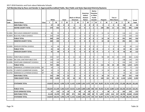#### 2017‐2018 Statistics and Facts about Nebraska Schools

# **Fall Membership by Race and Gender in Approved/Accredited Public, Non Public and State Operated Districts/Systems**

|                 |                                      |                |        |                 |                |                         |                           | <b>Black or African</b> |                | American<br>Indian/<br>Alaskan |              | <b>Native</b><br>Hawaiian<br>or Other<br>Pacific |                |                         |                | Two or                  |                       |        |                                                                                                 |
|-----------------|--------------------------------------|----------------|--------|-----------------|----------------|-------------------------|---------------------------|-------------------------|----------------|--------------------------------|--------------|--------------------------------------------------|----------------|-------------------------|----------------|-------------------------|-----------------------|--------|-------------------------------------------------------------------------------------------------|
| <b>District</b> |                                      |                |        | White           | Asian          |                         |                           | American                |                | <b>Native</b>                  |              | Islander                                         |                | <b>Hispanic</b>         |                | <b>More Races</b>       |                       | Total  | Grand                                                                                           |
| Code            | <b>District Name</b>                 | Class          | F      | М               | F              | М                       | F.                        | М                       | F.             | М                              | F.           | M                                                | F              | М                       | F              | М                       | F                     | М      | Total                                                                                           |
|                 | <b>NON PUBLIC TOTAL</b>              |                | 27     | 29              | $\mathbf{0}$   | $\mathbf 0$             | $\mathbf{1}$              | 1                       | $\mathbf{0}$   | $\mathbf{0}$                   | $\mathbf 0$  | 0                                                | $\overline{2}$ | $\overline{2}$          | 0              | 0                       | 30                    | 32     | 62                                                                                              |
|                 | <b>WAYNE COUNTY TOTAL</b>            |                | 579    | 652             | $\overline{2}$ | $\overline{2}$          | 12                        | 13                      | 8              | 1                              | $\mathbf{1}$ | 1                                                | 199            | 203                     | 12             | 13                      | 813                   | 885    | 1,698                                                                                           |
|                 |                                      |                |        |                 |                |                         |                           |                         |                |                                |              |                                                  |                |                         |                |                         |                       |        |                                                                                                 |
| 91-0002         | RED CLOUD COMMUNITY SCHOOLS          | 3              | 96     | 95              | $\overline{0}$ | $\mathbf 0$             | $\mathbf{1}$              | $\mathbf 0$             | $\mathbf 0$    | $\overline{0}$                 | $\mathbf 0$  | $\mathbf{1}$                                     | 15             | 14                      | $\overline{4}$ | -51                     | 116                   | 115    | 231                                                                                             |
| 91-0074         | <b>BLUE HILL PUBLIC SCHOOLS</b>      | 3              | 164    | 140             | $\overline{2}$ | $\overline{3}$          | 1                         | $\mathbf 0$             | $\Omega$       | $\overline{0}$                 | $\mathbf 0$  | $\overline{0}$                                   | $\overline{7}$ |                         | $\mathbf{1}$   | $\overline{3}$          | 175                   | 150    | 325                                                                                             |
|                 | <b>PUBLIC TOTAL</b>                  |                | 260    | 235             | $\overline{2}$ | $\overline{\mathbf{3}}$ | 2 <sub>1</sub>            | $\mathbf 0$             | $\mathbf 0$    | 0                              | $\mathbf 0$  | 1                                                | 22             | 18                      | 5              | 8                       | 291                   | 265    | 556                                                                                             |
|                 | <b>WEBSTER COUNTY TOTAL</b>          |                | 260    | 235             | $\overline{2}$ | $\overline{\mathbf{3}}$ | $\overline{2}$            | $\Omega$                | $\Omega$       | $\Omega$                       | $\Omega$     | $\mathbf{1}$                                     | 22             | 18                      | 5              | 8                       | 291                   | 265    | 556                                                                                             |
|                 |                                      |                |        |                 |                |                         |                           |                         |                |                                |              |                                                  |                |                         |                |                         |                       |        |                                                                                                 |
| 92-0045         | <b>WHEELER CENTRAL SCHOOLS</b>       | 3              | 41     | 66              | 0              | $\mathbf 0$             | $\overline{0}$            | $\mathbf 0$             | $\overline{0}$ | $\Omega$                       | $\mathbf 0$  | $\overline{0}$                                   | $\overline{2}$ | 3                       | 0              | 0I                      | 43                    | 69     | 112                                                                                             |
|                 | <b>PUBLIC TOTAL</b>                  |                | 41     | 66              | $\mathbf{0}$   | $\mathbf{0}$            | $\mathbf{0}$              | $\mathbf 0$             | $\mathbf{0}$   | $\mathbf{0}$                   | $\mathbf 0$  | 0                                                | $\overline{2}$ | $\mathbf{3}$            | 0              | 0                       | 43                    | 69     | 112                                                                                             |
|                 | <b>WHEELER COUNTY TOTAL</b>          |                | 41     | 66              | 0              | $\mathbf{0}$            | $\mathbf{0}$              | $\mathbf{0}$            | $\Omega$       | 0                              | $\Omega$     | $\Omega$                                         | $\overline{2}$ | $\overline{\mathbf{3}}$ | $\mathbf{0}$   | ΩI                      | 43                    | 69     | 112                                                                                             |
|                 |                                      |                |        |                 |                |                         |                           |                         |                |                                |              |                                                  |                |                         |                |                         |                       |        |                                                                                                 |
| 93-0012         | YORK PUBLIC SCHOOLS                  | 3              | 535    | 547             | 6              | 4                       | 11                        | 14                      | $\mathbf 0$    | 2                              | $\mathbf 0$  | $\mathbf{1}$                                     | 96             | 89                      | 26             | 25                      | 674                   | 682    | 1,356                                                                                           |
| 93-0083         | MC COOL JUNCTION PUBLIC SCHS         | $\overline{2}$ | 138    | 135             | 0              | $\mathbf{1}$            | $\overline{2}$            | 3                       | $\Omega$       | 1                              | $\Omega$     | $\Omega$                                         | $\overline{7}$ | 3                       | $\mathbf{1}$   | $\mathbf{1}$            | 148                   | 144    | 292                                                                                             |
| 93-0096         | HEARTLAND COMMUNITY SCHOOLS          | 3 <sup>1</sup> | 124    | 184             | $\mathbf{1}$   | $\overline{2}$          | $\mathbf{1}$              | $\Omega$                | $\pmb{0}$      | $\Omega$                       | $\Omega$     | $\Omega$                                         | $\overline{7}$ | 4                       | $\mathbf{1}$   | $\overline{\mathbf{3}}$ | 134                   | 193    | 327                                                                                             |
|                 | <b>PUBLIC TOTAL</b>                  |                | 797    | 866             | $\overline{7}$ | $\overline{7}$          | 14                        | 17                      | $\mathbf{0}$   | $\overline{\mathbf{3}}$        | $\mathbf{0}$ | $\mathbf{1}$                                     | 110            | 96                      | 28             | 29                      | 956                   | 1,019  | 1,975                                                                                           |
| 93-0701         | <b>EMMANUEL LUTHERAN ELEM SCHOOL</b> | <b>NP</b>      | 69     | 71              | $\overline{0}$ | $\mathbf{1}$            | $\overline{2}$            | $\mathbf 0$             | $\mathbf{0}$   | $\overline{0}$                 | $\mathbf 0$  | $\mathcal{P}$                                    | 3              |                         | $\mathbf{1}$   | $\mathbf{0}$            | 75                    | 77     | 152                                                                                             |
| 93-0702         | ST JOSEPH'S ELEMENTARY SCHOOL        | <b>NP</b>      | 53     | 55              | $\Omega$       | $\Omega$                | $\Omega$                  | $\Omega$                | $\Omega$       | $\Omega$                       | $\Omega$     | $\Omega$                                         | 15             | 18                      | 0              | $\overline{1}$          | 68                    | 74     | 142                                                                                             |
| 93-0703         | NEBRASKA EV LUTHERAN SCHOOLS         | <b>NP</b>      | 40     | 58              | 4              | 11                      | $\Omega$                  | 6                       | $\Omega$       | $\Omega$                       | $\Omega$     | $\Omega$                                         | $\Omega$       | 4                       | $\Omega$       | -1                      | 44                    | 80     | 124                                                                                             |
|                 | <b>NON PUBLIC TOTAL</b>              |                | 162    | 184             | 4              | 12                      | 2 <sub>1</sub>            | 6                       | $\Omega$       | $\mathbf{0}$                   | $\mathbf{0}$ | $\overline{2}$                                   | 18             | 25                      | 1              | $\overline{2}$          | 187                   | 231    | 418                                                                                             |
|                 | YORK COUNTY TOTAL                    |                | 959    | 1,050           | 11             | 19                      | 16 <sup>1</sup>           | 23                      | $\mathbf{0}$   | 3                              | $\mathbf{0}$ | 3                                                | 128            | 121                     | 29             | 31                      | 1,143                 | 1,250  | 2,393                                                                                           |
|                 |                                      |                |        |                 |                |                         |                           |                         |                |                                |              |                                                  |                |                         |                |                         |                       |        |                                                                                                 |
|                 | <b>STATEWIDE TOTAL</b>               |                |        | 118,819 126,915 |                |                         |                           |                         |                |                                |              |                                                  |                |                         |                |                         |                       |        | 4,956 5,179 11,431 12,028 2,261 2,472 234 319 30,857 32,731 6,702 6,701 175,260 186,345 361,605 |
|                 |                                      |                |        |                 |                |                         |                           |                         |                |                                |              |                                                  |                |                         |                |                         |                       |        |                                                                                                 |
|                 | <b>PUBLIC TOTAL</b>                  |                |        | 103,634 111,429 |                |                         | 4,362 4,557 10,551 11,025 |                         |                | 2,069 2,283                    | 206          |                                                  | 242 29,454     |                         |                |                         |                       |        | 31,341 6,080 6,158 156,356 167,035 323,391                                                      |
|                 | <b>STATE OPERATED TOTAL</b>          |                | 57     | 116             | 21             | 19                      | 9 <sub>l</sub>            | 69                      | 6              | 20                             | οl           | $\overline{2}$                                   | 6              | 38                      | 6              | 61                      | 105                   | 270    | 375                                                                                             |
|                 | <b>NON PUBLIC TOTAL</b>              |                | 15,128 | 15,370          | 573            | 603                     | 871                       | 934                     | 186            | 169                            | 28           | 75                                               | 1,397          | 1,352                   | 616            | 537                     | 18,799                | 19,040 | 37,839                                                                                          |
|                 | <b>STATEWIDE TOTAL</b>               |                |        | 118,819 126,915 |                |                         | 4,956 5,179 11,431 12,028 |                         | 2,261          | 2,472                          | 234          |                                                  | 319 30,857     | 32,731 6,702            |                |                         | 6,701 175,260 186,345 |        | 361,605                                                                                         |
|                 |                                      |                |        |                 |                |                         |                           |                         |                |                                |              |                                                  |                |                         |                |                         |                       |        |                                                                                                 |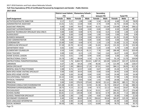## **Full‐Time Equivalency (FTE) of Certificated Personnel by Assignment and Gender ‐ Public Districts**

|                                            |            |             | District Level Admin   Elementary Schools |             | Secondary          |             |          |                  |          |
|--------------------------------------------|------------|-------------|-------------------------------------------|-------------|--------------------|-------------|----------|------------------|----------|
|                                            | <b>FTE</b> |             | <b>FTE</b>                                |             | <b>Schools FTE</b> |             |          | <b>Total FTE</b> |          |
| <b>Staff Assignment</b>                    | Female     | <b>Male</b> | <b>Female</b>                             | <b>Male</b> | Female             | <b>Male</b> | Female   | <b>Male</b>      | All      |
| <b>ACTIVITIES/ATHLETIC DIRECTOR</b>        | 0.17       | 9.17        | 1.09                                      | 1.08        | 5.34               | 61.20       | 6.60     | 71.45            | 78.05    |
| <b>ADMINISTRATIVE ASSISTANT</b>            | 15.01      | 5.01        | 13.00                                     | 9.00        | 4.74               | 4.99        | 32.75    | 19.00            | 51.75    |
| <b>ASSISTANT PRINCIPAL</b>                 | 0.00       | 0.00        | 78.67                                     | 63.00       | 41.01              | 115.84      | 119.68   | 178.84           | 298.52   |
| <b>ASSISTANT SUPERINTENDENT</b>            | 8.50       | 10.00       | 0.00                                      | 0.00        | 0.00               | 0.00        | 8.50     | 10.00            | 18.50    |
| ASSISTIVE TECHNOLOGY SPECIALIST (ESU ONLY) | 0.00       | 0.00        | 0.00                                      | 0.75        | 0.58               | 0.25        | 0.58     | 1.00             | 1.58     |
| <b>AUDIOLOGIST</b>                         | 2.00       | 0.00        | 0.00                                      | 0.00        | 1.00               | 0.00        | 3.00     | 0.00             | 3.00     |
| <b>BUSINESS MANAGER</b>                    | 48.95      | 15.00       | 2.50                                      | 0.00        | 10.50              | 0.00        | 61.95    | 15.00            | 76.95    |
| <b>CHIEF ADMINISTRATOR</b>                 | 0.00       | 0.00        | 0.00                                      | 0.00        | 0.00               | 0.00        | 0.00     | 0.00             | 0.00     |
| <b>COORDINATOR</b>                         | 25.00      | 9.00        | 4.40                                      | 0.75        | 2.20               | 1.50        | 31.60    | 11.25            | 42.85    |
| <b>CURRICULUM SPECIALIST</b>               | 57.20      | 10.70       | 42.32                                     | 1.00        | 31.83              | 10.25       | 131.35   | 21.95            | 153.30   |
| <b>DEPARTMENT HEAD</b>                     | 0.05       | 0.00        | 1.45                                      | 0.00        | 5.20               | 3.40        | 6.70     | 3.40             | 10.10    |
| <b>ELEMENTARY COUNSELOR</b>                | 0.50       | 0.00        | 278.20                                    | 41.21       | 7.78               | 1.80        | 286.48   | 43.01            | 329.49   |
| <b>HEAD TEACHER</b>                        | 0.00       | 0.00        | 8.23                                      | 1.35        | 7.84               | 2.65        | 16.07    | 4.00             | 20.07    |
| <b>HOME SCHOOL LIAISON</b>                 | 0.01       | 0.01        | 5.99                                      | 0.99        | 0.00               | 0.00        | 6.00     | 1.00             | 7.00     |
| <b>INSTRUCTIONAL COACH</b>                 | 10.70      | 1.60        | 68.66                                     | 6.50        | 11.78              | 5.60        | 91.14    | 13.70            | 104.84   |
| INSTRUCTIONAL PARAPROFESSIONAL             | 4.02       | 1.76        | 4,844.70                                  | 254.81      | 1,087.35           | 165.80      | 5,936.07 | 422.37           | 6,358.44 |
| <b>LIBRARIAN</b>                           | 6.67       | 1.38        | 69.26                                     | 2.96        | 46.06              | 1.74        | 121.99   | 6.08             | 128.07   |
| <b>MEDIA SPECIALIST</b>                    | 8.47       | 1.00        | 288.63                                    | 17.20       | 87.01              | 9.85        | 384.11   | 28.05            | 412.16   |
| <b>MENTAL HEALTH PRACTITIONER</b>          | 2.00       | 0.71        | 12.57                                     | 3.00        | 0.67               | 1.00        | 15.24    | 4.71             | 19.95    |
| NON-SPED HOME VISITING SPECIALIST          | 0.00       | 0.00        | 34.45                                     | 0.00        | 0.00               | 0.00        | 34.45    | 0.00             | 34.45    |
| <b>NON-SPED HOME VISITOR</b>               | 0.00       | 0.00        | 24.48                                     | 0.00        | 0.00               | 0.00        | 24.48    | 0.00             | 24.48    |
| OCCUPATIONAL THERAPIST                     | 33.32      | 0.00        | 18.58                                     | 1.56        | 6.08               | 0.40        | 57.98    | 1.96             | 59.94    |
| PHYSICAL THERAPIST                         | 9.42       | 0.93        | 9.83                                      | 0.00        | 1.43               | 0.00        | 20.68    | 0.93             | 21.61    |
| PRINCIPAL                                  | 0.00       | 0.00        | 278.05                                    | 273.60      | 28.90              | 211.61      | 306.95   | 485.21           | 792.16   |
| PROGRAM CONSULTANT/COORDINATOR             | 123.38     | 12.00       | 65.71                                     | 13.93       | 41.58              | 31.73       | 230.67   | 57.66            | 288.33   |
| PROGRAM SUPERVISOR/DIRECTOR                | 18.75      | 4.15        | 22.15                                     | 3.40        | 9.72               | 12.12       | 50.62    | 19.67            | 70.29    |
| <b>PSYCHOLOGIST</b>                        | 66.42      | 8.16        | 145.48                                    | 15.34       | 35.01              | 6.07        | 246.91   | 29.57            | 276.48   |
| <b>SCHOOL NURSE</b>                        | 83.81      | 2.13        | 139.08                                    | 4.30        | 58.56              | 0.70        | 281.45   | 7.13             | 288.58   |
| <b>SCHOOL TRANSITION SPECIALIST</b>        | 11.00      | 1.00        | 1.00                                      | 1.00        | 4.60               | 3.00        | 16.60    | 5.00             | 21.60    |
| <b>SECONDARY COUNSELOR</b>                 | 0.40       | 0.00        | 88.85                                     | 25.95       | 294.62             | 99.64       | 383.87   | 125.59           | 509.46   |
| SIGN LANGUAGE INTERPRETER                  | 1.43       | 0.90        | 22.43                                     | 0.94        | 22.13              | 2.00        | 45.99    | 3.84             | 49.83    |
| <b>SOCIAL WORKER</b>                       | 30.50      | 2.80        | 31.36                                     | 1.21        | 16.89              | 0.99        | 78.75    | 5.00             | 83.75    |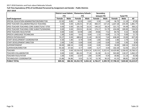## **Full‐Time Equivalency (FTE) of Certificated Personnel by Assignment and Gender ‐ Public Districts**

|                                              | District Level Admin |             | <b>Elementary Schools</b> |             | <b>Secondary</b>   |          |                    |                  |                    |
|----------------------------------------------|----------------------|-------------|---------------------------|-------------|--------------------|----------|--------------------|------------------|--------------------|
|                                              | <b>FTE</b>           |             | FTE                       |             | <b>Schools FTE</b> |          |                    | <b>Total FTE</b> |                    |
| <b>Staff Assignment</b>                      | Female               | <b>Male</b> | Female                    | <b>Male</b> | Female             | Male     | Female             | <b>Male</b>      | All                |
| SPECIAL EDUCATION ADMINISTRATOR/DIRECTOR     | 22.92                | 8.85        | 10.33                     | 0.81        | 3.50               | 1.44     | 36.75              | 11.10            | 47.85              |
| SPED TEACHER COLLABORATING/CO-TEACHING       | 0.00                 | 0.00        | 1,246.91                  | 97.26       | 400.37             | 137.23   | 1,647.28           | 234.49           | 1,881.77           |
| SPED TEACHER TEACHING CORE SUBJECTS/ALT STDS | 0.00                 | 0.00        | 181.50                    | 16.25       | 140.22             | 28.24    | 321.72             | 44.49            | 366.21             |
| SPED TEACHER TEACHING CORE SUBJECTS/GRADING  | 0.00                 | 0.00        | 259.91                    | 45.04       | 174.17             | 55.79    | 434.08             | 100.83           | 534.91             |
| <b>SPED TEACHER-FACILITATOR</b>              | 0.00                 | 0.00        | 54.90                     | 1.80        | 29.86              | 7.52     | 84.76              | 9.32             | 94.08              |
| <b>SPEECH LANGUAGE TECHNICIAN</b>            | 1.00                 | 0.00        | 9.41                      | 0.00        | 1.32               | 0.00     | 11.73              | 0.00             | 11.73              |
| <b>SPEECH PATHOLOGIST</b>                    | 74.27                | 0.00        | 480.63                    | 11.40       | 83.59              | 7.60     | 638.49             | 19.00            | 657.49             |
| <b>STAFF DEVELOPMENT COORDINATOR</b>         | 0.30                 | 1.80        | 0.70                      | 0.90        | 1.80               | 0.00     | 2.80               | 2.70             | 5.50               |
| STAFF DEVELOPMENT DIRECTOR                   | 2.00                 | 5.90        | 0.00                      | 0.00        | 1.00               | 0.00     | 3.00               | 5.90             | 8.90               |
| <b>SUPERINTENDENT</b>                        | 30.00                | 188.54      | 0.00                      | 0.00        | 0.00               | 0.00     | 30.00              | 188.54           | 218.54             |
| SUPERVISOR/DIRECTOR                          | 93.30                | 47.60       | 4.77                      | 0.89        | 4.27               | 4.44     | 102.34             | 52.93            | 155.27             |
| <b>TEACHER</b>                               | 0.93                 | 0.00        | 10,516.92                 | 2,014.24    | 3,912.01           | 3,322.41 | 14,429.86          |                  | 5,336.65 19,766.51 |
| TEACHER-COLLABORATOR                         | 0.00                 | 0.00        | 861.82                    | 77.26       | 81.98              | 41.31    | 943.80             | 118.57           | 1,062.37           |
| TEACHER-FACILITATOR                          | 1.00                 | 0.00        | 13.87                     | 1.80        | 15.99              | 9.34     | 30.86              | 11.14            | 42.00              |
| TECHNOLOGY COORDINATOR                       | 15.86                | 36.86       | 9.91                      | 21.70       | 15.78              | 30.25    | 41.55              | 88.81            | 130.36             |
| <b>PUBLIC TOTAL</b>                          | 809.26               |             | 386.96 20,252.70          | 3,034.18    | 6,736.27           |          | 4,399.70 27,798.23 |                  | 7,820.84 35,619.07 |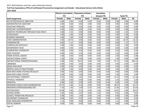## **Full‐Time Equivalency (FTE) of Certificated Personnel by Assignment and Gender ‐ Educational Service Units (ESUs)**

|                                            |            |             | District Level Admin   Elementary Schools |             | Secondary          |             |        |                  |        |
|--------------------------------------------|------------|-------------|-------------------------------------------|-------------|--------------------|-------------|--------|------------------|--------|
|                                            | <b>FTE</b> |             | <b>FTE</b>                                |             | <b>Schools FTE</b> |             |        | <b>Total FTE</b> |        |
| <b>Staff Assignment</b>                    | Female     | <b>Male</b> | Female                                    | <b>Male</b> | Female             | <b>Male</b> | Female | <b>Male</b>      | All    |
| <b>ACTIVITIES/ATHLETIC DIRECTOR</b>        | 0.00       | 0.00        | 0.00                                      | 0.00        | 0.00               | 0.00        | 0.00   | 0.00             | 0.00   |
| <b>ADMINISTRATIVE ASSISTANT</b>            | 0.00       | 0.00        | 0.00                                      | 0.00        | 0.00               | 0.00        | 0.00   | 0.00             | 0.00   |
| <b>ASSISTANT PRINCIPAL</b>                 | 0.00       | 0.00        | 0.00                                      | 0.00        | 0.00               | 0.00        | 0.00   | 0.00             | 0.00   |
| <b>ASSISTANT SUPERINTENDENT</b>            | 0.00       | 0.00        | 0.00                                      | 0.00        | 0.00               | 0.00        | 0.00   | 0.00             | 0.00   |
| ASSISTIVE TECHNOLOGY SPECIALIST (ESU ONLY) | 3.00       | 1.55        | 0.00                                      | 0.00        | 0.00               | 0.00        | 3.00   | 1.55             | 4.55   |
| <b>AUDIOLOGIST</b>                         | 3.00       | 1.00        | 0.00                                      | 0.00        | 0.00               | 0.00        | 3.00   | 1.00             | 4.00   |
| <b>BUSINESS MANAGER</b>                    | 4.80       | 1.00        | 0.00                                      | 0.00        | 0.00               | 0.00        | 4.80   | 1.00             | 5.80   |
| <b>CHIEF ADMINISTRATOR</b>                 | 3.40       | 10.75       | 0.00                                      | 0.00        | 0.00               | 0.00        | 3.40   | 10.75            | 14.15  |
| <b>COORDINATOR</b>                         | 8.00       | 1.57        | 0.00                                      | 0.00        | 0.00               | 0.00        | 8.00   | 1.57             | 9.57   |
| <b>CURRICULUM SPECIALIST</b>               | 2.00       | 1.00        | 0.00                                      | 0.00        | 0.00               | 0.00        | 2.00   | 1.00             | 3.00   |
| <b>DEPARTMENT HEAD</b>                     | 0.00       | 0.00        | 0.00                                      | 0.00        | 0.00               | 0.00        | 0.00   | 0.00             | 0.00   |
| <b>ELEMENTARY COUNSELOR</b>                | 0.00       | 0.00        | 0.50                                      | 0.00        | 0.00               | 0.00        | 0.50   | 0.00             | 0.50   |
| <b>HEAD TEACHER</b>                        | 0.00       | 0.00        | 3.50                                      | 0.00        | 0.00               | 0.00        | 3.50   | 0.00             | 3.50   |
| <b>HOME SCHOOL LIAISON</b>                 | 2.00       | 0.00        | 0.00                                      | 0.00        | 0.00               | 0.00        | 2.00   | 0.00             | 2.00   |
| <b>INSTRUCTIONAL COACH</b>                 | 1.00       | 0.00        | 0.00                                      | 0.00        | 0.00               | 0.00        | 1.00   | 0.00             | 1.00   |
| INSTRUCTIONAL PARAPROFESSIONAL             | 5.80       | 0.00        | 78.35                                     | 9.00        | 7.00               | 0.00        | 91.15  | 9.00             | 100.15 |
| <b>LIBRARIAN</b>                           | 0.00       | 0.00        | 0.00                                      | 0.00        | 0.00               | 0.00        | 0.00   | 0.00             | 0.00   |
| <b>MEDIA SPECIALIST</b>                    | 0.00       | 0.00        | 0.00                                      | 0.00        | 0.00               | 0.00        | 0.00   | 0.00             | 0.00   |
| <b>MENTAL HEALTH PRACTITIONER</b>          | 1.00       | 1.00        | 0.00                                      | 0.00        | 0.00               | 0.00        | 1.00   | 1.00             | 2.00   |
| <b>NON-SPED HOME VISITING SPECIALIST</b>   | 0.00       | 0.00        | 0.00                                      | 0.00        | 0.00               | 0.00        | 0.00   | 0.00             | 0.00   |
| <b>NON-SPED HOME VISITOR</b>               | 0.00       | 0.00        | 2.00                                      | 0.00        | 0.00               | 0.00        | 2.00   | 0.00             | 2.00   |
| <b>OCCUPATIONAL THERAPIST</b>              | 9.41       | 0.00        | 1.81                                      | 0.94        | 0.00               | 0.00        | 11.22  | 0.94             | 12.16  |
| PHYSICAL THERAPIST                         | 3.20       | 0.00        | 0.00                                      | 0.00        | 0.00               | 0.00        | 3.20   | 0.00             | 3.20   |
| PRINCIPAL                                  | 0.00       | 0.00        | 0.00                                      | 0.00        | 0.00               | 0.00        | 0.00   | 0.00             | 0.00   |
| PROGRAM CONSULTANT/COORDINATOR             | 27.57      | 3.00        | 0.10                                      | 0.00        | 0.90               | 0.00        | 28.57  | 3.00             | 31.57  |
| PROGRAM SUPERVISOR/DIRECTOR                | 7.55       | 1.40        | 2.50                                      | 0.10        | 2.00               | 1.00        | 12.05  | 2.50             | 14.55  |
| <b>PSYCHOLOGIST</b>                        | 22.96      | 5.00        | 0.15                                      | 0.00        | 1.50               | 0.00        | 24.61  | 5.00             | 29.61  |
| <b>SCHOOL NURSE</b>                        | 4.44       | 0.00        | 2.47                                      | 0.00        | 2.10               | 0.00        | 9.01   | 0.00             | 9.01   |
| <b>SCHOOL TRANSITION SPECIALIST</b>        | 4.00       | 2.00        | 1.00                                      | 0.00        | 1.00               | 0.00        | 6.00   | 2.00             | 8.00   |
| <b>SECONDARY COUNSELOR</b>                 | 0.00       | 0.00        | 0.50                                      | 0.00        | 0.00               | 0.00        | 0.50   | 0.00             | 0.50   |
| SIGN LANGUAGE INTERPRETER                  | 1.12       | 0.00        | 0.00                                      | 0.00        | 0.00               | 0.00        | 1.12   | 0.00             | 1.12   |
| <b>SOCIAL WORKER</b>                       | 0.00       | 0.00        | 0.00                                      | 0.00        | 0.00               | 0.00        | 0.00   | 0.00             | 0.00   |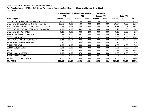## **Full‐Time Equivalency (FTE) of Certificated Personnel by Assignment and Gender ‐ Educational Service Units (ESUs)**

|                                              | District Level Admin |             | <b>Elementary Schools</b> |       |        | Secondary          |        |                  |        |
|----------------------------------------------|----------------------|-------------|---------------------------|-------|--------|--------------------|--------|------------------|--------|
|                                              | FTE                  |             | <b>FTE</b>                |       |        | <b>Schools FTE</b> |        | <b>Total FTE</b> |        |
| <b>Staff Assignment</b>                      | Female               | <b>Male</b> | Female                    | Male  | Female | Male               | Female | <b>Male</b>      | All    |
| SPECIAL EDUCATION ADMINISTRATOR/DIRECTOR     | 10.10                | 3.50        | 1.00                      | 0.00  | 1.00   | 0.15               | 12.10  | 3.65             | 15.75  |
| SPED TEACHER COLLABORATING/CO-TEACHING       | 13.51                | 0.00        | 5.06                      | 0.00  | 2.00   | 0.00               | 20.57  | 0.00             | 20.57  |
| SPED TEACHER TEACHING CORE SUBJECTS/ALT STDS | 2.83                 | 0.98        | 18.84                     | 0.00  | 5.00   | 1.00               | 26.67  | 1.98             | 28.65  |
| SPED TEACHER TEACHING CORE SUBJECTS/GRADING  | 0.00                 | 0.00        | 5.42                      | 2.00  | 0.00   | 0.00               | 5.42   | 2.00             | 7.42   |
| <b>SPED TEACHER-FACILITATOR</b>              | 0.20                 | 0.00        | 0.00                      | 2.00  | 0.00   | 0.00               | 0.20   | 2.00             | 2.20   |
| <b>SPEECH LANGUAGE TECHNICIAN</b>            | 2.86                 | 0.00        | 0.42                      | 0.00  | 0.00   | 0.00               | 3.28   | 0.00             | 3.28   |
| <b>SPEECH PATHOLOGIST</b>                    | 11.71                | 0.00        | 4.30                      | 0.00  | 1.05   | 0.00               | 17.06  | 0.00             | 17.06  |
| STAFF DEVELOPMENT COORDINATOR                | 41.23                | 11.57       | 0.00                      | 0.00  | 0.00   | 0.00               | 41.23  | 11.57            | 52.80  |
| STAFF DEVELOPMENT DIRECTOR                   | 7.20                 | 2.00        | 0.00                      | 0.00  | 0.00   | 0.00               | 7.20   | 2.00             | 9.20   |
| SUPERINTENDENT                               | 0.00                 | 0.00        | 0.00                      | 0.00  | 0.00   | 0.00               | 0.00   | 0.00             | 0.00   |
| SUPERVISOR/DIRECTOR                          | 3.02                 | 2.00        | 0.00                      | 0.00  | 0.00   | 0.00               | 3.02   | 2.00             | 5.02   |
| <b>TEACHER</b>                               | $5.43$               | 3.00        | 16.08                     | 0.00  | 0.00   | 0.91               | 21.51  | 3.91             | 25.42  |
| TEACHER-COLLABORATOR                         | 2.00                 | 0.00        | 0.50                      | 0.00  | 0.00   | 0.00               | 2.50   | 0.00             | 2.50   |
| TEACHER-FACILITATOR                          | 2.00                 | 0.00        | 0.00                      | 0.00  | 0.97   | 1.00               | 2.97   | 1.00             | 3.97   |
| TECHNOLOGY COORDINATOR                       | 4.00                 | 9.00        | 0.00                      | 0.00  | 0.00   | 0.00               | 4.00   | 9.00             | 13.00  |
| <b>IESU TOTAL</b>                            | 220.34               | 61.32       | 144.50                    | 14.04 | 24.52  | 4.06               | 389.36 | 79.42            | 468.78 |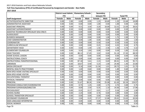## **Full‐Time Equivalency (FTE) of Certificated Personnel by Assignment and Gender ‐ Non Public**

|                                            | District Level Admin |             | <b>Elementary Schools</b> |             | Secondary          |             |        |                  |        |
|--------------------------------------------|----------------------|-------------|---------------------------|-------------|--------------------|-------------|--------|------------------|--------|
|                                            | <b>FTE</b>           |             | <b>FTE</b>                |             | <b>Schools FTE</b> |             |        | <b>Total FTE</b> |        |
| <b>Staff Assignment</b>                    | Female               | <b>Male</b> | Female                    | <b>Male</b> | Female             | <b>Male</b> | Female | <b>Male</b>      | All    |
| <b>ACTIVITIES/ATHLETIC DIRECTOR</b>        | 0.00                 | 2.00        | 0.00                      | 0.95        | 1.25               | 10.69       | 1.25   | 13.64            | 14.89  |
| <b>ADMINISTRATIVE ASSISTANT</b>            | 0.00                 | 0.00        | 0.00                      | 0.00        | 1.00               | 0.00        | 1.00   | 0.00             | 1.00   |
| <b>ASSISTANT PRINCIPAL</b>                 | 0.00                 | 0.00        | 9.31                      | 3.50        | 3.20               | 10.00       | 12.51  | 13.50            | 26.01  |
| <b>ASSISTANT SUPERINTENDENT</b>            | 0.00                 | 0.50        | 0.00                      | 0.00        | 0.00               | 0.00        | 0.00   | 0.50             | 0.50   |
| ASSISTIVE TECHNOLOGY SPECIALIST (ESU ONLY) | 0.00                 | 0.00        | 0.00                      | 0.00        | 0.00               | 0.00        | 0.00   | 0.00             | 0.00   |
| <b>AUDIOLOGIST</b>                         | 0.00                 | 0.00        | 0.00                      | 0.00        | 0.00               | 0.00        | 0.00   | 0.00             | 0.00   |
| <b>BUSINESS MANAGER</b>                    | 0.50                 | 1.00        | 1.25                      | 0.00        | 0.00               | 1.00        | 1.75   | 2.00             | 3.75   |
| <b>CHIEF ADMINISTRATOR</b>                 | 0.00                 | 0.00        | 0.00                      | 1.00        | 0.00               | 0.00        | 0.00   | 1.00             | 1.00   |
| <b>COORDINATOR</b>                         | 0.00                 | 0.00        | 0.00                      | 0.00        | 0.50               | 0.00        | 0.50   | 0.00             | 0.50   |
| <b>CURRICULUM SPECIALIST</b>               | 1.00                 | 0.00        | 3.00                      | 0.00        | 0.25               | 0.50        | 4.25   | 0.50             | 4.75   |
| <b>DEPARTMENT HEAD</b>                     | 0.00                 | 0.00        | 0.00                      | 1.40        | 1.56               | 2.36        | 1.56   | 3.76             | 5.32   |
| <b>ELEMENTARY COUNSELOR</b>                | 0.00                 | 0.00        | 9.59                      | 1.83        | 0.00               | 0.00        | 9.59   | 1.83             | 11.42  |
| <b>HEAD TEACHER</b>                        | 0.00                 | 0.00        | 48.12                     | 17.45       | 3.02               | 0.00        | 51.14  | 17.45            | 68.59  |
| <b>HOME SCHOOL LIAISON</b>                 | 0.00                 | 0.00        | 0.00                      | 0.00        | 0.00               | 0.00        | 0.00   | 0.00             | 0.00   |
| <b>INSTRUCTIONAL COACH</b>                 | 0.00                 | 0.00        | 0.00                      | 0.00        | 0.00               | 0.00        | 0.00   | 0.00             | 0.00   |
| INSTRUCTIONAL PARAPROFESSIONAL             | 0.00                 | 0.00        | 87.18                     | 5.61        | 2.23               | 0.69        | 89.41  | 6.30             | 95.71  |
| <b>LIBRARIAN</b>                           | 0.50                 | 0.00        | 18.67                     | 0.40        | 5.23               | 1.00        | 24.40  | 1.40             | 25.80  |
| <b>MEDIA SPECIALIST</b>                    | 0.00                 | 0.00        | 9.16                      | 0.00        | 11.56              | 1.01        | 20.72  | 1.01             | 21.73  |
| MENTAL HEALTH PRACTITIONER                 | 0.00                 | 0.00        | 1.40                      | 0.60        | 0.00               | 0.00        | 1.40   | 0.60             | 2.00   |
| NON-SPED HOME VISITING SPECIALIST          | 0.00                 | 0.00        | 0.00                      | 0.00        | 0.00               | 0.00        | 0.00   | 0.00             | 0.00   |
| <b>NON-SPED HOME VISITOR</b>               | 0.00                 | 0.00        | 0.00                      | 0.00        | 0.00               | 0.00        | 0.00   | 0.00             | 0.00   |
| <b>OCCUPATIONAL THERAPIST</b>              | 0.00                 | 0.00        | 0.00                      | 0.00        | 0.00               | 0.00        | 0.00   | 0.00             | 0.00   |
| PHYSICAL THERAPIST                         | 0.00                 | 0.00        | 0.00                      | 0.00        | 0.00               | 0.00        | 0.00   | 0.00             | 0.00   |
| PRINCIPAL                                  | 0.00                 | 0.00        | 51.67                     | 38.26       | 9.96               | 25.08       | 61.63  | 63.34            | 124.97 |
| PROGRAM CONSULTANT/COORDINATOR             | 0.00                 | 0.00        | 0.75                      | 1.25        | 2.00               | 1.75        | 2.75   | 3.00             | 5.75   |
| PROGRAM SUPERVISOR/DIRECTOR                | 0.01                 | 0.00        | 8.00                      | 2.50        | 6.35               | 1.10        | 14.36  | 3.60             | 17.96  |
| <b>PSYCHOLOGIST</b>                        | 0.20                 | 0.00        | 0.35                      | 0.17        | 0.01               | 1.17        | 0.56   | 1.34             | 1.90   |
| <b>SCHOOL NURSE</b>                        | 0.00                 | 0.00        | 2.24                      | 0.00        | 0.76               | 0.00        | 3.00   | 0.00             | 3.00   |
| <b>SCHOOL TRANSITION SPECIALIST</b>        | 0.00                 | 0.00        | 0.00                      | 0.00        | 0.00               | 0.00        | 0.00   | 0.00             | 0.00   |
| <b>SECONDARY COUNSELOR</b>                 | 0.00                 | 0.50        | 2.04                      | 0.25        | 27.37              | 12.88       | 29.41  | 13.63            | 43.04  |
| SIGN LANGUAGE INTERPRETER                  | 0.00                 | 0.00        | 0.00                      | 0.00        | 0.00               | 0.00        | 0.00   | 0.00             | 0.00   |
| <b>SOCIAL WORKER</b>                       | 0.00                 | 0.00        | 0.00                      | 0.00        | 0.00               | 0.50        | 0.00   | 0.50             | 0.50   |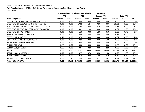## **Full‐Time Equivalency (FTE) of Certificated Personnel by Assignment and Gender ‐ Non Public**

|                                              | District Level Admin |             | <b>Elementary Schools</b> |        | Secondary          |        |          |                  |          |
|----------------------------------------------|----------------------|-------------|---------------------------|--------|--------------------|--------|----------|------------------|----------|
|                                              | <b>FTE</b>           |             | FTE                       |        | <b>Schools FTE</b> |        |          | <b>Total FTE</b> |          |
| <b>Staff Assignment</b>                      | Female               | <b>Male</b> | Female                    | Male   | Female             | Male   | Female   | <b>Male</b>      | All      |
| SPECIAL EDUCATION ADMINISTRATOR/DIRECTOR     | 0.00                 | 0.00        | 0.00                      | 0.00   | 0.00               | 0.00   | 0.00     | 0.00             | 0.00     |
| SPED TEACHER COLLABORATING/CO-TEACHING       | 0.00                 | 0.00        | 17.85                     | 1.14   | 7.16               | 0.66   | 25.01    | 1.80             | 26.81    |
| SPED TEACHER TEACHING CORE SUBJECTS/ALT STDS | 0.00                 | 0.00        | 3.60                      | 0.00   | 0.25               | 0.00   | 3.85     | 0.00             | 3.85     |
| SPED TEACHER TEACHING CORE SUBJECTS/GRADING  | 0.00                 | 0.00        | 10.61                     | 2.00   | 0.00               | 0.00   | 10.61    | 2.00             | 12.61    |
| <b>SPED TEACHER-FACILITATOR</b>              | 0.00                 | 0.00        | 1.30                      | 0.00   | 1.50               | 0.70   | 2.80     | 0.70             | 3.50     |
| <b>SPEECH LANGUAGE TECHNICIAN</b>            | 0.00                 | 0.00        | 0.54                      | 0.00   | 0.00               | 0.00   | 0.54     | 0.00             | 0.54     |
| <b>SPEECH PATHOLOGIST</b>                    | 0.40                 | 0.00        | 3.78                      | 0.00   | 0.46               | 0.00   | 4.64     | 0.00             | 4.64     |
| STAFF DEVELOPMENT COORDINATOR                | 0.00                 | 0.00        | 0.50                      | 0.00   | 0.00               | 1.00   | 0.50     | 1.00             | 1.50     |
| STAFF DEVELOPMENT DIRECTOR                   | 0.00                 | 0.00        | 0.00                      | 0.00   | 0.00               | 0.00   | 0.00     | 0.00             | 0.00     |
| <b>SUPERINTENDENT</b>                        | 2.27                 | 8.65        | 0.00                      | 0.00   | 0.00               | 0.00   | 2.27     | 8.65             | 10.92    |
| SUPERVISOR/DIRECTOR                          | 0.16                 | 0.00        | 0.64                      | 0.50   | 0.00               | 2.50   | 0.80     | 3.00             | 3.80     |
| <b>TEACHER</b>                               | 0.00                 | 0.00        | 1,447.07                  | 206.96 | 404.90             | 354.44 | 1,851.97 | 561.40           | 2,413.37 |
| TEACHER-COLLABORATOR                         | 0.00                 | 0.00        | 10.37                     | 0.76   | 0.20               | 1.00   | 10.57    | 1.76             | 12.33    |
| TEACHER-FACILITATOR                          | 0.00                 | 0.00        | 9.29                      | 0.00   | 1.00               | 0.25   | 10.29    | 0.25             | 10.54    |
| TECHNOLOGY COORDINATOR                       | 0.00                 | 2.50        | 2.50                      | 0.00   | 4.17               | 2.62   | 6.67     | 5.12             | 11.79    |
| <b>NON PUBLIC TOTAL</b>                      | 5.04                 | 15.15       | 1,760.78                  | 286.53 | 495.89             | 432.90 | 2,261.71 | 734.58           | 2,996.29 |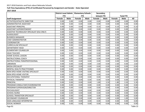## **Full‐Time Equivalency (FTE) of Certificated Personnel by Assignment and Gender ‐ State Operated**

|                                            |            |             | District Level Admin   Elementary Schools |             | <b>Secondary</b>   |      |        |                  |      |
|--------------------------------------------|------------|-------------|-------------------------------------------|-------------|--------------------|------|--------|------------------|------|
|                                            | <b>FTE</b> |             | <b>FTE</b>                                |             | <b>Schools FTE</b> |      |        | <b>Total FTE</b> |      |
| <b>Staff Assignment</b>                    | Female     | <b>Male</b> | Female                                    | <b>Male</b> | Female             | Male | Female | <b>Male</b>      | All  |
| <b>ACTIVITIES/ATHLETIC DIRECTOR</b>        | 0.00       | 0.00        | 0.00                                      | 0.00        | 0.00               | 0.00 | 0.00   | 0.00             | 0.00 |
| <b>ADMINISTRATIVE ASSISTANT</b>            | 0.00       | 0.00        | 0.00                                      | 0.00        | 0.00               | 0.00 | 0.00   | 0.00             | 0.00 |
| <b>ASSISTANT PRINCIPAL</b>                 | 0.00       | 0.00        | 0.00                                      | 0.00        | 0.10               | 0.00 | 0.10   | 0.00             | 0.10 |
| <b>ASSISTANT SUPERINTENDENT</b>            | 0.00       | 0.00        | 0.00                                      | 0.00        | 0.00               | 0.00 | 0.00   | 0.00             | 0.00 |
| ASSISTIVE TECHNOLOGY SPECIALIST (ESU ONLY) | 0.00       | 0.00        | 0.00                                      | 0.00        | 0.00               | 0.00 | 0.00   | 0.00             | 0.00 |
| <b>AUDIOLOGIST</b>                         | 0.00       | 0.00        | 0.00                                      | 0.00        | 0.00               | 0.00 | 0.00   | 0.00             | 0.00 |
| <b>BUSINESS MANAGER</b>                    | 0.00       | 0.00        | 0.00                                      | 0.00        | 0.00               | 0.00 | 0.00   | 0.00             | 0.00 |
| <b>CHIEF ADMINISTRATOR</b>                 | 0.00       | 0.00        | 0.00                                      | 0.00        | 0.00               | 0.00 | 0.00   | 0.00             | 0.00 |
| <b>COORDINATOR</b>                         | 0.00       | 0.00        | 0.00                                      | 0.00        | 0.00               | 0.00 | 0.00   | 0.00             | 0.00 |
| <b>CURRICULUM SPECIALIST</b>               | 0.00       | 0.00        | 0.00                                      | 0.00        | 0.00               | 0.00 | 0.00   | 0.00             | 0.00 |
| <b>DEPARTMENT HEAD</b>                     | 0.00       | 0.00        | 0.00                                      | 0.00        | 0.00               | 0.00 | 0.00   | 0.00             | 0.00 |
| <b>ELEMENTARY COUNSELOR</b>                | 0.00       | 0.00        | 0.00                                      | 0.00        | 0.00               | 0.00 | 0.00   | 0.00             | 0.00 |
| <b>HEAD TEACHER</b>                        | 0.00       | 0.00        | 0.00                                      | 0.00        | 0.00               | 0.00 | 0.00   | 0.00             | 0.00 |
| <b>HOME SCHOOL LIAISON</b>                 | 0.00       | 0.00        | 0.00                                      | 0.00        | 0.00               | 0.00 | 0.00   | 0.00             | 0.00 |
| <b>INSTRUCTIONAL COACH</b>                 | 0.00       | 0.00        | 0.00                                      | 0.00        | 0.00               | 0.00 | 0.00   | 0.00             | 0.00 |
| INSTRUCTIONAL PARAPROFESSIONAL             | 0.00       | 0.00        | 0.00                                      | 0.00        | 0.00               | 0.00 | 0.00   | 0.00             | 0.00 |
| <b>LIBRARIAN</b>                           | 0.00       | 0.00        | 0.00                                      | 0.00        | 2.60               | 0.00 | 2.60   | 0.00             | 2.60 |
| <b>MEDIA SPECIALIST</b>                    | 0.00       | 0.00        | 0.00                                      | 0.00        | 0.00               | 0.00 | 0.00   | 0.00             | 0.00 |
| MENTAL HEALTH PRACTITIONER                 | 0.00       | 0.00        | 0.00                                      | 0.00        | 0.00               | 0.00 | 0.00   | 0.00             | 0.00 |
| NON-SPED HOME VISITING SPECIALIST          | 0.00       | 0.00        | 0.00                                      | 0.00        | 0.00               | 0.00 | 0.00   | 0.00             | 0.00 |
| <b>NON-SPED HOME VISITOR</b>               | 0.00       | 0.00        | 0.00                                      | 0.00        | 0.00               | 0.00 | 0.00   | 0.00             | 0.00 |
| <b>OCCUPATIONAL THERAPIST</b>              | 0.00       | 0.00        | 0.00                                      | 0.00        | 0.00               | 0.00 | 0.00   | 0.00             | 0.00 |
| PHYSICAL THERAPIST                         | 0.00       | 0.00        | 0.00                                      | 0.00        | 0.00               | 0.00 | 0.00   | 0.00             | 0.00 |
| PRINCIPAL                                  | 0.00       | 0.00        | 0.00                                      | 0.00        | 1.80               | 3.50 | 1.80   | 3.50             | 5.30 |
| PROGRAM CONSULTANT/COORDINATOR             | 0.00       | 0.00        | 0.00                                      | 0.00        | 0.00               | 0.00 | 0.00   | 0.00             | 0.00 |
| PROGRAM SUPERVISOR/DIRECTOR                | 0.00       | 0.00        | 0.00                                      | 0.00        | 0.00               | 0.00 | 0.00   | 0.00             | 0.00 |
| <b>PSYCHOLOGIST</b>                        | 0.00       | 0.00        | 0.00                                      | 0.00        | 0.00               | 0.00 | 0.00   | 0.00             | 0.00 |
| <b>SCHOOL NURSE</b>                        | 0.00       | 0.00        | 0.00                                      | 0.00        | 0.00               | 0.00 | 0.00   | 0.00             | 0.00 |
| <b>SCHOOL TRANSITION SPECIALIST</b>        | 0.00       | 0.00        | 0.00                                      | 0.00        | 0.00               | 0.00 | 0.00   | 0.00             | 0.00 |
| <b>SECONDARY COUNSELOR</b>                 | 0.00       | 0.00        | 0.00                                      | 0.00        | 4.00               | 1.00 | 4.00   | 1.00             | 5.00 |
| <b>SIGN LANGUAGE INTERPRETER</b>           | 0.00       | 0.00        | 0.00                                      | 0.00        | 0.00               | 0.00 | 0.00   | 0.00             | 0.00 |
| <b>SOCIAL WORKER</b>                       | 0.00       | 0.00        | 0.00                                      | 0.00        | 0.00               | 0.00 | 0.00   | 0.00             | 0.00 |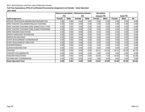## **Full‐Time Equivalency (FTE) of Certificated Personnel by Assignment and Gender ‐ State Operated**

|                                              | District Level Admin |             | <b>Elementary Schools</b> |             | Secondary          |       |        |                  |       |
|----------------------------------------------|----------------------|-------------|---------------------------|-------------|--------------------|-------|--------|------------------|-------|
|                                              | FTE                  |             | FTE                       |             | <b>Schools FTE</b> |       |        | <b>Total FTE</b> |       |
| <b>Staff Assignment</b>                      | Female               | <b>Male</b> | Female                    | <b>Male</b> | Female             | Male  | Female | <b>Male</b>      | All   |
| SPECIAL EDUCATION ADMINISTRATOR/DIRECTOR     | 0.00                 | 0.00        | 0.00                      | 0.00        | 0.00               | 0.00  | 0.00   | 0.00             | 0.00  |
| SPED TEACHER COLLABORATING/CO-TEACHING       | 0.00                 | 0.00        | 0.00                      | 0.00        | 0.90               | 0.00  | 0.90   | 0.00             | 0.90  |
| SPED TEACHER TEACHING CORE SUBJECTS/ALT STDS | 0.00                 | 0.00        | 0.00                      | 0.00        | 0.00               | 0.00  | 0.00   | 0.00             | 0.00  |
| SPED TEACHER TEACHING CORE SUBJECTS/GRADING  | 0.00                 | 0.00        | 0.00                      | 0.00        | 0.00               | 0.00  | 0.00   | 0.00             | 0.00  |
| <b>SPED TEACHER-FACILITATOR</b>              | 0.00                 | 0.00        | 0.00                      | 0.00        | 0.50               | 0.00  | 0.50   | 0.00             | 0.50  |
| <b>SPEECH LANGUAGE TECHNICIAN</b>            | 0.00                 | 0.00        | 0.00                      | 0.00        | 0.60               | 0.00  | 0.60   | 0.00             | 0.60  |
| <b>SPEECH PATHOLOGIST</b>                    | 0.00                 | 0.00        | 0.00                      | 0.00        | 0.00               | 0.00  | 0.00   | 0.00             | 0.00  |
| <b>STAFF DEVELOPMENT COORDINATOR</b>         | 0.00                 | 0.00        | 0.00                      | 0.00        | 0.00               | 0.00  | 0.00   | 0.00             | 0.00  |
| STAFF DEVELOPMENT DIRECTOR                   | 0.00                 | 0.00        | 0.00                      | 0.00        | 0.00               | 0.00  | 0.00   | 0.00             | 0.00  |
| SUPERINTENDENT                               | 0.00                 | 0.00        | 0.00                      | 0.00        | 0.00               | 0.00  | 0.00   | 0.00             | 0.00  |
| SUPERVISOR/DIRECTOR                          | 0.00                 | 0.00        | 0.00                      | 0.00        | 0.00               | 0.00  | 0.00   | 0.00             | 0.00  |
| <b>TEACHER</b>                               | 0.00                 | 0.00        | 0.00                      | 0.00        | 26.55              | 20.20 | 26.55  | 20.20            | 46.75 |
| TEACHER-COLLABORATOR                         | 0.00                 | 0.00        | 0.00                      | 0.00        | 0.00               | 0.00  | 0.00   | 0.00             | 0.00  |
| TEACHER-FACILITATOR                          | 0.00                 | 0.00        | 0.00                      | 0.00        | 16.00              | 7.30  | 16.00  | 7.30             | 23.30 |
| TECHNOLOGY COORDINATOR                       | 0.00                 | 0.00        | 0.00                      | 0.00        | 0.00               | 0.00  | 0.00   | 0.00             | 0.00  |
| <b>State Operated Total</b>                  | 0.00                 | 0.00        | 0.00                      | 0.00        | 53.05              | 32.00 | 53.05  | 32.00            | 85.05 |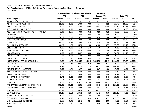## **Full‐Time Equivalency (FTE) of Certificated Personnel by Assignment and Gender ‐ Statewide**

|                                            |            |             | District Level Admin   Elementary Schools |             | Secondary          |             |          |                  |          |
|--------------------------------------------|------------|-------------|-------------------------------------------|-------------|--------------------|-------------|----------|------------------|----------|
|                                            | <b>FTE</b> |             | <b>FTE</b>                                |             | <b>Schools FTE</b> |             |          | <b>Total FTE</b> |          |
| <b>Staff Assignment</b>                    | Female     | <b>Male</b> | Female                                    | <b>Male</b> | Female             | <b>Male</b> | Female   | <b>Male</b>      | All      |
| <b>ACTIVITIES/ATHLETIC DIRECTOR</b>        | 0.17       | 11.17       | 1.09                                      | 2.03        | 6.59               | 71.89       | 7.85     | 85.09            | 92.94    |
| <b>ADMINISTRATIVE ASSISTANT</b>            | 15.01      | 5.01        | 13.00                                     | 9.00        | 5.74               | 4.99        | 33.75    | 19.00            | 52.75    |
| <b>ASSISTANT PRINCIPAL</b>                 | 0.00       | 0.00        | 87.98                                     | 66.50       | 44.31              | 125.84      | 132.29   | 192.34           | 324.63   |
| <b>ASSISTANT SUPERINTENDENT</b>            | 8.50       | 10.50       | 0.00                                      | 0.00        | 0.00               | 0.00        | 8.50     | 10.50            | 19.00    |
| ASSISTIVE TECHNOLOGY SPECIALIST (ESU ONLY) | 3.00       | 1.55        | 0.00                                      | 0.75        | 0.58               | 0.25        | 3.58     | 2.55             | 6.13     |
| <b>AUDIOLOGIST</b>                         | 5.00       | 1.00        | 0.00                                      | 0.00        | 1.00               | 0.00        | 6.00     | 1.00             | 7.00     |
| <b>BUSINESS MANAGER</b>                    | 54.25      | 17.00       | 3.75                                      | 0.00        | 10.50              | 1.00        | 68.50    | 18.00            | 86.50    |
| <b>CHIEF ADMINISTRATOR</b>                 | 3.40       | 10.75       | 0.00                                      | 1.00        | 0.00               | 0.00        | 3.40     | 11.75            | 15.15    |
| <b>COORDINATOR</b>                         | 33.00      | 10.57       | 4.40                                      | 0.75        | 2.70               | 1.50        | 40.10    | 12.82            | 52.92    |
| <b>CURRICULUM SPECIALIST</b>               | 60.20      | 11.70       | 45.32                                     | 1.00        | 32.08              | 10.75       | 137.60   | 23.45            | 161.05   |
| <b>DEPARTMENT HEAD</b>                     | 0.05       | 0.00        | 1.45                                      | 1.40        | 6.76               | 5.76        | 8.26     | 7.16             | 15.42    |
| <b>ELEMENTARY COUNSELOR</b>                | 0.50       | 0.00        | 288.29                                    | 43.04       | 7.78               | 1.80        | 296.57   | 44.84            | 341.41   |
| <b>HEAD TEACHER</b>                        | 0.00       | 0.00        | 59.85                                     | 18.80       | 10.86              | 2.65        | 70.71    | 21.45            | 92.16    |
| <b>HOME SCHOOL LIAISON</b>                 | 2.01       | 0.01        | 5.99                                      | 0.99        | 0.00               | 0.00        | 8.00     | 1.00             | 9.00     |
| <b>INSTRUCTIONAL COACH</b>                 | 11.70      | 1.60        | 68.66                                     | 6.50        | 11.78              | 5.60        | 92.14    | 13.70            | 105.84   |
| INSTRUCTIONAL PARAPROFESSIONAL             | 9.82       | 1.76        | 5,010.23                                  | 269.42      | 1,096.58           | 166.49      | 6,116.63 | 437.67           | 6,554.30 |
| <b>LIBRARIAN</b>                           | 7.17       | 1.38        | 87.93                                     | 3.36        | 53.89              | 2.74        | 148.99   | 7.48             | 156.47   |
| <b>MEDIA SPECIALIST</b>                    | 8.47       | 1.00        | 297.79                                    | 17.20       | 98.57              | 10.86       | 404.83   | 29.06            | 433.89   |
| <b>MENTAL HEALTH PRACTITIONER</b>          | 3.00       | 1.71        | 13.97                                     | 3.60        | 0.67               | 1.00        | 17.64    | 6.31             | 23.95    |
| NON-SPED HOME VISITING SPECIALIST          | 0.00       | 0.00        | 34.45                                     | 0.00        | 0.00               | 0.00        | 34.45    | 0.00             | 34.45    |
| <b>NON-SPED HOME VISITOR</b>               | 0.00       | 0.00        | 26.48                                     | 0.00        | 0.00               | 0.00        | 26.48    | 0.00             | 26.48    |
| OCCUPATIONAL THERAPIST                     | 42.73      | 0.00        | 20.39                                     | 2.50        | 6.08               | 0.40        | 69.20    | 2.90             | 72.10    |
| PHYSICAL THERAPIST                         | 12.62      | 0.93        | 9.83                                      | 0.00        | 1.43               | 0.00        | 23.88    | 0.93             | 24.81    |
| PRINCIPAL                                  | 0.00       | 0.00        | 329.72                                    | 311.86      | 40.66              | 240.19      | 370.38   | 552.05           | 922.43   |
| PROGRAM CONSULTANT/COORDINATOR             | 150.95     | 15.00       | 66.56                                     | 15.18       | 44.48              | 33.48       | 261.99   | 63.66            | 325.65   |
| PROGRAM SUPERVISOR/DIRECTOR                | 26.31      | 5.55        | 32.65                                     | 6.00        | 18.07              | 14.22       | 77.03    | 25.77            | 102.80   |
| <b>PSYCHOLOGIST</b>                        | 89.58      | 13.16       | 145.98                                    | 15.51       | 36.52              | 7.24        | 272.08   | 35.91            | 307.99   |
| <b>SCHOOL NURSE</b>                        | 88.25      | 2.13        | 143.79                                    | 4.30        | 61.42              | 0.70        | 293.46   | 7.13             | 300.59   |
| <b>SCHOOL TRANSITION SPECIALIST</b>        | 15.00      | 3.00        | 2.00                                      | 1.00        | 5.60               | 3.00        | 22.60    | 7.00             | 29.60    |
| <b>SECONDARY COUNSELOR</b>                 | 0.40       | 0.50        | 91.39                                     | 26.20       | 325.99             | 113.52      | 417.78   | 140.22           | 558.00   |
| <b>SIGN LANGUAGE INTERPRETER</b>           | 2.55       | 0.90        | 22.43                                     | 0.94        | 22.13              | 2.00        | 47.11    | 3.84             | 50.95    |
| <b>SOCIAL WORKER</b>                       | 30.50      | 2.80        | 31.36                                     | 1.21        | 16.89              | 1.49        | 78.75    | 5.50             | 84.25    |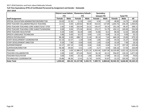## **Full‐Time Equivalency (FTE) of Certificated Personnel by Assignment and Gender ‐ Statewide**

|                                              | District Level Admin |             | <b>Elementary Schools</b> |             | <b>Secondary</b>   |             |                    |                  |                    |
|----------------------------------------------|----------------------|-------------|---------------------------|-------------|--------------------|-------------|--------------------|------------------|--------------------|
|                                              | <b>FTE</b>           |             | <b>FTE</b>                |             | <b>Schools FTE</b> |             |                    | <b>Total FTE</b> |                    |
| <b>Staff Assignment</b>                      | Female               | <b>Male</b> | Female                    | <b>Male</b> | Female             | <b>Male</b> | Female             | <b>Male</b>      | All                |
| SPECIAL EDUCATION ADMINISTRATOR/DIRECTOR     | 33.02                | 12.35       | 11.33                     | 0.81        | 4.50               | 1.59        | 48.85              | 14.75            | 63.60              |
| SPED TEACHER COLLABORATING/CO-TEACHING       | 13.51                | 0.00        | 1,269.82                  | 98.40       | 410.43             | 137.89      | 1,693.76           | 236.29           | 1,930.05           |
| SPED TEACHER TEACHING CORE SUBJECTS/ALT STDS | 2.83                 | 0.98        | 203.94                    | 16.25       | 145.47             | 29.24       | 352.24             | 46.47            | 398.71             |
| SPED TEACHER TEACHING CORE SUBJECTS/GRADING  | 0.00                 | 0.00        | 275.94                    | 49.04       | 174.17             | 55.79       | 450.11             | 104.83           | 554.94             |
| <b>SPED TEACHER-FACILITATOR</b>              | 0.20                 | 0.00        | 56.20                     | 3.80        | 31.86              | 8.22        | 88.26              | 12.02            | 100.28             |
| SPEECH LANGUAGE TECHNICIAN                   | 3.86                 | 0.00        | 10.37                     | 0.00        | 1.92               | 0.00        | 16.15              | 0.00             | 16.15              |
| <b>SPEECH PATHOLOGIST</b>                    | 86.38                | 0.00        | 488.71                    | 11.40       | 85.10              | 7.60        | 660.19             | 19.00            | 679.19             |
| <b>STAFF DEVELOPMENT COORDINATOR</b>         | 41.53                | 13.37       | 1.20                      | 0.90        | 1.80               | 1.00        | 44.53              | 15.27            | 59.80              |
| <b>STAFF DEVELOPMENT DIRECTOR</b>            | 9.20                 | 7.90        | 0.00                      | 0.00        | 1.00               | 0.00        | 10.20              | 7.90             | 18.10              |
| <b>SUPERINTENDENT</b>                        | 32.27                | 197.19      | 0.00                      | 0.00        | 0.00               | 0.00        | 32.27              | 197.19           | 229.46             |
| SUPERVISOR/DIRECTOR                          | 96.48                | 49.60       | 5.41                      | 1.39        | 4.27               | 6.94        | 106.16             | 57.93            | 164.09             |
| <b>TEACHER</b>                               | 6.36                 |             | 3.00 11,980.07            | 2,221.20    | 4,343.46           | 3,697.96    | 16,329.89          |                  | 5,922.16 22,252.05 |
| TEACHER-COLLABORATOR                         | 2.00                 | 0.00        | 872.69                    | 78.02       | 82.18              | 42.31       | 956.87             | 120.33           | 1,077.20           |
| TEACHER-FACILITATOR                          | 3.00                 | 0.00        | 23.16                     | 1.80        | 33.96              | 17.89       | 60.12              | 19.69            | 79.81              |
| TECHNOLOGY COORDINATOR                       | 19.86                | 48.36       | 12.41                     | 21.70       | 19.95              | 32.87       | 52.22              | 102.93           | 155.15             |
| <b>State Total</b>                           | 1,034.64             |             | 463.43 22,157.98          | 3,334.75    | 7,309.73           |             | 4,868.66 30,502.35 |                  | 8,666.84 39,169.19 |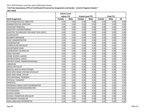**Full‐Time Equivalency (FTE) of Certificated Personnel by Assignment and Gender ‐ Interim Program Schools \***

|                                            | <b>District Level</b> |             |                         |             |                  |             |      |
|--------------------------------------------|-----------------------|-------------|-------------------------|-------------|------------------|-------------|------|
|                                            | <b>Admin FTE</b>      |             | <b>School Level FTE</b> |             | <b>Total FTE</b> |             |      |
| <b>Staff Assignment</b>                    | Female                | <b>Male</b> | Female                  | <b>Male</b> | Female           | <b>Male</b> | All  |
| <b>ACTIVITIES/ATHLETIC DIRECTOR</b>        | 0.00                  | 0.00        | 0.00                    | 0.00        | 0.00             | 0.00        | 0.00 |
| ADMINISTRATIVE ASSISTANT                   | 0.00                  | 0.00        | 0.00                    | 0.00        | 0.00             | 0.00        | 0.00 |
| <b>ASSISTANT PRINCIPAL</b>                 | 0.00                  | 0.00        | 0.00                    | 0.00        | 0.00             | 0.00        | 0.00 |
| <b>ASSISTANT SUPERINTENDENT</b>            | 0.00                  | 0.00        | 0.00                    | 0.00        | 0.00             | 0.00        | 0.00 |
| ASSISTIVE TECHNOLOGY SPECIALIST (ESU ONLY) | 0.00                  | 0.00        | 0.00                    | 0.00        | 0.00             | 0.00        | 0.00 |
| <b>AUDIOLOGIST</b>                         | 0.00                  | 0.00        | 0.00                    | 0.00        | 0.00             | 0.00        | 0.00 |
| <b>BUSINESS MANAGER</b>                    | 0.00                  | 0.00        | 0.00                    | 0.00        | 0.00             | 0.00        | 0.00 |
| <b>CHIEF ADMINISTRATOR</b>                 | 0.00                  | 0.00        | 0.00                    | 0.00        | 0.00             | 0.00        | 0.00 |
| <b>COORDINATOR</b>                         | 0.00                  | 0.00        | 0.00                    | 0.00        | 0.00             | 0.00        | 0.00 |
| <b>CURRICULUM SPECIALIST</b>               | 0.00                  | 0.00        | 0.00                    | 0.00        | 0.00             | 0.00        | 0.00 |
| <b>DEPARTMENT HEAD</b>                     | 0.00                  | 0.00        | 0.00                    | 0.00        | 0.00             | 0.00        | 0.00 |
| <b>ELEMENTARY COUNSELOR</b>                | 0.00                  | 0.00        | 0.00                    | 0.00        | 0.00             | 0.00        | 0.00 |
| <b>HEAD TEACHER</b>                        | 0.00                  | 0.00        | 0.00                    | 0.00        | 0.00             | 0.00        | 0.00 |
| <b>HOME SCHOOL LIAISON</b>                 | 0.00                  | 0.00        | 0.00                    | 0.00        | 0.00             | 0.00        | 0.00 |
| <b>INSTRUCTIONAL COACH</b>                 | 0.00                  | 0.00        | 0.00                    | 0.00        | 0.00             | 0.00        | 0.00 |
| <b>INSTRUCTIONAL PARAPROFESSIONAL</b>      | 0.00                  | 0.00        | 0.00                    | 0.87        | 0.00             | 0.87        | 0.87 |
| <b>LIBRARIAN</b>                           | 0.00                  | 0.00        | 0.00                    | 0.00        | 0.00             | 0.00        | 0.00 |
| <b>MEDIA SPECIALIST</b>                    | 0.00                  | 0.00        | 0.00                    | 0.00        | 0.00             | 0.00        | 0.00 |
| <b>MENTAL HEALTH PRACTITIONER</b>          | 0.00                  | 0.00        | 0.00                    | 0.00        | 0.00             | 0.00        | 0.00 |
| NON-SPED HOME VISITING SPECIALIST          | 0.00                  | 0.00        | 0.00                    | 0.00        | 0.00             | 0.00        | 0.00 |
| <b>NON-SPED HOME VISITOR</b>               | 0.00                  | 0.00        | 0.00                    | 0.00        | 0.00             | 0.00        | 0.00 |
| <b>OCCUPATIONAL THERAPIST</b>              | 0.00                  | 0.00        | 0.00                    | 0.00        | 0.00             | 0.00        | 0.00 |
| PHYSICAL THERAPIST                         | 0.00                  | 0.00        | 0.00                    | 0.00        | 0.00             | 0.00        | 0.00 |
| PRINCIPAL                                  | 0.00                  | 0.00        | 0.05                    | 3.85        | 0.05             | 3.85        | 3.90 |
| PROGRAM CONSULTANT/COORDINATOR             | 0.00                  | 0.00        | 0.00                    | 0.00        | 0.00             | 0.00        | 0.00 |
| PROGRAM SUPERVISOR/DIRECTOR                | 0.01                  | 0.00        | 0.00                    | 0.00        | 0.01             | 0.00        | 0.01 |
| <b>PSYCHOLOGIST</b>                        | 0.00                  | 0.00        | 0.00                    | 0.00        | 0.00             | 0.00        | 0.00 |
| <b>SCHOOL NURSE</b>                        | 0.00                  | 0.00        | 0.00                    | 0.00        | 0.00             | 0.00        | 0.00 |
| <b>SCHOOL TRANSITION SPECIALIST</b>        | 0.00                  | 0.00        | 0.00                    | 0.00        | 0.00             | 0.00        | 0.00 |
| <b>SECONDARY COUNSELOR</b>                 | 0.00                  | 0.00        | 0.00                    | 0.00        | 0.00             | 0.00        | 0.00 |
| <b>SIGN LANGUAGE INTERPRETER</b>           | 0.00                  | 0.00        | 0.00                    | 0.00        | 0.00             | 0.00        | 0.00 |